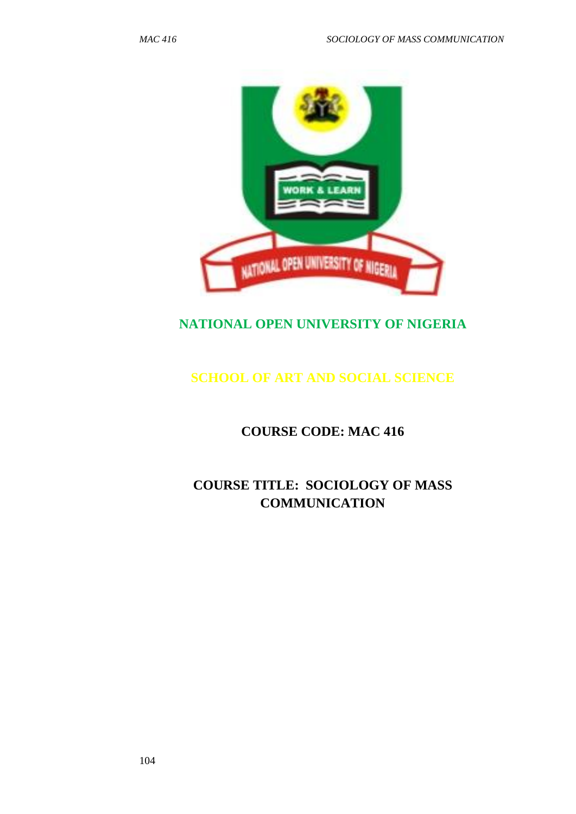

# **NATIONAL OPEN UNIVERSITY OF NIGERIA**

# **SCHOOL OF ART AND SOCIAL SCIENCE**

**COURSE CODE: MAC 416**

**COURSE TITLE: SOCIOLOGY OF MASS COMMUNICATION**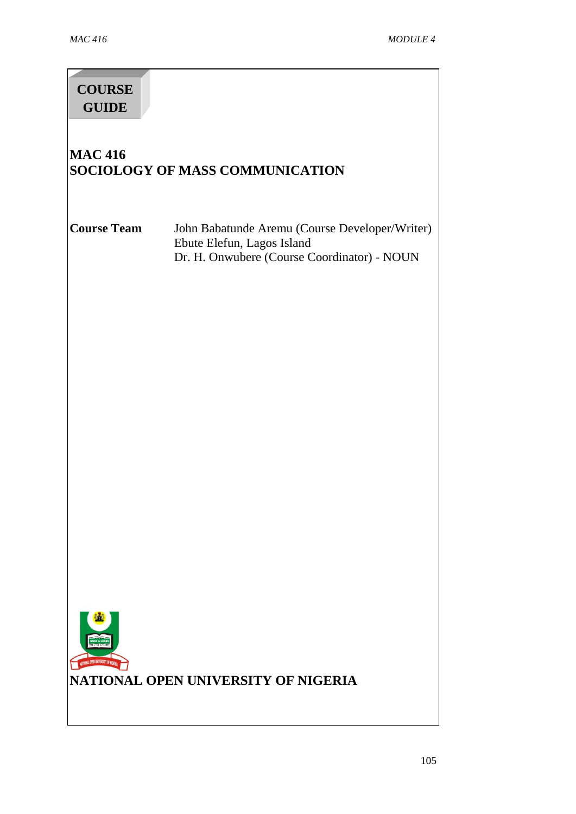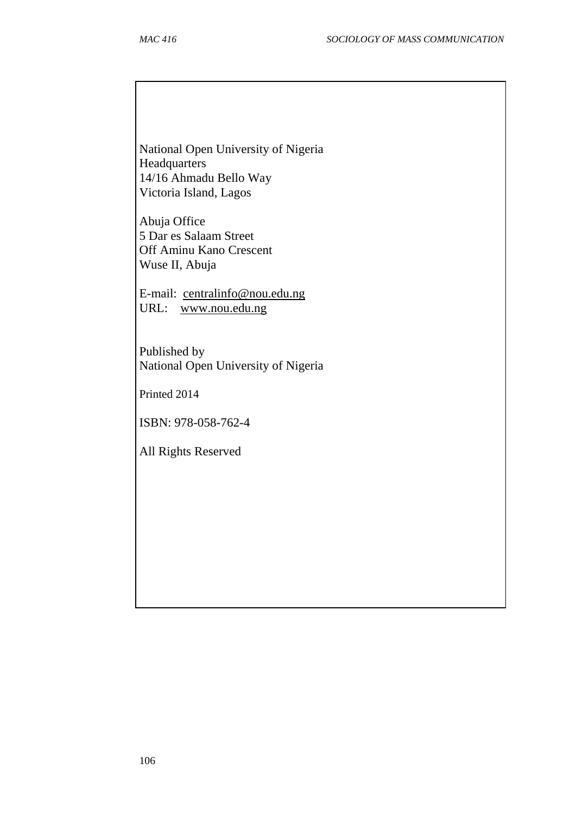National Open University of Nigeria **Headquarters** 14/16 Ahmadu Bello Way Victoria Island, Lagos

Abuja Office 5 Dar es Salaam Street Off Aminu Kano Crescent Wuse II, Abuja

E-mail: [centralinfo@nou.edu.ng](mailto:centralinfo@nou.edu.ng) URL: [www.nou.edu.ng](http://www.nou.edu.ng/)

Published by National Open University of Nigeria

Printed 2014

ISBN: 978-058-762-4

All Rights Reserved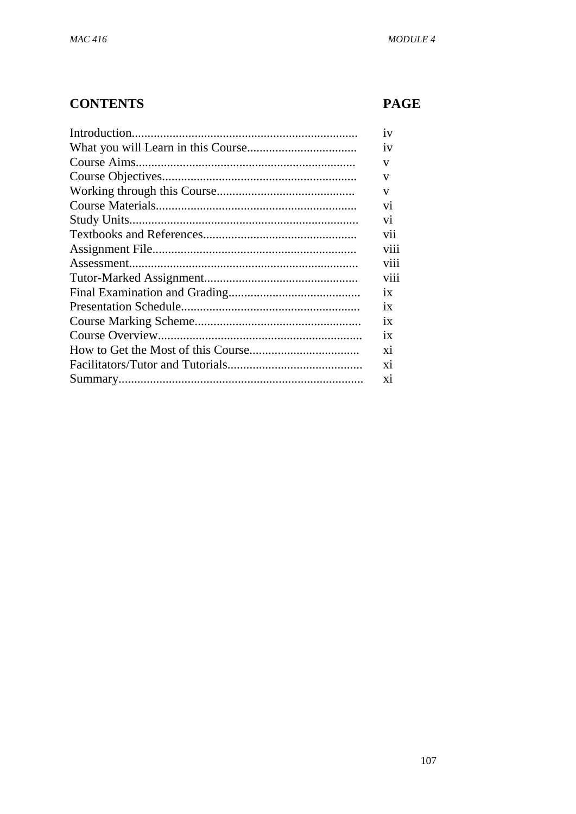# **CONTENTS**

# **PAGE**

| iv              |
|-----------------|
| iv              |
| V               |
|                 |
| v               |
| v               |
| V <sub>1</sub>  |
| V <sub>1</sub>  |
| vii             |
| viii            |
| viii            |
| viii            |
| 1X              |
| 1X              |
| $\overline{1}x$ |
| 1X              |
| xi              |
| xi              |
| X <sub>1</sub>  |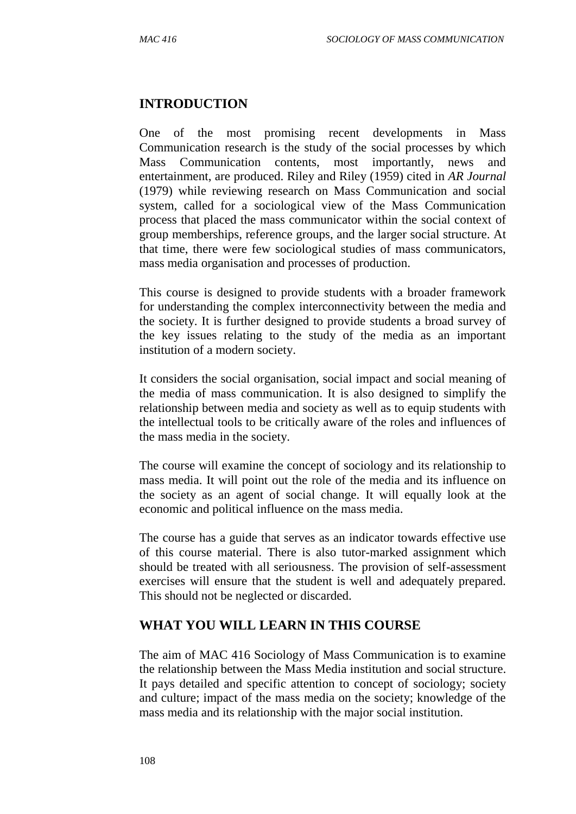# **INTRODUCTION**

One of the most promising recent developments in Mass Communication research is the study of the social processes by which Mass Communication contents, most importantly, news and entertainment, are produced. Riley and Riley (1959) cited in *AR Journal* (1979) while reviewing research on Mass Communication and social system, called for a sociological view of the Mass Communication process that placed the mass communicator within the social context of group memberships, reference groups, and the larger social structure. At that time, there were few sociological studies of mass communicators, mass media organisation and processes of production.

This course is designed to provide students with a broader framework for understanding the complex interconnectivity between the media and the society. It is further designed to provide students a broad survey of the key issues relating to the study of the media as an important institution of a modern society.

It considers the social organisation, social impact and social meaning of the media of mass communication. It is also designed to simplify the relationship between media and society as well as to equip students with the intellectual tools to be critically aware of the roles and influences of the mass media in the society.

The course will examine the concept of sociology and its relationship to mass media. It will point out the role of the media and its influence on the society as an agent of social change. It will equally look at the economic and political influence on the mass media.

The course has a guide that serves as an indicator towards effective use of this course material. There is also tutor-marked assignment which should be treated with all seriousness. The provision of self-assessment exercises will ensure that the student is well and adequately prepared. This should not be neglected or discarded.

# **WHAT YOU WILL LEARN IN THIS COURSE**

The aim of MAC 416 Sociology of Mass Communication is to examine the relationship between the Mass Media institution and social structure. It pays detailed and specific attention to concept of sociology; society and culture; impact of the mass media on the society; knowledge of the mass media and its relationship with the major social institution.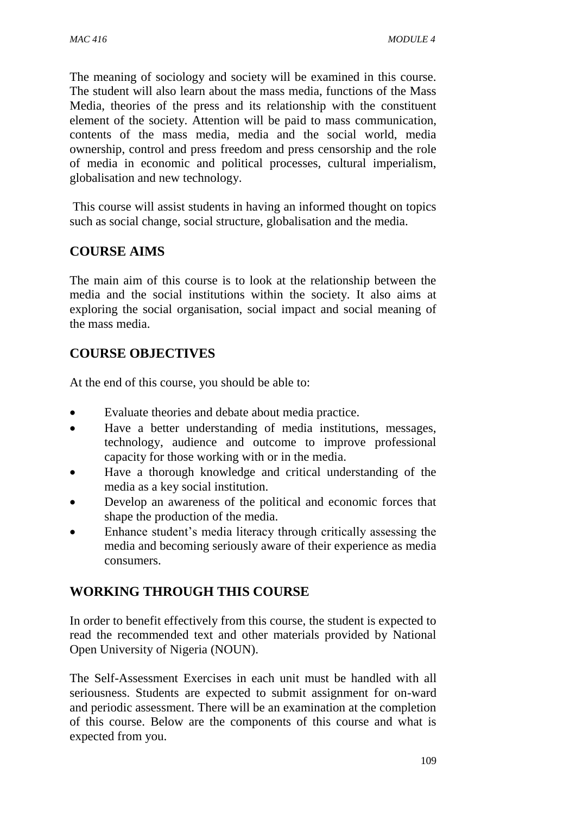The meaning of sociology and society will be examined in this course. The student will also learn about the mass media, functions of the Mass Media, theories of the press and its relationship with the constituent element of the society. Attention will be paid to mass communication, contents of the mass media, media and the social world, media ownership, control and press freedom and press censorship and the role of media in economic and political processes, cultural imperialism, globalisation and new technology.

This course will assist students in having an informed thought on topics such as social change, social structure, globalisation and the media.

# **COURSE AIMS**

The main aim of this course is to look at the relationship between the media and the social institutions within the society. It also aims at exploring the social organisation, social impact and social meaning of the mass media.

## **COURSE OBJECTIVES**

At the end of this course, you should be able to:

- Evaluate theories and debate about media practice.
- Have a better understanding of media institutions, messages, technology, audience and outcome to improve professional capacity for those working with or in the media.
- Have a thorough knowledge and critical understanding of the media as a key social institution.
- Develop an awareness of the political and economic forces that shape the production of the media.
- Enhance student's media literacy through critically assessing the media and becoming seriously aware of their experience as media consumers.

# **WORKING THROUGH THIS COURSE**

In order to benefit effectively from this course, the student is expected to read the recommended text and other materials provided by National Open University of Nigeria (NOUN).

The Self-Assessment Exercises in each unit must be handled with all seriousness. Students are expected to submit assignment for on-ward and periodic assessment. There will be an examination at the completion of this course. Below are the components of this course and what is expected from you.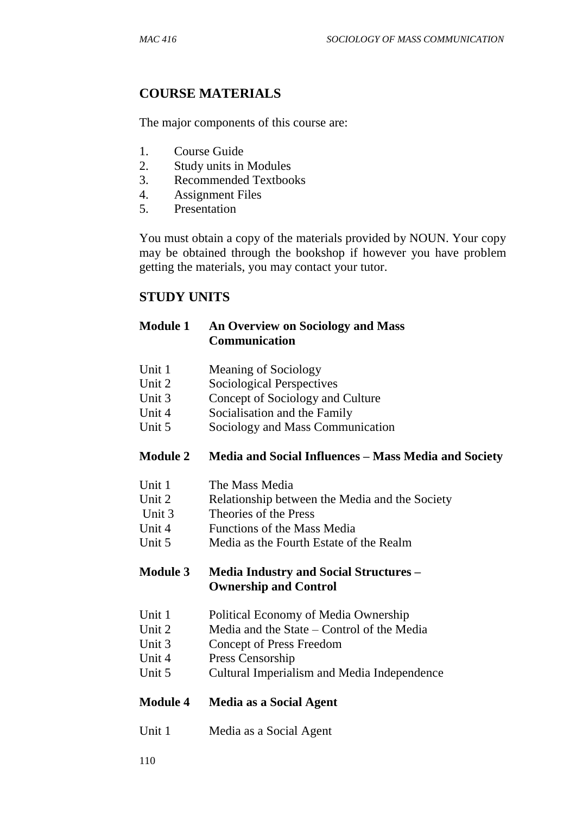# **COURSE MATERIALS**

The major components of this course are:

- 1. Course Guide
- 2. Study units in Modules
- 3. Recommended Textbooks
- 4. Assignment Files
- 5. Presentation

You must obtain a copy of the materials provided by NOUN. Your copy may be obtained through the bookshop if however you have problem getting the materials, you may contact your tutor.

#### **STUDY UNITS**

#### **Module 1 An Overview on Sociology and Mass Communication**

- Unit 1 Meaning of Sociology
- Unit 2 Sociological Perspectives
- Unit 3 Concept of Sociology and Culture
- Unit 4 Socialisation and the Family
- Unit 5 Sociology and Mass Communication

#### **Module 2 Media and Social Influences – Mass Media and Society**

- Unit 1 The Mass Media
- Unit 2 Relationship between the Media and the Society
- Unit 3 Theories of the Press
- Unit 4 Functions of the Mass Media
- Unit 5 Media as the Fourth Estate of the Realm

#### **Module 3 Media Industry and Social Structures – Ownership and Control**

- Unit 1 Political Economy of Media Ownership
- Unit 2 Media and the State Control of the Media
- Unit 3 Concept of Press Freedom
- Unit 4 Press Censorship
- Unit 5 Cultural Imperialism and Media Independence

#### **Module 4 Media as a Social Agent**

Unit 1 Media as a Social Agent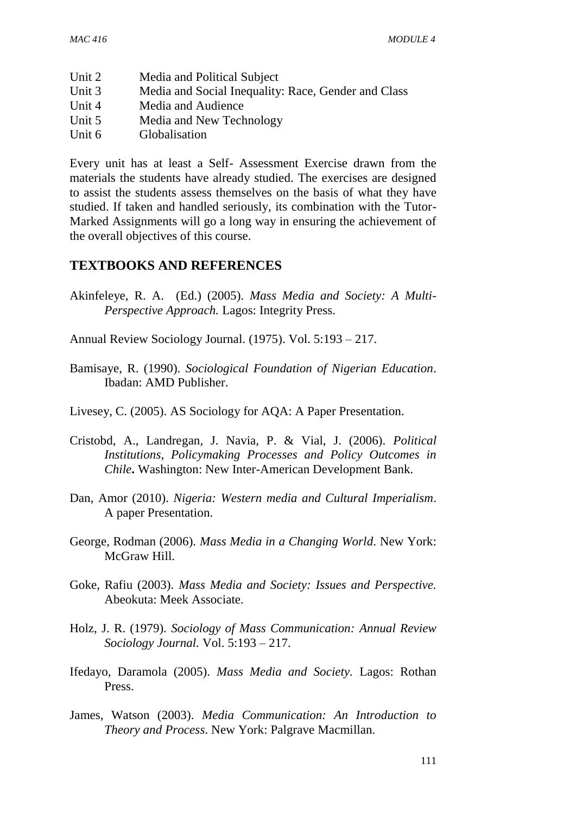| Unit 2 | Media and Political Subject                         |
|--------|-----------------------------------------------------|
| Unit 3 | Media and Social Inequality: Race, Gender and Class |
| Unit 4 | Media and Audience                                  |
| Unit 5 | Media and New Technology                            |
| Unit 6 | Globalisation                                       |

Every unit has at least a Self- Assessment Exercise drawn from the materials the students have already studied. The exercises are designed to assist the students assess themselves on the basis of what they have studied. If taken and handled seriously, its combination with the Tutor-Marked Assignments will go a long way in ensuring the achievement of the overall objectives of this course.

#### **TEXTBOOKS AND REFERENCES**

Akinfeleye, R. A. (Ed.) (2005). *Mass Media and Society: A Multi-Perspective Approach.* Lagos: Integrity Press.

Annual Review Sociology Journal. (1975). Vol. 5:193 – 217.

- Bamisaye, R. (1990). *Sociological Foundation of Nigerian Education*. Ibadan: AMD Publisher.
- Livesey, C. (2005). AS Sociology for AQA: A Paper Presentation.
- Cristobd, A., Landregan, J. Navia, P. & Vial, J. (2006). *Political Institutions, Policymaking Processes and Policy Outcomes in Chile***.** Washington: New Inter-American Development Bank.
- Dan, Amor (2010). *Nigeria: Western media and Cultural Imperialism*. A paper Presentation.
- George, Rodman (2006). *Mass Media in a Changing World*. New York: McGraw Hill.
- Goke, Rafiu (2003). *Mass Media and Society: Issues and Perspective.* Abeokuta: Meek Associate.
- Holz, J. R. (1979). *Sociology of Mass Communication: Annual Review Sociology Journal.* Vol. 5:193 – 217.
- Ifedayo, Daramola (2005). *Mass Media and Society.* Lagos: Rothan Press.
- James, Watson (2003). *Media Communication: An Introduction to Theory and Process*. New York: Palgrave Macmillan.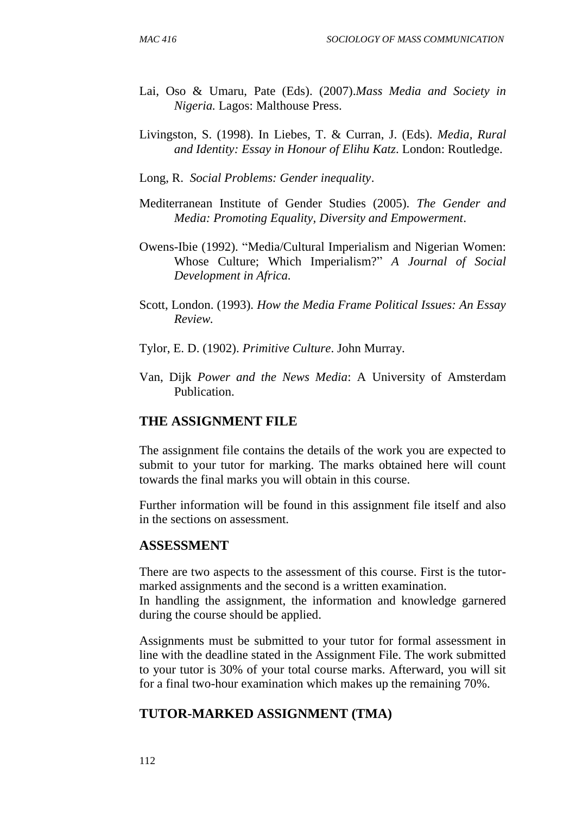- Lai, Oso & Umaru, Pate (Eds). (2007).*Mass Media and Society in Nigeria.* Lagos: Malthouse Press.
- Livingston, S. (1998). In Liebes, T. & Curran, J. (Eds). *Media, Rural and Identity: Essay in Honour of Elihu Katz*. London: Routledge.
- Long, R. *Social Problems: Gender inequality*.
- Mediterranean Institute of Gender Studies (2005). *The Gender and Media: Promoting Equality, Diversity and Empowerment*.
- Owens-Ibie (1992). "Media/Cultural Imperialism and Nigerian Women: Whose Culture; Which Imperialism?" *A Journal of Social Development in Africa.*
- Scott, London. (1993). *How the Media Frame Political Issues: An Essay Review.*
- Tylor, E. D. (1902). *Primitive Culture*. John Murray.
- Van, Dijk *Power and the News Media*: A University of Amsterdam Publication.

#### **THE ASSIGNMENT FILE**

The assignment file contains the details of the work you are expected to submit to your tutor for marking. The marks obtained here will count towards the final marks you will obtain in this course.

Further information will be found in this assignment file itself and also in the sections on assessment.

#### **ASSESSMENT**

There are two aspects to the assessment of this course. First is the tutormarked assignments and the second is a written examination.

In handling the assignment, the information and knowledge garnered during the course should be applied.

Assignments must be submitted to your tutor for formal assessment in line with the deadline stated in the Assignment File. The work submitted to your tutor is 30% of your total course marks. Afterward, you will sit for a final two-hour examination which makes up the remaining 70%.

#### **TUTOR-MARKED ASSIGNMENT (TMA)**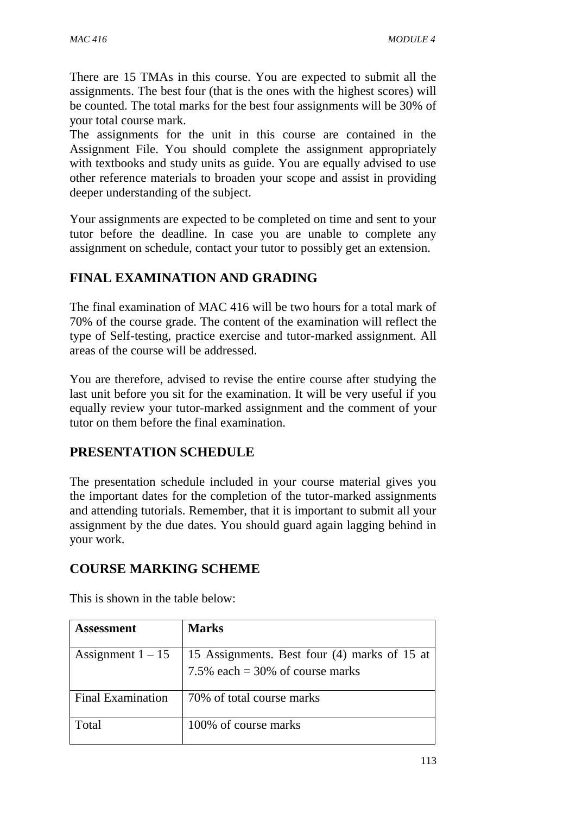There are 15 TMAs in this course. You are expected to submit all the assignments. The best four (that is the ones with the highest scores) will be counted. The total marks for the best four assignments will be 30% of your total course mark.

The assignments for the unit in this course are contained in the Assignment File. You should complete the assignment appropriately with textbooks and study units as guide. You are equally advised to use other reference materials to broaden your scope and assist in providing deeper understanding of the subject.

Your assignments are expected to be completed on time and sent to your tutor before the deadline. In case you are unable to complete any assignment on schedule, contact your tutor to possibly get an extension.

# **FINAL EXAMINATION AND GRADING**

The final examination of MAC 416 will be two hours for a total mark of 70% of the course grade. The content of the examination will reflect the type of Self-testing, practice exercise and tutor-marked assignment. All areas of the course will be addressed.

You are therefore, advised to revise the entire course after studying the last unit before you sit for the examination. It will be very useful if you equally review your tutor-marked assignment and the comment of your tutor on them before the final examination.

#### **PRESENTATION SCHEDULE**

The presentation schedule included in your course material gives you the important dates for the completion of the tutor-marked assignments and attending tutorials. Remember, that it is important to submit all your assignment by the due dates. You should guard again lagging behind in your work.

#### **COURSE MARKING SCHEME**

| <b>Assessment</b>        | <b>Marks</b>                                                                       |
|--------------------------|------------------------------------------------------------------------------------|
| Assignment $1 - 15$      | 15 Assignments. Best four (4) marks of 15 at<br>7.5% each = $30\%$ of course marks |
| <b>Final Examination</b> | 70% of total course marks                                                          |
| Total                    | 100% of course marks                                                               |

This is shown in the table below: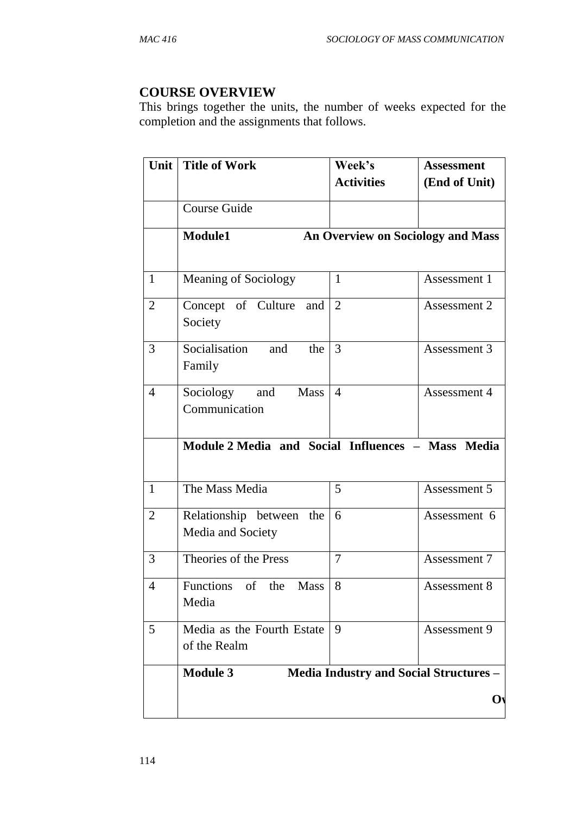## **COURSE OVERVIEW**

This brings together the units, the number of weeks expected for the completion and the assignments that follows.

| <b>Unit</b>    | <b>Title of Work</b>                              | Week's<br><b>Activities</b> | <b>Assessment</b><br>(End of Unit)            |
|----------------|---------------------------------------------------|-----------------------------|-----------------------------------------------|
|                | Course Guide                                      |                             |                                               |
|                | Module1                                           |                             | An Overview on Sociology and Mass             |
| $\mathbf{1}$   | <b>Meaning of Sociology</b>                       | $\mathbf{1}$                | Assessment 1                                  |
| $\mathbf{2}$   | Concept of Culture<br>and<br>Society              | $\overline{2}$              | Assessment 2                                  |
| $\mathfrak{Z}$ | Socialisation<br>the<br>and<br>Family             | 3                           | Assessment 3                                  |
| $\overline{4}$ | Sociology<br>and<br>Mass<br>Communication         | $\overline{4}$              | Assessment 4                                  |
|                | Module 2 Media and Social Influences - Mass Media |                             |                                               |
| $\overline{1}$ | The Mass Media                                    | 5                           | Assessment 5                                  |
| $\overline{2}$ | Relationship between the<br>Media and Society     | 6                           | Assessment 6                                  |
| $\overline{3}$ | Theories of the Press                             | $\overline{7}$              | Assessment 7                                  |
| $\overline{4}$ | Functions of the<br><b>Mass</b><br>Media          | 8                           | Assessment 8                                  |
| 5              | Media as the Fourth Estate<br>of the Realm        | 9                           | Assessment 9                                  |
|                | <b>Module 3</b>                                   |                             | <b>Media Industry and Social Structures -</b> |
|                |                                                   |                             | $\mathbf{O}$                                  |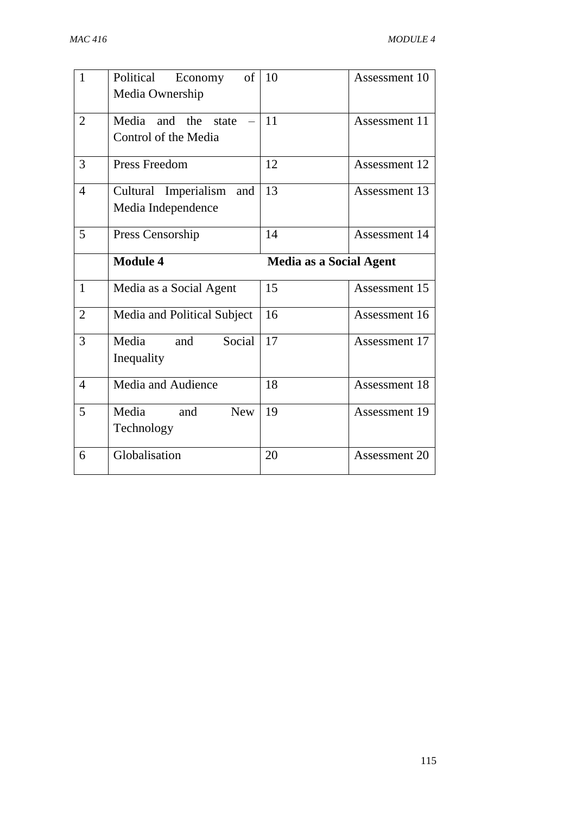| $\mathbf{1}$   | Political<br>of<br>Economy<br>Media Ownership     | 10                             | Assessment 10 |
|----------------|---------------------------------------------------|--------------------------------|---------------|
| $\overline{2}$ | Media<br>and the<br>state<br>Control of the Media | 11                             | Assessment 11 |
| 3              | <b>Press Freedom</b>                              | 12                             | Assessment 12 |
| $\overline{4}$ | Cultural Imperialism<br>and<br>Media Independence | 13                             | Assessment 13 |
| 5              | Press Censorship                                  | 14                             | Assessment 14 |
|                | <b>Module 4</b>                                   | <b>Media as a Social Agent</b> |               |
|                |                                                   |                                |               |
| $\mathbf{1}$   | Media as a Social Agent                           | 15                             | Assessment 15 |
| $\overline{2}$ | Media and Political Subject                       | 16                             | Assessment 16 |
| 3              | Media<br>Social<br>and<br>Inequality              | 17                             | Assessment 17 |
| $\overline{4}$ | Media and Audience                                | 18                             | Assessment 18 |
| 5              | Media<br><b>New</b><br>and<br>Technology          | 19                             | Assessment 19 |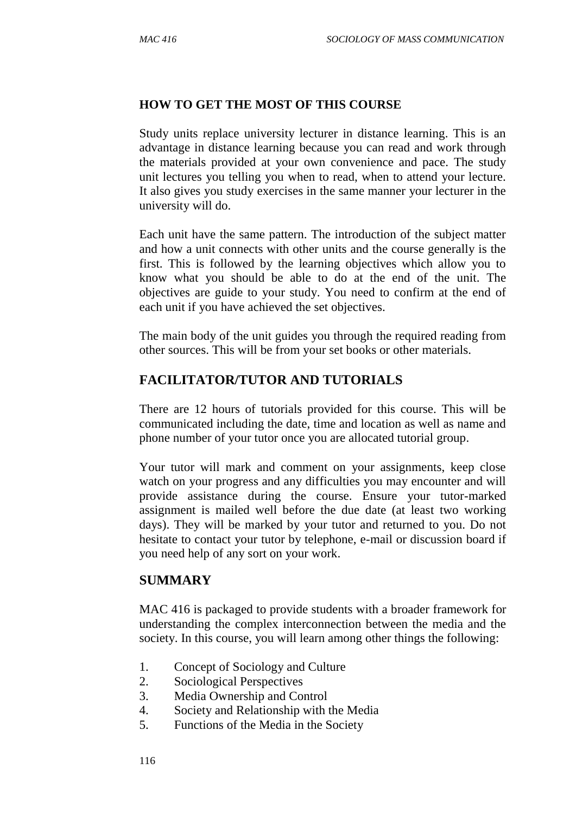#### **HOW TO GET THE MOST OF THIS COURSE**

Study units replace university lecturer in distance learning. This is an advantage in distance learning because you can read and work through the materials provided at your own convenience and pace. The study unit lectures you telling you when to read, when to attend your lecture. It also gives you study exercises in the same manner your lecturer in the university will do.

Each unit have the same pattern. The introduction of the subject matter and how a unit connects with other units and the course generally is the first. This is followed by the learning objectives which allow you to know what you should be able to do at the end of the unit. The objectives are guide to your study. You need to confirm at the end of each unit if you have achieved the set objectives.

The main body of the unit guides you through the required reading from other sources. This will be from your set books or other materials.

# **FACILITATOR/TUTOR AND TUTORIALS**

There are 12 hours of tutorials provided for this course. This will be communicated including the date, time and location as well as name and phone number of your tutor once you are allocated tutorial group.

Your tutor will mark and comment on your assignments, keep close watch on your progress and any difficulties you may encounter and will provide assistance during the course. Ensure your tutor-marked assignment is mailed well before the due date (at least two working days). They will be marked by your tutor and returned to you. Do not hesitate to contact your tutor by telephone, e-mail or discussion board if you need help of any sort on your work.

#### **SUMMARY**

MAC 416 is packaged to provide students with a broader framework for understanding the complex interconnection between the media and the society. In this course, you will learn among other things the following:

- 1. Concept of Sociology and Culture
- 2. Sociological Perspectives
- 3. Media Ownership and Control
- 4. Society and Relationship with the Media
- 5. Functions of the Media in the Society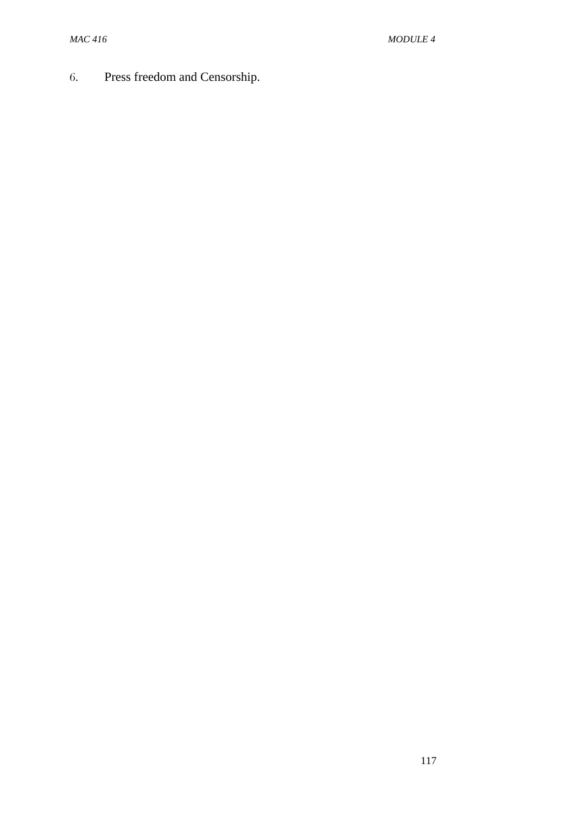6. Press freedom and Censorship.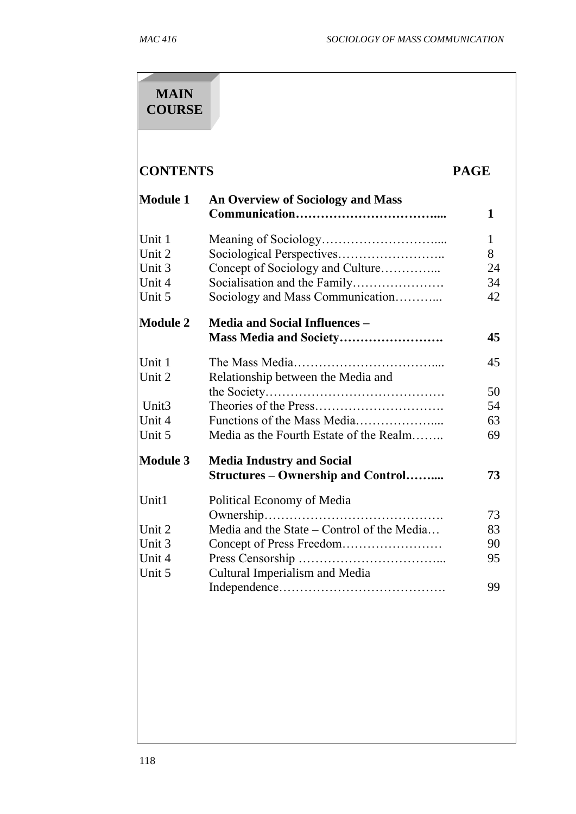# **MAIN COURSE**

# **CONTENTS PAGE**

| <b>Module 1</b>   | <b>An Overview of Sociology and Mass</b>   | 1            |
|-------------------|--------------------------------------------|--------------|
| Unit 1            |                                            | $\mathbf{1}$ |
| Unit 2            |                                            | 8            |
| Unit 3            | Concept of Sociology and Culture           | 24           |
| Unit 4            |                                            | 34           |
| Unit 5            | Sociology and Mass Communication           | 42           |
| <b>Module 2</b>   | <b>Media and Social Influences -</b>       |              |
|                   |                                            | 45           |
| Unit 1            |                                            | 45           |
| Unit 2            | Relationship between the Media and         |              |
|                   |                                            | 50           |
| Unit <sub>3</sub> |                                            | 54           |
| Unit 4            |                                            | 63           |
| Unit 5            | Media as the Fourth Estate of the Realm    | 69           |
| <b>Module 3</b>   | <b>Media Industry and Social</b>           |              |
|                   | <b>Structures – Ownership and Control</b>  | 73           |
| Unit1             | Political Economy of Media                 |              |
|                   |                                            | 73           |
| Unit 2            | Media and the State - Control of the Media | 83           |
| Unit 3            |                                            | 90           |
| Unit 4            |                                            | 95           |
| Unit 5            | Cultural Imperialism and Media             |              |
|                   |                                            | 99           |
|                   |                                            |              |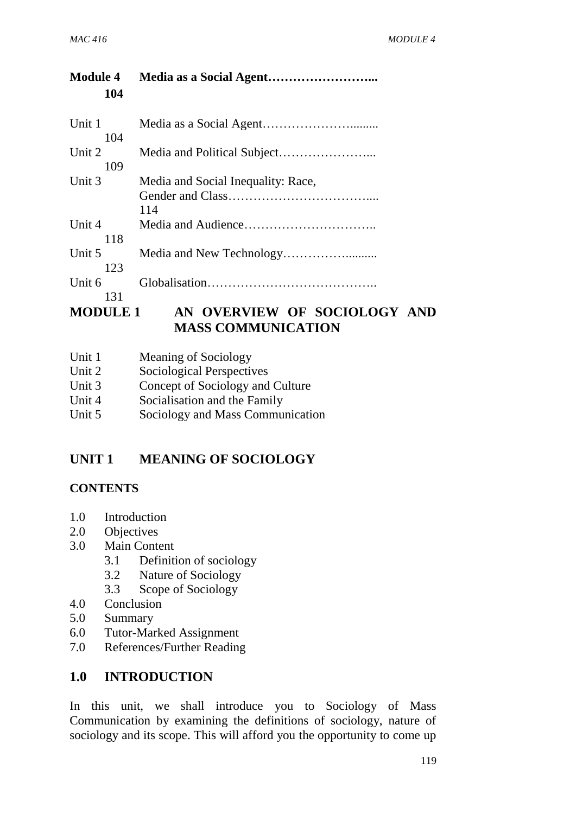| <b>Module 4</b><br>104 |                                           |
|------------------------|-------------------------------------------|
| Unit 1<br>104          |                                           |
| Unit 2<br>109          |                                           |
| Unit 3                 | Media and Social Inequality: Race,<br>114 |
| Unit 4<br>118          |                                           |
| Unit 5<br>123          |                                           |
| Unit 6<br>131          |                                           |
|                        | MODIILE 1 AN OVEDVIEW OF SOCIOLOGY        |

# **MODULE 1 AN OVERVIEW OF SOCIOLOGY AND MASS COMMUNICATION**

| Unit 1 | Meaning of Sociology      |
|--------|---------------------------|
| Unit 2 | Sociological Perspectives |

| Unit 3 | Concept of Sociology and Culture |  |
|--------|----------------------------------|--|

- Unit 4 Socialisation and the Family
- Unit 5 Sociology and Mass Communication

# **UNIT 1 MEANING OF SOCIOLOGY**

#### **CONTENTS**

- 1.0 Introduction
- 2.0 Objectives
- 3.0 Main Content
	- 3.1 Definition of sociology
	- 3.2 Nature of Sociology
	- 3.3 Scope of Sociology
- 4.0 Conclusion
- 5.0 Summary
- 6.0 Tutor-Marked Assignment
- 7.0 References/Further Reading

#### **1.0 INTRODUCTION**

In this unit, we shall introduce you to Sociology of Mass Communication by examining the definitions of sociology, nature of sociology and its scope. This will afford you the opportunity to come up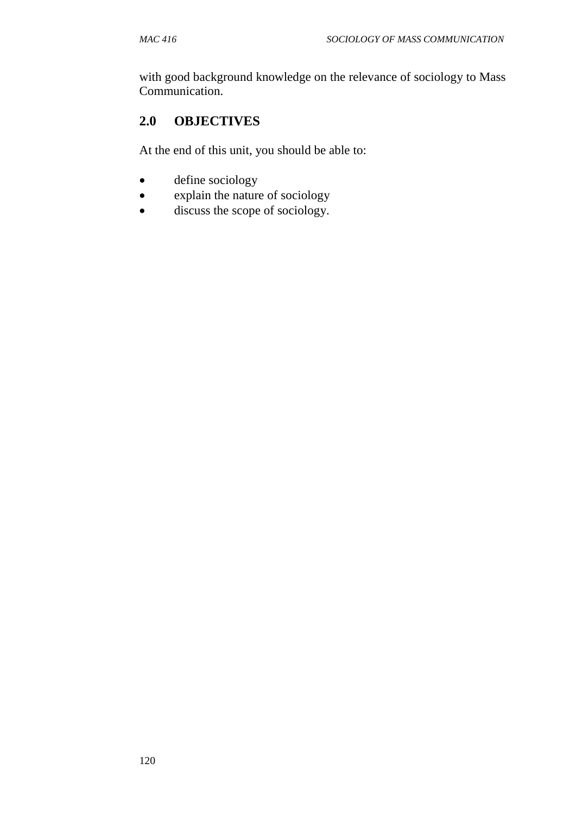with good background knowledge on the relevance of sociology to Mass Communication.

# **2.0 OBJECTIVES**

At the end of this unit, you should be able to:

- define sociology
- explain the nature of sociology
- discuss the scope of sociology.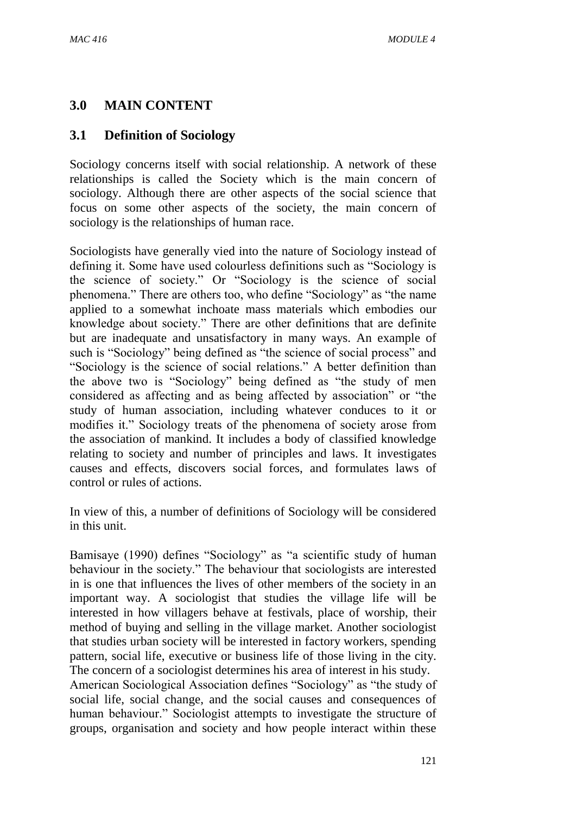## **3.0 MAIN CONTENT**

## **3.1 Definition of Sociology**

Sociology concerns itself with social relationship. A network of these relationships is called the Society which is the main concern of sociology. Although there are other aspects of the social science that focus on some other aspects of the society, the main concern of sociology is the relationships of human race.

Sociologists have generally vied into the nature of Sociology instead of defining it. Some have used colourless definitions such as "Sociology is the science of society." Or "Sociology is the science of social phenomena." There are others too, who define "Sociology" as "the name applied to a somewhat inchoate mass materials which embodies our knowledge about society." There are other definitions that are definite but are inadequate and unsatisfactory in many ways. An example of such is "Sociology" being defined as "the science of social process" and "Sociology is the science of social relations." A better definition than the above two is "Sociology" being defined as "the study of men considered as affecting and as being affected by association" or "the study of human association, including whatever conduces to it or modifies it." Sociology treats of the phenomena of society arose from the association of mankind. It includes a body of classified knowledge relating to society and number of principles and laws. It investigates causes and effects, discovers social forces, and formulates laws of control or rules of actions.

In view of this, a number of definitions of Sociology will be considered in this unit.

Bamisaye (1990) defines "Sociology" as "a scientific study of human behaviour in the society." The behaviour that sociologists are interested in is one that influences the lives of other members of the society in an important way. A sociologist that studies the village life will be interested in how villagers behave at festivals, place of worship, their method of buying and selling in the village market. Another sociologist that studies urban society will be interested in factory workers, spending pattern, social life, executive or business life of those living in the city. The concern of a sociologist determines his area of interest in his study.

American Sociological Association defines "Sociology" as "the study of social life, social change, and the social causes and consequences of human behaviour." Sociologist attempts to investigate the structure of groups, organisation and society and how people interact within these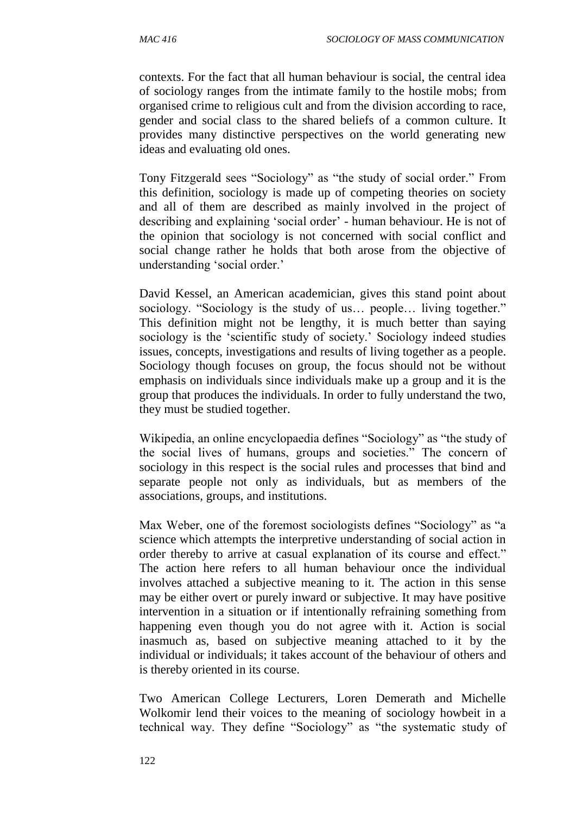contexts. For the fact that all human behaviour is social, the central idea of sociology ranges from the intimate family to the hostile mobs; from organised crime to religious cult and from the division according to race, gender and social class to the shared beliefs of a common culture. It provides many distinctive perspectives on the world generating new ideas and evaluating old ones.

Tony Fitzgerald sees "Sociology" as "the study of social order." From this definition, sociology is made up of competing theories on society and all of them are described as mainly involved in the project of describing and explaining 'social order' - human behaviour. He is not of the opinion that sociology is not concerned with social conflict and social change rather he holds that both arose from the objective of understanding 'social order.'

David Kessel, an American academician, gives this stand point about sociology. "Sociology is the study of us… people… living together." This definition might not be lengthy, it is much better than saying sociology is the 'scientific study of society.' Sociology indeed studies issues, concepts, investigations and results of living together as a people. Sociology though focuses on group, the focus should not be without emphasis on individuals since individuals make up a group and it is the group that produces the individuals. In order to fully understand the two, they must be studied together.

Wikipedia, an online encyclopaedia defines "Sociology" as "the study of the social lives of humans, groups and societies." The concern of sociology in this respect is the social rules and processes that bind and separate people not only as individuals, but as members of the associations, groups, and institutions.

Max Weber, one of the foremost sociologists defines "Sociology" as "a science which attempts the interpretive understanding of social action in order thereby to arrive at casual explanation of its course and effect." The action here refers to all human behaviour once the individual involves attached a subjective meaning to it. The action in this sense may be either overt or purely inward or subjective. It may have positive intervention in a situation or if intentionally refraining something from happening even though you do not agree with it. Action is social inasmuch as, based on subjective meaning attached to it by the individual or individuals; it takes account of the behaviour of others and is thereby oriented in its course.

Two American College Lecturers, Loren Demerath and Michelle Wolkomir lend their voices to the meaning of sociology howbeit in a technical way. They define "Sociology" as "the systematic study of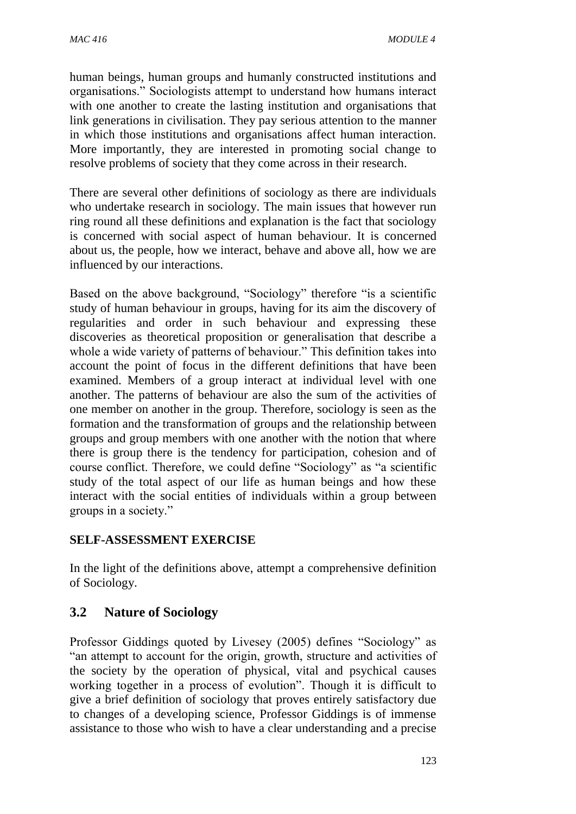human beings, human groups and humanly constructed institutions and organisations." Sociologists attempt to understand how humans interact with one another to create the lasting institution and organisations that link generations in civilisation. They pay serious attention to the manner in which those institutions and organisations affect human interaction. More importantly, they are interested in promoting social change to resolve problems of society that they come across in their research.

There are several other definitions of sociology as there are individuals who undertake research in sociology. The main issues that however run ring round all these definitions and explanation is the fact that sociology is concerned with social aspect of human behaviour. It is concerned about us, the people, how we interact, behave and above all, how we are influenced by our interactions.

Based on the above background, "Sociology" therefore "is a scientific study of human behaviour in groups, having for its aim the discovery of regularities and order in such behaviour and expressing these discoveries as theoretical proposition or generalisation that describe a whole a wide variety of patterns of behaviour." This definition takes into account the point of focus in the different definitions that have been examined. Members of a group interact at individual level with one another. The patterns of behaviour are also the sum of the activities of one member on another in the group. Therefore, sociology is seen as the formation and the transformation of groups and the relationship between groups and group members with one another with the notion that where there is group there is the tendency for participation, cohesion and of course conflict. Therefore, we could define "Sociology" as "a scientific study of the total aspect of our life as human beings and how these interact with the social entities of individuals within a group between groups in a society."

#### **SELF-ASSESSMENT EXERCISE**

In the light of the definitions above, attempt a comprehensive definition of Sociology.

#### **3.2 Nature of Sociology**

Professor Giddings quoted by Livesey (2005) defines "Sociology" as "an attempt to account for the origin, growth, structure and activities of the society by the operation of physical, vital and psychical causes working together in a process of evolution". Though it is difficult to give a brief definition of sociology that proves entirely satisfactory due to changes of a developing science, Professor Giddings is of immense assistance to those who wish to have a clear understanding and a precise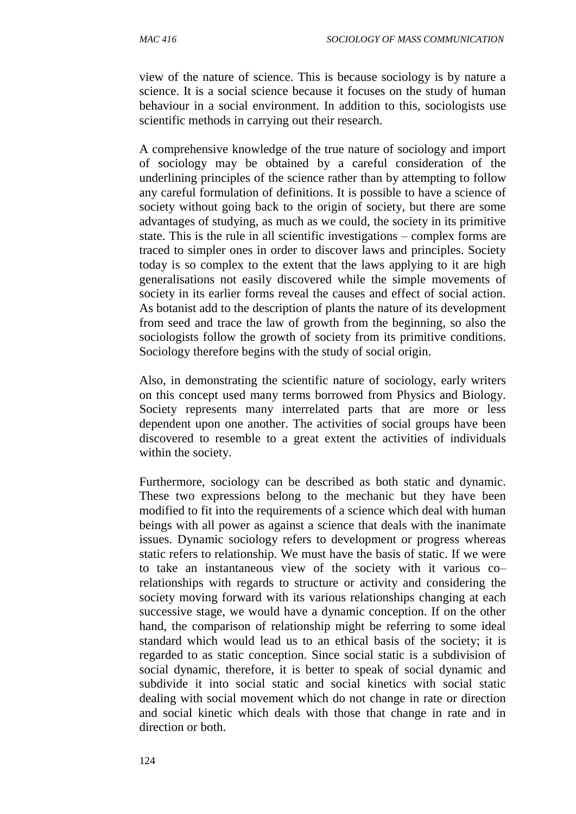view of the nature of science. This is because sociology is by nature a science. It is a social science because it focuses on the study of human behaviour in a social environment. In addition to this, sociologists use scientific methods in carrying out their research.

A comprehensive knowledge of the true nature of sociology and import of sociology may be obtained by a careful consideration of the underlining principles of the science rather than by attempting to follow any careful formulation of definitions. It is possible to have a science of society without going back to the origin of society, but there are some advantages of studying, as much as we could, the society in its primitive state. This is the rule in all scientific investigations – complex forms are traced to simpler ones in order to discover laws and principles. Society today is so complex to the extent that the laws applying to it are high generalisations not easily discovered while the simple movements of society in its earlier forms reveal the causes and effect of social action. As botanist add to the description of plants the nature of its development from seed and trace the law of growth from the beginning, so also the sociologists follow the growth of society from its primitive conditions. Sociology therefore begins with the study of social origin.

Also, in demonstrating the scientific nature of sociology, early writers on this concept used many terms borrowed from Physics and Biology. Society represents many interrelated parts that are more or less dependent upon one another. The activities of social groups have been discovered to resemble to a great extent the activities of individuals within the society.

Furthermore, sociology can be described as both static and dynamic. These two expressions belong to the mechanic but they have been modified to fit into the requirements of a science which deal with human beings with all power as against a science that deals with the inanimate issues. Dynamic sociology refers to development or progress whereas static refers to relationship. We must have the basis of static. If we were to take an instantaneous view of the society with it various co– relationships with regards to structure or activity and considering the society moving forward with its various relationships changing at each successive stage, we would have a dynamic conception. If on the other hand, the comparison of relationship might be referring to some ideal standard which would lead us to an ethical basis of the society; it is regarded to as static conception. Since social static is a subdivision of social dynamic, therefore, it is better to speak of social dynamic and subdivide it into social static and social kinetics with social static dealing with social movement which do not change in rate or direction and social kinetic which deals with those that change in rate and in direction or both.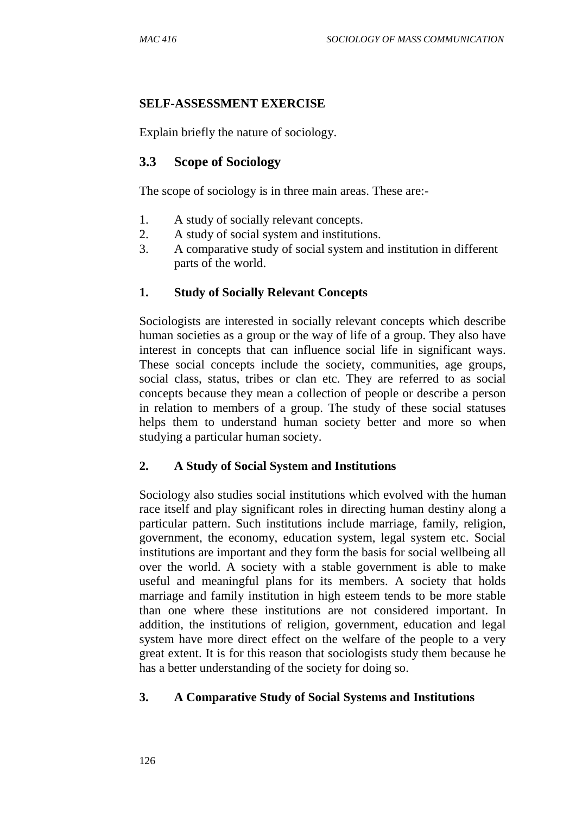#### **SELF-ASSESSMENT EXERCISE**

Explain briefly the nature of sociology.

#### **3.3 Scope of Sociology**

The scope of sociology is in three main areas. These are:-

- 1. A study of socially relevant concepts.
- 2. A study of social system and institutions.
- 3. A comparative study of social system and institution in different parts of the world.

#### **1. Study of Socially Relevant Concepts**

Sociologists are interested in socially relevant concepts which describe human societies as a group or the way of life of a group. They also have interest in concepts that can influence social life in significant ways. These social concepts include the society, communities, age groups, social class, status, tribes or clan etc. They are referred to as social concepts because they mean a collection of people or describe a person in relation to members of a group. The study of these social statuses helps them to understand human society better and more so when studying a particular human society.

#### **2. A Study of Social System and Institutions**

Sociology also studies social institutions which evolved with the human race itself and play significant roles in directing human destiny along a particular pattern. Such institutions include marriage, family, religion, government, the economy, education system, legal system etc. Social institutions are important and they form the basis for social wellbeing all over the world. A society with a stable government is able to make useful and meaningful plans for its members. A society that holds marriage and family institution in high esteem tends to be more stable than one where these institutions are not considered important. In addition, the institutions of religion, government, education and legal system have more direct effect on the welfare of the people to a very great extent. It is for this reason that sociologists study them because he has a better understanding of the society for doing so.

#### **3. A Comparative Study of Social Systems and Institutions**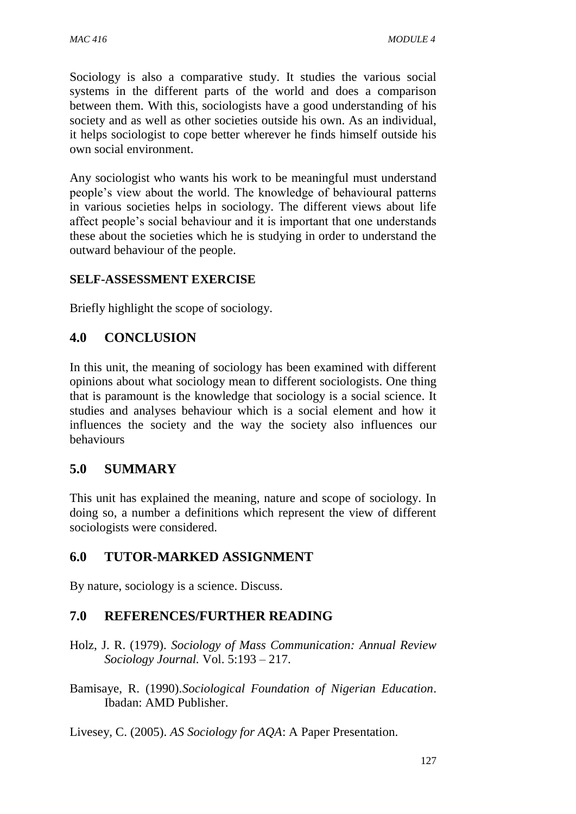Sociology is also a comparative study. It studies the various social systems in the different parts of the world and does a comparison between them. With this, sociologists have a good understanding of his society and as well as other societies outside his own. As an individual, it helps sociologist to cope better wherever he finds himself outside his own social environment.

Any sociologist who wants his work to be meaningful must understand people's view about the world. The knowledge of behavioural patterns in various societies helps in sociology. The different views about life affect people's social behaviour and it is important that one understands these about the societies which he is studying in order to understand the outward behaviour of the people.

#### **SELF-ASSESSMENT EXERCISE**

Briefly highlight the scope of sociology.

#### **4.0 CONCLUSION**

In this unit, the meaning of sociology has been examined with different opinions about what sociology mean to different sociologists. One thing that is paramount is the knowledge that sociology is a social science. It studies and analyses behaviour which is a social element and how it influences the society and the way the society also influences our behaviours

#### **5.0 SUMMARY**

This unit has explained the meaning, nature and scope of sociology. In doing so, a number a definitions which represent the view of different sociologists were considered.

#### **6.0 TUTOR-MARKED ASSIGNMENT**

By nature, sociology is a science. Discuss.

#### **7.0 REFERENCES/FURTHER READING**

Holz, J. R. (1979). *Sociology of Mass Communication: Annual Review Sociology Journal.* Vol. 5:193 – 217.

Bamisaye, R. (1990).*Sociological Foundation of Nigerian Education*. Ibadan: AMD Publisher.

Livesey, C. (2005). *AS Sociology for AQA*: A Paper Presentation.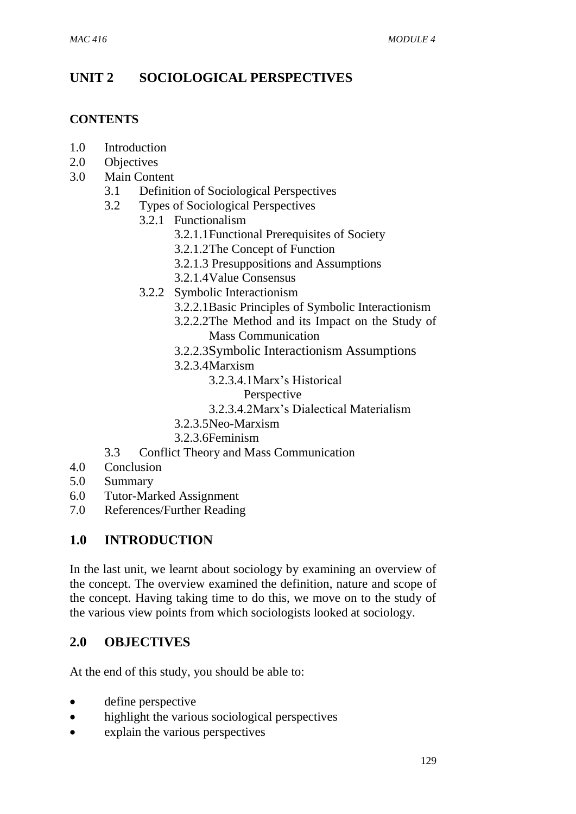# **UNIT 2 SOCIOLOGICAL PERSPECTIVES**

#### **CONTENTS**

- 1.0 Introduction
- 2.0 Objectives
- 3.0 Main Content
	- 3.1 Definition of Sociological Perspectives
	- 3.2 Types of Sociological Perspectives
		- 3.2.1 Functionalism
			- 3.2.1.1Functional Prerequisites of Society
			- 3.2.1.2The Concept of Function
			- 3.2.1.3 Presuppositions and Assumptions
			- 3.2.1.4Value Consensus
		- 3.2.2 Symbolic Interactionism
			- 3.2.2.1Basic Principles of Symbolic Interactionism
			- 3.2.2.2The Method and its Impact on the Study of Mass Communication
			- 3.2.2.3Symbolic Interactionism Assumptions
			- 3.2.3.4Marxism
				- 3.2.3.4.1Marx's Historical
					- Perspective
				- 3.2.3.4.2Marx's Dialectical Materialism
			- 3.2.3.5Neo-Marxism
			- 3.2.3.6Feminism
	- 3.3 Conflict Theory and Mass Communication
- 4.0 Conclusion
- 5.0 Summary
- 6.0 Tutor-Marked Assignment
- 7.0 References/Further Reading

# **1.0 INTRODUCTION**

In the last unit, we learnt about sociology by examining an overview of the concept. The overview examined the definition, nature and scope of the concept. Having taking time to do this, we move on to the study of the various view points from which sociologists looked at sociology.

# **2.0 OBJECTIVES**

At the end of this study, you should be able to:

- define perspective
- highlight the various sociological perspectives
- explain the various perspectives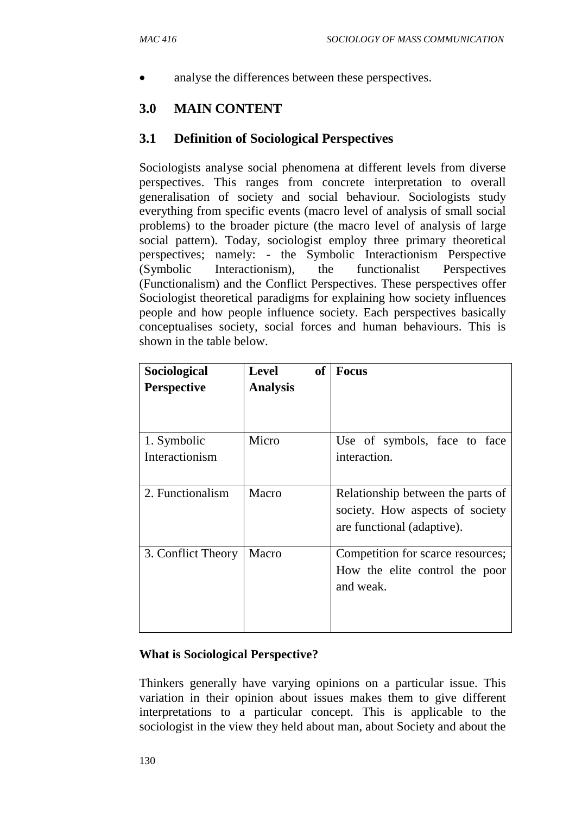analyse the differences between these perspectives.

## **3.0 MAIN CONTENT**

#### **3.1 Definition of Sociological Perspectives**

Sociologists analyse social phenomena at different levels from diverse perspectives. This ranges from concrete interpretation to overall generalisation of society and social behaviour. Sociologists study everything from specific events (macro level of analysis of small social problems) to the broader picture (the macro level of analysis of large social pattern). Today, sociologist employ three primary theoretical perspectives; namely: - the Symbolic Interactionism Perspective (Symbolic Interactionism), the functionalist Perspectives (Functionalism) and the Conflict Perspectives. These perspectives offer Sociologist theoretical paradigms for explaining how society influences people and how people influence society. Each perspectives basically conceptualises society, social forces and human behaviours. This is shown in the table below.

| Sociological       | <b>Level</b><br><b>of</b> | <b>Focus</b>                      |
|--------------------|---------------------------|-----------------------------------|
| <b>Perspective</b> | <b>Analysis</b>           |                                   |
| 1. Symbolic        | Micro                     | Use of symbols, face to face      |
| Interactionism     |                           | interaction.                      |
| 2. Functionalism   | Macro                     | Relationship between the parts of |
|                    |                           | society. How aspects of society   |
|                    |                           | are functional (adaptive).        |
| 3. Conflict Theory | Macro                     | Competition for scarce resources; |
|                    |                           | How the elite control the poor    |
|                    |                           | and weak.                         |
|                    |                           |                                   |
|                    |                           |                                   |

#### **What is Sociological Perspective?**

Thinkers generally have varying opinions on a particular issue. This variation in their opinion about issues makes them to give different interpretations to a particular concept. This is applicable to the sociologist in the view they held about man, about Society and about the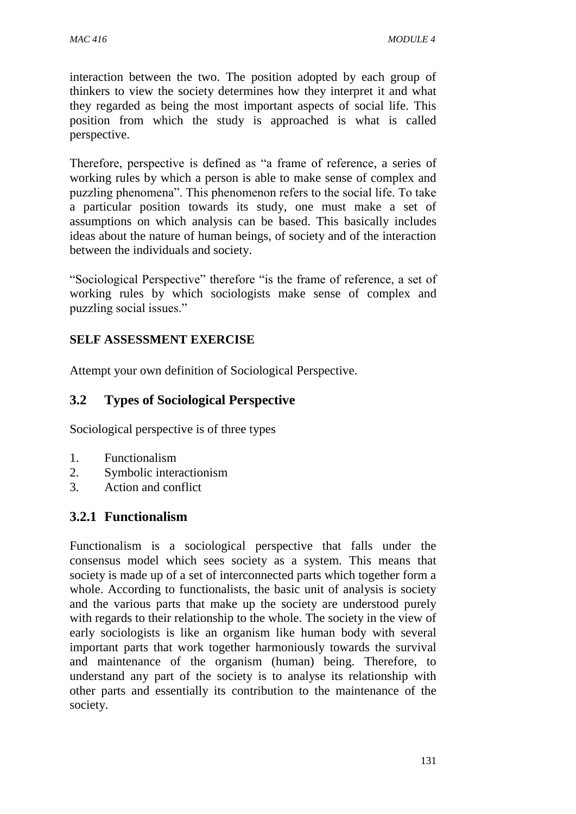interaction between the two. The position adopted by each group of thinkers to view the society determines how they interpret it and what they regarded as being the most important aspects of social life. This position from which the study is approached is what is called perspective.

Therefore, perspective is defined as "a frame of reference, a series of working rules by which a person is able to make sense of complex and puzzling phenomena". This phenomenon refers to the social life. To take a particular position towards its study, one must make a set of assumptions on which analysis can be based. This basically includes ideas about the nature of human beings, of society and of the interaction between the individuals and society.

"Sociological Perspective" therefore "is the frame of reference, a set of working rules by which sociologists make sense of complex and puzzling social issues."

#### **SELF ASSESSMENT EXERCISE**

Attempt your own definition of Sociological Perspective.

#### **3.2 Types of Sociological Perspective**

Sociological perspective is of three types

- 1. Functionalism
- 2. Symbolic interactionism
- 3. Action and conflict

#### **3.2.1 Functionalism**

Functionalism is a sociological perspective that falls under the consensus model which sees society as a system. This means that society is made up of a set of interconnected parts which together form a whole. According to functionalists, the basic unit of analysis is society and the various parts that make up the society are understood purely with regards to their relationship to the whole. The society in the view of early sociologists is like an organism like human body with several important parts that work together harmoniously towards the survival and maintenance of the organism (human) being. Therefore, to understand any part of the society is to analyse its relationship with other parts and essentially its contribution to the maintenance of the society.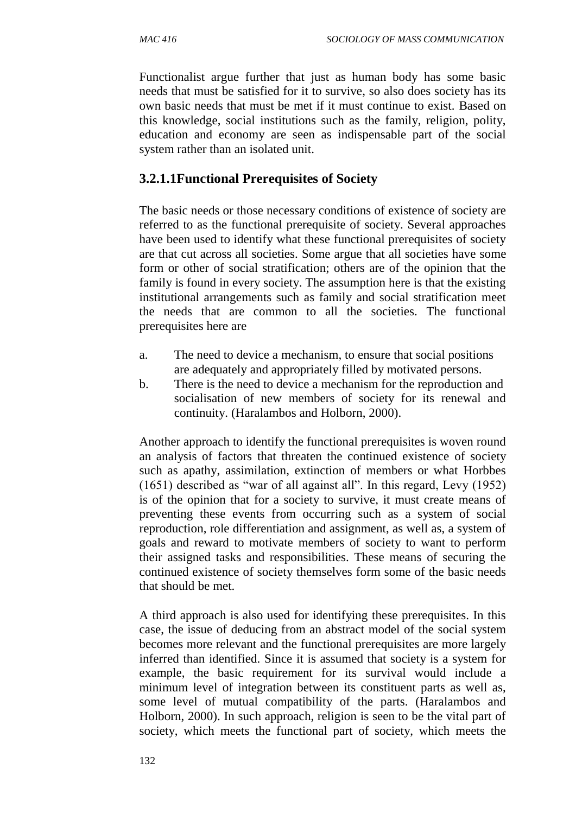Functionalist argue further that just as human body has some basic needs that must be satisfied for it to survive, so also does society has its own basic needs that must be met if it must continue to exist. Based on this knowledge, social institutions such as the family, religion, polity, education and economy are seen as indispensable part of the social system rather than an isolated unit.

#### **3.2.1.1Functional Prerequisites of Society**

The basic needs or those necessary conditions of existence of society are referred to as the functional prerequisite of society. Several approaches have been used to identify what these functional prerequisites of society are that cut across all societies. Some argue that all societies have some form or other of social stratification; others are of the opinion that the family is found in every society. The assumption here is that the existing institutional arrangements such as family and social stratification meet the needs that are common to all the societies. The functional prerequisites here are

- a. The need to device a mechanism, to ensure that social positions are adequately and appropriately filled by motivated persons.
- b. There is the need to device a mechanism for the reproduction and socialisation of new members of society for its renewal and continuity. (Haralambos and Holborn, 2000).

Another approach to identify the functional prerequisites is woven round an analysis of factors that threaten the continued existence of society such as apathy, assimilation, extinction of members or what Horbbes (1651) described as "war of all against all". In this regard, Levy (1952) is of the opinion that for a society to survive, it must create means of preventing these events from occurring such as a system of social reproduction, role differentiation and assignment, as well as, a system of goals and reward to motivate members of society to want to perform their assigned tasks and responsibilities. These means of securing the continued existence of society themselves form some of the basic needs that should be met.

A third approach is also used for identifying these prerequisites. In this case, the issue of deducing from an abstract model of the social system becomes more relevant and the functional prerequisites are more largely inferred than identified. Since it is assumed that society is a system for example, the basic requirement for its survival would include a minimum level of integration between its constituent parts as well as, some level of mutual compatibility of the parts. (Haralambos and Holborn, 2000). In such approach, religion is seen to be the vital part of society, which meets the functional part of society, which meets the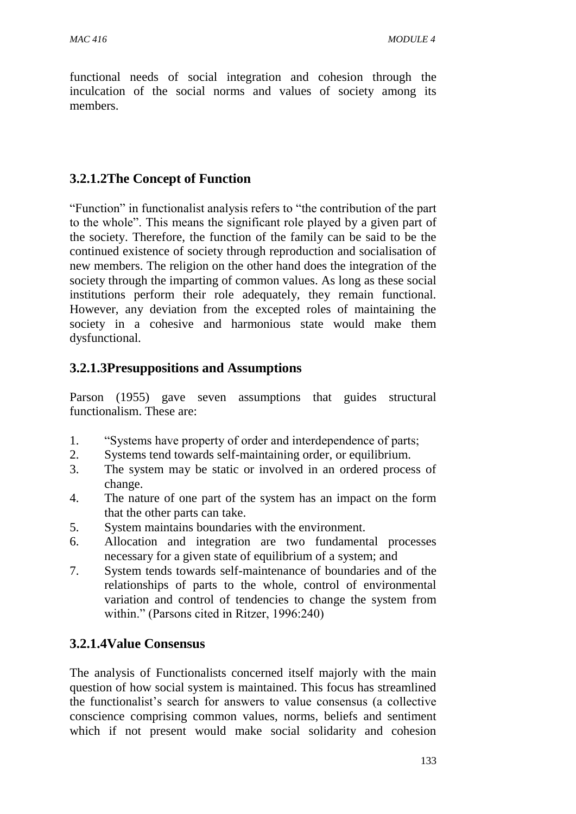functional needs of social integration and cohesion through the inculcation of the social norms and values of society among its members.

## **3.2.1.2The Concept of Function**

"Function" in functionalist analysis refers to "the contribution of the part to the whole". This means the significant role played by a given part of the society. Therefore, the function of the family can be said to be the continued existence of society through reproduction and socialisation of new members. The religion on the other hand does the integration of the society through the imparting of common values. As long as these social institutions perform their role adequately, they remain functional. However, any deviation from the excepted roles of maintaining the society in a cohesive and harmonious state would make them dysfunctional.

# **3.2.1.3Presuppositions and Assumptions**

Parson (1955) gave seven assumptions that guides structural functionalism. These are:

- 1. "Systems have property of order and interdependence of parts;
- 2. Systems tend towards self-maintaining order, or equilibrium.
- 3. The system may be static or involved in an ordered process of change.
- 4. The nature of one part of the system has an impact on the form that the other parts can take.
- 5. System maintains boundaries with the environment.
- 6. Allocation and integration are two fundamental processes necessary for a given state of equilibrium of a system; and
- 7. System tends towards self-maintenance of boundaries and of the relationships of parts to the whole, control of environmental variation and control of tendencies to change the system from within." (Parsons cited in Ritzer, 1996:240)

#### **3.2.1.4Value Consensus**

The analysis of Functionalists concerned itself majorly with the main question of how social system is maintained. This focus has streamlined the functionalist's search for answers to value consensus (a collective conscience comprising common values, norms, beliefs and sentiment which if not present would make social solidarity and cohesion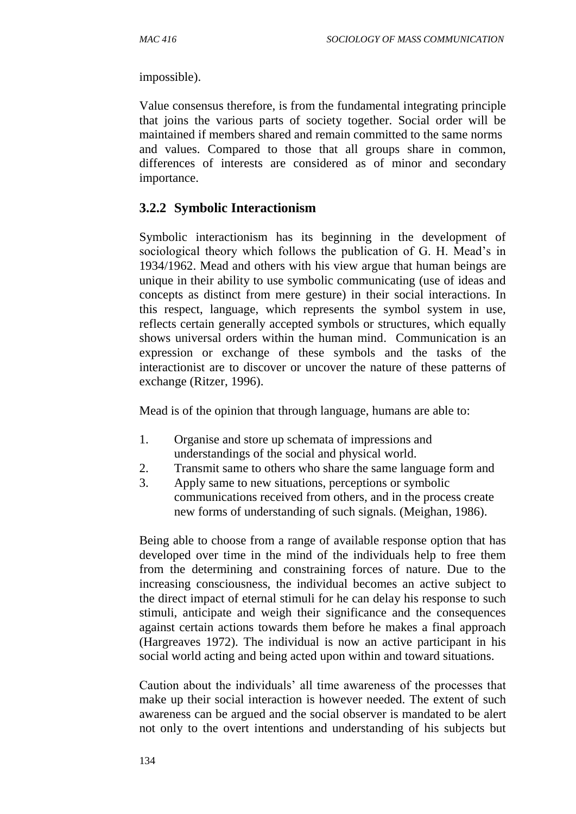impossible).

Value consensus therefore, is from the fundamental integrating principle that joins the various parts of society together. Social order will be maintained if members shared and remain committed to the same norms and values. Compared to those that all groups share in common, differences of interests are considered as of minor and secondary importance.

#### **3.2.2 Symbolic Interactionism**

Symbolic interactionism has its beginning in the development of sociological theory which follows the publication of G. H. Mead's in 1934/1962. Mead and others with his view argue that human beings are unique in their ability to use symbolic communicating (use of ideas and concepts as distinct from mere gesture) in their social interactions. In this respect, language, which represents the symbol system in use, reflects certain generally accepted symbols or structures, which equally shows universal orders within the human mind. Communication is an expression or exchange of these symbols and the tasks of the interactionist are to discover or uncover the nature of these patterns of exchange (Ritzer, 1996).

Mead is of the opinion that through language, humans are able to:

- 1. Organise and store up schemata of impressions and understandings of the social and physical world.
- 2. Transmit same to others who share the same language form and
- 3. Apply same to new situations, perceptions or symbolic communications received from others, and in the process create new forms of understanding of such signals. (Meighan, 1986).

Being able to choose from a range of available response option that has developed over time in the mind of the individuals help to free them from the determining and constraining forces of nature. Due to the increasing consciousness, the individual becomes an active subject to the direct impact of eternal stimuli for he can delay his response to such stimuli, anticipate and weigh their significance and the consequences against certain actions towards them before he makes a final approach (Hargreaves 1972). The individual is now an active participant in his social world acting and being acted upon within and toward situations.

Caution about the individuals' all time awareness of the processes that make up their social interaction is however needed. The extent of such awareness can be argued and the social observer is mandated to be alert not only to the overt intentions and understanding of his subjects but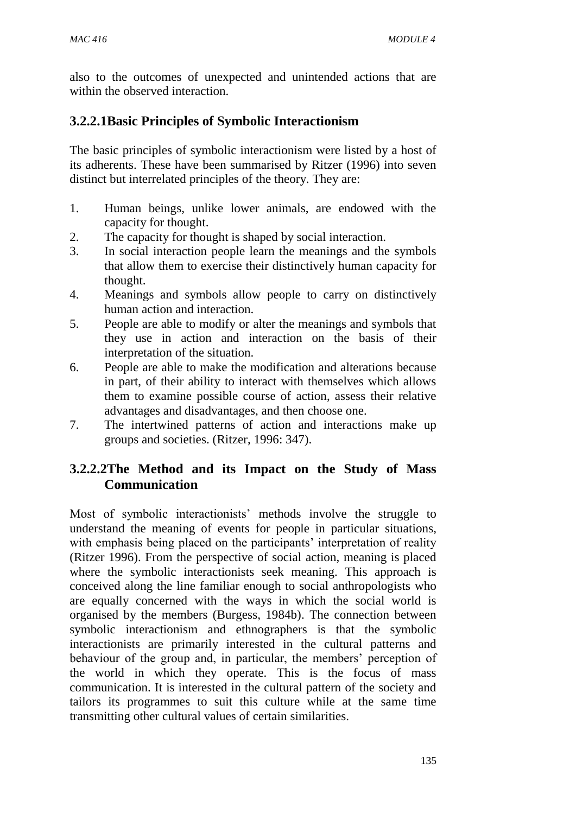also to the outcomes of unexpected and unintended actions that are within the observed interaction.

# **3.2.2.1Basic Principles of Symbolic Interactionism**

The basic principles of symbolic interactionism were listed by a host of its adherents. These have been summarised by Ritzer (1996) into seven distinct but interrelated principles of the theory. They are:

- 1. Human beings, unlike lower animals, are endowed with the capacity for thought.
- 2. The capacity for thought is shaped by social interaction.
- 3. In social interaction people learn the meanings and the symbols that allow them to exercise their distinctively human capacity for thought.
- 4. Meanings and symbols allow people to carry on distinctively human action and interaction.
- 5. People are able to modify or alter the meanings and symbols that they use in action and interaction on the basis of their interpretation of the situation.
- 6. People are able to make the modification and alterations because in part, of their ability to interact with themselves which allows them to examine possible course of action, assess their relative advantages and disadvantages, and then choose one.
- 7. The intertwined patterns of action and interactions make up groups and societies. (Ritzer, 1996: 347).

## **3.2.2.2The Method and its Impact on the Study of Mass Communication**

Most of symbolic interactionists' methods involve the struggle to understand the meaning of events for people in particular situations, with emphasis being placed on the participants' interpretation of reality (Ritzer 1996). From the perspective of social action, meaning is placed where the symbolic interactionists seek meaning. This approach is conceived along the line familiar enough to social anthropologists who are equally concerned with the ways in which the social world is organised by the members (Burgess, 1984b). The connection between symbolic interactionism and ethnographers is that the symbolic interactionists are primarily interested in the cultural patterns and behaviour of the group and, in particular, the members' perception of the world in which they operate. This is the focus of mass communication. It is interested in the cultural pattern of the society and tailors its programmes to suit this culture while at the same time transmitting other cultural values of certain similarities.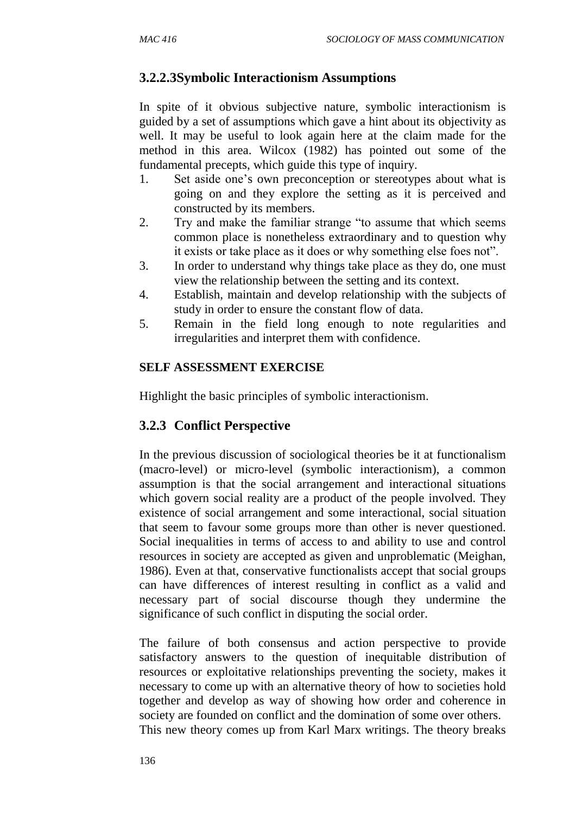#### **3.2.2.3Symbolic Interactionism Assumptions**

In spite of it obvious subjective nature, symbolic interactionism is guided by a set of assumptions which gave a hint about its objectivity as well. It may be useful to look again here at the claim made for the method in this area. Wilcox (1982) has pointed out some of the fundamental precepts, which guide this type of inquiry.

- 1. Set aside one's own preconception or stereotypes about what is going on and they explore the setting as it is perceived and constructed by its members.
- 2. Try and make the familiar strange "to assume that which seems common place is nonetheless extraordinary and to question why it exists or take place as it does or why something else foes not".
- 3. In order to understand why things take place as they do, one must view the relationship between the setting and its context.
- 4. Establish, maintain and develop relationship with the subjects of study in order to ensure the constant flow of data.
- 5. Remain in the field long enough to note regularities and irregularities and interpret them with confidence.

#### **SELF ASSESSMENT EXERCISE**

Highlight the basic principles of symbolic interactionism.

#### **3.2.3 Conflict Perspective**

In the previous discussion of sociological theories be it at functionalism (macro-level) or micro-level (symbolic interactionism), a common assumption is that the social arrangement and interactional situations which govern social reality are a product of the people involved. They existence of social arrangement and some interactional, social situation that seem to favour some groups more than other is never questioned. Social inequalities in terms of access to and ability to use and control resources in society are accepted as given and unproblematic (Meighan, 1986). Even at that, conservative functionalists accept that social groups can have differences of interest resulting in conflict as a valid and necessary part of social discourse though they undermine the significance of such conflict in disputing the social order.

The failure of both consensus and action perspective to provide satisfactory answers to the question of inequitable distribution of resources or exploitative relationships preventing the society, makes it necessary to come up with an alternative theory of how to societies hold together and develop as way of showing how order and coherence in society are founded on conflict and the domination of some over others. This new theory comes up from Karl Marx writings. The theory breaks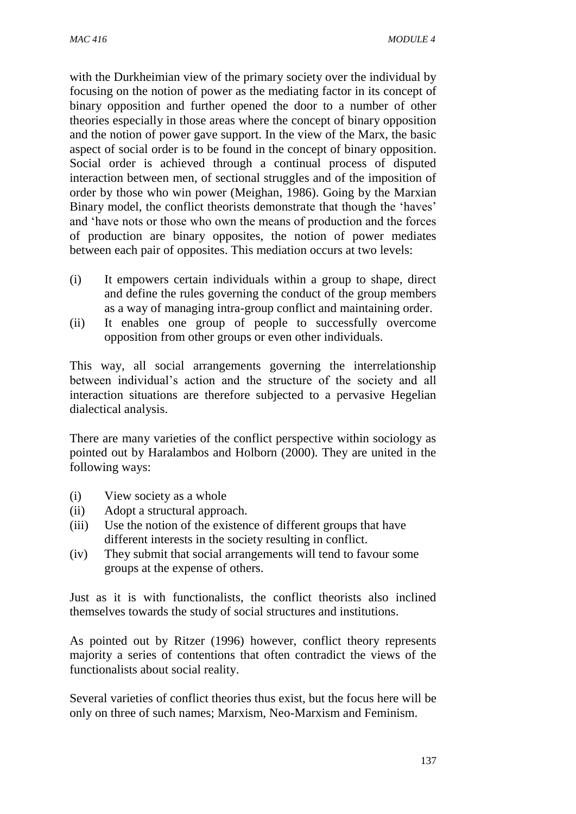with the Durkheimian view of the primary society over the individual by focusing on the notion of power as the mediating factor in its concept of binary opposition and further opened the door to a number of other theories especially in those areas where the concept of binary opposition and the notion of power gave support. In the view of the Marx, the basic aspect of social order is to be found in the concept of binary opposition. Social order is achieved through a continual process of disputed interaction between men, of sectional struggles and of the imposition of order by those who win power (Meighan, 1986). Going by the Marxian Binary model, the conflict theorists demonstrate that though the 'haves' and 'have nots or those who own the means of production and the forces of production are binary opposites, the notion of power mediates between each pair of opposites. This mediation occurs at two levels:

- (i) It empowers certain individuals within a group to shape, direct and define the rules governing the conduct of the group members as a way of managing intra-group conflict and maintaining order.
- (ii) It enables one group of people to successfully overcome opposition from other groups or even other individuals.

This way, all social arrangements governing the interrelationship between individual's action and the structure of the society and all interaction situations are therefore subjected to a pervasive Hegelian dialectical analysis.

There are many varieties of the conflict perspective within sociology as pointed out by Haralambos and Holborn (2000). They are united in the following ways:

- (i) View society as a whole
- (ii) Adopt a structural approach.
- (iii) Use the notion of the existence of different groups that have different interests in the society resulting in conflict.
- (iv) They submit that social arrangements will tend to favour some groups at the expense of others.

Just as it is with functionalists, the conflict theorists also inclined themselves towards the study of social structures and institutions.

As pointed out by Ritzer (1996) however, conflict theory represents majority a series of contentions that often contradict the views of the functionalists about social reality.

Several varieties of conflict theories thus exist, but the focus here will be only on three of such names; Marxism, Neo-Marxism and Feminism.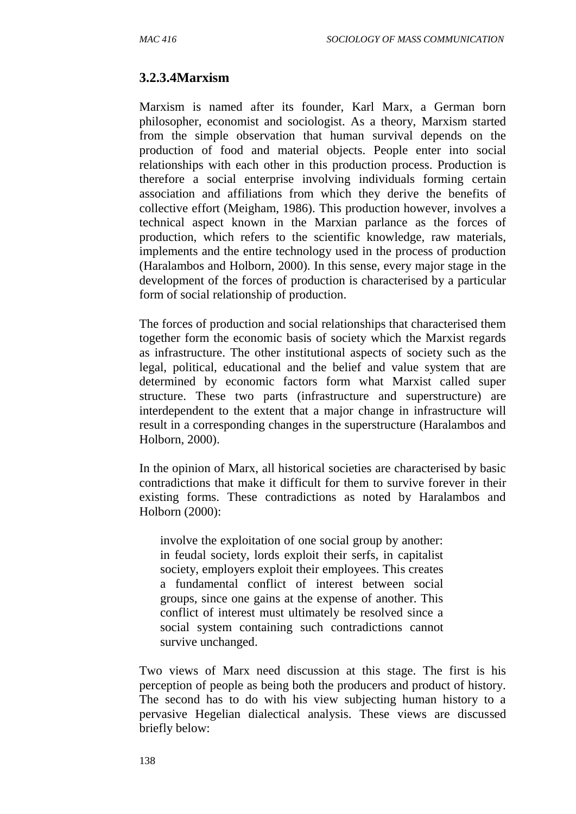#### **3.2.3.4Marxism**

Marxism is named after its founder, Karl Marx, a German born philosopher, economist and sociologist. As a theory, Marxism started from the simple observation that human survival depends on the production of food and material objects. People enter into social relationships with each other in this production process. Production is therefore a social enterprise involving individuals forming certain association and affiliations from which they derive the benefits of collective effort (Meigham, 1986). This production however, involves a technical aspect known in the Marxian parlance as the forces of production, which refers to the scientific knowledge, raw materials, implements and the entire technology used in the process of production (Haralambos and Holborn, 2000). In this sense, every major stage in the development of the forces of production is characterised by a particular form of social relationship of production.

The forces of production and social relationships that characterised them together form the economic basis of society which the Marxist regards as infrastructure. The other institutional aspects of society such as the legal, political, educational and the belief and value system that are determined by economic factors form what Marxist called super structure. These two parts (infrastructure and superstructure) are interdependent to the extent that a major change in infrastructure will result in a corresponding changes in the superstructure (Haralambos and Holborn, 2000).

In the opinion of Marx, all historical societies are characterised by basic contradictions that make it difficult for them to survive forever in their existing forms. These contradictions as noted by Haralambos and Holborn (2000):

involve the exploitation of one social group by another: in feudal society, lords exploit their serfs, in capitalist society, employers exploit their employees. This creates a fundamental conflict of interest between social groups, since one gains at the expense of another. This conflict of interest must ultimately be resolved since a social system containing such contradictions cannot survive unchanged.

Two views of Marx need discussion at this stage. The first is his perception of people as being both the producers and product of history. The second has to do with his view subjecting human history to a pervasive Hegelian dialectical analysis. These views are discussed briefly below: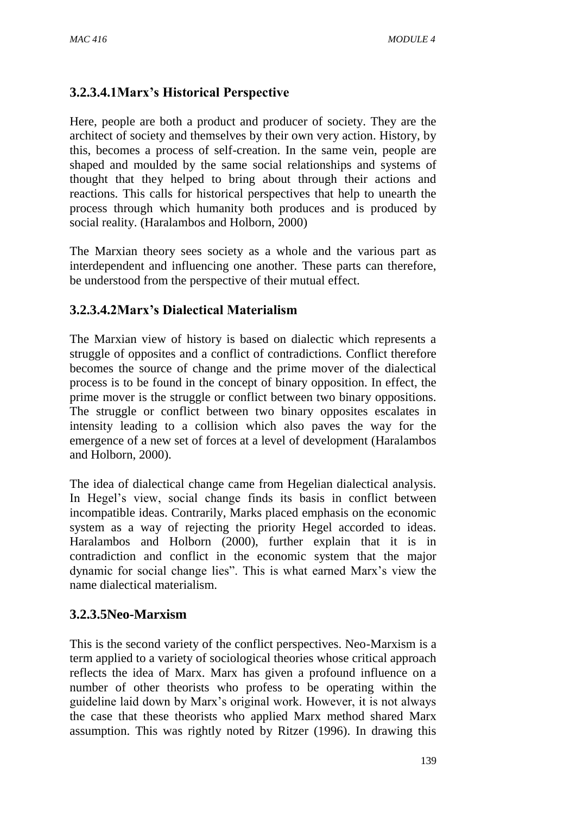# **3.2.3.4.1Marx's Historical Perspective**

Here, people are both a product and producer of society. They are the architect of society and themselves by their own very action. History, by this, becomes a process of self-creation. In the same vein, people are shaped and moulded by the same social relationships and systems of thought that they helped to bring about through their actions and reactions. This calls for historical perspectives that help to unearth the process through which humanity both produces and is produced by social reality. (Haralambos and Holborn, 2000)

The Marxian theory sees society as a whole and the various part as interdependent and influencing one another. These parts can therefore, be understood from the perspective of their mutual effect.

## **3.2.3.4.2Marx's Dialectical Materialism**

The Marxian view of history is based on dialectic which represents a struggle of opposites and a conflict of contradictions. Conflict therefore becomes the source of change and the prime mover of the dialectical process is to be found in the concept of binary opposition. In effect, the prime mover is the struggle or conflict between two binary oppositions. The struggle or conflict between two binary opposites escalates in intensity leading to a collision which also paves the way for the emergence of a new set of forces at a level of development (Haralambos and Holborn, 2000).

The idea of dialectical change came from Hegelian dialectical analysis. In Hegel's view, social change finds its basis in conflict between incompatible ideas. Contrarily, Marks placed emphasis on the economic system as a way of rejecting the priority Hegel accorded to ideas. Haralambos and Holborn (2000), further explain that it is in contradiction and conflict in the economic system that the major dynamic for social change lies". This is what earned Marx's view the name dialectical materialism.

#### **3.2.3.5Neo-Marxism**

This is the second variety of the conflict perspectives. Neo-Marxism is a term applied to a variety of sociological theories whose critical approach reflects the idea of Marx. Marx has given a profound influence on a number of other theorists who profess to be operating within the guideline laid down by Marx's original work. However, it is not always the case that these theorists who applied Marx method shared Marx assumption. This was rightly noted by Ritzer (1996). In drawing this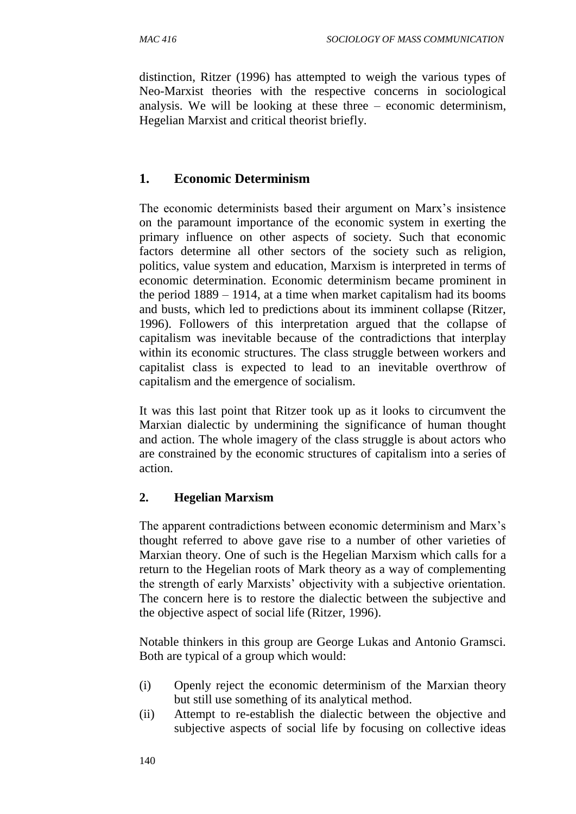distinction, Ritzer (1996) has attempted to weigh the various types of Neo-Marxist theories with the respective concerns in sociological analysis. We will be looking at these three – economic determinism, Hegelian Marxist and critical theorist briefly.

# **1. Economic Determinism**

The economic determinists based their argument on Marx's insistence on the paramount importance of the economic system in exerting the primary influence on other aspects of society. Such that economic factors determine all other sectors of the society such as religion, politics, value system and education, Marxism is interpreted in terms of economic determination. Economic determinism became prominent in the period 1889 – 1914, at a time when market capitalism had its booms and busts, which led to predictions about its imminent collapse (Ritzer, 1996). Followers of this interpretation argued that the collapse of capitalism was inevitable because of the contradictions that interplay within its economic structures. The class struggle between workers and capitalist class is expected to lead to an inevitable overthrow of capitalism and the emergence of socialism.

It was this last point that Ritzer took up as it looks to circumvent the Marxian dialectic by undermining the significance of human thought and action. The whole imagery of the class struggle is about actors who are constrained by the economic structures of capitalism into a series of action.

#### **2. Hegelian Marxism**

The apparent contradictions between economic determinism and Marx's thought referred to above gave rise to a number of other varieties of Marxian theory. One of such is the Hegelian Marxism which calls for a return to the Hegelian roots of Mark theory as a way of complementing the strength of early Marxists' objectivity with a subjective orientation. The concern here is to restore the dialectic between the subjective and the objective aspect of social life (Ritzer, 1996).

Notable thinkers in this group are George Lukas and Antonio Gramsci. Both are typical of a group which would:

- (i) Openly reject the economic determinism of the Marxian theory but still use something of its analytical method.
- (ii) Attempt to re-establish the dialectic between the objective and subjective aspects of social life by focusing on collective ideas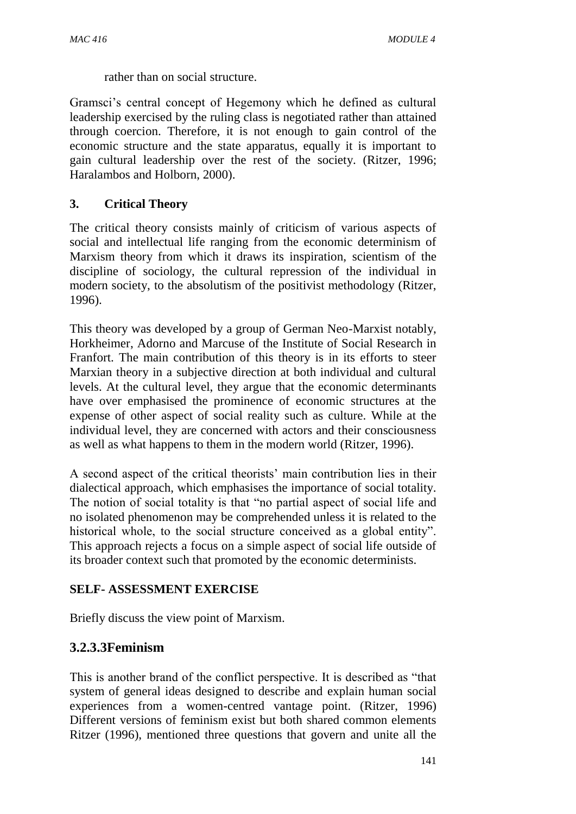rather than on social structure.

Gramsci's central concept of Hegemony which he defined as cultural leadership exercised by the ruling class is negotiated rather than attained through coercion. Therefore, it is not enough to gain control of the economic structure and the state apparatus, equally it is important to gain cultural leadership over the rest of the society. (Ritzer, 1996; Haralambos and Holborn, 2000).

#### **3. Critical Theory**

The critical theory consists mainly of criticism of various aspects of social and intellectual life ranging from the economic determinism of Marxism theory from which it draws its inspiration, scientism of the discipline of sociology, the cultural repression of the individual in modern society, to the absolutism of the positivist methodology (Ritzer, 1996).

This theory was developed by a group of German Neo-Marxist notably, Horkheimer, Adorno and Marcuse of the Institute of Social Research in Franfort. The main contribution of this theory is in its efforts to steer Marxian theory in a subjective direction at both individual and cultural levels. At the cultural level, they argue that the economic determinants have over emphasised the prominence of economic structures at the expense of other aspect of social reality such as culture. While at the individual level, they are concerned with actors and their consciousness as well as what happens to them in the modern world (Ritzer, 1996).

A second aspect of the critical theorists' main contribution lies in their dialectical approach, which emphasises the importance of social totality. The notion of social totality is that "no partial aspect of social life and no isolated phenomenon may be comprehended unless it is related to the historical whole, to the social structure conceived as a global entity". This approach rejects a focus on a simple aspect of social life outside of its broader context such that promoted by the economic determinists.

#### **SELF- ASSESSMENT EXERCISE**

Briefly discuss the view point of Marxism.

# **3.2.3.3Feminism**

This is another brand of the conflict perspective. It is described as "that system of general ideas designed to describe and explain human social experiences from a women-centred vantage point. (Ritzer, 1996) Different versions of feminism exist but both shared common elements Ritzer (1996), mentioned three questions that govern and unite all the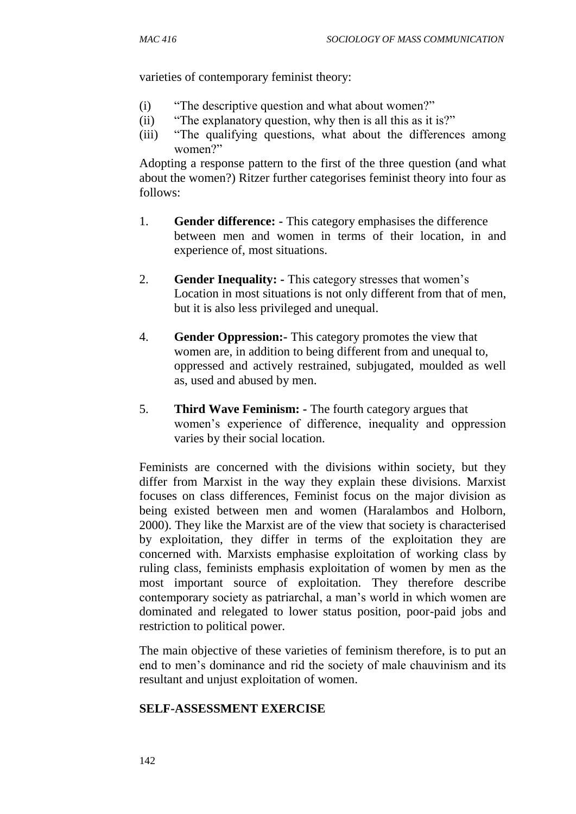varieties of contemporary feminist theory:

- (i) "The descriptive question and what about women?"
- (ii) "The explanatory question, why then is all this as it is?"
- (iii) "The qualifying questions, what about the differences among women?"

Adopting a response pattern to the first of the three question (and what about the women?) Ritzer further categorises feminist theory into four as follows:

- 1. **Gender difference: -** This category emphasises the difference between men and women in terms of their location, in and experience of, most situations.
- 2. **Gender Inequality: -** This category stresses that women's Location in most situations is not only different from that of men, but it is also less privileged and unequal.
- 4. **Gender Oppression:-** This category promotes the view that women are, in addition to being different from and unequal to, oppressed and actively restrained, subjugated, moulded as well as, used and abused by men.
- 5. **Third Wave Feminism: -** The fourth category argues that women's experience of difference, inequality and oppression varies by their social location.

Feminists are concerned with the divisions within society, but they differ from Marxist in the way they explain these divisions. Marxist focuses on class differences, Feminist focus on the major division as being existed between men and women (Haralambos and Holborn, 2000). They like the Marxist are of the view that society is characterised by exploitation, they differ in terms of the exploitation they are concerned with. Marxists emphasise exploitation of working class by ruling class, feminists emphasis exploitation of women by men as the most important source of exploitation. They therefore describe contemporary society as patriarchal, a man's world in which women are dominated and relegated to lower status position, poor-paid jobs and restriction to political power.

The main objective of these varieties of feminism therefore, is to put an end to men's dominance and rid the society of male chauvinism and its resultant and unjust exploitation of women.

#### **SELF-ASSESSMENT EXERCISE**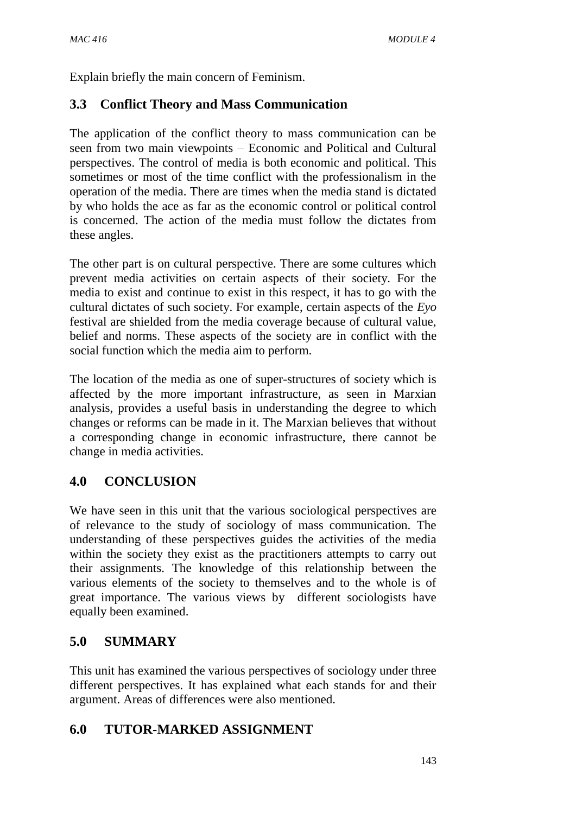Explain briefly the main concern of Feminism.

# **3.3 Conflict Theory and Mass Communication**

The application of the conflict theory to mass communication can be seen from two main viewpoints – Economic and Political and Cultural perspectives. The control of media is both economic and political. This sometimes or most of the time conflict with the professionalism in the operation of the media. There are times when the media stand is dictated by who holds the ace as far as the economic control or political control is concerned. The action of the media must follow the dictates from these angles.

The other part is on cultural perspective. There are some cultures which prevent media activities on certain aspects of their society. For the media to exist and continue to exist in this respect, it has to go with the cultural dictates of such society. For example, certain aspects of the *Eyo* festival are shielded from the media coverage because of cultural value, belief and norms. These aspects of the society are in conflict with the social function which the media aim to perform.

The location of the media as one of super-structures of society which is affected by the more important infrastructure, as seen in Marxian analysis, provides a useful basis in understanding the degree to which changes or reforms can be made in it. The Marxian believes that without a corresponding change in economic infrastructure, there cannot be change in media activities.

# **4.0 CONCLUSION**

We have seen in this unit that the various sociological perspectives are of relevance to the study of sociology of mass communication. The understanding of these perspectives guides the activities of the media within the society they exist as the practitioners attempts to carry out their assignments. The knowledge of this relationship between the various elements of the society to themselves and to the whole is of great importance. The various views by different sociologists have equally been examined.

# **5.0 SUMMARY**

This unit has examined the various perspectives of sociology under three different perspectives. It has explained what each stands for and their argument. Areas of differences were also mentioned.

# **6.0 TUTOR-MARKED ASSIGNMENT**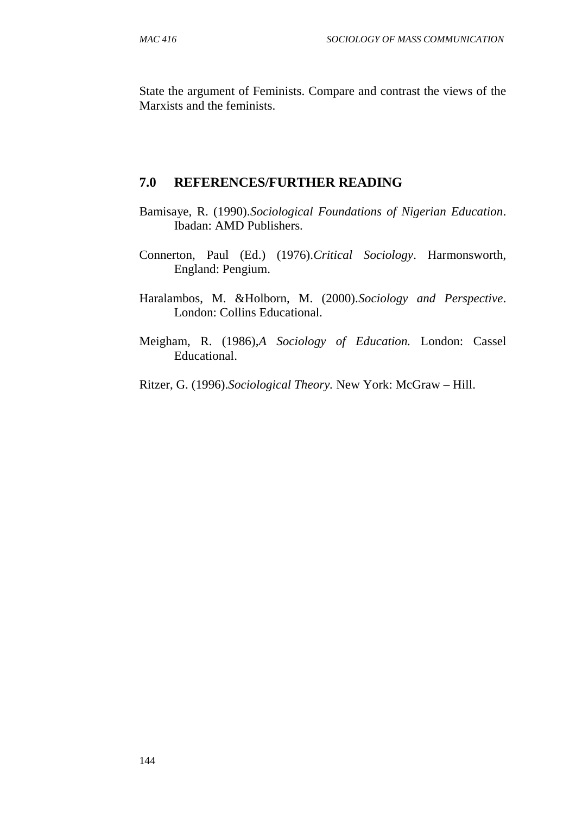State the argument of Feminists. Compare and contrast the views of the Marxists and the feminists.

#### **7.0 REFERENCES/FURTHER READING**

- Bamisaye, R. (1990).*Sociological Foundations of Nigerian Education*. Ibadan: AMD Publishers.
- Connerton, Paul (Ed.) (1976).*Critical Sociology*. Harmonsworth, England: Pengium.
- Haralambos, M. &Holborn, M. (2000).*Sociology and Perspective*. London: Collins Educational.
- Meigham, R. (1986),*A Sociology of Education.* London: Cassel Educational.
- Ritzer, G. (1996).*Sociological Theory.* New York: McGraw Hill.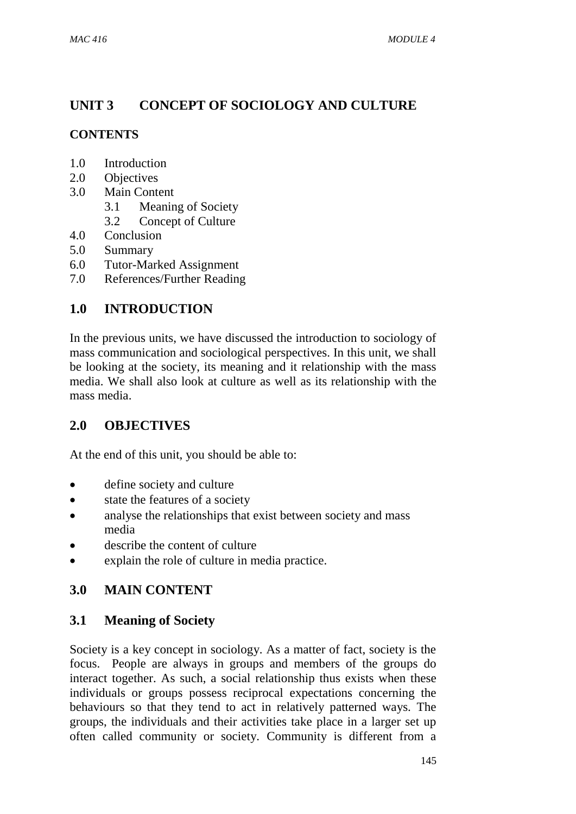# **UNIT 3 CONCEPT OF SOCIOLOGY AND CULTURE**

# **CONTENTS**

- 1.0 Introduction
- 2.0 Objectives
- 3.0 Main Content
	- 3.1 Meaning of Society
	- 3.2 Concept of Culture
- 4.0 Conclusion
- 5.0 Summary
- 6.0 Tutor-Marked Assignment
- 7.0 References/Further Reading

# **1.0 INTRODUCTION**

In the previous units, we have discussed the introduction to sociology of mass communication and sociological perspectives. In this unit, we shall be looking at the society, its meaning and it relationship with the mass media. We shall also look at culture as well as its relationship with the mass media.

# **2.0 OBJECTIVES**

At the end of this unit, you should be able to:

- define society and culture
- state the features of a society
- analyse the relationships that exist between society and mass media
- describe the content of culture
- explain the role of culture in media practice.

# **3.0 MAIN CONTENT**

# **3.1 Meaning of Society**

Society is a key concept in sociology. As a matter of fact, society is the focus. People are always in groups and members of the groups do interact together. As such, a social relationship thus exists when these individuals or groups possess reciprocal expectations concerning the behaviours so that they tend to act in relatively patterned ways. The groups, the individuals and their activities take place in a larger set up often called community or society. Community is different from a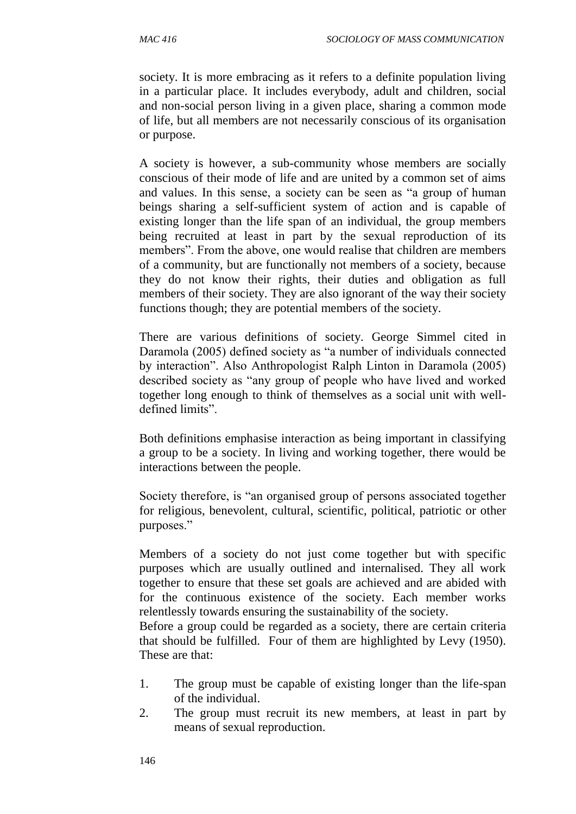society. It is more embracing as it refers to a definite population living in a particular place. It includes everybody, adult and children, social and non-social person living in a given place, sharing a common mode of life, but all members are not necessarily conscious of its organisation or purpose.

A society is however, a sub-community whose members are socially conscious of their mode of life and are united by a common set of aims and values. In this sense, a society can be seen as "a group of human beings sharing a self-sufficient system of action and is capable of existing longer than the life span of an individual, the group members being recruited at least in part by the sexual reproduction of its members". From the above, one would realise that children are members of a community, but are functionally not members of a society, because they do not know their rights, their duties and obligation as full members of their society. They are also ignorant of the way their society functions though; they are potential members of the society.

There are various definitions of society. George Simmel cited in Daramola (2005) defined society as "a number of individuals connected by interaction". Also Anthropologist Ralph Linton in Daramola (2005) described society as "any group of people who have lived and worked together long enough to think of themselves as a social unit with welldefined limits".

Both definitions emphasise interaction as being important in classifying a group to be a society. In living and working together, there would be interactions between the people.

Society therefore, is "an organised group of persons associated together for religious, benevolent, cultural, scientific, political, patriotic or other purposes."

Members of a society do not just come together but with specific purposes which are usually outlined and internalised. They all work together to ensure that these set goals are achieved and are abided with for the continuous existence of the society. Each member works relentlessly towards ensuring the sustainability of the society.

Before a group could be regarded as a society, there are certain criteria that should be fulfilled. Four of them are highlighted by Levy (1950). These are that:

- 1. The group must be capable of existing longer than the life-span of the individual.
- 2. The group must recruit its new members, at least in part by means of sexual reproduction.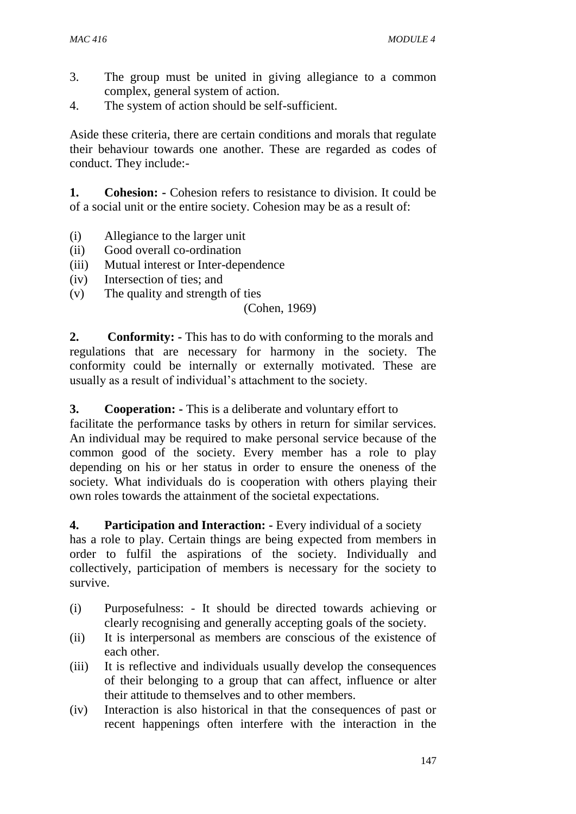- 3. The group must be united in giving allegiance to a common complex, general system of action.
- 4. The system of action should be self-sufficient.

Aside these criteria, there are certain conditions and morals that regulate their behaviour towards one another. These are regarded as codes of conduct. They include:-

**1. Cohesion: -** Cohesion refers to resistance to division. It could be of a social unit or the entire society. Cohesion may be as a result of:

- (i) Allegiance to the larger unit
- (ii) Good overall co-ordination
- (iii) Mutual interest or Inter-dependence
- (iv) Intersection of ties; and
- (v) The quality and strength of ties

#### (Cohen, 1969)

**2. Conformity: -** This has to do with conforming to the morals and regulations that are necessary for harmony in the society. The conformity could be internally or externally motivated. These are usually as a result of individual's attachment to the society.

#### **3. Cooperation: -** This is a deliberate and voluntary effort to

facilitate the performance tasks by others in return for similar services. An individual may be required to make personal service because of the common good of the society. Every member has a role to play depending on his or her status in order to ensure the oneness of the society. What individuals do is cooperation with others playing their own roles towards the attainment of the societal expectations.

#### **4. Participation and Interaction: -** Every individual of a society

has a role to play. Certain things are being expected from members in order to fulfil the aspirations of the society. Individually and collectively, participation of members is necessary for the society to survive.

- (i) Purposefulness: It should be directed towards achieving or clearly recognising and generally accepting goals of the society.
- (ii) It is interpersonal as members are conscious of the existence of each other.
- (iii) It is reflective and individuals usually develop the consequences of their belonging to a group that can affect, influence or alter their attitude to themselves and to other members.
- (iv) Interaction is also historical in that the consequences of past or recent happenings often interfere with the interaction in the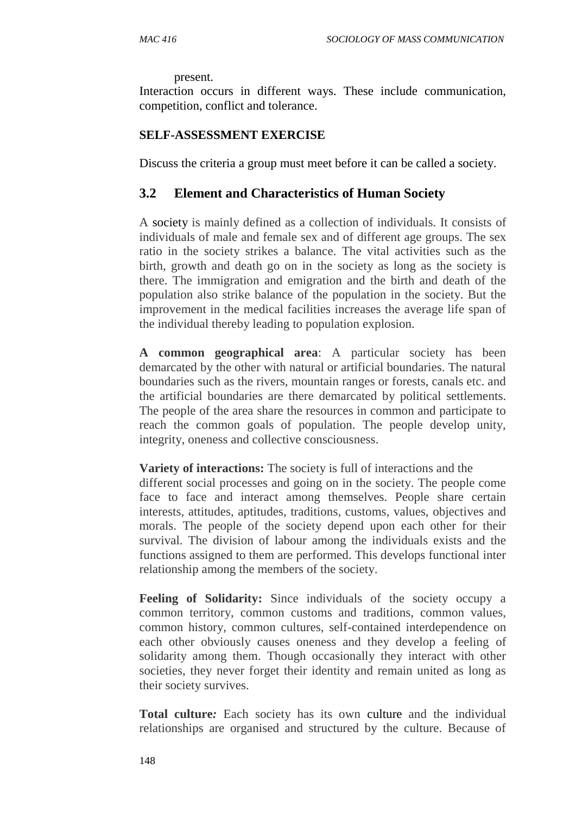present.

Interaction occurs in different ways. These include communication, competition, conflict and tolerance.

#### **SELF-ASSESSMENT EXERCISE**

Discuss the criteria a group must meet before it can be called a society.

#### **3.2 Element and Characteristics of Human Society**

A [society](http://dilipchandra12.hubpages.com/hub/What-is-a-Society) is mainly defined as a collection of individuals. It consists of individuals of male and female sex and of different age groups. The sex ratio in the society strikes a balance. The vital activities such as the birth, growth and death go on in the society as long as the society is there. The immigration and emigration and the birth and death of the population also strike balance of the population in the society. But the improvement in the medical facilities increases the average life span of the individual thereby leading to population explosion.

**A common geographical area**: A particular society has been demarcated by the other with natural or artificial boundaries. The natural boundaries such as the rivers, mountain ranges or forests, canals etc. and the artificial boundaries are there demarcated by political settlements. The people of the area share the resources in common and participate to reach the common goals of population. The people develop unity, integrity, oneness and collective consciousness.

**Variety of interactions:** The society is full of interactions and the

different social processes and going on in the society. The people come face to face and interact among themselves. People share certain interests, attitudes, aptitudes, traditions, customs, values, objectives and morals. The people of the society depend upon each other for their survival. The division of labour among the individuals exists and the functions assigned to them are performed. This develops functional inter relationship among the members of the society.

**Feeling of Solidarity:** Since individuals of the society occupy a common territory, common customs and traditions, common values, common history, common cultures, self-contained interdependence on each other obviously causes oneness and they develop a feeling of solidarity among them. Though occasionally they interact with other societies, they never forget their identity and remain united as long as their society survives.

**Total culture***:* Each society has its own [culture](http://dilipchandra12.hubpages.com/hub/What-is-Culture-and-Definition-of-Culture) and the individual relationships are organised and structured by the culture. Because of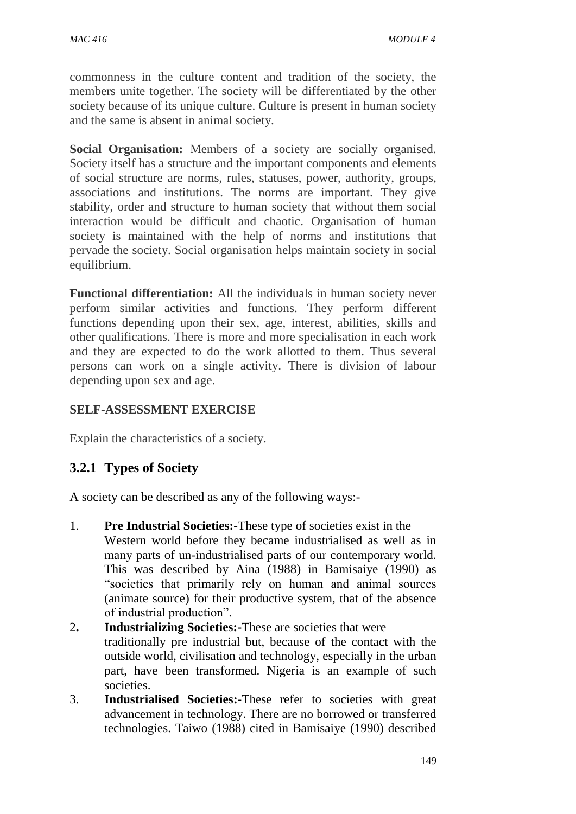commonness in the culture content and tradition of the society, the members unite together. The society will be differentiated by the other society because of its unique culture. Culture is present in human society and the same is absent in animal society.

**Social Organisation:** Members of a society are socially organised. Society itself has a structure and the important components and elements of social structure are norms, rules, statuses, power, authority, groups, associations and institutions. The norms are important. They give stability, order and structure to human society that without them social interaction would be difficult and chaotic. Organisation of human society is maintained with the help of norms and institutions that pervade the society. Social organisation helps maintain society in social equilibrium.

**Functional differentiation:** All the individuals in human society never perform similar activities and functions. They perform different functions depending upon their sex, age, interest, abilities, skills and other qualifications. There is more and more specialisation in each work and they are expected to do the work allotted to them. Thus several persons can work on a single activity. There is division of labour depending upon sex and age.

# **SELF-ASSESSMENT EXERCISE**

Explain the characteristics of a society.

# **3.2.1 Types of Society**

A society can be described as any of the following ways:-

- 1. **Pre Industrial Societies:-**These type of societies exist in the Western world before they became industrialised as well as in many parts of un-industrialised parts of our contemporary world. This was described by Aina (1988) in Bamisaiye (1990) as "societies that primarily rely on human and animal sources (animate source) for their productive system, that of the absence of industrial production".
- 2**. Industrializing Societies:-**These are societies that were traditionally pre industrial but, because of the contact with the outside world, civilisation and technology, especially in the urban part, have been transformed. Nigeria is an example of such societies.
- 3. **Industrialised Societies:-**These refer to societies with great advancement in technology. There are no borrowed or transferred technologies. Taiwo (1988) cited in Bamisaiye (1990) described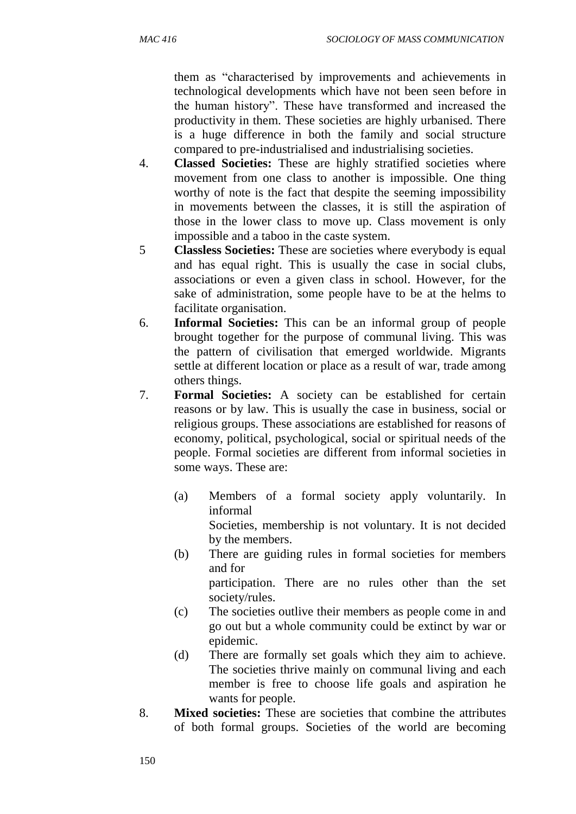them as "characterised by improvements and achievements in technological developments which have not been seen before in the human history". These have transformed and increased the productivity in them. These societies are highly urbanised. There is a huge difference in both the family and social structure compared to pre-industrialised and industrialising societies.

- 4. **Classed Societies:** These are highly stratified societies where movement from one class to another is impossible. One thing worthy of note is the fact that despite the seeming impossibility in movements between the classes, it is still the aspiration of those in the lower class to move up. Class movement is only impossible and a taboo in the caste system.
- 5 **Classless Societies:** These are societies where everybody is equal and has equal right. This is usually the case in social clubs, associations or even a given class in school. However, for the sake of administration, some people have to be at the helms to facilitate organisation.
- 6. **Informal Societies:** This can be an informal group of people brought together for the purpose of communal living. This was the pattern of civilisation that emerged worldwide. Migrants settle at different location or place as a result of war, trade among others things.
- 7. **Formal Societies:** A society can be established for certain reasons or by law. This is usually the case in business, social or religious groups. These associations are established for reasons of economy, political, psychological, social or spiritual needs of the people. Formal societies are different from informal societies in some ways. These are:
	- (a) Members of a formal society apply voluntarily. In informal Societies, membership is not voluntary. It is not decided by the members.
	- (b) There are guiding rules in formal societies for members and for participation. There are no rules other than the set society/rules.
	- (c) The societies outlive their members as people come in and go out but a whole community could be extinct by war or epidemic.
	- (d) There are formally set goals which they aim to achieve. The societies thrive mainly on communal living and each member is free to choose life goals and aspiration he wants for people.
- 8. **Mixed societies:** These are societies that combine the attributes of both formal groups. Societies of the world are becoming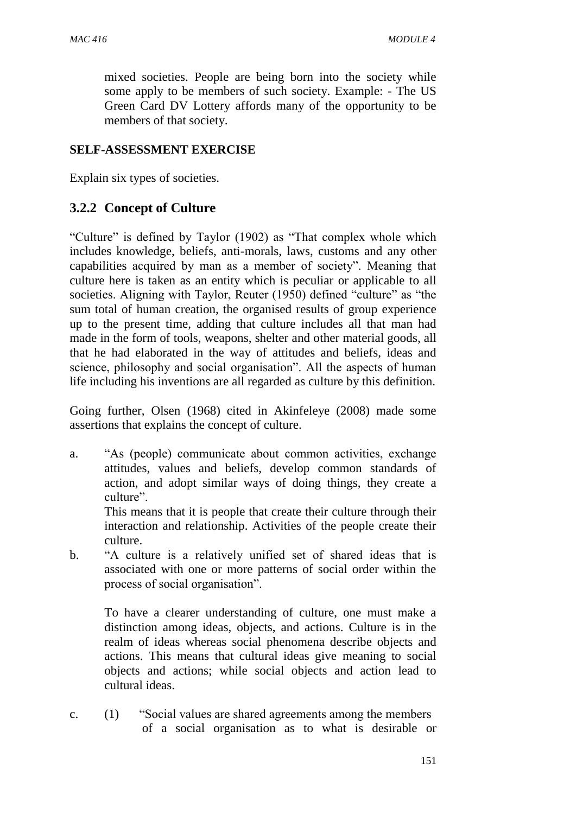mixed societies. People are being born into the society while some apply to be members of such society. Example: - The US Green Card DV Lottery affords many of the opportunity to be members of that society.

#### **SELF-ASSESSMENT EXERCISE**

Explain six types of societies.

# **3.2.2 Concept of Culture**

"Culture" is defined by Taylor (1902) as "That complex whole which includes knowledge, beliefs, anti-morals, laws, customs and any other capabilities acquired by man as a member of society". Meaning that culture here is taken as an entity which is peculiar or applicable to all societies. Aligning with Taylor, Reuter (1950) defined "culture" as "the sum total of human creation, the organised results of group experience up to the present time, adding that culture includes all that man had made in the form of tools, weapons, shelter and other material goods, all that he had elaborated in the way of attitudes and beliefs, ideas and science, philosophy and social organisation". All the aspects of human life including his inventions are all regarded as culture by this definition.

Going further, Olsen (1968) cited in Akinfeleye (2008) made some assertions that explains the concept of culture.

a. "As (people) communicate about common activities, exchange attitudes, values and beliefs, develop common standards of action, and adopt similar ways of doing things, they create a culture".

This means that it is people that create their culture through their interaction and relationship. Activities of the people create their culture.

b. "A culture is a relatively unified set of shared ideas that is associated with one or more patterns of social order within the process of social organisation".

To have a clearer understanding of culture, one must make a distinction among ideas, objects, and actions. Culture is in the realm of ideas whereas social phenomena describe objects and actions. This means that cultural ideas give meaning to social objects and actions; while social objects and action lead to cultural ideas.

c. (1) "Social values are shared agreements among the members of a social organisation as to what is desirable or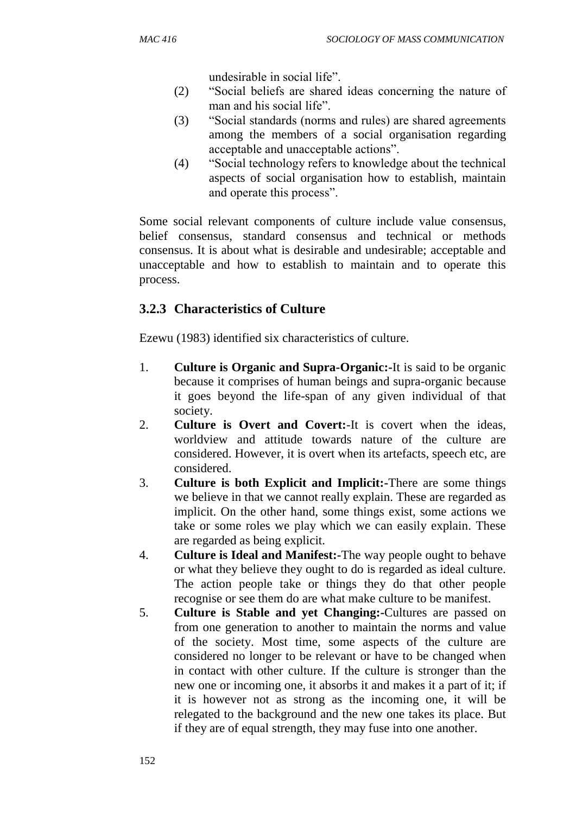undesirable in social life".

- (2) "Social beliefs are shared ideas concerning the nature of man and his social life".
- (3) "Social standards (norms and rules) are shared agreements among the members of a social organisation regarding acceptable and unacceptable actions".
- (4) "Social technology refers to knowledge about the technical aspects of social organisation how to establish, maintain and operate this process".

Some social relevant components of culture include value consensus, belief consensus, standard consensus and technical or methods consensus. It is about what is desirable and undesirable; acceptable and unacceptable and how to establish to maintain and to operate this process.

# **3.2.3 Characteristics of Culture**

Ezewu (1983) identified six characteristics of culture.

- 1. **Culture is Organic and Supra-Organic:-**It is said to be organic because it comprises of human beings and supra-organic because it goes beyond the life-span of any given individual of that society.
- 2. **Culture is Overt and Covert:**-It is covert when the ideas, worldview and attitude towards nature of the culture are considered. However, it is overt when its artefacts, speech etc, are considered.
- 3. **Culture is both Explicit and Implicit:-**There are some things we believe in that we cannot really explain. These are regarded as implicit. On the other hand, some things exist, some actions we take or some roles we play which we can easily explain. These are regarded as being explicit.
- 4. **Culture is Ideal and Manifest:-**The way people ought to behave or what they believe they ought to do is regarded as ideal culture. The action people take or things they do that other people recognise or see them do are what make culture to be manifest.
- 5. **Culture is Stable and yet Changing:-**Cultures are passed on from one generation to another to maintain the norms and value of the society. Most time, some aspects of the culture are considered no longer to be relevant or have to be changed when in contact with other culture. If the culture is stronger than the new one or incoming one, it absorbs it and makes it a part of it; if it is however not as strong as the incoming one, it will be relegated to the background and the new one takes its place. But if they are of equal strength, they may fuse into one another.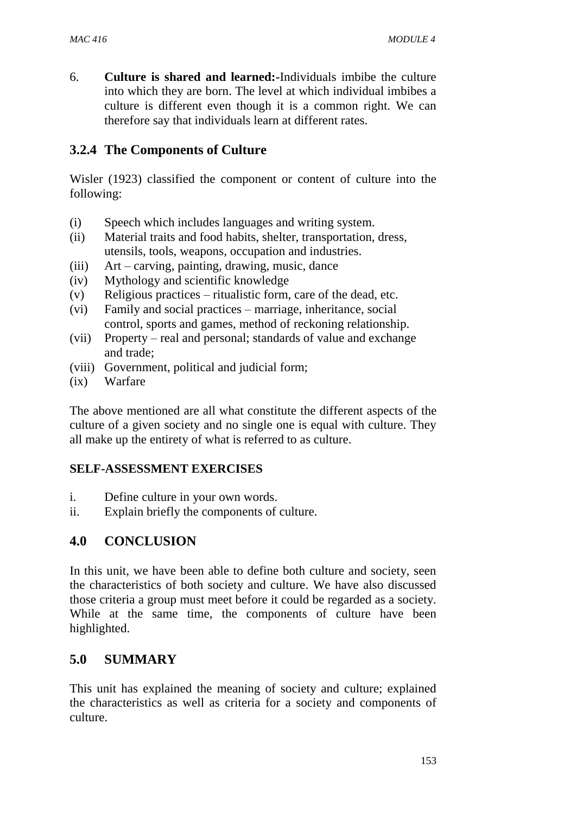6. **Culture is shared and learned:-**Individuals imbibe the culture into which they are born. The level at which individual imbibes a culture is different even though it is a common right. We can therefore say that individuals learn at different rates.

# **3.2.4 The Components of Culture**

Wisler (1923) classified the component or content of culture into the following:

- (i) Speech which includes languages and writing system.
- (ii) Material traits and food habits, shelter, transportation, dress, utensils, tools, weapons, occupation and industries.
- (iii) Art carving, painting, drawing, music, dance
- (iv) Mythology and scientific knowledge
- (v) Religious practices ritualistic form, care of the dead, etc.
- (vi) Family and social practices marriage, inheritance, social control, sports and games, method of reckoning relationship.
- (vii) Property real and personal; standards of value and exchange and trade;
- (viii) Government, political and judicial form;
- (ix) Warfare

The above mentioned are all what constitute the different aspects of the culture of a given society and no single one is equal with culture. They all make up the entirety of what is referred to as culture.

#### **SELF-ASSESSMENT EXERCISES**

- i. Define culture in your own words.
- ii. Explain briefly the components of culture.

# **4.0 CONCLUSION**

In this unit, we have been able to define both culture and society, seen the characteristics of both society and culture. We have also discussed those criteria a group must meet before it could be regarded as a society. While at the same time, the components of culture have been highlighted.

# **5.0 SUMMARY**

This unit has explained the meaning of society and culture; explained the characteristics as well as criteria for a society and components of culture.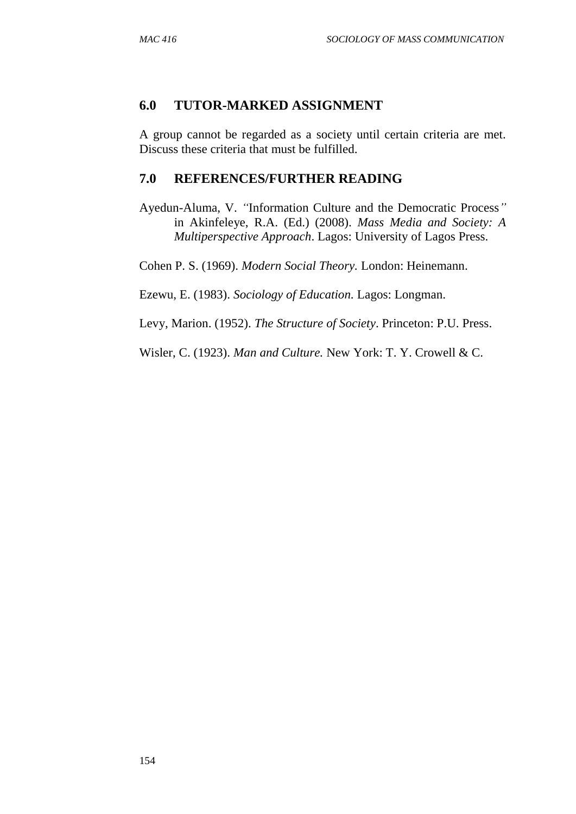#### **6.0 TUTOR-MARKED ASSIGNMENT**

A group cannot be regarded as a society until certain criteria are met. Discuss these criteria that must be fulfilled.

### **7.0 REFERENCES/FURTHER READING**

Ayedun-Aluma, V. *"*Information Culture and the Democratic Process*"* in Akinfeleye, R.A. (Ed.) (2008). *Mass Media and Society: A Multiperspective Approach*. Lagos: University of Lagos Press.

Cohen P. S. (1969). *Modern Social Theory.* London: Heinemann.

Ezewu, E. (1983). *Sociology of Education.* Lagos: Longman.

Levy, Marion. (1952). *The Structure of Society*. Princeton: P.U. Press.

Wisler, C. (1923). *Man and Culture.* New York: T. Y. Crowell & C.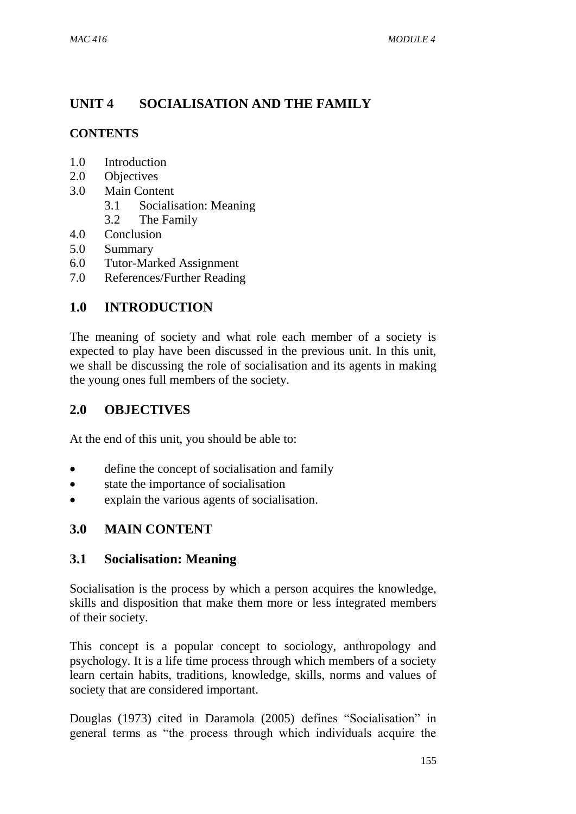# **UNIT 4 SOCIALISATION AND THE FAMILY**

# **CONTENTS**

- 1.0 Introduction
- 2.0 Objectives
- 3.0 Main Content
	- 3.1 Socialisation: Meaning
	- 3.2 The Family
- 4.0 Conclusion
- 5.0 Summary
- 6.0 Tutor-Marked Assignment
- 7.0 References/Further Reading

# **1.0 INTRODUCTION**

The meaning of society and what role each member of a society is expected to play have been discussed in the previous unit. In this unit, we shall be discussing the role of socialisation and its agents in making the young ones full members of the society.

# **2.0 OBJECTIVES**

At the end of this unit, you should be able to:

- define the concept of socialisation and family
- state the importance of socialisation
- explain the various agents of socialisation.

# **3.0 MAIN CONTENT**

# **3.1 Socialisation: Meaning**

Socialisation is the process by which a person acquires the knowledge, skills and disposition that make them more or less integrated members of their society.

This concept is a popular concept to sociology, anthropology and psychology. It is a life time process through which members of a society learn certain habits, traditions, knowledge, skills, norms and values of society that are considered important.

Douglas (1973) cited in Daramola (2005) defines "Socialisation" in general terms as "the process through which individuals acquire the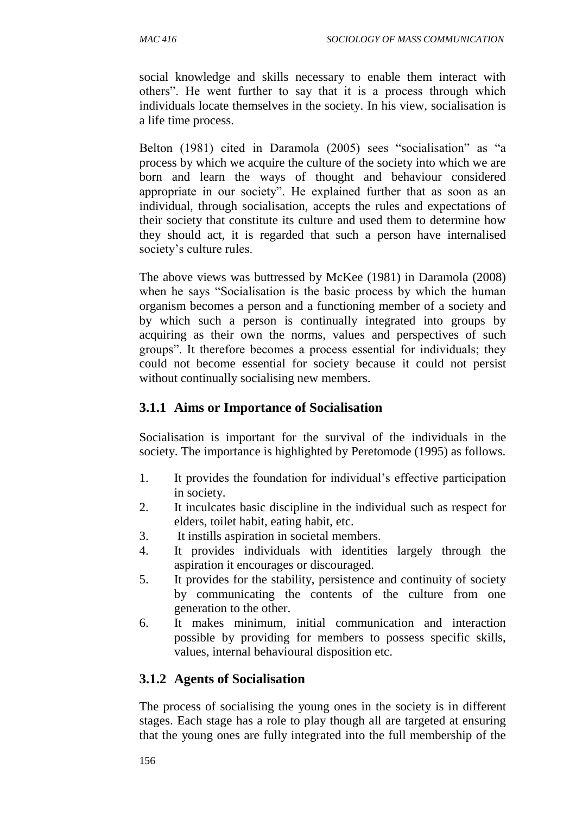social knowledge and skills necessary to enable them interact with others". He went further to say that it is a process through which individuals locate themselves in the society. In his view, socialisation is a life time process.

Belton (1981) cited in Daramola (2005) sees "socialisation" as "a process by which we acquire the culture of the society into which we are born and learn the ways of thought and behaviour considered appropriate in our society". He explained further that as soon as an individual, through socialisation, accepts the rules and expectations of their society that constitute its culture and used them to determine how they should act, it is regarded that such a person have internalised society's culture rules.

The above views was buttressed by McKee (1981) in Daramola (2008) when he says "Socialisation is the basic process by which the human organism becomes a person and a functioning member of a society and by which such a person is continually integrated into groups by acquiring as their own the norms, values and perspectives of such groups". It therefore becomes a process essential for individuals; they could not become essential for society because it could not persist without continually socialising new members.

# **3.1.1 Aims or Importance of Socialisation**

Socialisation is important for the survival of the individuals in the society. The importance is highlighted by Peretomode (1995) as follows.

- 1. It provides the foundation for individual's effective participation in society.
- 2. It inculcates basic discipline in the individual such as respect for elders, toilet habit, eating habit, etc.
- 3. It instills aspiration in societal members.
- 4. It provides individuals with identities largely through the aspiration it encourages or discouraged.
- 5. It provides for the stability, persistence and continuity of society by communicating the contents of the culture from one generation to the other.
- 6. It makes minimum, initial communication and interaction possible by providing for members to possess specific skills, values, internal behavioural disposition etc.

# **3.1.2 Agents of Socialisation**

The process of socialising the young ones in the society is in different stages. Each stage has a role to play though all are targeted at ensuring that the young ones are fully integrated into the full membership of the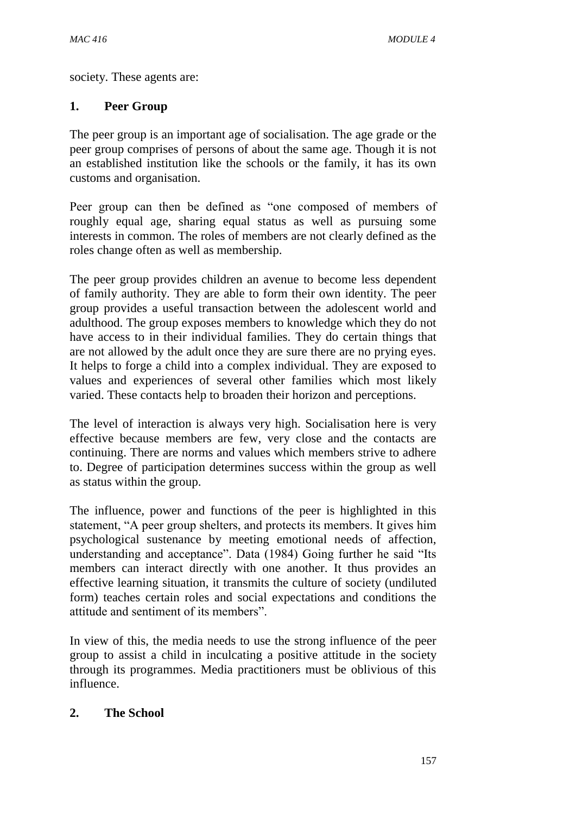society. These agents are:

#### **1. Peer Group**

The peer group is an important age of socialisation. The age grade or the peer group comprises of persons of about the same age. Though it is not an established institution like the schools or the family, it has its own customs and organisation.

Peer group can then be defined as "one composed of members of roughly equal age, sharing equal status as well as pursuing some interests in common. The roles of members are not clearly defined as the roles change often as well as membership.

The peer group provides children an avenue to become less dependent of family authority. They are able to form their own identity. The peer group provides a useful transaction between the adolescent world and adulthood. The group exposes members to knowledge which they do not have access to in their individual families. They do certain things that are not allowed by the adult once they are sure there are no prying eyes. It helps to forge a child into a complex individual. They are exposed to values and experiences of several other families which most likely varied. These contacts help to broaden their horizon and perceptions.

The level of interaction is always very high. Socialisation here is very effective because members are few, very close and the contacts are continuing. There are norms and values which members strive to adhere to. Degree of participation determines success within the group as well as status within the group.

The influence, power and functions of the peer is highlighted in this statement, "A peer group shelters, and protects its members. It gives him psychological sustenance by meeting emotional needs of affection, understanding and acceptance". Data (1984) Going further he said "Its members can interact directly with one another. It thus provides an effective learning situation, it transmits the culture of society (undiluted form) teaches certain roles and social expectations and conditions the attitude and sentiment of its members".

In view of this, the media needs to use the strong influence of the peer group to assist a child in inculcating a positive attitude in the society through its programmes. Media practitioners must be oblivious of this influence.

#### **2. The School**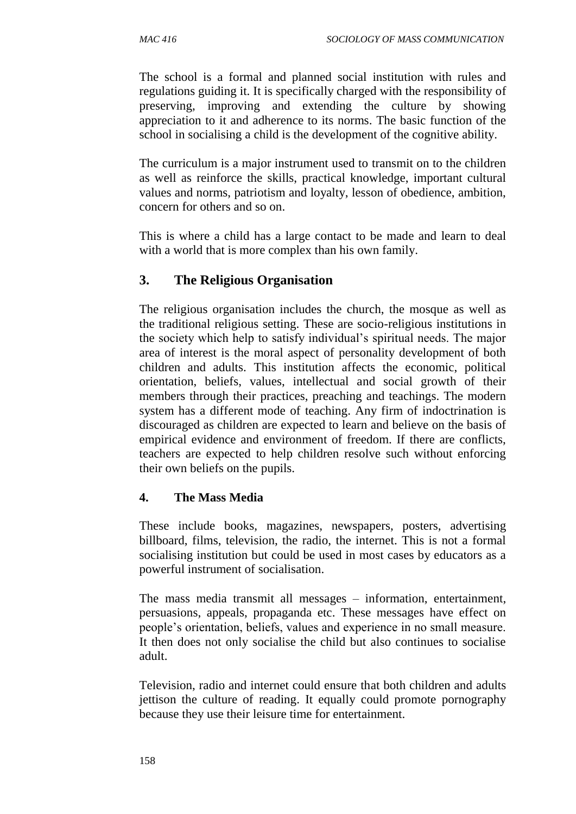The school is a formal and planned social institution with rules and regulations guiding it. It is specifically charged with the responsibility of preserving, improving and extending the culture by showing appreciation to it and adherence to its norms. The basic function of the school in socialising a child is the development of the cognitive ability.

The curriculum is a major instrument used to transmit on to the children as well as reinforce the skills, practical knowledge, important cultural values and norms, patriotism and loyalty, lesson of obedience, ambition, concern for others and so on.

This is where a child has a large contact to be made and learn to deal with a world that is more complex than his own family.

# **3. The Religious Organisation**

The religious organisation includes the church, the mosque as well as the traditional religious setting. These are socio-religious institutions in the society which help to satisfy individual's spiritual needs. The major area of interest is the moral aspect of personality development of both children and adults. This institution affects the economic, political orientation, beliefs, values, intellectual and social growth of their members through their practices, preaching and teachings. The modern system has a different mode of teaching. Any firm of indoctrination is discouraged as children are expected to learn and believe on the basis of empirical evidence and environment of freedom. If there are conflicts, teachers are expected to help children resolve such without enforcing their own beliefs on the pupils.

#### **4. The Mass Media**

These include books, magazines, newspapers, posters, advertising billboard, films, television, the radio, the internet. This is not a formal socialising institution but could be used in most cases by educators as a powerful instrument of socialisation.

The mass media transmit all messages – information, entertainment, persuasions, appeals, propaganda etc. These messages have effect on people's orientation, beliefs, values and experience in no small measure. It then does not only socialise the child but also continues to socialise adult.

Television, radio and internet could ensure that both children and adults jettison the culture of reading. It equally could promote pornography because they use their leisure time for entertainment.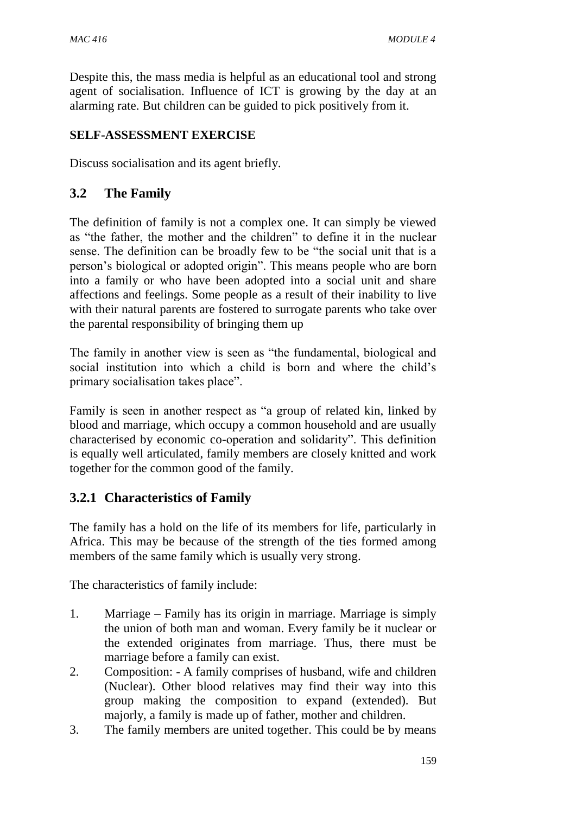Despite this, the mass media is helpful as an educational tool and strong agent of socialisation. Influence of ICT is growing by the day at an alarming rate. But children can be guided to pick positively from it.

#### **SELF-ASSESSMENT EXERCISE**

Discuss socialisation and its agent briefly.

# **3.2 The Family**

The definition of family is not a complex one. It can simply be viewed as "the father, the mother and the children" to define it in the nuclear sense. The definition can be broadly few to be "the social unit that is a person's biological or adopted origin". This means people who are born into a family or who have been adopted into a social unit and share affections and feelings. Some people as a result of their inability to live with their natural parents are fostered to surrogate parents who take over the parental responsibility of bringing them up

The family in another view is seen as "the fundamental, biological and social institution into which a child is born and where the child's primary socialisation takes place".

Family is seen in another respect as "a group of related kin, linked by blood and marriage, which occupy a common household and are usually characterised by economic co-operation and solidarity". This definition is equally well articulated, family members are closely knitted and work together for the common good of the family.

# **3.2.1 Characteristics of Family**

The family has a hold on the life of its members for life, particularly in Africa. This may be because of the strength of the ties formed among members of the same family which is usually very strong.

The characteristics of family include:

- 1. Marriage Family has its origin in marriage. Marriage is simply the union of both man and woman. Every family be it nuclear or the extended originates from marriage. Thus, there must be marriage before a family can exist.
- 2. Composition: A family comprises of husband, wife and children (Nuclear). Other blood relatives may find their way into this group making the composition to expand (extended). But majorly, a family is made up of father, mother and children.
- 3. The family members are united together. This could be by means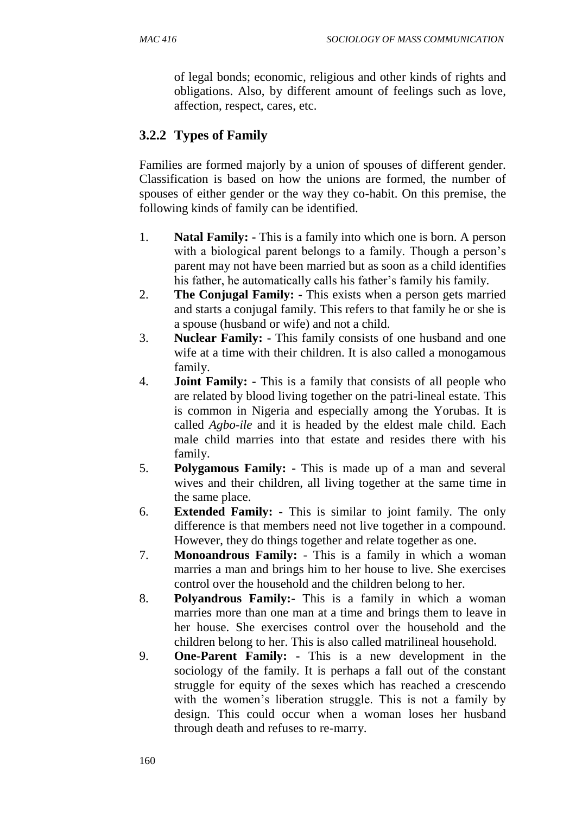of legal bonds; economic, religious and other kinds of rights and obligations. Also, by different amount of feelings such as love, affection, respect, cares, etc.

# **3.2.2 Types of Family**

Families are formed majorly by a union of spouses of different gender. Classification is based on how the unions are formed, the number of spouses of either gender or the way they co-habit. On this premise, the following kinds of family can be identified.

- 1. **Natal Family: -** This is a family into which one is born. A person with a biological parent belongs to a family. Though a person's parent may not have been married but as soon as a child identifies his father, he automatically calls his father's family his family.
- 2. **The Conjugal Family: -** This exists when a person gets married and starts a conjugal family. This refers to that family he or she is a spouse (husband or wife) and not a child.
- 3. **Nuclear Family: -** This family consists of one husband and one wife at a time with their children. It is also called a monogamous family.
- 4. **Joint Family: -** This is a family that consists of all people who are related by blood living together on the patri-lineal estate. This is common in Nigeria and especially among the Yorubas. It is called *Agbo-ile* and it is headed by the eldest male child. Each male child marries into that estate and resides there with his family.
- 5. **Polygamous Family: -** This is made up of a man and several wives and their children, all living together at the same time in the same place.
- 6. **Extended Family: -** This is similar to joint family. The only difference is that members need not live together in a compound. However, they do things together and relate together as one.
- 7. **Monoandrous Family:** This is a family in which a woman marries a man and brings him to her house to live. She exercises control over the household and the children belong to her.
- 8. **Polyandrous Family:-** This is a family in which a woman marries more than one man at a time and brings them to leave in her house. She exercises control over the household and the children belong to her. This is also called matrilineal household.
- 9. **One-Parent Family: -** This is a new development in the sociology of the family. It is perhaps a fall out of the constant struggle for equity of the sexes which has reached a crescendo with the women's liberation struggle. This is not a family by design. This could occur when a woman loses her husband through death and refuses to re-marry.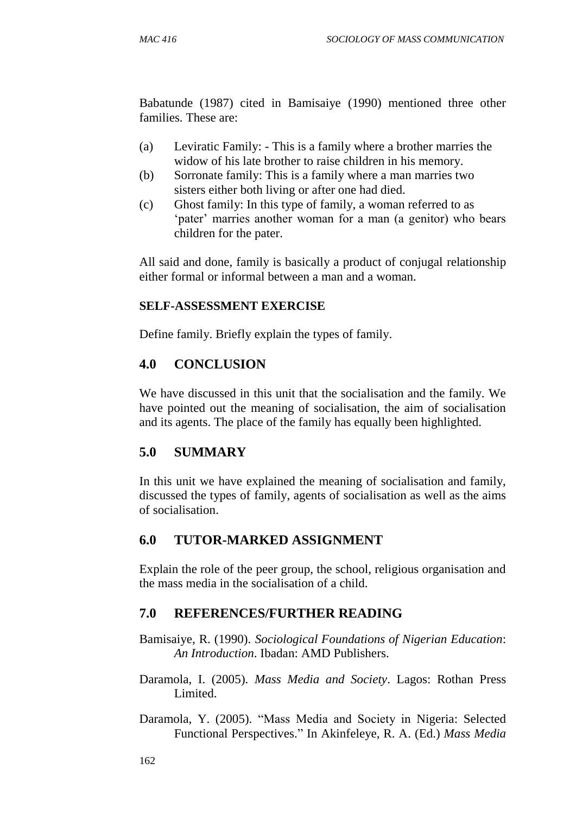Babatunde (1987) cited in Bamisaiye (1990) mentioned three other families. These are:

- (a) Leviratic Family: This is a family where a brother marries the widow of his late brother to raise children in his memory.
- (b) Sorronate family: This is a family where a man marries two sisters either both living or after one had died.
- (c) Ghost family: In this type of family, a woman referred to as 'pater' marries another woman for a man (a genitor) who bears children for the pater.

All said and done, family is basically a product of conjugal relationship either formal or informal between a man and a woman.

#### **SELF-ASSESSMENT EXERCISE**

Define family. Briefly explain the types of family.

# **4.0 CONCLUSION**

We have discussed in this unit that the socialisation and the family. We have pointed out the meaning of socialisation, the aim of socialisation and its agents. The place of the family has equally been highlighted.

# **5.0 SUMMARY**

In this unit we have explained the meaning of socialisation and family, discussed the types of family, agents of socialisation as well as the aims of socialisation.

# **6.0 TUTOR-MARKED ASSIGNMENT**

Explain the role of the peer group, the school, religious organisation and the mass media in the socialisation of a child.

# **7.0 REFERENCES/FURTHER READING**

Bamisaiye, R. (1990). *Sociological Foundations of Nigerian Education*: *An Introduction*. Ibadan: AMD Publishers.

- Daramola, I. (2005). *Mass Media and Society*. Lagos: Rothan Press Limited.
- Daramola, Y. (2005). "Mass Media and Society in Nigeria: Selected Functional Perspectives." In Akinfeleye, R. A. (Ed.) *Mass Media*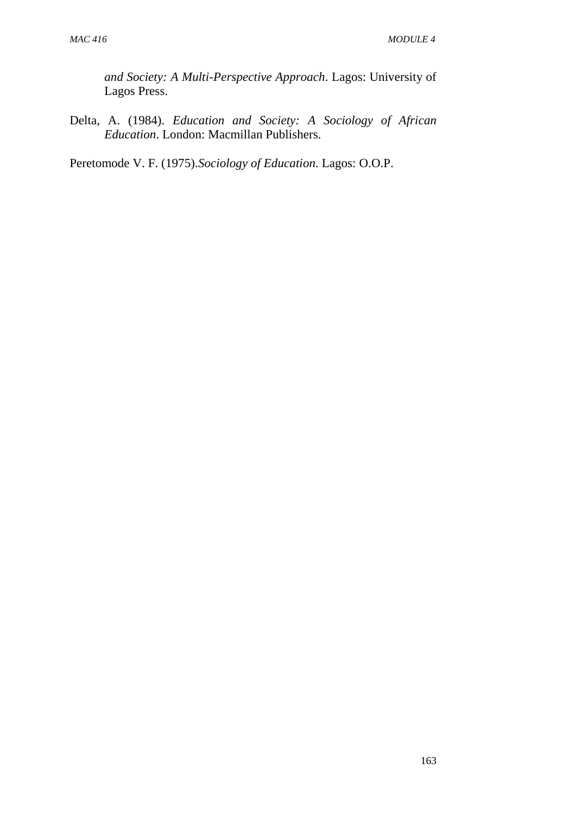*and Society: A Multi*-*Perspective Approach*. Lagos: University of Lagos Press.

Delta, A. (1984). *Education and Society: A Sociology of African Education*. London: Macmillan Publishers.

Peretomode V. F. (1975).*Sociology of Education*. Lagos: O.O.P.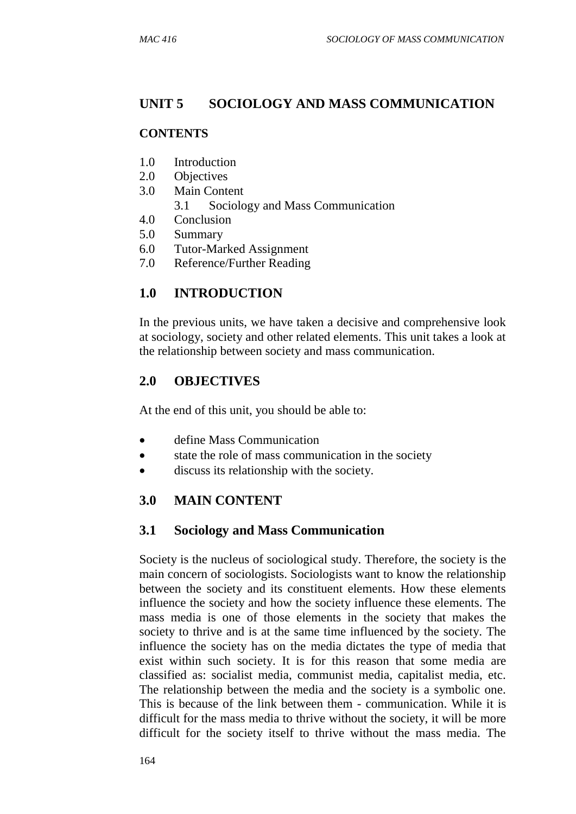# **UNIT 5 SOCIOLOGY AND MASS COMMUNICATION**

#### **CONTENTS**

- 1.0 Introduction
- 2.0 Objectives
- 3.0 Main Content
	- 3.1 Sociology and Mass Communication
- 4.0 Conclusion
- 5.0 Summary
- 6.0 Tutor-Marked Assignment
- 7.0 Reference/Further Reading

# **1.0 INTRODUCTION**

In the previous units, we have taken a decisive and comprehensive look at sociology, society and other related elements. This unit takes a look at the relationship between society and mass communication.

# **2.0 OBJECTIVES**

At the end of this unit, you should be able to:

- define Mass Communication
- state the role of mass communication in the society
- discuss its relationship with the society.

# **3.0 MAIN CONTENT**

# **3.1 Sociology and Mass Communication**

Society is the nucleus of sociological study. Therefore, the society is the main concern of sociologists. Sociologists want to know the relationship between the society and its constituent elements. How these elements influence the society and how the society influence these elements. The mass media is one of those elements in the society that makes the society to thrive and is at the same time influenced by the society. The influence the society has on the media dictates the type of media that exist within such society. It is for this reason that some media are classified as: socialist media, communist media, capitalist media, etc. The relationship between the media and the society is a symbolic one. This is because of the link between them - communication. While it is difficult for the mass media to thrive without the society, it will be more difficult for the society itself to thrive without the mass media. The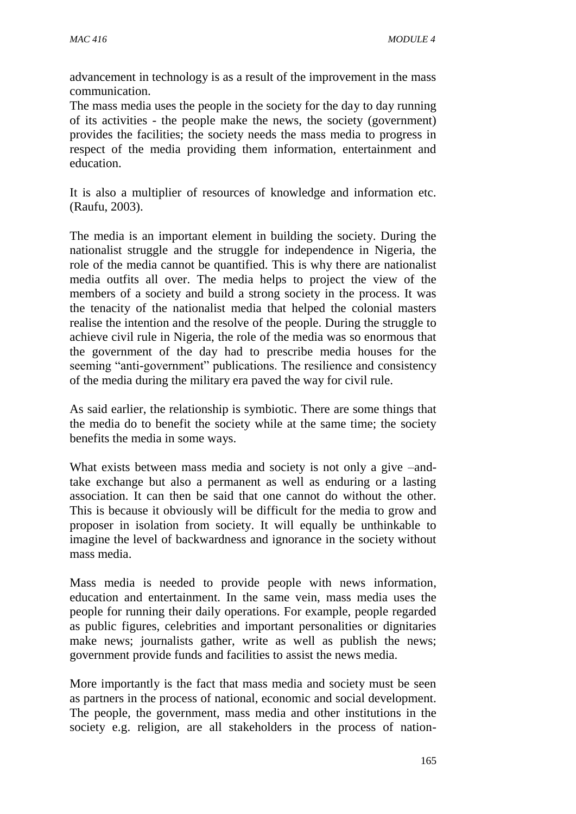advancement in technology is as a result of the improvement in the mass communication.

The mass media uses the people in the society for the day to day running of its activities - the people make the news, the society (government) provides the facilities; the society needs the mass media to progress in respect of the media providing them information, entertainment and education.

It is also a multiplier of resources of knowledge and information etc. (Raufu, 2003).

The media is an important element in building the society. During the nationalist struggle and the struggle for independence in Nigeria, the role of the media cannot be quantified. This is why there are nationalist media outfits all over. The media helps to project the view of the members of a society and build a strong society in the process. It was the tenacity of the nationalist media that helped the colonial masters realise the intention and the resolve of the people. During the struggle to achieve civil rule in Nigeria, the role of the media was so enormous that the government of the day had to prescribe media houses for the seeming "anti-government" publications. The resilience and consistency of the media during the military era paved the way for civil rule.

As said earlier, the relationship is symbiotic. There are some things that the media do to benefit the society while at the same time; the society benefits the media in some ways.

What exists between mass media and society is not only a give –andtake exchange but also a permanent as well as enduring or a lasting association. It can then be said that one cannot do without the other. This is because it obviously will be difficult for the media to grow and proposer in isolation from society. It will equally be unthinkable to imagine the level of backwardness and ignorance in the society without mass media.

Mass media is needed to provide people with news information, education and entertainment. In the same vein, mass media uses the people for running their daily operations. For example, people regarded as public figures, celebrities and important personalities or dignitaries make news; journalists gather, write as well as publish the news; government provide funds and facilities to assist the news media.

More importantly is the fact that mass media and society must be seen as partners in the process of national, economic and social development. The people, the government, mass media and other institutions in the society e.g. religion, are all stakeholders in the process of nation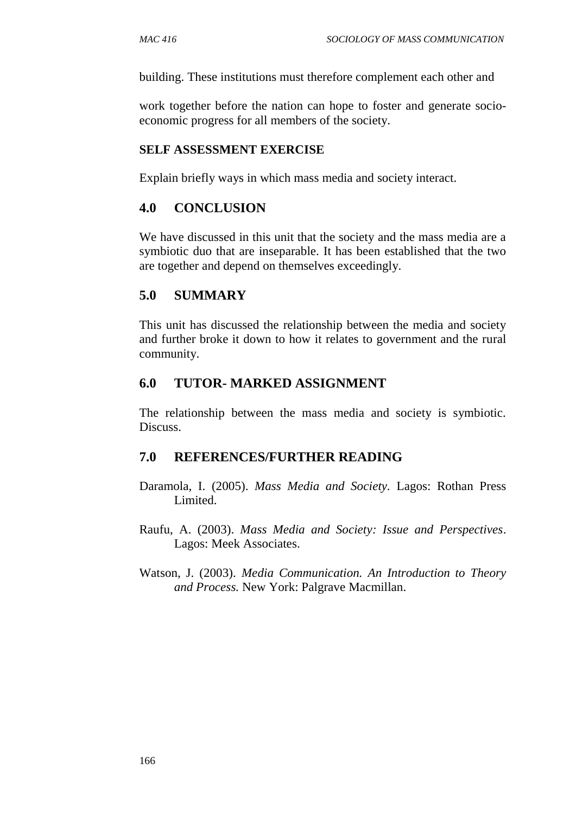building. These institutions must therefore complement each other and

work together before the nation can hope to foster and generate socioeconomic progress for all members of the society.

#### **SELF ASSESSMENT EXERCISE**

Explain briefly ways in which mass media and society interact.

#### **4.0 CONCLUSION**

We have discussed in this unit that the society and the mass media are a symbiotic duo that are inseparable. It has been established that the two are together and depend on themselves exceedingly.

#### **5.0 SUMMARY**

This unit has discussed the relationship between the media and society and further broke it down to how it relates to government and the rural community.

#### **6.0 TUTOR- MARKED ASSIGNMENT**

The relationship between the mass media and society is symbiotic. Discuss.

#### **7.0 REFERENCES/FURTHER READING**

- Daramola, I. (2005). *Mass Media and Society.* Lagos: Rothan Press Limited.
- Raufu, A. (2003). *Mass Media and Society: Issue and Perspectives*. Lagos: Meek Associates.
- Watson, J. (2003). *Media Communication. An Introduction to Theory and Process.* New York: Palgrave Macmillan.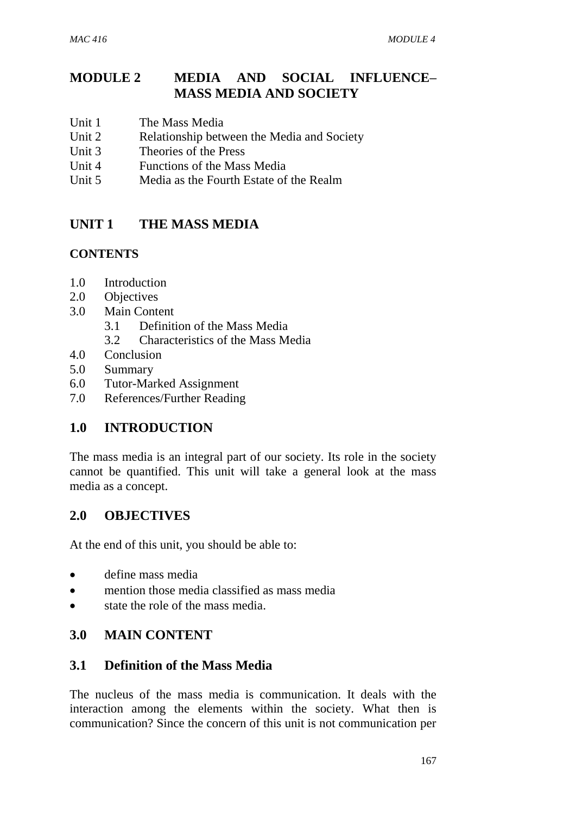# **MODULE 2 MEDIA AND SOCIAL INFLUENCE– MASS MEDIA AND SOCIETY**

- Unit 1 The Mass Media
- Unit 2 Relationship between the Media and Society
- Unit 3 Theories of the Press
- Unit 4 Functions of the Mass Media
- Unit 5 Media as the Fourth Estate of the Realm

# **UNIT 1 THE MASS MEDIA**

#### **CONTENTS**

- 1.0 Introduction
- 2.0 Objectives
- 3.0 Main Content
	- 3.1 Definition of the Mass Media
	- 3.2 Characteristics of the Mass Media
- 4.0 Conclusion
- 5.0 Summary
- 6.0 Tutor-Marked Assignment
- 7.0 References/Further Reading

# **1.0 INTRODUCTION**

The mass media is an integral part of our society. Its role in the society cannot be quantified. This unit will take a general look at the mass media as a concept.

# **2.0 OBJECTIVES**

At the end of this unit, you should be able to:

- define mass media
- mention those media classified as mass media
- state the role of the mass media.

#### **3.0 MAIN CONTENT**

#### **3.1 Definition of the Mass Media**

The nucleus of the mass media is communication. It deals with the interaction among the elements within the society. What then is communication? Since the concern of this unit is not communication per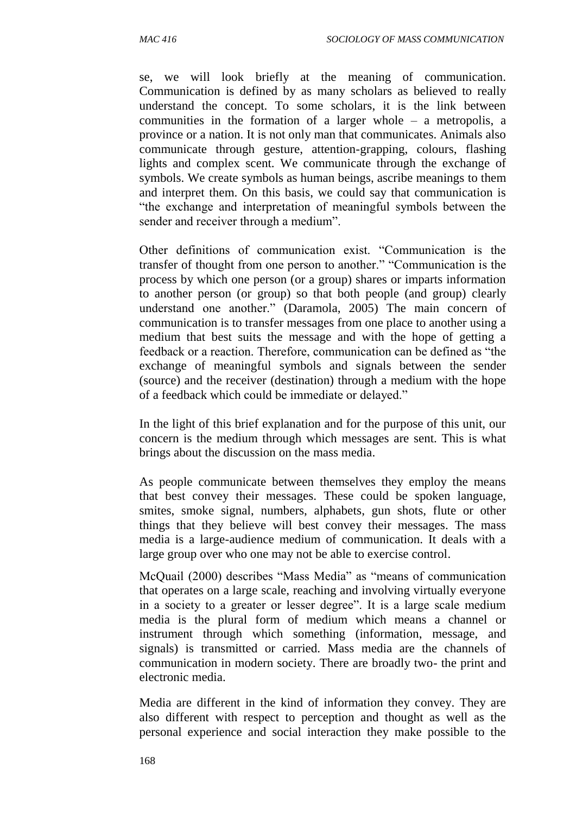se, we will look briefly at the meaning of communication. Communication is defined by as many scholars as believed to really understand the concept. To some scholars, it is the link between communities in the formation of a larger whole – a metropolis, a province or a nation. It is not only man that communicates. Animals also communicate through gesture, attention-grapping, colours, flashing lights and complex scent. We communicate through the exchange of symbols. We create symbols as human beings, ascribe meanings to them and interpret them. On this basis, we could say that communication is "the exchange and interpretation of meaningful symbols between the sender and receiver through a medium".

Other definitions of communication exist. "Communication is the transfer of thought from one person to another." "Communication is the process by which one person (or a group) shares or imparts information to another person (or group) so that both people (and group) clearly understand one another." (Daramola, 2005) The main concern of communication is to transfer messages from one place to another using a medium that best suits the message and with the hope of getting a feedback or a reaction. Therefore, communication can be defined as "the exchange of meaningful symbols and signals between the sender (source) and the receiver (destination) through a medium with the hope of a feedback which could be immediate or delayed."

In the light of this brief explanation and for the purpose of this unit, our concern is the medium through which messages are sent. This is what brings about the discussion on the mass media.

As people communicate between themselves they employ the means that best convey their messages. These could be spoken language, smites, smoke signal, numbers, alphabets, gun shots, flute or other things that they believe will best convey their messages. The mass media is a large-audience medium of communication. It deals with a large group over who one may not be able to exercise control.

McQuail (2000) describes "Mass Media" as "means of communication that operates on a large scale, reaching and involving virtually everyone in a society to a greater or lesser degree". It is a large scale medium media is the plural form of medium which means a channel or instrument through which something (information, message, and signals) is transmitted or carried. Mass media are the channels of communication in modern society. There are broadly two- the print and electronic media.

Media are different in the kind of information they convey. They are also different with respect to perception and thought as well as the personal experience and social interaction they make possible to the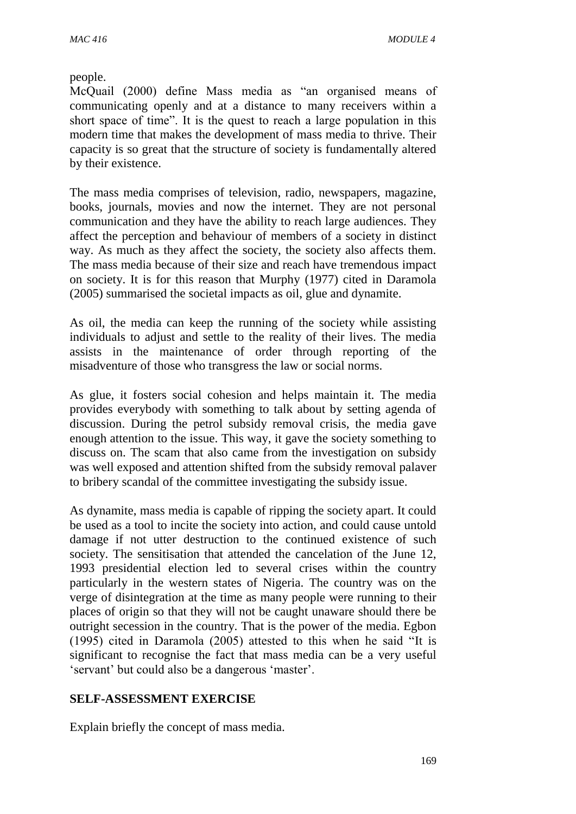people.

McQuail (2000) define Mass media as "an organised means of communicating openly and at a distance to many receivers within a short space of time". It is the quest to reach a large population in this modern time that makes the development of mass media to thrive. Their capacity is so great that the structure of society is fundamentally altered by their existence.

The mass media comprises of television, radio, newspapers, magazine, books, journals, movies and now the internet. They are not personal communication and they have the ability to reach large audiences. They affect the perception and behaviour of members of a society in distinct way. As much as they affect the society, the society also affects them. The mass media because of their size and reach have tremendous impact on society. It is for this reason that Murphy (1977) cited in Daramola (2005) summarised the societal impacts as oil, glue and dynamite.

As oil, the media can keep the running of the society while assisting individuals to adjust and settle to the reality of their lives. The media assists in the maintenance of order through reporting of the misadventure of those who transgress the law or social norms.

As glue, it fosters social cohesion and helps maintain it. The media provides everybody with something to talk about by setting agenda of discussion. During the petrol subsidy removal crisis, the media gave enough attention to the issue. This way, it gave the society something to discuss on. The scam that also came from the investigation on subsidy was well exposed and attention shifted from the subsidy removal palaver to bribery scandal of the committee investigating the subsidy issue.

As dynamite, mass media is capable of ripping the society apart. It could be used as a tool to incite the society into action, and could cause untold damage if not utter destruction to the continued existence of such society. The sensitisation that attended the cancelation of the June 12, 1993 presidential election led to several crises within the country particularly in the western states of Nigeria. The country was on the verge of disintegration at the time as many people were running to their places of origin so that they will not be caught unaware should there be outright secession in the country. That is the power of the media. Egbon (1995) cited in Daramola (2005) attested to this when he said "It is significant to recognise the fact that mass media can be a very useful 'servant' but could also be a dangerous 'master'.

#### **SELF-ASSESSMENT EXERCISE**

Explain briefly the concept of mass media.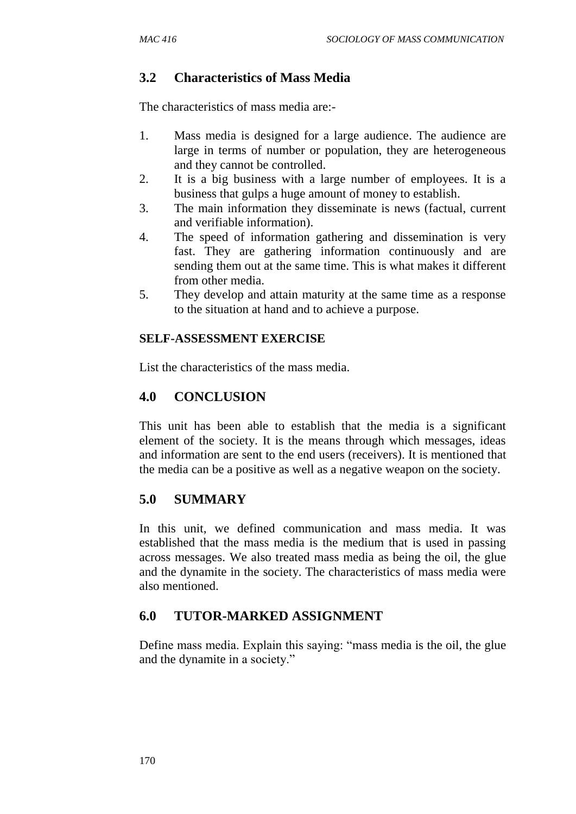# **3.2 Characteristics of Mass Media**

The characteristics of mass media are:-

- 1. Mass media is designed for a large audience. The audience are large in terms of number or population, they are heterogeneous and they cannot be controlled.
- 2. It is a big business with a large number of employees. It is a business that gulps a huge amount of money to establish.
- 3. The main information they disseminate is news (factual, current and verifiable information).
- 4. The speed of information gathering and dissemination is very fast. They are gathering information continuously and are sending them out at the same time. This is what makes it different from other media.
- 5. They develop and attain maturity at the same time as a response to the situation at hand and to achieve a purpose.

#### **SELF-ASSESSMENT EXERCISE**

List the characteristics of the mass media.

# **4.0 CONCLUSION**

This unit has been able to establish that the media is a significant element of the society. It is the means through which messages, ideas and information are sent to the end users (receivers). It is mentioned that the media can be a positive as well as a negative weapon on the society.

# **5.0 SUMMARY**

In this unit, we defined communication and mass media. It was established that the mass media is the medium that is used in passing across messages. We also treated mass media as being the oil, the glue and the dynamite in the society. The characteristics of mass media were also mentioned.

# **6.0 TUTOR-MARKED ASSIGNMENT**

Define mass media. Explain this saying: "mass media is the oil, the glue and the dynamite in a society."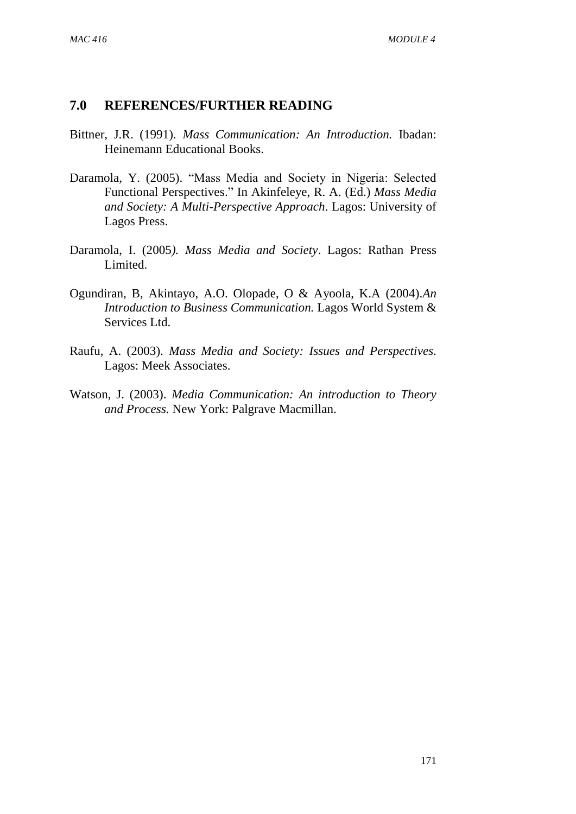#### **7.0 REFERENCES/FURTHER READING**

- Bittner, J.R. (1991). *Mass Communication: An Introduction.* Ibadan: Heinemann Educational Books.
- Daramola, Y. (2005). "Mass Media and Society in Nigeria: Selected Functional Perspectives." In Akinfeleye, R. A. (Ed.) *Mass Media and Society: A Multi-Perspective Approach*. Lagos: University of Lagos Press.
- Daramola, I. (2005*). Mass Media and Society*. Lagos: Rathan Press Limited.
- Ogundiran, B, Akintayo, A.O. Olopade, O & Ayoola, K.A (2004).*An Introduction to Business Communication.* Lagos World System & Services Ltd.
- Raufu, A. (2003). *Mass Media and Society: Issues and Perspectives.* Lagos: Meek Associates.
- Watson, J. (2003). *Media Communication: An introduction to Theory and Process.* New York: Palgrave Macmillan.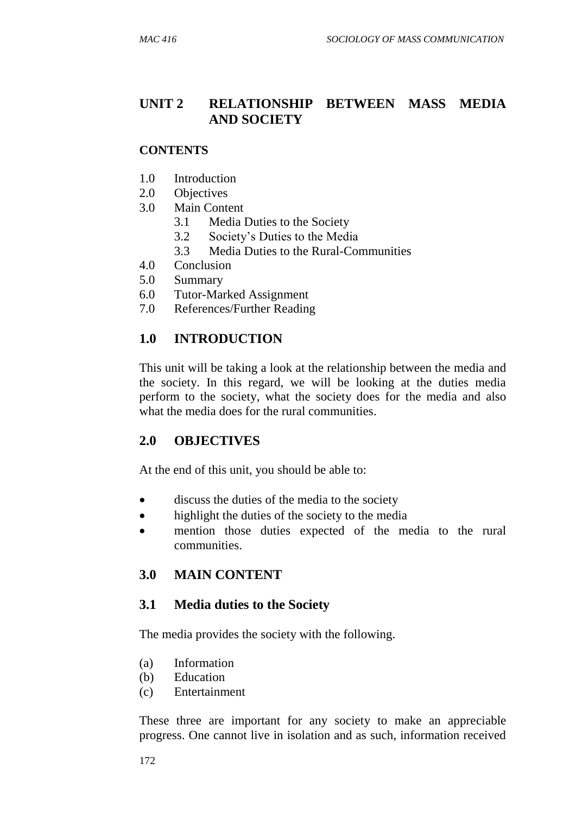# **UNIT 2 RELATIONSHIP BETWEEN MASS MEDIA AND SOCIETY**

#### **CONTENTS**

- 1.0 Introduction
- 2.0 Objectives
- 3.0 Main Content
	- 3.1 Media Duties to the Society
	- 3.2 Society's Duties to the Media
	- 3.3 Media Duties to the Rural-Communities
- 4.0 Conclusion
- 5.0 Summary
- 6.0 Tutor-Marked Assignment
- 7.0 References/Further Reading

#### **1.0 INTRODUCTION**

This unit will be taking a look at the relationship between the media and the society. In this regard, we will be looking at the duties media perform to the society, what the society does for the media and also what the media does for the rural communities.

#### **2.0 OBJECTIVES**

At the end of this unit, you should be able to:

- discuss the duties of the media to the society
- highlight the duties of the society to the media
- mention those duties expected of the media to the rural communities.

# **3.0 MAIN CONTENT**

#### **3.1 Media duties to the Society**

The media provides the society with the following.

- (a) Information
- (b) Education
- (c) Entertainment

These three are important for any society to make an appreciable progress. One cannot live in isolation and as such, information received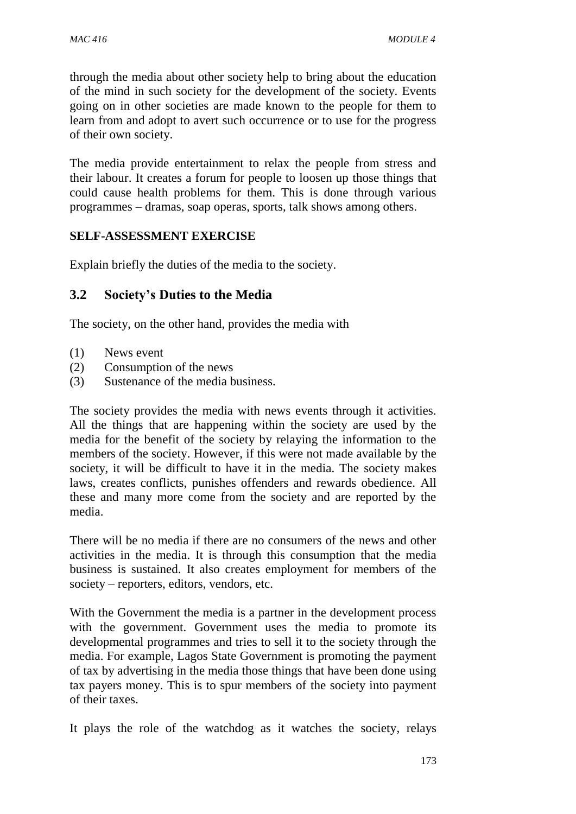through the media about other society help to bring about the education of the mind in such society for the development of the society. Events going on in other societies are made known to the people for them to learn from and adopt to avert such occurrence or to use for the progress of their own society.

The media provide entertainment to relax the people from stress and their labour. It creates a forum for people to loosen up those things that could cause health problems for them. This is done through various programmes – dramas, soap operas, sports, talk shows among others.

#### **SELF-ASSESSMENT EXERCISE**

Explain briefly the duties of the media to the society.

#### **3.2 Society's Duties to the Media**

The society, on the other hand, provides the media with

- (1) News event
- (2) Consumption of the news
- (3) Sustenance of the media business.

The society provides the media with news events through it activities. All the things that are happening within the society are used by the media for the benefit of the society by relaying the information to the members of the society. However, if this were not made available by the society, it will be difficult to have it in the media. The society makes laws, creates conflicts, punishes offenders and rewards obedience. All these and many more come from the society and are reported by the media.

There will be no media if there are no consumers of the news and other activities in the media. It is through this consumption that the media business is sustained. It also creates employment for members of the society – reporters, editors, vendors, etc.

With the Government the media is a partner in the development process with the government. Government uses the media to promote its developmental programmes and tries to sell it to the society through the media. For example, Lagos State Government is promoting the payment of tax by advertising in the media those things that have been done using tax payers money. This is to spur members of the society into payment of their taxes.

It plays the role of the watchdog as it watches the society, relays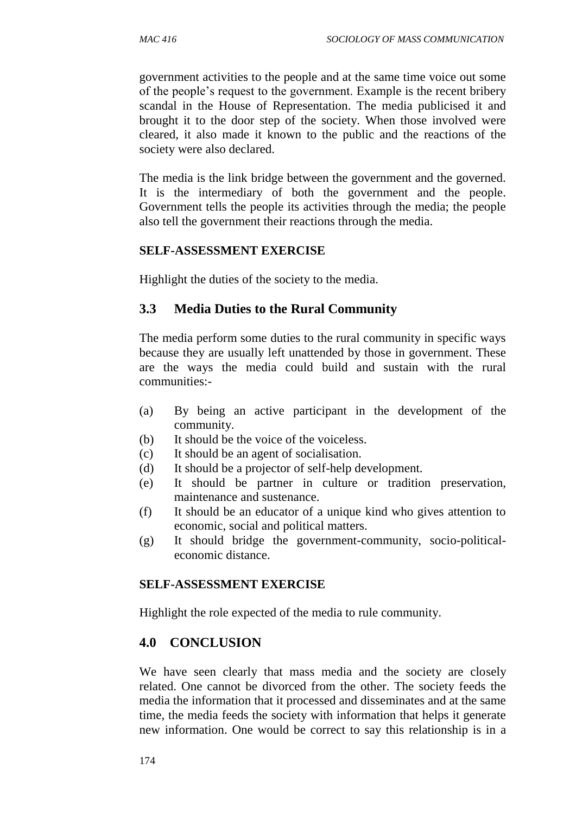government activities to the people and at the same time voice out some of the people's request to the government. Example is the recent bribery scandal in the House of Representation. The media publicised it and brought it to the door step of the society. When those involved were cleared, it also made it known to the public and the reactions of the society were also declared.

The media is the link bridge between the government and the governed. It is the intermediary of both the government and the people. Government tells the people its activities through the media; the people also tell the government their reactions through the media.

#### **SELF-ASSESSMENT EXERCISE**

Highlight the duties of the society to the media.

#### **3.3 Media Duties to the Rural Community**

The media perform some duties to the rural community in specific ways because they are usually left unattended by those in government. These are the ways the media could build and sustain with the rural communities:-

- (a) By being an active participant in the development of the community.
- (b) It should be the voice of the voiceless.
- (c) It should be an agent of socialisation.
- (d) It should be a projector of self-help development.
- (e) It should be partner in culture or tradition preservation, maintenance and sustenance.
- (f) It should be an educator of a unique kind who gives attention to economic, social and political matters.
- (g) It should bridge the government-community, socio-politicaleconomic distance.

#### **SELF-ASSESSMENT EXERCISE**

Highlight the role expected of the media to rule community.

# **4.0 CONCLUSION**

We have seen clearly that mass media and the society are closely related. One cannot be divorced from the other. The society feeds the media the information that it processed and disseminates and at the same time, the media feeds the society with information that helps it generate new information. One would be correct to say this relationship is in a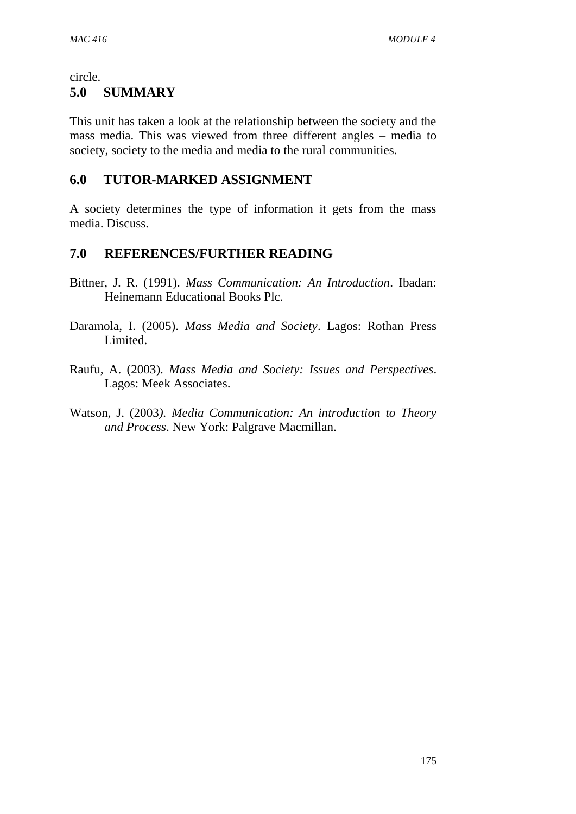#### circle.

### **5.0 SUMMARY**

This unit has taken a look at the relationship between the society and the mass media. This was viewed from three different angles – media to society, society to the media and media to the rural communities.

# **6.0 TUTOR-MARKED ASSIGNMENT**

A society determines the type of information it gets from the mass media. Discuss.

# **7.0 REFERENCES/FURTHER READING**

- Bittner, J. R. (1991). *Mass Communication: An Introduction*. Ibadan: Heinemann Educational Books Plc.
- Daramola, I. (2005). *Mass Media and Society*. Lagos: Rothan Press Limited.
- Raufu, A. (2003). *Mass Media and Society: Issues and Perspectives*. Lagos: Meek Associates.
- Watson, J. (2003*). Media Communication: An introduction to Theory and Process*. New York: Palgrave Macmillan.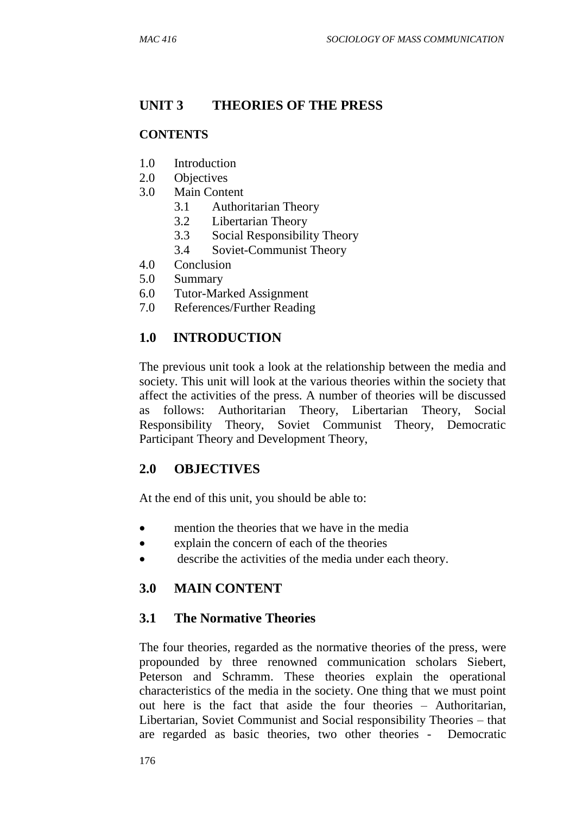## **UNIT 3 THEORIES OF THE PRESS**

### **CONTENTS**

- 1.0 Introduction
- 2.0 Objectives
- 3.0 Main Content
	- 3.1 Authoritarian Theory
	- 3.2 Libertarian Theory
	- 3.3 Social Responsibility Theory
	- 3.4 Soviet-Communist Theory
- 4.0 Conclusion
- 5.0 Summary
- 6.0 Tutor-Marked Assignment
- 7.0 References/Further Reading

## **1.0 INTRODUCTION**

The previous unit took a look at the relationship between the media and society. This unit will look at the various theories within the society that affect the activities of the press. A number of theories will be discussed as follows: Authoritarian Theory, Libertarian Theory, Social Responsibility Theory, Soviet Communist Theory, Democratic Participant Theory and Development Theory,

## **2.0 OBJECTIVES**

At the end of this unit, you should be able to:

- mention the theories that we have in the media
- explain the concern of each of the theories
- describe the activities of the media under each theory.

## **3.0 MAIN CONTENT**

## **3.1 The Normative Theories**

The four theories, regarded as the normative theories of the press, were propounded by three renowned communication scholars Siebert, Peterson and Schramm. These theories explain the operational characteristics of the media in the society. One thing that we must point out here is the fact that aside the four theories – Authoritarian, Libertarian, Soviet Communist and Social responsibility Theories – that are regarded as basic theories, two other theories - Democratic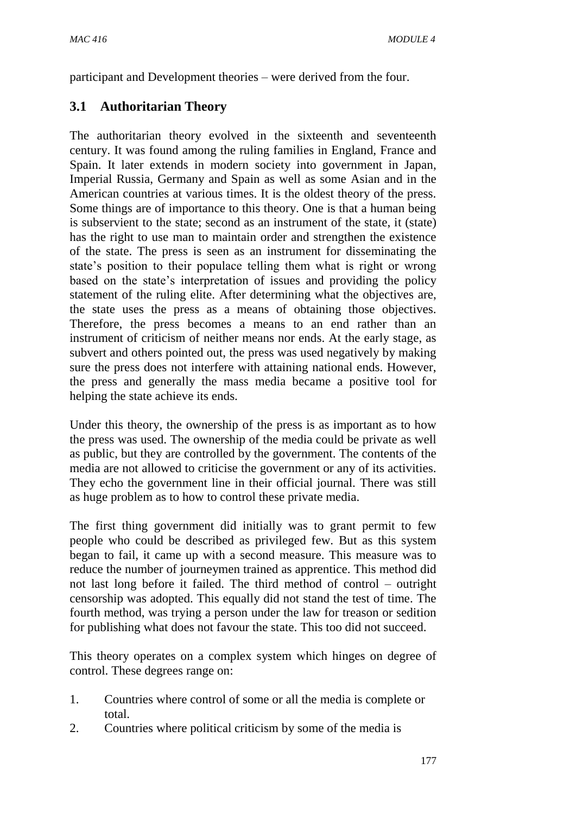participant and Development theories – were derived from the four.

# **3.1 Authoritarian Theory**

The authoritarian theory evolved in the sixteenth and seventeenth century. It was found among the ruling families in England, France and Spain. It later extends in modern society into government in Japan, Imperial Russia, Germany and Spain as well as some Asian and in the American countries at various times. It is the oldest theory of the press. Some things are of importance to this theory. One is that a human being is subservient to the state; second as an instrument of the state, it (state) has the right to use man to maintain order and strengthen the existence of the state. The press is seen as an instrument for disseminating the state's position to their populace telling them what is right or wrong based on the state's interpretation of issues and providing the policy statement of the ruling elite. After determining what the objectives are, the state uses the press as a means of obtaining those objectives. Therefore, the press becomes a means to an end rather than an instrument of criticism of neither means nor ends. At the early stage, as subvert and others pointed out, the press was used negatively by making sure the press does not interfere with attaining national ends. However, the press and generally the mass media became a positive tool for helping the state achieve its ends.

Under this theory, the ownership of the press is as important as to how the press was used. The ownership of the media could be private as well as public, but they are controlled by the government. The contents of the media are not allowed to criticise the government or any of its activities. They echo the government line in their official journal. There was still as huge problem as to how to control these private media.

The first thing government did initially was to grant permit to few people who could be described as privileged few. But as this system began to fail, it came up with a second measure. This measure was to reduce the number of journeymen trained as apprentice. This method did not last long before it failed. The third method of control – outright censorship was adopted. This equally did not stand the test of time. The fourth method, was trying a person under the law for treason or sedition for publishing what does not favour the state. This too did not succeed.

This theory operates on a complex system which hinges on degree of control. These degrees range on:

- 1. Countries where control of some or all the media is complete or total.
- 2. Countries where political criticism by some of the media is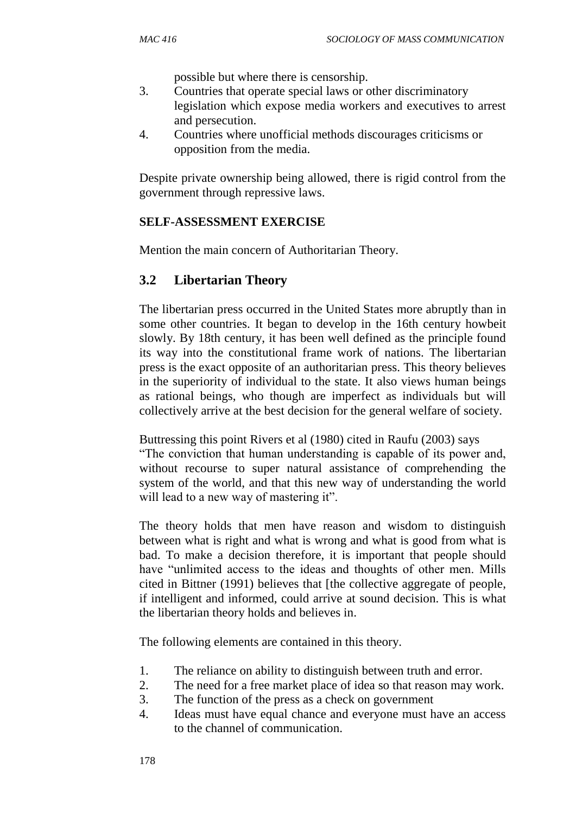possible but where there is censorship.

- 3. Countries that operate special laws or other discriminatory legislation which expose media workers and executives to arrest and persecution.
- 4. Countries where unofficial methods discourages criticisms or opposition from the media.

Despite private ownership being allowed, there is rigid control from the government through repressive laws.

#### **SELF-ASSESSMENT EXERCISE**

Mention the main concern of Authoritarian Theory.

### **3.2 Libertarian Theory**

The libertarian press occurred in the United States more abruptly than in some other countries. It began to develop in the 16th century howbeit slowly. By 18th century, it has been well defined as the principle found its way into the constitutional frame work of nations. The libertarian press is the exact opposite of an authoritarian press. This theory believes in the superiority of individual to the state. It also views human beings as rational beings, who though are imperfect as individuals but will collectively arrive at the best decision for the general welfare of society.

Buttressing this point Rivers et al (1980) cited in Raufu (2003) says "The conviction that human understanding is capable of its power and, without recourse to super natural assistance of comprehending the system of the world, and that this new way of understanding the world will lead to a new way of mastering it".

The theory holds that men have reason and wisdom to distinguish between what is right and what is wrong and what is good from what is bad. To make a decision therefore, it is important that people should have "unlimited access to the ideas and thoughts of other men. Mills cited in Bittner (1991) believes that [the collective aggregate of people, if intelligent and informed, could arrive at sound decision. This is what the libertarian theory holds and believes in.

The following elements are contained in this theory.

- 1. The reliance on ability to distinguish between truth and error.
- 2. The need for a free market place of idea so that reason may work.
- 3. The function of the press as a check on government
- 4. Ideas must have equal chance and everyone must have an access to the channel of communication.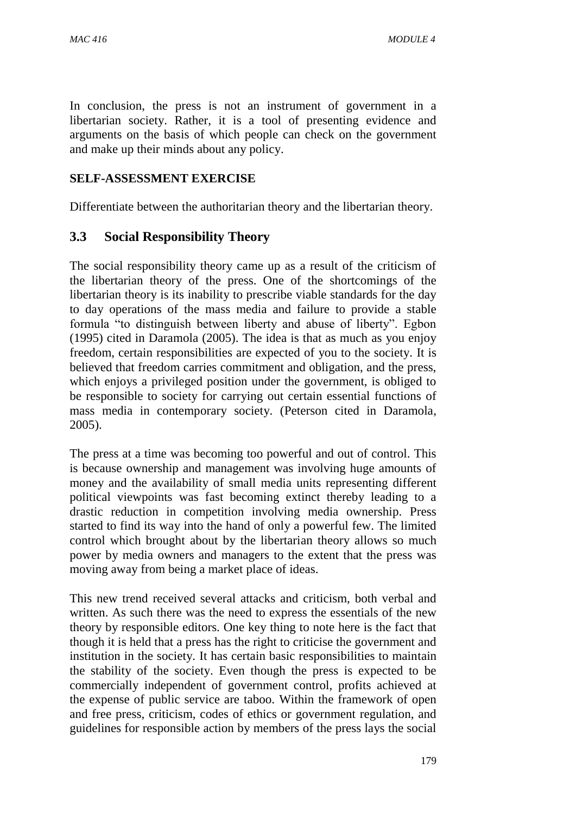In conclusion, the press is not an instrument of government in a libertarian society. Rather, it is a tool of presenting evidence and arguments on the basis of which people can check on the government and make up their minds about any policy.

#### **SELF-ASSESSMENT EXERCISE**

Differentiate between the authoritarian theory and the libertarian theory.

### **3.3 Social Responsibility Theory**

The social responsibility theory came up as a result of the criticism of the libertarian theory of the press. One of the shortcomings of the libertarian theory is its inability to prescribe viable standards for the day to day operations of the mass media and failure to provide a stable formula "to distinguish between liberty and abuse of liberty". Egbon (1995) cited in Daramola (2005). The idea is that as much as you enjoy freedom, certain responsibilities are expected of you to the society. It is believed that freedom carries commitment and obligation, and the press, which enjoys a privileged position under the government, is obliged to be responsible to society for carrying out certain essential functions of mass media in contemporary society. (Peterson cited in Daramola, 2005).

The press at a time was becoming too powerful and out of control. This is because ownership and management was involving huge amounts of money and the availability of small media units representing different political viewpoints was fast becoming extinct thereby leading to a drastic reduction in competition involving media ownership. Press started to find its way into the hand of only a powerful few. The limited control which brought about by the libertarian theory allows so much power by media owners and managers to the extent that the press was moving away from being a market place of ideas.

This new trend received several attacks and criticism, both verbal and written. As such there was the need to express the essentials of the new theory by responsible editors. One key thing to note here is the fact that though it is held that a press has the right to criticise the government and institution in the society. It has certain basic responsibilities to maintain the stability of the society. Even though the press is expected to be commercially independent of government control, profits achieved at the expense of public service are taboo. Within the framework of open and free press, criticism, codes of ethics or government regulation, and guidelines for responsible action by members of the press lays the social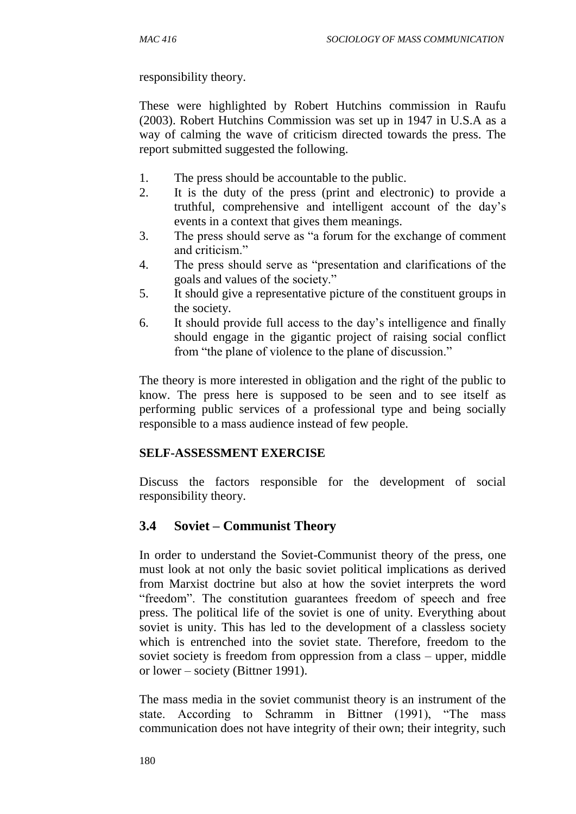responsibility theory.

These were highlighted by Robert Hutchins commission in Raufu (2003). Robert Hutchins Commission was set up in 1947 in U.S.A as a way of calming the wave of criticism directed towards the press. The report submitted suggested the following.

- 1. The press should be accountable to the public.
- 2. It is the duty of the press (print and electronic) to provide a truthful, comprehensive and intelligent account of the day's events in a context that gives them meanings.
- 3. The press should serve as "a forum for the exchange of comment and criticism."
- 4. The press should serve as "presentation and clarifications of the goals and values of the society."
- 5. It should give a representative picture of the constituent groups in the society.
- 6. It should provide full access to the day's intelligence and finally should engage in the gigantic project of raising social conflict from "the plane of violence to the plane of discussion."

The theory is more interested in obligation and the right of the public to know. The press here is supposed to be seen and to see itself as performing public services of a professional type and being socially responsible to a mass audience instead of few people.

### **SELF-ASSESSMENT EXERCISE**

Discuss the factors responsible for the development of social responsibility theory.

## **3.4 Soviet – Communist Theory**

In order to understand the Soviet-Communist theory of the press, one must look at not only the basic soviet political implications as derived from Marxist doctrine but also at how the soviet interprets the word "freedom". The constitution guarantees freedom of speech and free press. The political life of the soviet is one of unity. Everything about soviet is unity. This has led to the development of a classless society which is entrenched into the soviet state. Therefore, freedom to the soviet society is freedom from oppression from a class – upper, middle or lower – society (Bittner 1991).

The mass media in the soviet communist theory is an instrument of the state. According to Schramm in Bittner (1991), "The mass communication does not have integrity of their own; their integrity, such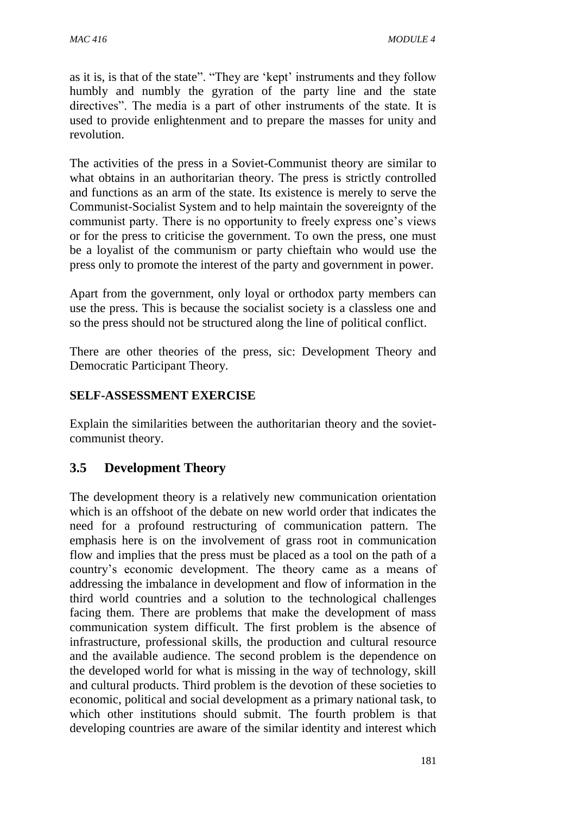as it is, is that of the state". "They are 'kept' instruments and they follow humbly and numbly the gyration of the party line and the state directives". The media is a part of other instruments of the state. It is used to provide enlightenment and to prepare the masses for unity and revolution.

The activities of the press in a Soviet-Communist theory are similar to what obtains in an authoritarian theory. The press is strictly controlled and functions as an arm of the state. Its existence is merely to serve the Communist-Socialist System and to help maintain the sovereignty of the communist party. There is no opportunity to freely express one's views or for the press to criticise the government. To own the press, one must be a loyalist of the communism or party chieftain who would use the press only to promote the interest of the party and government in power.

Apart from the government, only loyal or orthodox party members can use the press. This is because the socialist society is a classless one and so the press should not be structured along the line of political conflict.

There are other theories of the press, sic: Development Theory and Democratic Participant Theory.

### **SELF-ASSESSMENT EXERCISE**

Explain the similarities between the authoritarian theory and the sovietcommunist theory.

## **3.5 Development Theory**

The development theory is a relatively new communication orientation which is an offshoot of the debate on new world order that indicates the need for a profound restructuring of communication pattern. The emphasis here is on the involvement of grass root in communication flow and implies that the press must be placed as a tool on the path of a country's economic development. The theory came as a means of addressing the imbalance in development and flow of information in the third world countries and a solution to the technological challenges facing them. There are problems that make the development of mass communication system difficult. The first problem is the absence of infrastructure, professional skills, the production and cultural resource and the available audience. The second problem is the dependence on the developed world for what is missing in the way of technology, skill and cultural products. Third problem is the devotion of these societies to economic, political and social development as a primary national task, to which other institutions should submit. The fourth problem is that developing countries are aware of the similar identity and interest which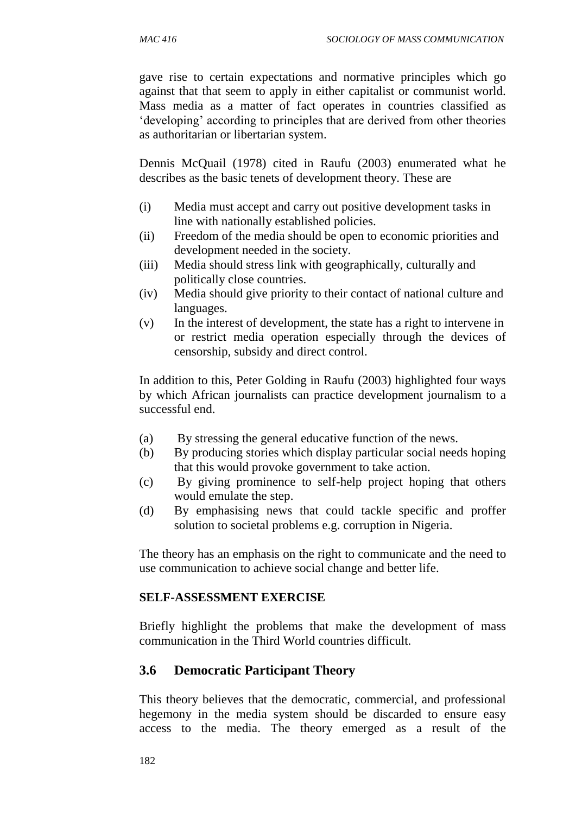gave rise to certain expectations and normative principles which go against that that seem to apply in either capitalist or communist world. Mass media as a matter of fact operates in countries classified as 'developing' according to principles that are derived from other theories as authoritarian or libertarian system.

Dennis McQuail (1978) cited in Raufu (2003) enumerated what he describes as the basic tenets of development theory. These are

- (i) Media must accept and carry out positive development tasks in line with nationally established policies.
- (ii) Freedom of the media should be open to economic priorities and development needed in the society.
- (iii) Media should stress link with geographically, culturally and politically close countries.
- (iv) Media should give priority to their contact of national culture and languages.
- (v) In the interest of development, the state has a right to intervene in or restrict media operation especially through the devices of censorship, subsidy and direct control.

In addition to this, Peter Golding in Raufu (2003) highlighted four ways by which African journalists can practice development journalism to a successful end.

- (a) By stressing the general educative function of the news.
- (b) By producing stories which display particular social needs hoping that this would provoke government to take action.
- (c) By giving prominence to self-help project hoping that others would emulate the step.
- (d) By emphasising news that could tackle specific and proffer solution to societal problems e.g. corruption in Nigeria.

The theory has an emphasis on the right to communicate and the need to use communication to achieve social change and better life.

### **SELF-ASSESSMENT EXERCISE**

Briefly highlight the problems that make the development of mass communication in the Third World countries difficult.

## **3.6 Democratic Participant Theory**

This theory believes that the democratic, commercial, and professional hegemony in the media system should be discarded to ensure easy access to the media. The theory emerged as a result of the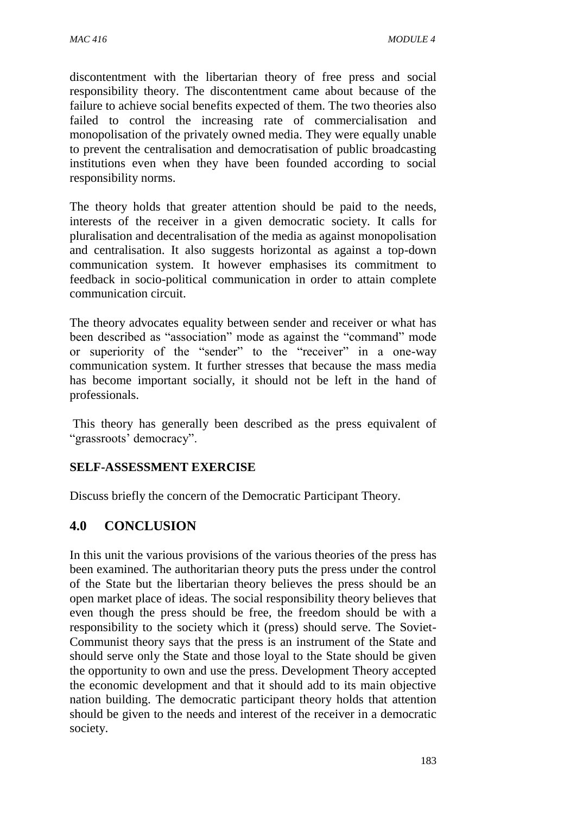discontentment with the libertarian theory of free press and social responsibility theory. The discontentment came about because of the failure to achieve social benefits expected of them. The two theories also failed to control the increasing rate of commercialisation and monopolisation of the privately owned media. They were equally unable to prevent the centralisation and democratisation of public broadcasting institutions even when they have been founded according to social responsibility norms.

The theory holds that greater attention should be paid to the needs, interests of the receiver in a given democratic society. It calls for pluralisation and decentralisation of the media as against monopolisation and centralisation. It also suggests horizontal as against a top-down communication system. It however emphasises its commitment to feedback in socio-political communication in order to attain complete communication circuit.

The theory advocates equality between sender and receiver or what has been described as "association" mode as against the "command" mode or superiority of the "sender" to the "receiver" in a one-way communication system. It further stresses that because the mass media has become important socially, it should not be left in the hand of professionals.

This theory has generally been described as the press equivalent of "grassroots' democracy".

### **SELF-ASSESSMENT EXERCISE**

Discuss briefly the concern of the Democratic Participant Theory.

## **4.0 CONCLUSION**

In this unit the various provisions of the various theories of the press has been examined. The authoritarian theory puts the press under the control of the State but the libertarian theory believes the press should be an open market place of ideas. The social responsibility theory believes that even though the press should be free, the freedom should be with a responsibility to the society which it (press) should serve. The Soviet-Communist theory says that the press is an instrument of the State and should serve only the State and those loyal to the State should be given the opportunity to own and use the press. Development Theory accepted the economic development and that it should add to its main objective nation building. The democratic participant theory holds that attention should be given to the needs and interest of the receiver in a democratic society.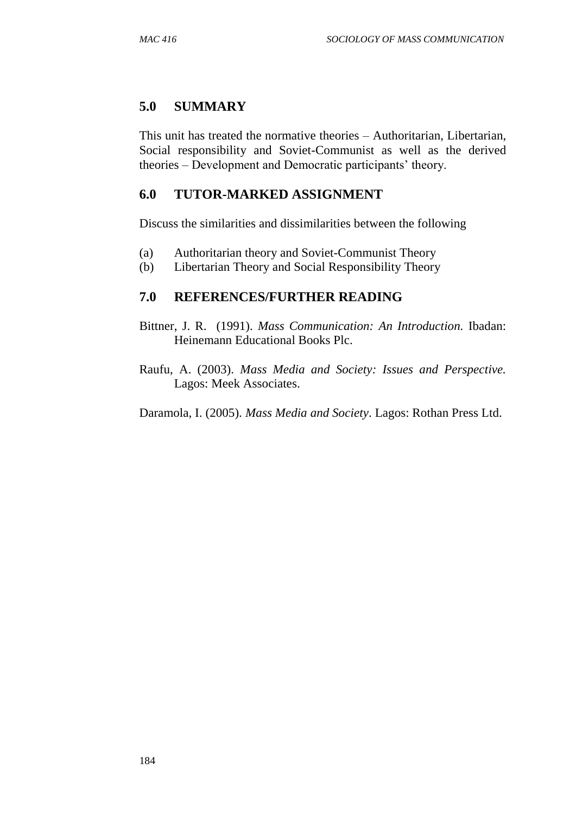## **5.0 SUMMARY**

This unit has treated the normative theories – Authoritarian, Libertarian, Social responsibility and Soviet-Communist as well as the derived theories – Development and Democratic participants' theory.

## **6.0 TUTOR-MARKED ASSIGNMENT**

Discuss the similarities and dissimilarities between the following

- (a) Authoritarian theory and Soviet-Communist Theory
- (b) Libertarian Theory and Social Responsibility Theory

## **7.0 REFERENCES/FURTHER READING**

- Bittner, J. R. (1991). *Mass Communication: An Introduction.* Ibadan: Heinemann Educational Books Plc.
- Raufu, A. (2003). *Mass Media and Society: Issues and Perspective.* Lagos: Meek Associates.

Daramola, I. (2005). *Mass Media and Society*. Lagos: Rothan Press Ltd.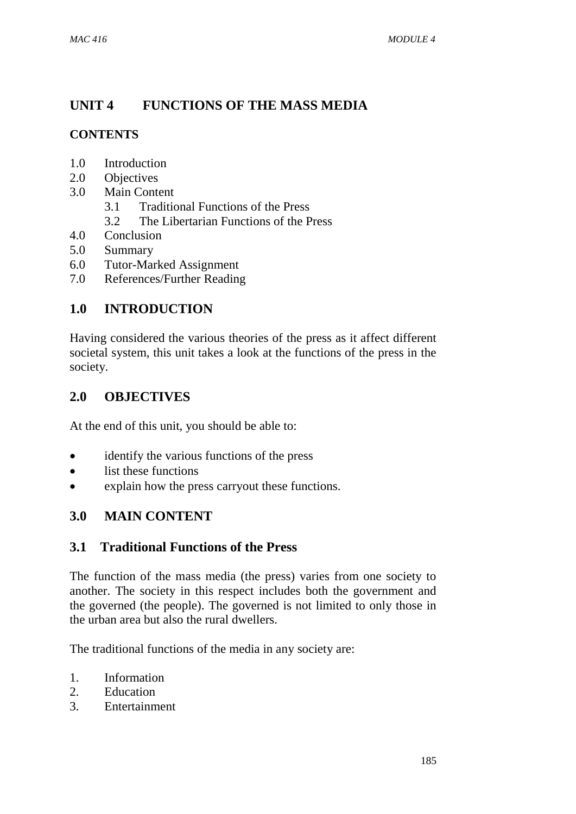# **UNIT 4 FUNCTIONS OF THE MASS MEDIA**

## **CONTENTS**

- 1.0 Introduction
- 2.0 Objectives
- 3.0 Main Content
	- 3.1 Traditional Functions of the Press
	- 3.2 The Libertarian Functions of the Press
- 4.0 Conclusion
- 5.0 Summary
- 6.0 Tutor-Marked Assignment
- 7.0 References/Further Reading

## **1.0 INTRODUCTION**

Having considered the various theories of the press as it affect different societal system, this unit takes a look at the functions of the press in the society.

## **2.0 OBJECTIVES**

At the end of this unit, you should be able to:

- identify the various functions of the press
- list these functions
- explain how the press carryout these functions.

## **3.0 MAIN CONTENT**

## **3.1 Traditional Functions of the Press**

The function of the mass media (the press) varies from one society to another. The society in this respect includes both the government and the governed (the people). The governed is not limited to only those in the urban area but also the rural dwellers.

The traditional functions of the media in any society are:

- 1. Information
- 2. Education
- 3. Entertainment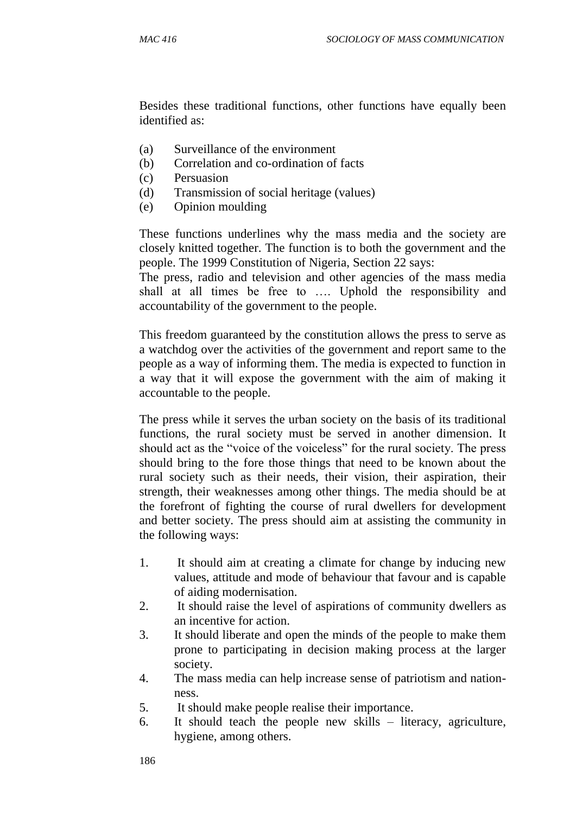Besides these traditional functions, other functions have equally been identified as:

- (a) Surveillance of the environment
- (b) Correlation and co-ordination of facts
- (c) Persuasion
- (d) Transmission of social heritage (values)
- (e) Opinion moulding

These functions underlines why the mass media and the society are closely knitted together. The function is to both the government and the people. The 1999 Constitution of Nigeria, Section 22 says:

The press, radio and television and other agencies of the mass media shall at all times be free to …. Uphold the responsibility and accountability of the government to the people.

This freedom guaranteed by the constitution allows the press to serve as a watchdog over the activities of the government and report same to the people as a way of informing them. The media is expected to function in a way that it will expose the government with the aim of making it accountable to the people.

The press while it serves the urban society on the basis of its traditional functions, the rural society must be served in another dimension. It should act as the "voice of the voiceless" for the rural society. The press should bring to the fore those things that need to be known about the rural society such as their needs, their vision, their aspiration, their strength, their weaknesses among other things. The media should be at the forefront of fighting the course of rural dwellers for development and better society. The press should aim at assisting the community in the following ways:

- 1. It should aim at creating a climate for change by inducing new values, attitude and mode of behaviour that favour and is capable of aiding modernisation.
- 2. It should raise the level of aspirations of community dwellers as an incentive for action.
- 3. It should liberate and open the minds of the people to make them prone to participating in decision making process at the larger society.
- 4. The mass media can help increase sense of patriotism and nationness.
- 5. It should make people realise their importance.
- 6. It should teach the people new skills literacy, agriculture, hygiene, among others.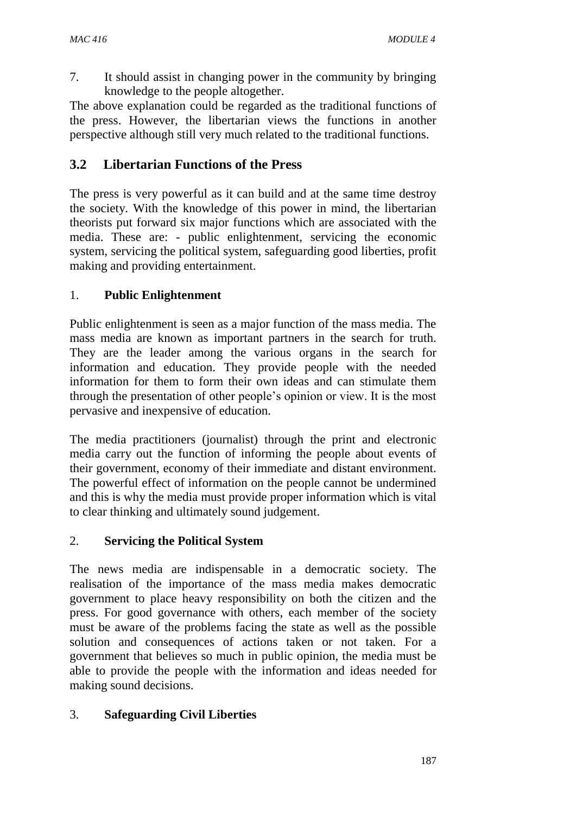7. It should assist in changing power in the community by bringing knowledge to the people altogether.

The above explanation could be regarded as the traditional functions of the press. However, the libertarian views the functions in another perspective although still very much related to the traditional functions.

# **3.2 Libertarian Functions of the Press**

The press is very powerful as it can build and at the same time destroy the society. With the knowledge of this power in mind, the libertarian theorists put forward six major functions which are associated with the media. These are: - public enlightenment, servicing the economic system, servicing the political system, safeguarding good liberties, profit making and providing entertainment.

## 1. **Public Enlightenment**

Public enlightenment is seen as a major function of the mass media. The mass media are known as important partners in the search for truth. They are the leader among the various organs in the search for information and education. They provide people with the needed information for them to form their own ideas and can stimulate them through the presentation of other people's opinion or view. It is the most pervasive and inexpensive of education.

The media practitioners (journalist) through the print and electronic media carry out the function of informing the people about events of their government, economy of their immediate and distant environment. The powerful effect of information on the people cannot be undermined and this is why the media must provide proper information which is vital to clear thinking and ultimately sound judgement.

## 2. **Servicing the Political System**

The news media are indispensable in a democratic society. The realisation of the importance of the mass media makes democratic government to place heavy responsibility on both the citizen and the press. For good governance with others, each member of the society must be aware of the problems facing the state as well as the possible solution and consequences of actions taken or not taken. For a government that believes so much in public opinion, the media must be able to provide the people with the information and ideas needed for making sound decisions.

## 3. **Safeguarding Civil Liberties**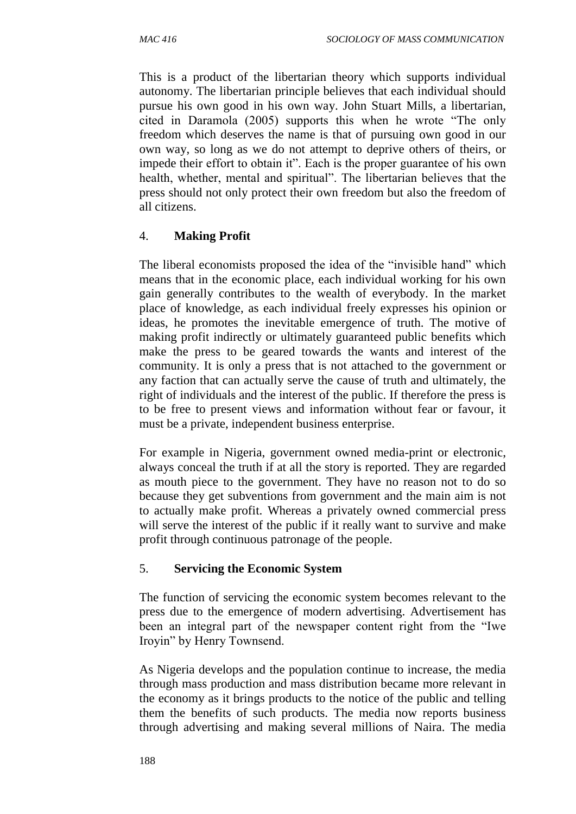This is a product of the libertarian theory which supports individual autonomy. The libertarian principle believes that each individual should pursue his own good in his own way. John Stuart Mills, a libertarian, cited in Daramola (2005) supports this when he wrote "The only freedom which deserves the name is that of pursuing own good in our own way, so long as we do not attempt to deprive others of theirs, or impede their effort to obtain it". Each is the proper guarantee of his own health, whether, mental and spiritual". The libertarian believes that the press should not only protect their own freedom but also the freedom of all citizens.

## 4. **Making Profit**

The liberal economists proposed the idea of the "invisible hand" which means that in the economic place, each individual working for his own gain generally contributes to the wealth of everybody. In the market place of knowledge, as each individual freely expresses his opinion or ideas, he promotes the inevitable emergence of truth. The motive of making profit indirectly or ultimately guaranteed public benefits which make the press to be geared towards the wants and interest of the community. It is only a press that is not attached to the government or any faction that can actually serve the cause of truth and ultimately, the right of individuals and the interest of the public. If therefore the press is to be free to present views and information without fear or favour, it must be a private, independent business enterprise.

For example in Nigeria, government owned media-print or electronic, always conceal the truth if at all the story is reported. They are regarded as mouth piece to the government. They have no reason not to do so because they get subventions from government and the main aim is not to actually make profit. Whereas a privately owned commercial press will serve the interest of the public if it really want to survive and make profit through continuous patronage of the people.

## 5. **Servicing the Economic System**

The function of servicing the economic system becomes relevant to the press due to the emergence of modern advertising. Advertisement has been an integral part of the newspaper content right from the "Iwe Iroyin" by Henry Townsend.

As Nigeria develops and the population continue to increase, the media through mass production and mass distribution became more relevant in the economy as it brings products to the notice of the public and telling them the benefits of such products. The media now reports business through advertising and making several millions of Naira. The media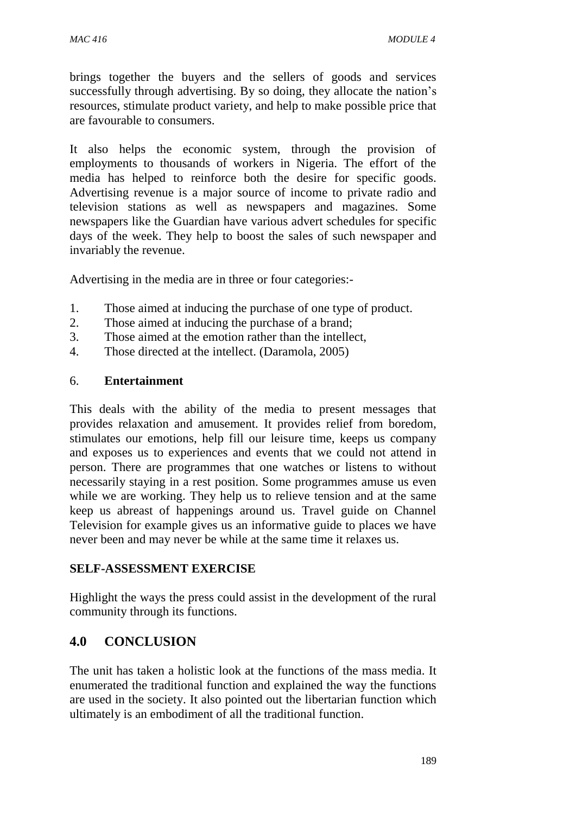brings together the buyers and the sellers of goods and services successfully through advertising. By so doing, they allocate the nation's resources, stimulate product variety, and help to make possible price that are favourable to consumers.

It also helps the economic system, through the provision of employments to thousands of workers in Nigeria. The effort of the media has helped to reinforce both the desire for specific goods. Advertising revenue is a major source of income to private radio and television stations as well as newspapers and magazines. Some newspapers like the Guardian have various advert schedules for specific days of the week. They help to boost the sales of such newspaper and invariably the revenue.

Advertising in the media are in three or four categories:-

- 1. Those aimed at inducing the purchase of one type of product.
- 2. Those aimed at inducing the purchase of a brand;
- 3. Those aimed at the emotion rather than the intellect,
- 4. Those directed at the intellect. (Daramola, 2005)

#### 6. **Entertainment**

This deals with the ability of the media to present messages that provides relaxation and amusement. It provides relief from boredom, stimulates our emotions, help fill our leisure time, keeps us company and exposes us to experiences and events that we could not attend in person. There are programmes that one watches or listens to without necessarily staying in a rest position. Some programmes amuse us even while we are working. They help us to relieve tension and at the same keep us abreast of happenings around us. Travel guide on Channel Television for example gives us an informative guide to places we have never been and may never be while at the same time it relaxes us.

### **SELF-ASSESSMENT EXERCISE**

Highlight the ways the press could assist in the development of the rural community through its functions.

## **4.0 CONCLUSION**

The unit has taken a holistic look at the functions of the mass media. It enumerated the traditional function and explained the way the functions are used in the society. It also pointed out the libertarian function which ultimately is an embodiment of all the traditional function.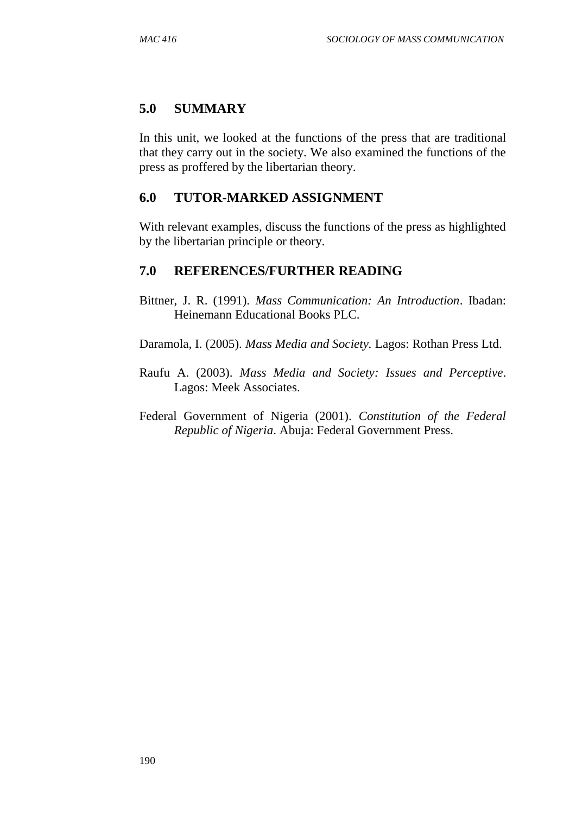### **5.0 SUMMARY**

In this unit, we looked at the functions of the press that are traditional that they carry out in the society. We also examined the functions of the press as proffered by the libertarian theory.

### **6.0 TUTOR-MARKED ASSIGNMENT**

With relevant examples, discuss the functions of the press as highlighted by the libertarian principle or theory.

### **7.0 REFERENCES/FURTHER READING**

- Bittner, J. R. (1991). *Mass Communication: An Introduction*. Ibadan: Heinemann Educational Books PLC.
- Daramola, I. (2005). *Mass Media and Society.* Lagos: Rothan Press Ltd.
- Raufu A. (2003). *Mass Media and Society: Issues and Perceptive*. Lagos: Meek Associates.
- Federal Government of Nigeria (2001). *Constitution of the Federal Republic of Nigeria*. Abuja: Federal Government Press.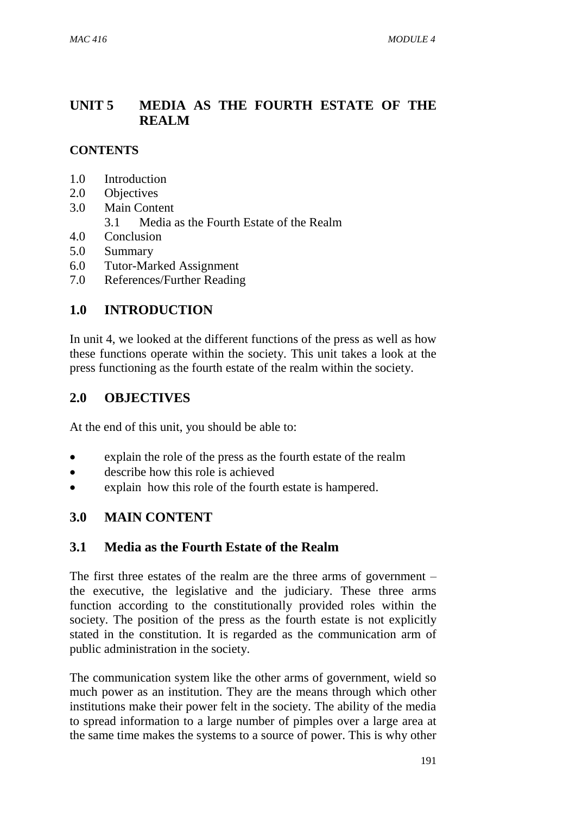## **UNIT 5 MEDIA AS THE FOURTH ESTATE OF THE REALM**

### **CONTENTS**

- 1.0 Introduction
- 2.0 Objectives
- 3.0 Main Content
	- 3.1 Media as the Fourth Estate of the Realm
- 4.0 Conclusion
- 5.0 Summary
- 6.0 Tutor-Marked Assignment
- 7.0 References/Further Reading

## **1.0 INTRODUCTION**

In unit 4, we looked at the different functions of the press as well as how these functions operate within the society. This unit takes a look at the press functioning as the fourth estate of the realm within the society.

### **2.0 OBJECTIVES**

At the end of this unit, you should be able to:

- explain the role of the press as the fourth estate of the realm
- describe how this role is achieved
- explain how this role of the fourth estate is hampered.

## **3.0 MAIN CONTENT**

### **3.1 Media as the Fourth Estate of the Realm**

The first three estates of the realm are the three arms of government – the executive, the legislative and the judiciary. These three arms function according to the constitutionally provided roles within the society. The position of the press as the fourth estate is not explicitly stated in the constitution. It is regarded as the communication arm of public administration in the society.

The communication system like the other arms of government, wield so much power as an institution. They are the means through which other institutions make their power felt in the society. The ability of the media to spread information to a large number of pimples over a large area at the same time makes the systems to a source of power. This is why other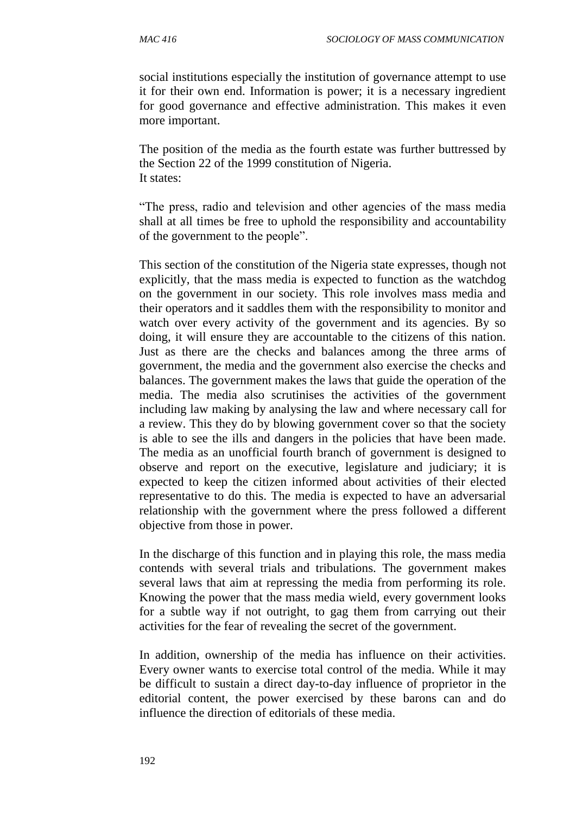social institutions especially the institution of governance attempt to use it for their own end. Information is power; it is a necessary ingredient for good governance and effective administration. This makes it even more important.

The position of the media as the fourth estate was further buttressed by the Section 22 of the 1999 constitution of Nigeria. It states:

"The press, radio and television and other agencies of the mass media shall at all times be free to uphold the responsibility and accountability of the government to the people".

This section of the constitution of the Nigeria state expresses, though not explicitly, that the mass media is expected to function as the watchdog on the government in our society. This role involves mass media and their operators and it saddles them with the responsibility to monitor and watch over every activity of the government and its agencies. By so doing, it will ensure they are accountable to the citizens of this nation. Just as there are the checks and balances among the three arms of government, the media and the government also exercise the checks and balances. The government makes the laws that guide the operation of the media. The media also scrutinises the activities of the government including law making by analysing the law and where necessary call for a review. This they do by blowing government cover so that the society is able to see the ills and dangers in the policies that have been made. The media as an unofficial fourth branch of government is designed to observe and report on the executive, legislature and judiciary; it is expected to keep the citizen informed about activities of their elected representative to do this. The media is expected to have an adversarial relationship with the government where the press followed a different objective from those in power.

In the discharge of this function and in playing this role, the mass media contends with several trials and tribulations. The government makes several laws that aim at repressing the media from performing its role. Knowing the power that the mass media wield, every government looks for a subtle way if not outright, to gag them from carrying out their activities for the fear of revealing the secret of the government.

In addition, ownership of the media has influence on their activities. Every owner wants to exercise total control of the media. While it may be difficult to sustain a direct day-to-day influence of proprietor in the editorial content, the power exercised by these barons can and do influence the direction of editorials of these media.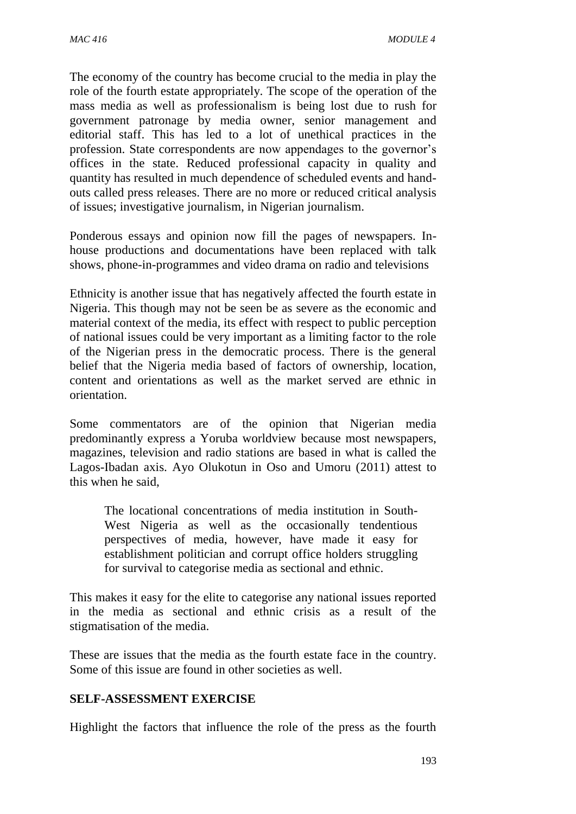The economy of the country has become crucial to the media in play the role of the fourth estate appropriately. The scope of the operation of the mass media as well as professionalism is being lost due to rush for government patronage by media owner, senior management and editorial staff. This has led to a lot of unethical practices in the profession. State correspondents are now appendages to the governor's offices in the state. Reduced professional capacity in quality and quantity has resulted in much dependence of scheduled events and handouts called press releases. There are no more or reduced critical analysis of issues; investigative journalism, in Nigerian journalism.

Ponderous essays and opinion now fill the pages of newspapers. Inhouse productions and documentations have been replaced with talk shows, phone-in-programmes and video drama on radio and televisions

Ethnicity is another issue that has negatively affected the fourth estate in Nigeria. This though may not be seen be as severe as the economic and material context of the media, its effect with respect to public perception of national issues could be very important as a limiting factor to the role of the Nigerian press in the democratic process. There is the general belief that the Nigeria media based of factors of ownership, location, content and orientations as well as the market served are ethnic in orientation.

Some commentators are of the opinion that Nigerian media predominantly express a Yoruba worldview because most newspapers, magazines, television and radio stations are based in what is called the Lagos-Ibadan axis. Ayo Olukotun in Oso and Umoru (2011) attest to this when he said,

The locational concentrations of media institution in South-West Nigeria as well as the occasionally tendentious perspectives of media, however, have made it easy for establishment politician and corrupt office holders struggling for survival to categorise media as sectional and ethnic.

This makes it easy for the elite to categorise any national issues reported in the media as sectional and ethnic crisis as a result of the stigmatisation of the media.

These are issues that the media as the fourth estate face in the country. Some of this issue are found in other societies as well.

### **SELF-ASSESSMENT EXERCISE**

Highlight the factors that influence the role of the press as the fourth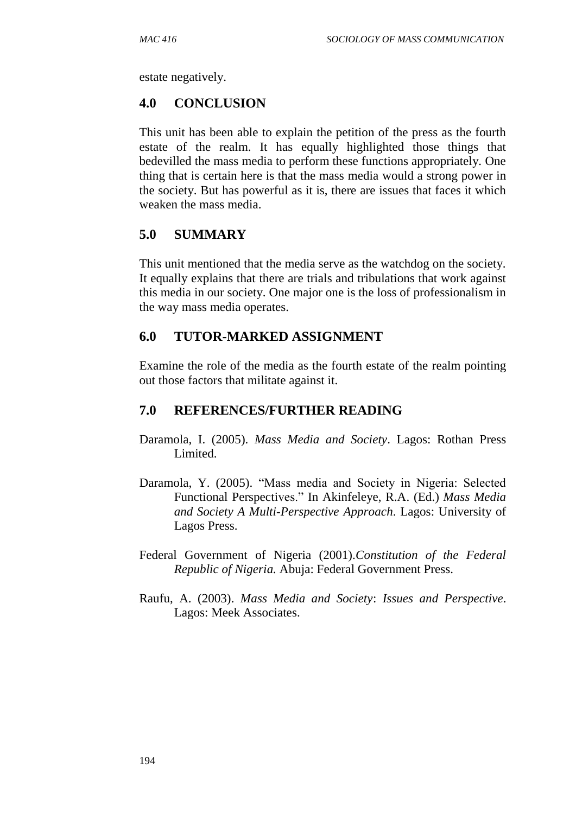estate negatively.

#### **4.0 CONCLUSION**

This unit has been able to explain the petition of the press as the fourth estate of the realm. It has equally highlighted those things that bedevilled the mass media to perform these functions appropriately. One thing that is certain here is that the mass media would a strong power in the society. But has powerful as it is, there are issues that faces it which weaken the mass media.

### **5.0 SUMMARY**

This unit mentioned that the media serve as the watchdog on the society. It equally explains that there are trials and tribulations that work against this media in our society. One major one is the loss of professionalism in the way mass media operates.

### **6.0 TUTOR-MARKED ASSIGNMENT**

Examine the role of the media as the fourth estate of the realm pointing out those factors that militate against it.

#### **7.0 REFERENCES/FURTHER READING**

- Daramola, I. (2005). *Mass Media and Society*. Lagos: Rothan Press Limited.
- Daramola, Y. (2005). "Mass media and Society in Nigeria: Selected Functional Perspectives." In Akinfeleye, R.A. (Ed.) *Mass Media and Society A Multi-Perspective Approach*. Lagos: University of Lagos Press.
- Federal Government of Nigeria (2001).*Constitution of the Federal Republic of Nigeria.* Abuja: Federal Government Press.
- Raufu, A. (2003). *Mass Media and Society*: *Issues and Perspective*. Lagos: Meek Associates.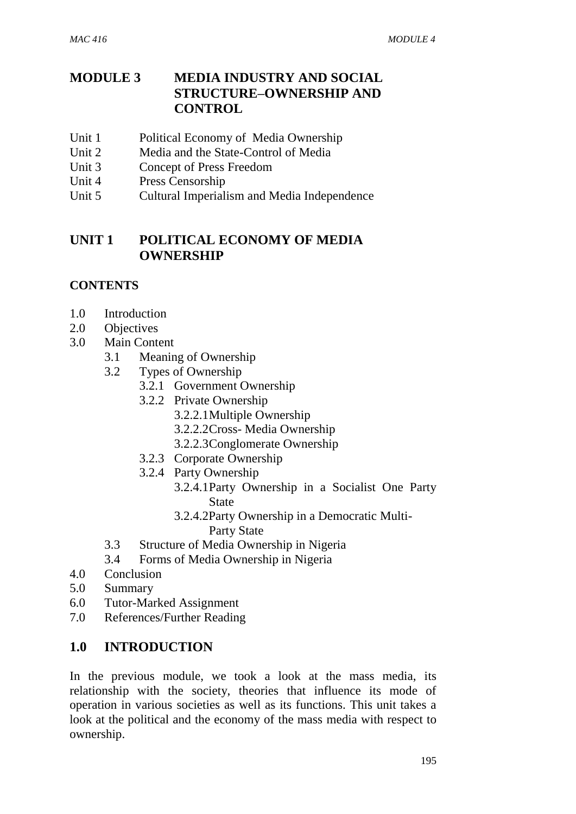## **MODULE 3 MEDIA INDUSTRY AND SOCIAL STRUCTURE–OWNERSHIP AND CONTROL**

- Unit 1 Political Economy of Media Ownership
- Unit 2 Media and the State-Control of Media
- Unit 3 Concept of Press Freedom
- Unit 4 Press Censorship
- Unit 5 Cultural Imperialism and Media Independence

## **UNIT 1 POLITICAL ECONOMY OF MEDIA OWNERSHIP**

### **CONTENTS**

- 1.0 Introduction
- 2.0 Objectives
- 3.0 Main Content
	- 3.1 Meaning of Ownership
	- 3.2 Types of Ownership
		- 3.2.1 Government Ownership
		- 3.2.2 Private Ownership
			- 3.2.2.1Multiple Ownership
			- 3.2.2.2Cross- Media Ownership
			- 3.2.2.3Conglomerate Ownership
		- 3.2.3 Corporate Ownership
		- 3.2.4 Party Ownership
			- 3.2.4.1Party Ownership in a Socialist One Party **State** 
				- 3.2.4.2Party Ownership in a Democratic Multi-Party State
	- 3.3 Structure of Media Ownership in Nigeria
	- 3.4 Forms of Media Ownership in Nigeria
- 4.0 Conclusion
- 5.0 Summary
- 6.0 Tutor-Marked Assignment
- 7.0 References/Further Reading

### **1.0 INTRODUCTION**

In the previous module, we took a look at the mass media, its relationship with the society, theories that influence its mode of operation in various societies as well as its functions. This unit takes a look at the political and the economy of the mass media with respect to ownership.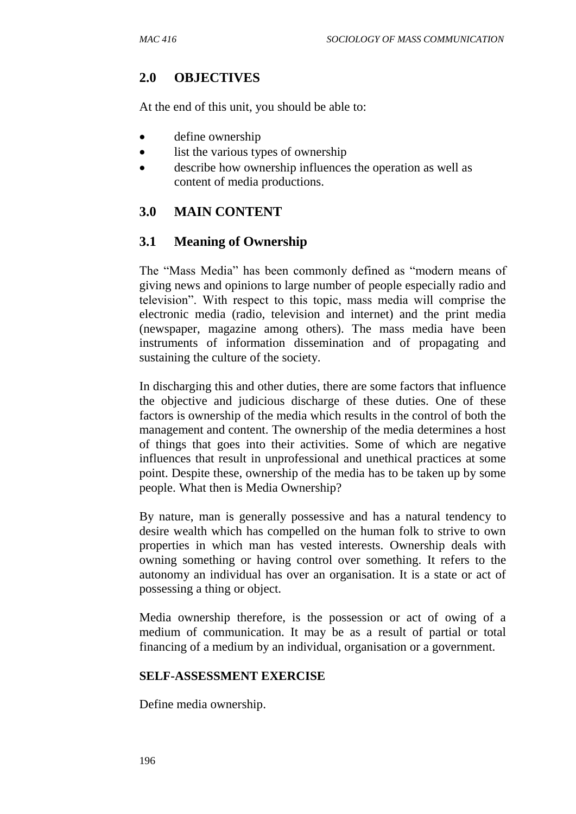## **2.0 OBJECTIVES**

At the end of this unit, you should be able to:

- define ownership
- list the various types of ownership
- describe how ownership influences the operation as well as content of media productions.

## **3.0 MAIN CONTENT**

## **3.1 Meaning of Ownership**

The "Mass Media" has been commonly defined as "modern means of giving news and opinions to large number of people especially radio and television". With respect to this topic, mass media will comprise the electronic media (radio, television and internet) and the print media (newspaper, magazine among others). The mass media have been instruments of information dissemination and of propagating and sustaining the culture of the society.

In discharging this and other duties, there are some factors that influence the objective and judicious discharge of these duties. One of these factors is ownership of the media which results in the control of both the management and content. The ownership of the media determines a host of things that goes into their activities. Some of which are negative influences that result in unprofessional and unethical practices at some point. Despite these, ownership of the media has to be taken up by some people. What then is Media Ownership?

By nature, man is generally possessive and has a natural tendency to desire wealth which has compelled on the human folk to strive to own properties in which man has vested interests. Ownership deals with owning something or having control over something. It refers to the autonomy an individual has over an organisation. It is a state or act of possessing a thing or object.

Media ownership therefore, is the possession or act of owing of a medium of communication. It may be as a result of partial or total financing of a medium by an individual, organisation or a government.

### **SELF-ASSESSMENT EXERCISE**

Define media ownership.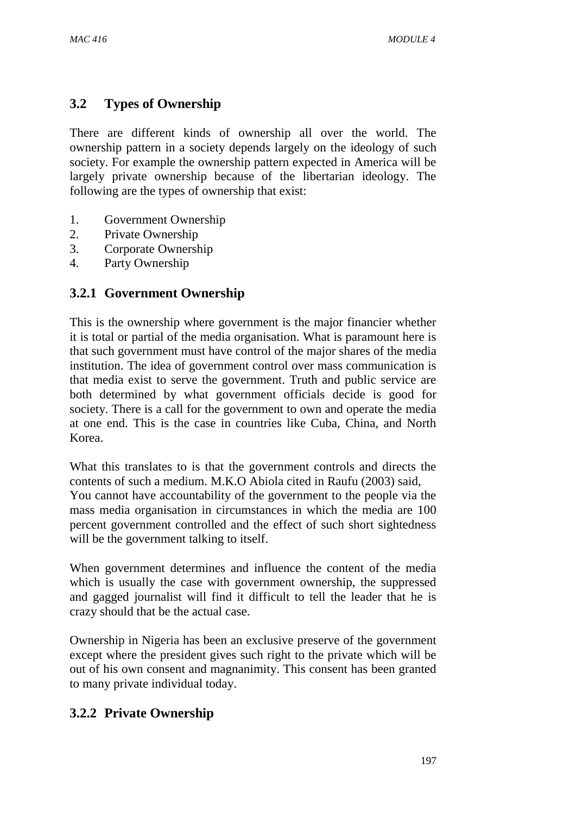## **3.2 Types of Ownership**

There are different kinds of ownership all over the world. The ownership pattern in a society depends largely on the ideology of such society. For example the ownership pattern expected in America will be largely private ownership because of the libertarian ideology. The following are the types of ownership that exist:

- 1. Government Ownership
- 2. Private Ownership
- 3. Corporate Ownership
- 4. Party Ownership

## **3.2.1 Government Ownership**

This is the ownership where government is the major financier whether it is total or partial of the media organisation. What is paramount here is that such government must have control of the major shares of the media institution. The idea of government control over mass communication is that media exist to serve the government. Truth and public service are both determined by what government officials decide is good for society. There is a call for the government to own and operate the media at one end. This is the case in countries like Cuba, China, and North Korea.

What this translates to is that the government controls and directs the contents of such a medium. M.K.O Abiola cited in Raufu (2003) said, You cannot have accountability of the government to the people via the mass media organisation in circumstances in which the media are 100 percent government controlled and the effect of such short sightedness will be the government talking to itself.

When government determines and influence the content of the media which is usually the case with government ownership, the suppressed and gagged journalist will find it difficult to tell the leader that he is crazy should that be the actual case.

Ownership in Nigeria has been an exclusive preserve of the government except where the president gives such right to the private which will be out of his own consent and magnanimity. This consent has been granted to many private individual today.

## **3.2.2 Private Ownership**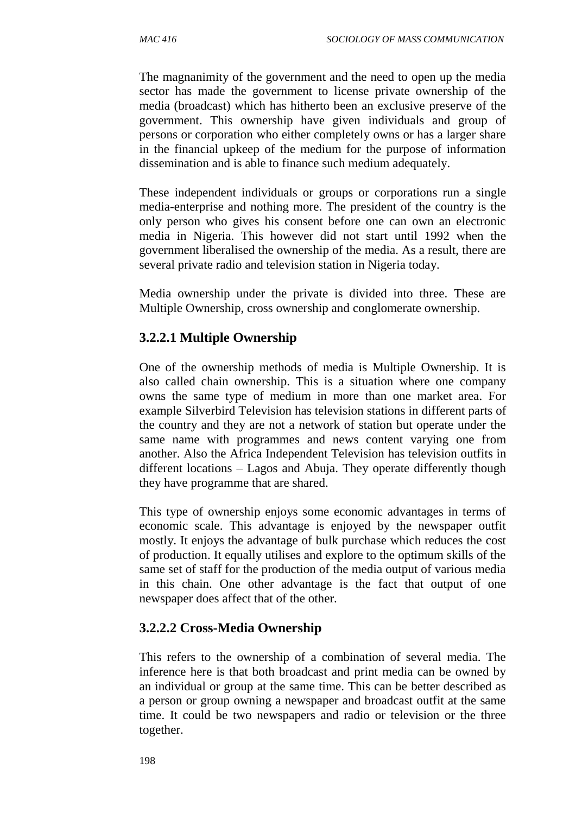The magnanimity of the government and the need to open up the media sector has made the government to license private ownership of the media (broadcast) which has hitherto been an exclusive preserve of the government. This ownership have given individuals and group of persons or corporation who either completely owns or has a larger share in the financial upkeep of the medium for the purpose of information dissemination and is able to finance such medium adequately.

These independent individuals or groups or corporations run a single media-enterprise and nothing more. The president of the country is the only person who gives his consent before one can own an electronic media in Nigeria. This however did not start until 1992 when the government liberalised the ownership of the media. As a result, there are several private radio and television station in Nigeria today.

Media ownership under the private is divided into three. These are Multiple Ownership, cross ownership and conglomerate ownership.

## **3.2.2.1 Multiple Ownership**

One of the ownership methods of media is Multiple Ownership. It is also called chain ownership. This is a situation where one company owns the same type of medium in more than one market area. For example Silverbird Television has television stations in different parts of the country and they are not a network of station but operate under the same name with programmes and news content varying one from another. Also the Africa Independent Television has television outfits in different locations – Lagos and Abuja. They operate differently though they have programme that are shared.

This type of ownership enjoys some economic advantages in terms of economic scale. This advantage is enjoyed by the newspaper outfit mostly. It enjoys the advantage of bulk purchase which reduces the cost of production. It equally utilises and explore to the optimum skills of the same set of staff for the production of the media output of various media in this chain. One other advantage is the fact that output of one newspaper does affect that of the other.

## **3.2.2.2 Cross-Media Ownership**

This refers to the ownership of a combination of several media. The inference here is that both broadcast and print media can be owned by an individual or group at the same time. This can be better described as a person or group owning a newspaper and broadcast outfit at the same time. It could be two newspapers and radio or television or the three together.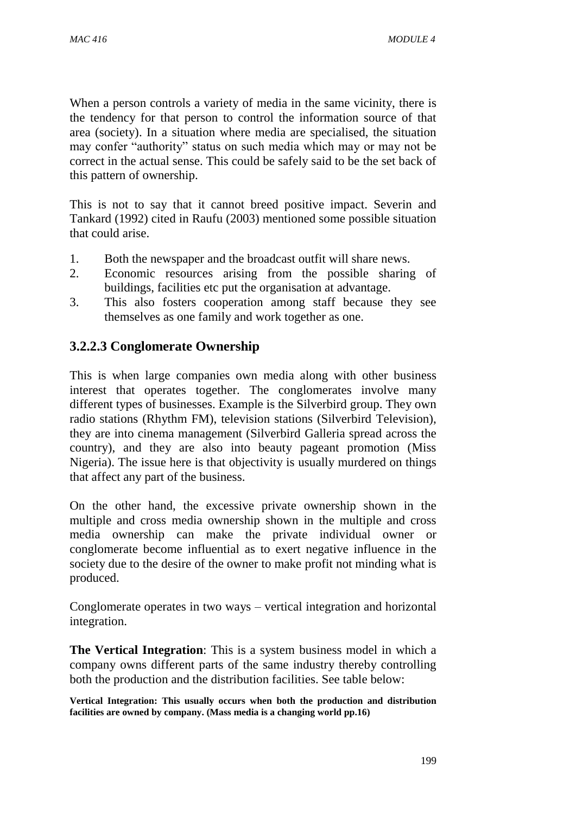When a person controls a variety of media in the same vicinity, there is the tendency for that person to control the information source of that area (society). In a situation where media are specialised, the situation may confer "authority" status on such media which may or may not be correct in the actual sense. This could be safely said to be the set back of this pattern of ownership.

This is not to say that it cannot breed positive impact. Severin and Tankard (1992) cited in Raufu (2003) mentioned some possible situation that could arise.

- 1. Both the newspaper and the broadcast outfit will share news.
- 2. Economic resources arising from the possible sharing of buildings, facilities etc put the organisation at advantage.
- 3. This also fosters cooperation among staff because they see themselves as one family and work together as one.

## **3.2.2.3 Conglomerate Ownership**

This is when large companies own media along with other business interest that operates together. The conglomerates involve many different types of businesses. Example is the Silverbird group. They own radio stations (Rhythm FM), television stations (Silverbird Television), they are into cinema management (Silverbird Galleria spread across the country), and they are also into beauty pageant promotion (Miss Nigeria). The issue here is that objectivity is usually murdered on things that affect any part of the business.

On the other hand, the excessive private ownership shown in the multiple and cross media ownership shown in the multiple and cross media ownership can make the private individual owner or conglomerate become influential as to exert negative influence in the society due to the desire of the owner to make profit not minding what is produced.

Conglomerate operates in two ways – vertical integration and horizontal integration.

**The Vertical Integration**: This is a system business model in which a company owns different parts of the same industry thereby controlling both the production and the distribution facilities. See table below:

**Vertical Integration: This usually occurs when both the production and distribution facilities are owned by company. (Mass media is a changing world pp.16)**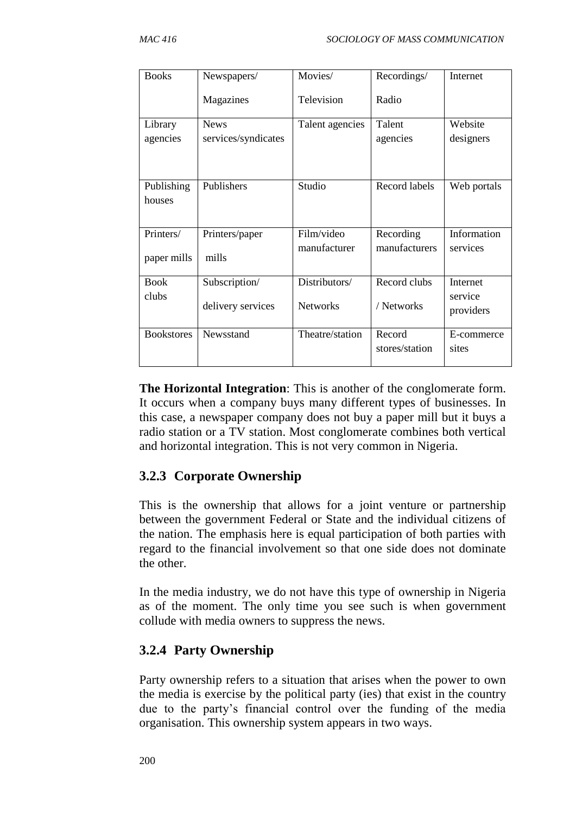| <b>Books</b>             | Newspapers/                        | Movies/                          | Recordings/                | Internet                         |
|--------------------------|------------------------------------|----------------------------------|----------------------------|----------------------------------|
|                          | Magazines                          | Television                       | Radio                      |                                  |
| Library<br>agencies      | <b>News</b><br>services/syndicates | Talent agencies                  | Talent<br>agencies         | Website<br>designers             |
| Publishing<br>houses     | Publishers                         | Studio                           | Record labels              | Web portals                      |
| Printers/<br>paper mills | Printers/paper<br>mills            | Film/video<br>manufacturer       | Recording<br>manufacturers | Information<br>services          |
| <b>Book</b><br>clubs     | Subscription/<br>delivery services | Distributors/<br><b>Networks</b> | Record clubs<br>/ Networks | Internet<br>service<br>providers |
| <b>Bookstores</b>        | Newsstand                          | Theatre/station                  | Record<br>stores/station   | E-commerce<br>sites              |

**The Horizontal Integration**: This is another of the conglomerate form. It occurs when a company buys many different types of businesses. In this case, a newspaper company does not buy a paper mill but it buys a radio station or a TV station. Most conglomerate combines both vertical and horizontal integration. This is not very common in Nigeria.

## **3.2.3 Corporate Ownership**

This is the ownership that allows for a joint venture or partnership between the government Federal or State and the individual citizens of the nation. The emphasis here is equal participation of both parties with regard to the financial involvement so that one side does not dominate the other.

In the media industry, we do not have this type of ownership in Nigeria as of the moment. The only time you see such is when government collude with media owners to suppress the news.

## **3.2.4 Party Ownership**

Party ownership refers to a situation that arises when the power to own the media is exercise by the political party (ies) that exist in the country due to the party's financial control over the funding of the media organisation. This ownership system appears in two ways.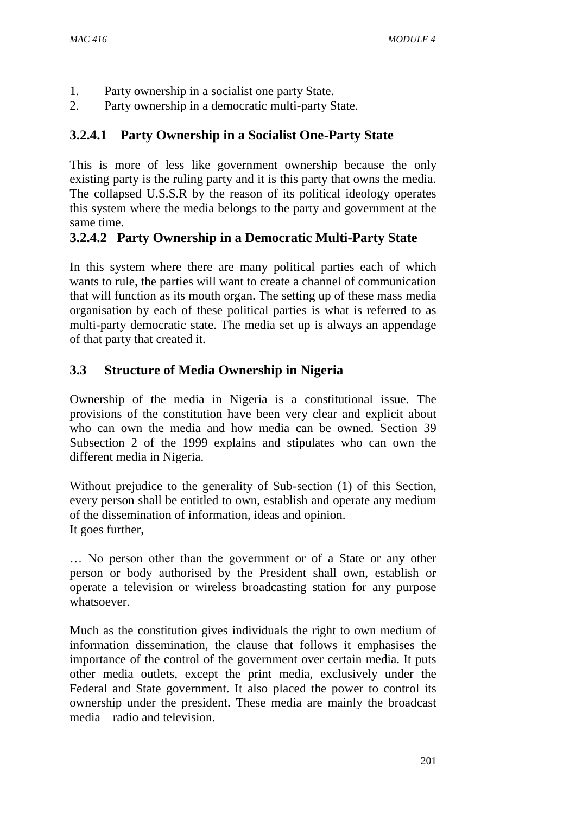- 1. Party ownership in a socialist one party State.
- 2. Party ownership in a democratic multi-party State.

## **3.2.4.1 Party Ownership in a Socialist One-Party State**

This is more of less like government ownership because the only existing party is the ruling party and it is this party that owns the media. The collapsed U.S.S.R by the reason of its political ideology operates this system where the media belongs to the party and government at the same time.

## **3.2.4.2 Party Ownership in a Democratic Multi-Party State**

In this system where there are many political parties each of which wants to rule, the parties will want to create a channel of communication that will function as its mouth organ. The setting up of these mass media organisation by each of these political parties is what is referred to as multi-party democratic state. The media set up is always an appendage of that party that created it.

## **3.3 Structure of Media Ownership in Nigeria**

Ownership of the media in Nigeria is a constitutional issue. The provisions of the constitution have been very clear and explicit about who can own the media and how media can be owned. Section 39 Subsection 2 of the 1999 explains and stipulates who can own the different media in Nigeria.

Without prejudice to the generality of Sub-section (1) of this Section, every person shall be entitled to own, establish and operate any medium of the dissemination of information, ideas and opinion. It goes further,

… No person other than the government or of a State or any other person or body authorised by the President shall own, establish or operate a television or wireless broadcasting station for any purpose whatsoever.

Much as the constitution gives individuals the right to own medium of information dissemination, the clause that follows it emphasises the importance of the control of the government over certain media. It puts other media outlets, except the print media, exclusively under the Federal and State government. It also placed the power to control its ownership under the president. These media are mainly the broadcast media – radio and television.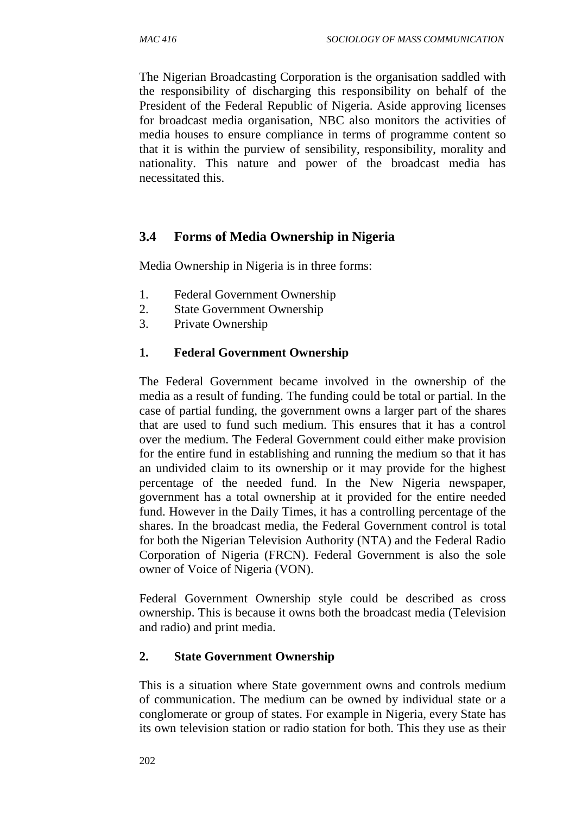The Nigerian Broadcasting Corporation is the organisation saddled with the responsibility of discharging this responsibility on behalf of the President of the Federal Republic of Nigeria. Aside approving licenses for broadcast media organisation, NBC also monitors the activities of media houses to ensure compliance in terms of programme content so that it is within the purview of sensibility, responsibility, morality and nationality. This nature and power of the broadcast media has necessitated this.

## **3.4 Forms of Media Ownership in Nigeria**

Media Ownership in Nigeria is in three forms:

- 1. Federal Government Ownership
- 2. State Government Ownership
- 3. Private Ownership

### **1. Federal Government Ownership**

The Federal Government became involved in the ownership of the media as a result of funding. The funding could be total or partial. In the case of partial funding, the government owns a larger part of the shares that are used to fund such medium. This ensures that it has a control over the medium. The Federal Government could either make provision for the entire fund in establishing and running the medium so that it has an undivided claim to its ownership or it may provide for the highest percentage of the needed fund. In the New Nigeria newspaper, government has a total ownership at it provided for the entire needed fund. However in the Daily Times, it has a controlling percentage of the shares. In the broadcast media, the Federal Government control is total for both the Nigerian Television Authority (NTA) and the Federal Radio Corporation of Nigeria (FRCN). Federal Government is also the sole owner of Voice of Nigeria (VON).

Federal Government Ownership style could be described as cross ownership. This is because it owns both the broadcast media (Television and radio) and print media.

#### **2. State Government Ownership**

This is a situation where State government owns and controls medium of communication. The medium can be owned by individual state or a conglomerate or group of states. For example in Nigeria, every State has its own television station or radio station for both. This they use as their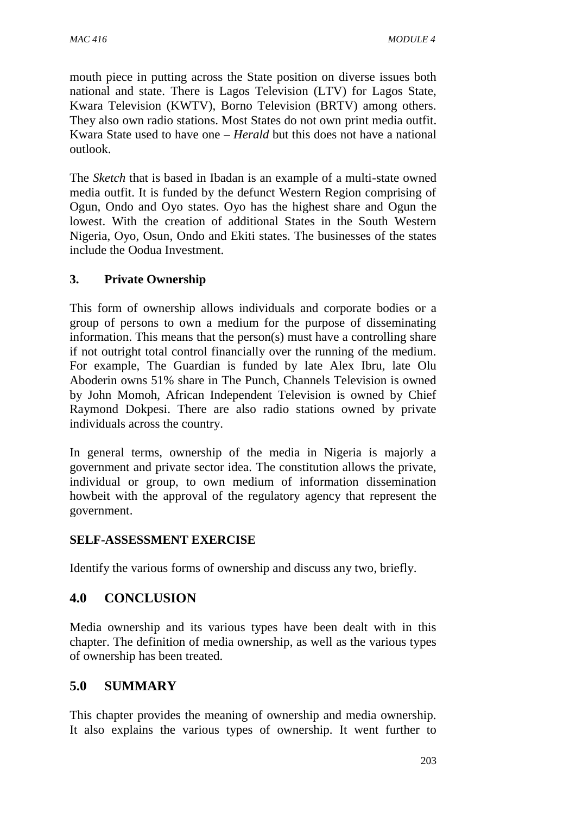mouth piece in putting across the State position on diverse issues both national and state. There is Lagos Television (LTV) for Lagos State, Kwara Television (KWTV), Borno Television (BRTV) among others. They also own radio stations. Most States do not own print media outfit. Kwara State used to have one – *Herald* but this does not have a national outlook.

The *Sketch* that is based in Ibadan is an example of a multi-state owned media outfit. It is funded by the defunct Western Region comprising of Ogun, Ondo and Oyo states. Oyo has the highest share and Ogun the lowest. With the creation of additional States in the South Western Nigeria, Oyo, Osun, Ondo and Ekiti states. The businesses of the states include the Oodua Investment.

### **3. Private Ownership**

This form of ownership allows individuals and corporate bodies or a group of persons to own a medium for the purpose of disseminating information. This means that the person(s) must have a controlling share if not outright total control financially over the running of the medium. For example, The Guardian is funded by late Alex Ibru, late Olu Aboderin owns 51% share in The Punch, Channels Television is owned by John Momoh, African Independent Television is owned by Chief Raymond Dokpesi. There are also radio stations owned by private individuals across the country.

In general terms, ownership of the media in Nigeria is majorly a government and private sector idea. The constitution allows the private, individual or group, to own medium of information dissemination howbeit with the approval of the regulatory agency that represent the government.

### **SELF-ASSESSMENT EXERCISE**

Identify the various forms of ownership and discuss any two, briefly.

## **4.0 CONCLUSION**

Media ownership and its various types have been dealt with in this chapter. The definition of media ownership, as well as the various types of ownership has been treated.

## **5.0 SUMMARY**

This chapter provides the meaning of ownership and media ownership. It also explains the various types of ownership. It went further to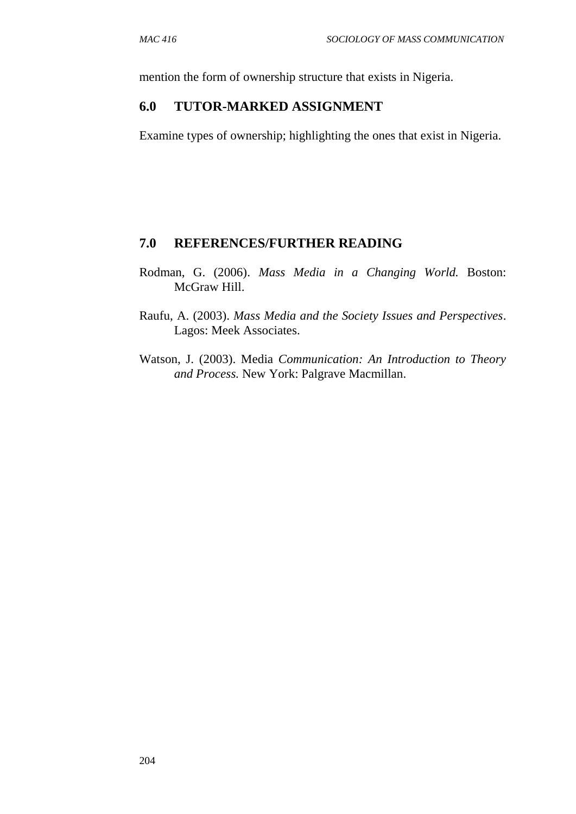mention the form of ownership structure that exists in Nigeria.

### **6.0 TUTOR-MARKED ASSIGNMENT**

Examine types of ownership; highlighting the ones that exist in Nigeria.

### **7.0 REFERENCES/FURTHER READING**

- Rodman, G. (2006). *Mass Media in a Changing World.* Boston: McGraw Hill.
- Raufu, A. (2003). *Mass Media and the Society Issues and Perspectives*. Lagos: Meek Associates.
- Watson, J. (2003). Media *Communication: An Introduction to Theory and Process.* New York: Palgrave Macmillan.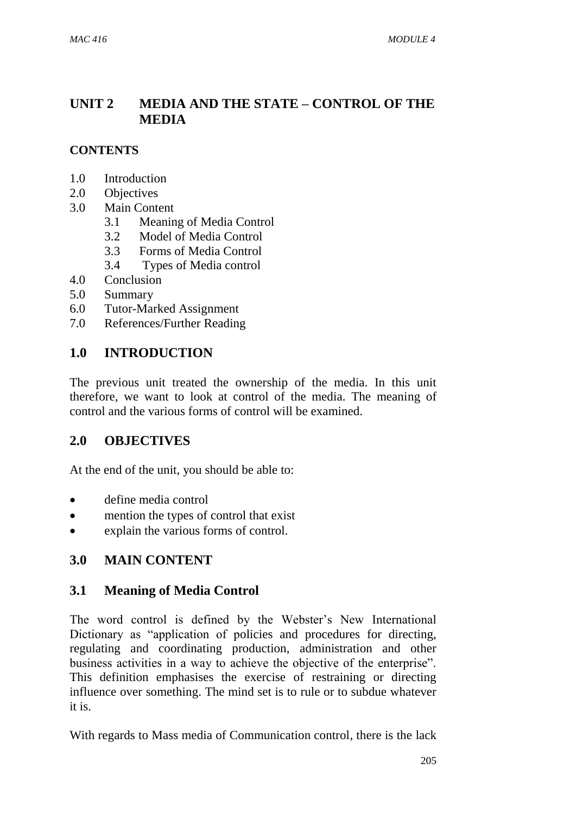## **UNIT 2 MEDIA AND THE STATE – CONTROL OF THE MEDIA**

### **CONTENTS**

- 1.0 Introduction
- 2.0 Objectives
- 3.0 Main Content
	- 3.1 Meaning of Media Control
	- 3.2 Model of Media Control
	- 3.3 Forms of Media Control
	- 3.4 Types of Media control
- 4.0 Conclusion
- 5.0 Summary
- 6.0 Tutor-Marked Assignment
- 7.0 References/Further Reading

### **1.0 INTRODUCTION**

The previous unit treated the ownership of the media. In this unit therefore, we want to look at control of the media. The meaning of control and the various forms of control will be examined.

## **2.0 OBJECTIVES**

At the end of the unit, you should be able to:

- define media control
- mention the types of control that exist
- explain the various forms of control.

## **3.0 MAIN CONTENT**

### **3.1 Meaning of Media Control**

The word control is defined by the Webster's New International Dictionary as "application of policies and procedures for directing, regulating and coordinating production, administration and other business activities in a way to achieve the objective of the enterprise". This definition emphasises the exercise of restraining or directing influence over something. The mind set is to rule or to subdue whatever it is.

With regards to Mass media of Communication control, there is the lack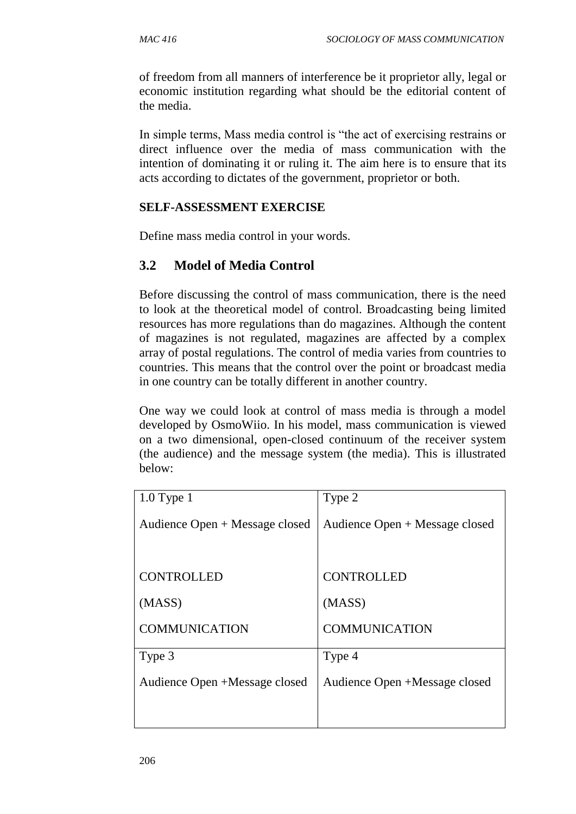of freedom from all manners of interference be it proprietor ally, legal or economic institution regarding what should be the editorial content of the media.

In simple terms, Mass media control is "the act of exercising restrains or direct influence over the media of mass communication with the intention of dominating it or ruling it. The aim here is to ensure that its acts according to dictates of the government, proprietor or both.

#### **SELF-ASSESSMENT EXERCISE**

Define mass media control in your words.

### **3.2 Model of Media Control**

Before discussing the control of mass communication, there is the need to look at the theoretical model of control. Broadcasting being limited resources has more regulations than do magazines. Although the content of magazines is not regulated, magazines are affected by a complex array of postal regulations. The control of media varies from countries to countries. This means that the control over the point or broadcast media in one country can be totally different in another country.

One way we could look at control of mass media is through a model developed by OsmoWiio. In his model, mass communication is viewed on a two dimensional, open-closed continuum of the receiver system (the audience) and the message system (the media). This is illustrated below:

| $1.0$ Type $1$                 | Type 2                         |  |
|--------------------------------|--------------------------------|--|
| Audience Open + Message closed | Audience Open + Message closed |  |
|                                |                                |  |
| <b>CONTROLLED</b>              | <b>CONTROLLED</b>              |  |
| (MASS)                         | (MASS)                         |  |
| <b>COMMUNICATION</b>           | <b>COMMUNICATION</b>           |  |
| Type 3                         | Type 4                         |  |
| Audience Open +Message closed  | Audience Open +Message closed  |  |
|                                |                                |  |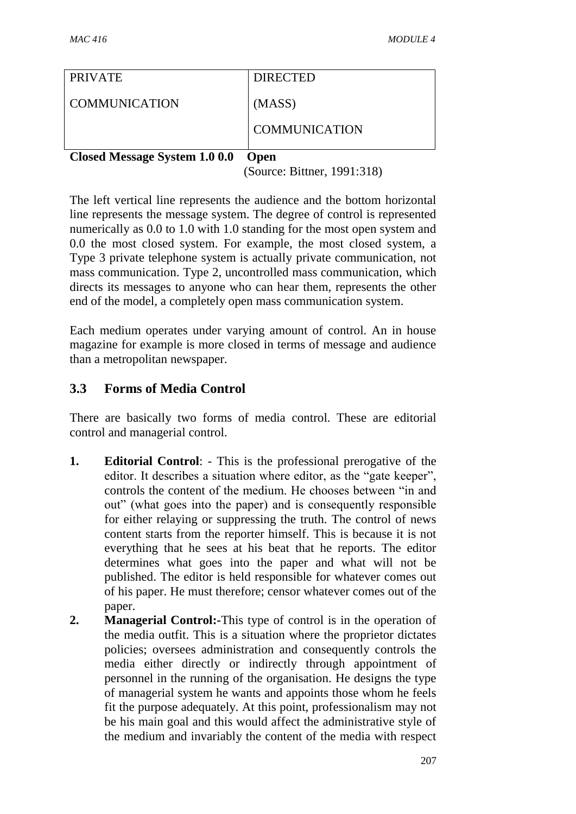| <b>PRIVATE</b> | <b>DIRECTED</b>      |
|----------------|----------------------|
| COMMUNICATION  | (MASS)               |
|                | <b>COMMUNICATION</b> |

**Closed Message System 1.0 0.0 Open** 

(Source: Bittner, 1991:318)

The left vertical line represents the audience and the bottom horizontal line represents the message system. The degree of control is represented numerically as 0.0 to 1.0 with 1.0 standing for the most open system and 0.0 the most closed system. For example, the most closed system, a Type 3 private telephone system is actually private communication, not mass communication. Type 2, uncontrolled mass communication, which directs its messages to anyone who can hear them, represents the other end of the model, a completely open mass communication system.

Each medium operates under varying amount of control. An in house magazine for example is more closed in terms of message and audience than a metropolitan newspaper.

## **3.3 Forms of Media Control**

There are basically two forms of media control. These are editorial control and managerial control.

- **1. Editorial Control**: This is the professional prerogative of the editor. It describes a situation where editor, as the "gate keeper", controls the content of the medium. He chooses between "in and out" (what goes into the paper) and is consequently responsible for either relaying or suppressing the truth. The control of news content starts from the reporter himself. This is because it is not everything that he sees at his beat that he reports. The editor determines what goes into the paper and what will not be published. The editor is held responsible for whatever comes out of his paper. He must therefore; censor whatever comes out of the paper.
- **2. Managerial Control:-**This type of control is in the operation of the media outfit. This is a situation where the proprietor dictates policies; oversees administration and consequently controls the media either directly or indirectly through appointment of personnel in the running of the organisation. He designs the type of managerial system he wants and appoints those whom he feels fit the purpose adequately. At this point, professionalism may not be his main goal and this would affect the administrative style of the medium and invariably the content of the media with respect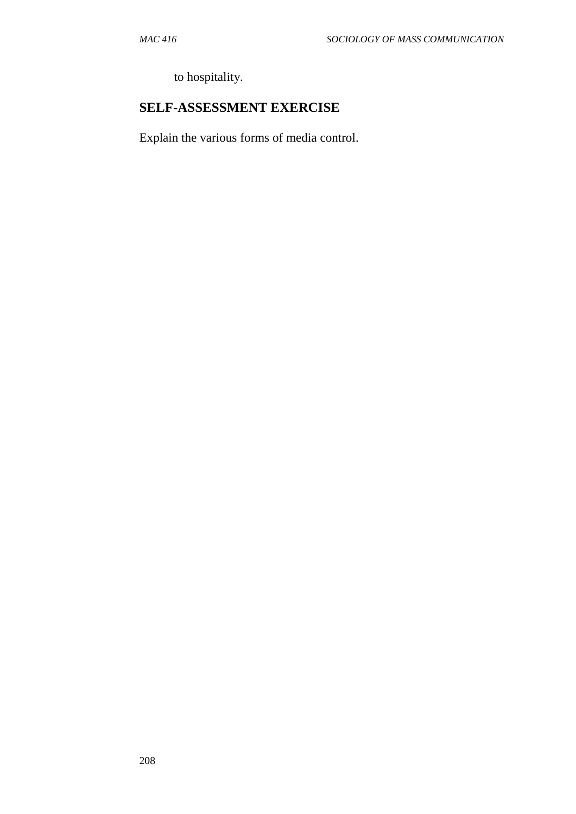to hospitality.

## **SELF-ASSESSMENT EXERCISE**

Explain the various forms of media control.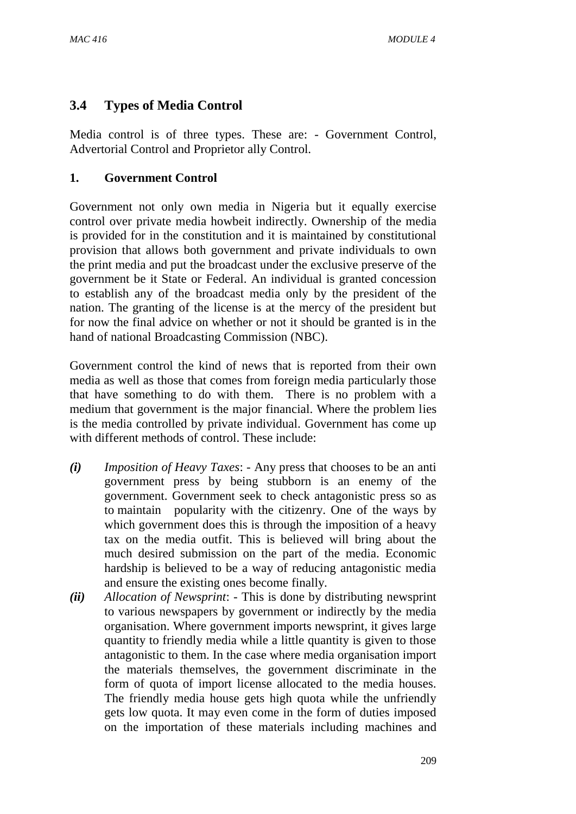## **3.4 Types of Media Control**

Media control is of three types. These are: - Government Control, Advertorial Control and Proprietor ally Control.

### **1. Government Control**

Government not only own media in Nigeria but it equally exercise control over private media howbeit indirectly. Ownership of the media is provided for in the constitution and it is maintained by constitutional provision that allows both government and private individuals to own the print media and put the broadcast under the exclusive preserve of the government be it State or Federal. An individual is granted concession to establish any of the broadcast media only by the president of the nation. The granting of the license is at the mercy of the president but for now the final advice on whether or not it should be granted is in the hand of national Broadcasting Commission (NBC).

Government control the kind of news that is reported from their own media as well as those that comes from foreign media particularly those that have something to do with them. There is no problem with a medium that government is the major financial. Where the problem lies is the media controlled by private individual. Government has come up with different methods of control. These include:

- *(i) Imposition of Heavy Taxes*: Any press that chooses to be an anti government press by being stubborn is an enemy of the government. Government seek to check antagonistic press so as to maintain popularity with the citizenry. One of the ways by which government does this is through the imposition of a heavy tax on the media outfit. This is believed will bring about the much desired submission on the part of the media. Economic hardship is believed to be a way of reducing antagonistic media and ensure the existing ones become finally.
- *(ii) Allocation of Newsprint*: This is done by distributing newsprint to various newspapers by government or indirectly by the media organisation. Where government imports newsprint, it gives large quantity to friendly media while a little quantity is given to those antagonistic to them. In the case where media organisation import the materials themselves, the government discriminate in the form of quota of import license allocated to the media houses. The friendly media house gets high quota while the unfriendly gets low quota. It may even come in the form of duties imposed on the importation of these materials including machines and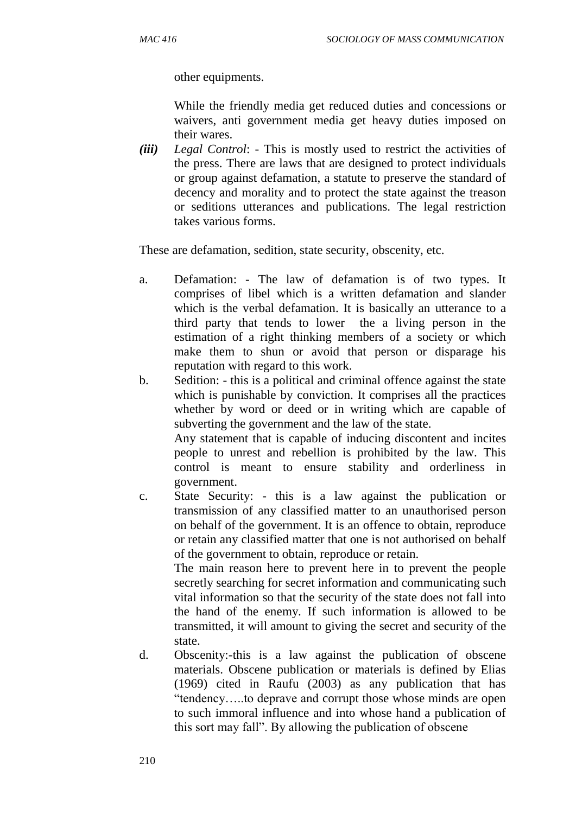other equipments.

While the friendly media get reduced duties and concessions or waivers, anti government media get heavy duties imposed on their wares.

*(iii) Legal Control*: - This is mostly used to restrict the activities of the press. There are laws that are designed to protect individuals or group against defamation, a statute to preserve the standard of decency and morality and to protect the state against the treason or seditions utterances and publications. The legal restriction takes various forms.

These are defamation, sedition, state security, obscenity, etc.

- a. Defamation: The law of defamation is of two types. It comprises of libel which is a written defamation and slander which is the verbal defamation. It is basically an utterance to a third party that tends to lower the a living person in the estimation of a right thinking members of a society or which make them to shun or avoid that person or disparage his reputation with regard to this work.
- b. Sedition: this is a political and criminal offence against the state which is punishable by conviction. It comprises all the practices whether by word or deed or in writing which are capable of subverting the government and the law of the state.

Any statement that is capable of inducing discontent and incites people to unrest and rebellion is prohibited by the law. This control is meant to ensure stability and orderliness in government.

c. State Security: - this is a law against the publication or transmission of any classified matter to an unauthorised person on behalf of the government. It is an offence to obtain, reproduce or retain any classified matter that one is not authorised on behalf of the government to obtain, reproduce or retain.

The main reason here to prevent here in to prevent the people secretly searching for secret information and communicating such vital information so that the security of the state does not fall into the hand of the enemy. If such information is allowed to be transmitted, it will amount to giving the secret and security of the state.

d. Obscenity:-this is a law against the publication of obscene materials. Obscene publication or materials is defined by Elias (1969) cited in Raufu (2003) as any publication that has "tendency…..to deprave and corrupt those whose minds are open to such immoral influence and into whose hand a publication of this sort may fall". By allowing the publication of obscene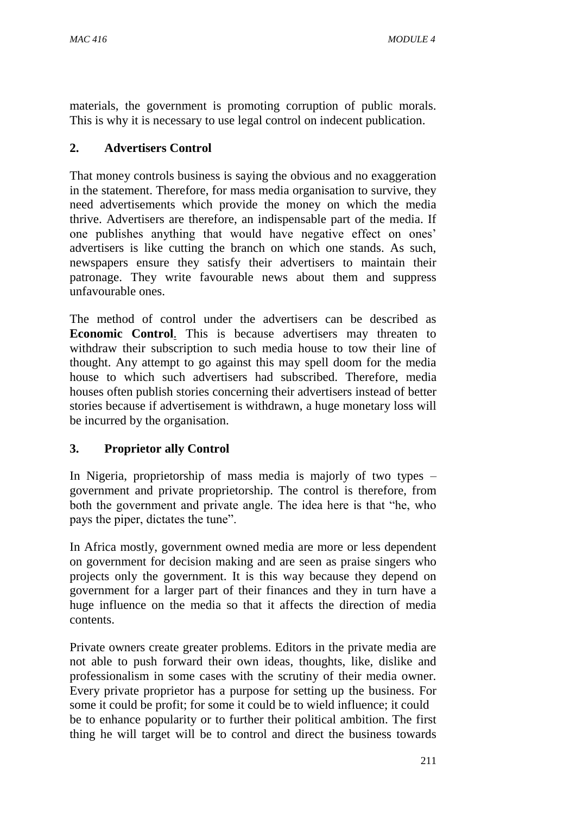materials, the government is promoting corruption of public morals. This is why it is necessary to use legal control on indecent publication.

### **2. Advertisers Control**

That money controls business is saying the obvious and no exaggeration in the statement. Therefore, for mass media organisation to survive, they need advertisements which provide the money on which the media thrive. Advertisers are therefore, an indispensable part of the media. If one publishes anything that would have negative effect on ones' advertisers is like cutting the branch on which one stands. As such, newspapers ensure they satisfy their advertisers to maintain their patronage. They write favourable news about them and suppress unfavourable ones.

The method of control under the advertisers can be described as **Economic Control**. This is because advertisers may threaten to withdraw their subscription to such media house to tow their line of thought. Any attempt to go against this may spell doom for the media house to which such advertisers had subscribed. Therefore, media houses often publish stories concerning their advertisers instead of better stories because if advertisement is withdrawn, a huge monetary loss will be incurred by the organisation.

### **3. Proprietor ally Control**

In Nigeria, proprietorship of mass media is majorly of two types – government and private proprietorship. The control is therefore, from both the government and private angle. The idea here is that "he, who pays the piper, dictates the tune".

In Africa mostly, government owned media are more or less dependent on government for decision making and are seen as praise singers who projects only the government. It is this way because they depend on government for a larger part of their finances and they in turn have a huge influence on the media so that it affects the direction of media contents.

Private owners create greater problems. Editors in the private media are not able to push forward their own ideas, thoughts, like, dislike and professionalism in some cases with the scrutiny of their media owner. Every private proprietor has a purpose for setting up the business. For some it could be profit; for some it could be to wield influence; it could be to enhance popularity or to further their political ambition. The first thing he will target will be to control and direct the business towards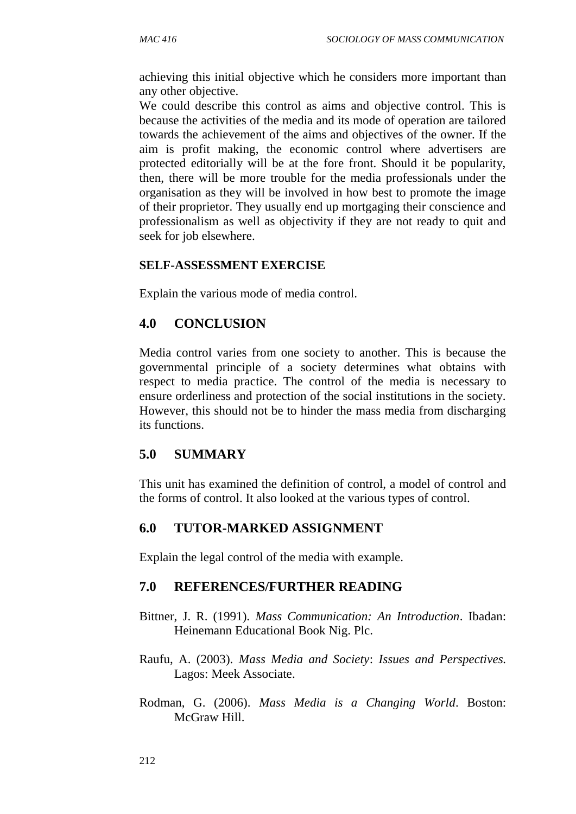achieving this initial objective which he considers more important than any other objective.

We could describe this control as aims and objective control. This is because the activities of the media and its mode of operation are tailored towards the achievement of the aims and objectives of the owner. If the aim is profit making, the economic control where advertisers are protected editorially will be at the fore front. Should it be popularity, then, there will be more trouble for the media professionals under the organisation as they will be involved in how best to promote the image of their proprietor. They usually end up mortgaging their conscience and professionalism as well as objectivity if they are not ready to quit and seek for job elsewhere.

#### **SELF-ASSESSMENT EXERCISE**

Explain the various mode of media control.

## **4.0 CONCLUSION**

Media control varies from one society to another. This is because the governmental principle of a society determines what obtains with respect to media practice. The control of the media is necessary to ensure orderliness and protection of the social institutions in the society. However, this should not be to hinder the mass media from discharging its functions.

## **5.0 SUMMARY**

This unit has examined the definition of control, a model of control and the forms of control. It also looked at the various types of control.

## **6.0 TUTOR-MARKED ASSIGNMENT**

Explain the legal control of the media with example.

- Bittner, J. R. (1991). *Mass Communication: An Introduction*. Ibadan: Heinemann Educational Book Nig. Plc.
- Raufu, A. (2003). *Mass Media and Society*: *Issues and Perspectives.* Lagos: Meek Associate.
- Rodman, G. (2006). *Mass Media is a Changing World*. Boston: McGraw Hill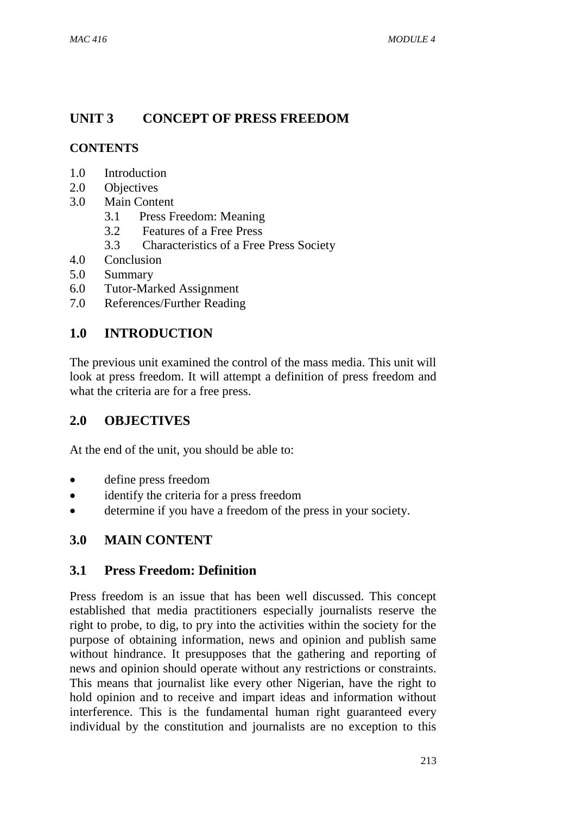# **UNIT 3 CONCEPT OF PRESS FREEDOM**

## **CONTENTS**

- 1.0 Introduction
- 2.0 Objectives
- 3.0 Main Content
	- 3.1 Press Freedom: Meaning
	- 3.2 Features of a Free Press
	- 3.3 Characteristics of a Free Press Society
- 4.0 Conclusion
- 5.0 Summary
- 6.0 Tutor-Marked Assignment
- 7.0 References/Further Reading

# **1.0 INTRODUCTION**

The previous unit examined the control of the mass media. This unit will look at press freedom. It will attempt a definition of press freedom and what the criteria are for a free press.

## **2.0 OBJECTIVES**

At the end of the unit, you should be able to:

- define press freedom
- identify the criteria for a press freedom
- determine if you have a freedom of the press in your society.

## **3.0 MAIN CONTENT**

## **3.1 Press Freedom: Definition**

Press freedom is an issue that has been well discussed. This concept established that media practitioners especially journalists reserve the right to probe, to dig, to pry into the activities within the society for the purpose of obtaining information, news and opinion and publish same without hindrance. It presupposes that the gathering and reporting of news and opinion should operate without any restrictions or constraints. This means that journalist like every other Nigerian, have the right to hold opinion and to receive and impart ideas and information without interference. This is the fundamental human right guaranteed every individual by the constitution and journalists are no exception to this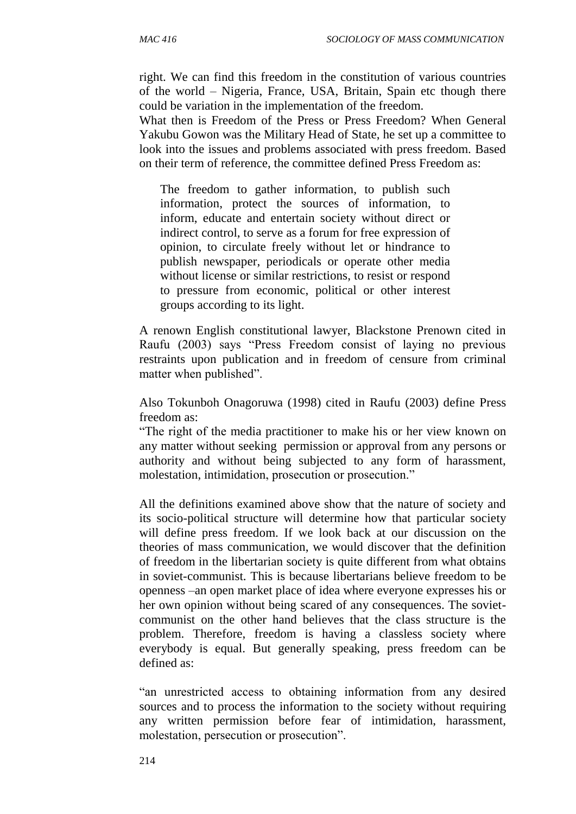right. We can find this freedom in the constitution of various countries of the world – Nigeria, France, USA, Britain, Spain etc though there could be variation in the implementation of the freedom.

What then is Freedom of the Press or Press Freedom? When General Yakubu Gowon was the Military Head of State, he set up a committee to look into the issues and problems associated with press freedom. Based on their term of reference, the committee defined Press Freedom as:

The freedom to gather information, to publish such information, protect the sources of information, to inform, educate and entertain society without direct or indirect control, to serve as a forum for free expression of opinion, to circulate freely without let or hindrance to publish newspaper, periodicals or operate other media without license or similar restrictions, to resist or respond to pressure from economic, political or other interest groups according to its light.

A renown English constitutional lawyer, Blackstone Prenown cited in Raufu (2003) says "Press Freedom consist of laying no previous restraints upon publication and in freedom of censure from criminal matter when published".

Also Tokunboh Onagoruwa (1998) cited in Raufu (2003) define Press freedom as:

"The right of the media practitioner to make his or her view known on any matter without seeking permission or approval from any persons or authority and without being subjected to any form of harassment, molestation, intimidation, prosecution or prosecution."

All the definitions examined above show that the nature of society and its socio-political structure will determine how that particular society will define press freedom. If we look back at our discussion on the theories of mass communication, we would discover that the definition of freedom in the libertarian society is quite different from what obtains in soviet-communist. This is because libertarians believe freedom to be openness –an open market place of idea where everyone expresses his or her own opinion without being scared of any consequences. The sovietcommunist on the other hand believes that the class structure is the problem. Therefore, freedom is having a classless society where everybody is equal. But generally speaking, press freedom can be defined as:

"an unrestricted access to obtaining information from any desired sources and to process the information to the society without requiring any written permission before fear of intimidation, harassment, molestation, persecution or prosecution".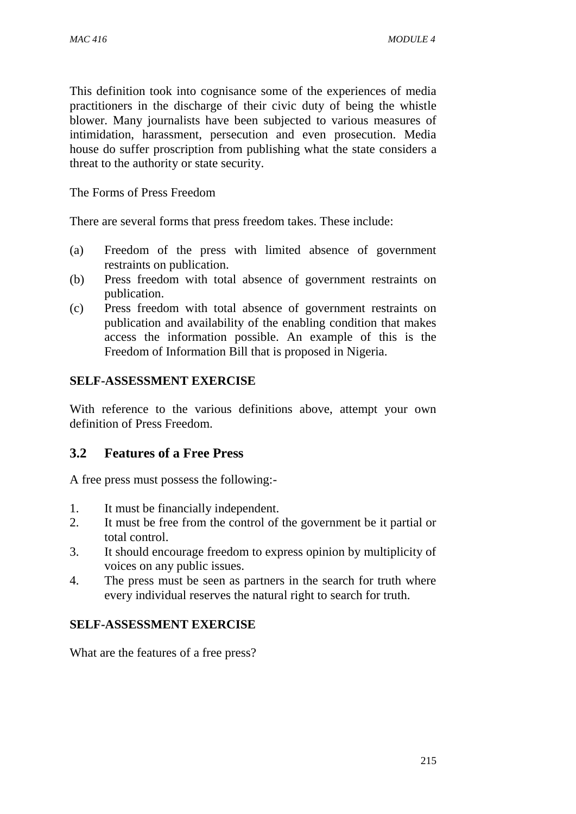This definition took into cognisance some of the experiences of media practitioners in the discharge of their civic duty of being the whistle blower. Many journalists have been subjected to various measures of intimidation, harassment, persecution and even prosecution. Media house do suffer proscription from publishing what the state considers a threat to the authority or state security.

The Forms of Press Freedom

There are several forms that press freedom takes. These include:

- (a) Freedom of the press with limited absence of government restraints on publication.
- (b) Press freedom with total absence of government restraints on publication.
- (c) Press freedom with total absence of government restraints on publication and availability of the enabling condition that makes access the information possible. An example of this is the Freedom of Information Bill that is proposed in Nigeria.

#### **SELF-ASSESSMENT EXERCISE**

With reference to the various definitions above, attempt your own definition of Press Freedom.

#### **3.2 Features of a Free Press**

A free press must possess the following:-

- 1. It must be financially independent.
- 2. It must be free from the control of the government be it partial or total control.
- 3. It should encourage freedom to express opinion by multiplicity of voices on any public issues.
- 4. The press must be seen as partners in the search for truth where every individual reserves the natural right to search for truth.

#### **SELF-ASSESSMENT EXERCISE**

What are the features of a free press?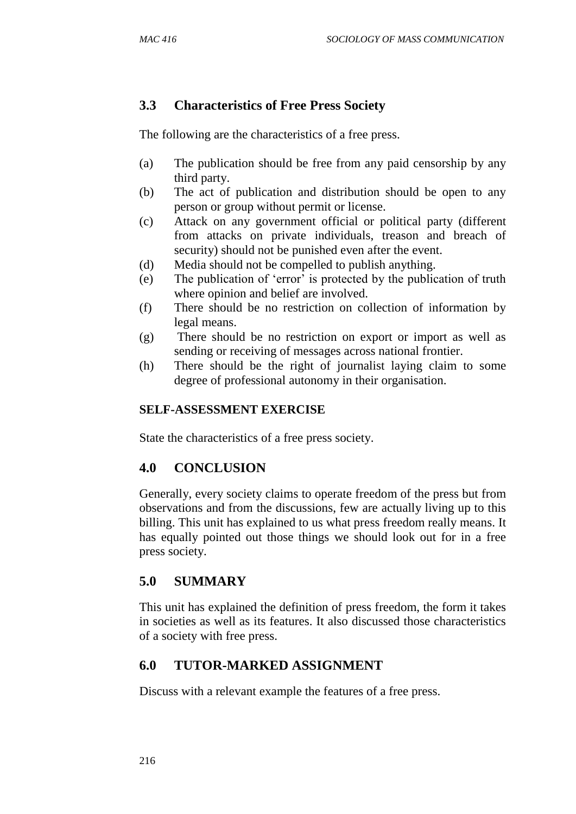## **3.3 Characteristics of Free Press Society**

The following are the characteristics of a free press.

- (a) The publication should be free from any paid censorship by any third party.
- (b) The act of publication and distribution should be open to any person or group without permit or license.
- (c) Attack on any government official or political party (different from attacks on private individuals, treason and breach of security) should not be punished even after the event.
- (d) Media should not be compelled to publish anything.
- (e) The publication of 'error' is protected by the publication of truth where opinion and belief are involved.
- (f) There should be no restriction on collection of information by legal means.
- (g) There should be no restriction on export or import as well as sending or receiving of messages across national frontier.
- (h) There should be the right of journalist laying claim to some degree of professional autonomy in their organisation.

#### **SELF-ASSESSMENT EXERCISE**

State the characteristics of a free press society.

## **4.0 CONCLUSION**

Generally, every society claims to operate freedom of the press but from observations and from the discussions, few are actually living up to this billing. This unit has explained to us what press freedom really means. It has equally pointed out those things we should look out for in a free press society.

## **5.0 SUMMARY**

This unit has explained the definition of press freedom, the form it takes in societies as well as its features. It also discussed those characteristics of a society with free press.

## **6.0 TUTOR-MARKED ASSIGNMENT**

Discuss with a relevant example the features of a free press.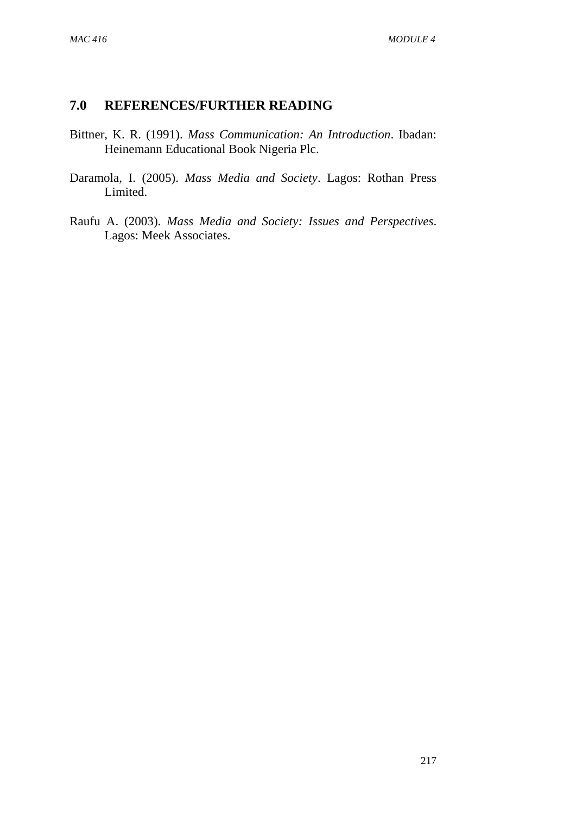- Bittner, K. R. (1991). *Mass Communication: An Introduction*. Ibadan: Heinemann Educational Book Nigeria Plc.
- Daramola, I. (2005). *Mass Media and Society*. Lagos: Rothan Press Limited.
- Raufu A. (2003). *Mass Media and Society: Issues and Perspectives*. Lagos: Meek Associates.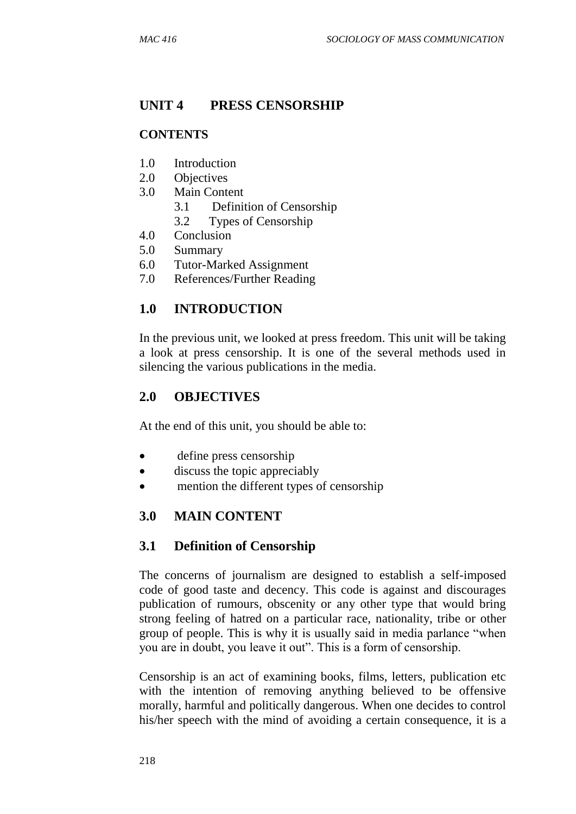# **UNIT 4 PRESS CENSORSHIP**

#### **CONTENTS**

- 1.0 Introduction
- 2.0 Objectives
- 3.0 Main Content
	- 3.1 Definition of Censorship
	- 3.2 Types of Censorship
- 4.0 Conclusion
- 5.0 Summary
- 6.0 Tutor-Marked Assignment
- 7.0 References/Further Reading

## **1.0 INTRODUCTION**

In the previous unit, we looked at press freedom. This unit will be taking a look at press censorship. It is one of the several methods used in silencing the various publications in the media.

## **2.0 OBJECTIVES**

At the end of this unit, you should be able to:

- define press censorship
- discuss the topic appreciably
- mention the different types of censorship

## **3.0 MAIN CONTENT**

## **3.1 Definition of Censorship**

The concerns of journalism are designed to establish a self-imposed code of good taste and decency. This code is against and discourages publication of rumours, obscenity or any other type that would bring strong feeling of hatred on a particular race, nationality, tribe or other group of people. This is why it is usually said in media parlance "when you are in doubt, you leave it out". This is a form of censorship.

Censorship is an act of examining books, films, letters, publication etc with the intention of removing anything believed to be offensive morally, harmful and politically dangerous. When one decides to control his/her speech with the mind of avoiding a certain consequence, it is a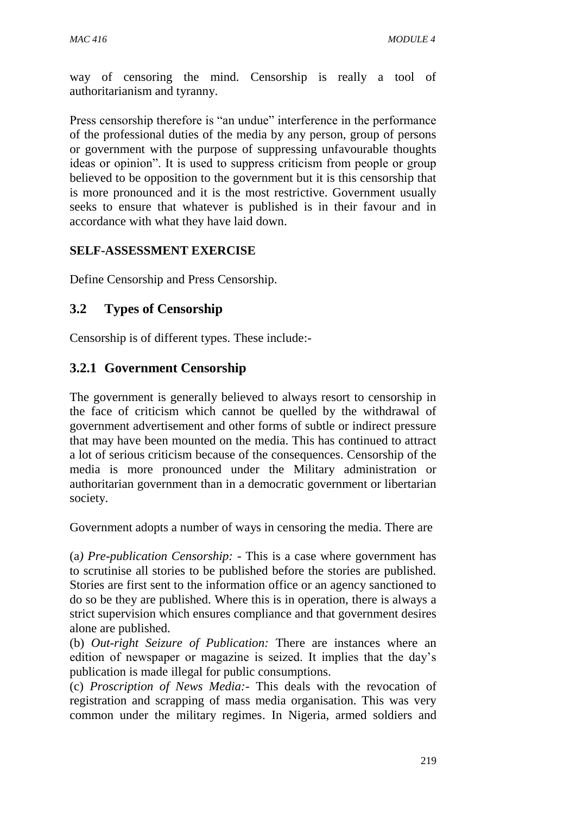way of censoring the mind. Censorship is really a tool of authoritarianism and tyranny.

Press censorship therefore is "an undue" interference in the performance of the professional duties of the media by any person, group of persons or government with the purpose of suppressing unfavourable thoughts ideas or opinion". It is used to suppress criticism from people or group believed to be opposition to the government but it is this censorship that is more pronounced and it is the most restrictive. Government usually seeks to ensure that whatever is published is in their favour and in accordance with what they have laid down.

#### **SELF-ASSESSMENT EXERCISE**

Define Censorship and Press Censorship.

## **3.2 Types of Censorship**

Censorship is of different types. These include:-

## **3.2.1 Government Censorship**

The government is generally believed to always resort to censorship in the face of criticism which cannot be quelled by the withdrawal of government advertisement and other forms of subtle or indirect pressure that may have been mounted on the media. This has continued to attract a lot of serious criticism because of the consequences. Censorship of the media is more pronounced under the Military administration or authoritarian government than in a democratic government or libertarian society.

Government adopts a number of ways in censoring the media. There are

(a*) Pre-publication Censorship: -* This is a case where government has to scrutinise all stories to be published before the stories are published. Stories are first sent to the information office or an agency sanctioned to do so be they are published. Where this is in operation, there is always a strict supervision which ensures compliance and that government desires alone are published.

(b) *Out-right Seizure of Publication:* There are instances where an edition of newspaper or magazine is seized. It implies that the day's publication is made illegal for public consumptions.

(c) *Proscription of News Media:-* This deals with the revocation of registration and scrapping of mass media organisation. This was very common under the military regimes. In Nigeria, armed soldiers and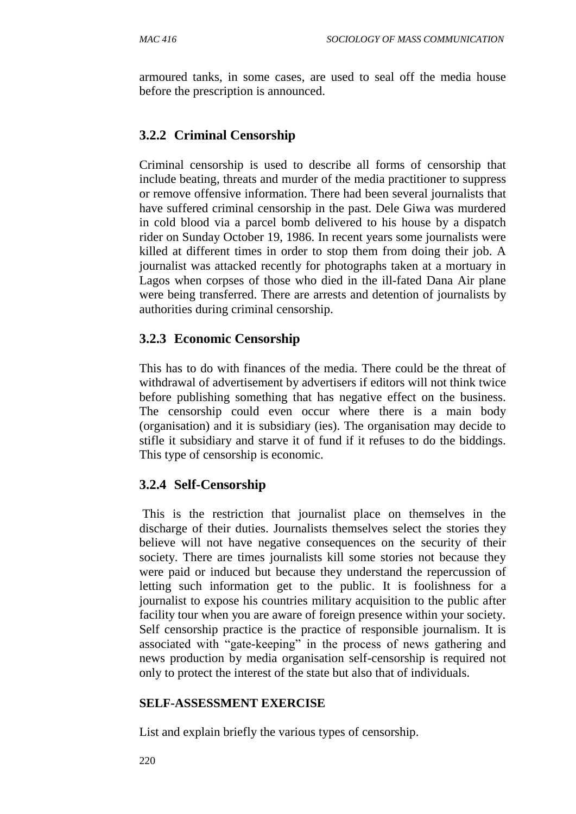armoured tanks, in some cases, are used to seal off the media house before the prescription is announced.

# **3.2.2 Criminal Censorship**

Criminal censorship is used to describe all forms of censorship that include beating, threats and murder of the media practitioner to suppress or remove offensive information. There had been several journalists that have suffered criminal censorship in the past. Dele Giwa was murdered in cold blood via a parcel bomb delivered to his house by a dispatch rider on Sunday October 19, 1986. In recent years some journalists were killed at different times in order to stop them from doing their job. A journalist was attacked recently for photographs taken at a mortuary in Lagos when corpses of those who died in the ill-fated Dana Air plane were being transferred. There are arrests and detention of journalists by authorities during criminal censorship.

## **3.2.3 Economic Censorship**

This has to do with finances of the media. There could be the threat of withdrawal of advertisement by advertisers if editors will not think twice before publishing something that has negative effect on the business. The censorship could even occur where there is a main body (organisation) and it is subsidiary (ies). The organisation may decide to stifle it subsidiary and starve it of fund if it refuses to do the biddings. This type of censorship is economic.

## **3.2.4 Self-Censorship**

This is the restriction that journalist place on themselves in the discharge of their duties. Journalists themselves select the stories they believe will not have negative consequences on the security of their society. There are times journalists kill some stories not because they were paid or induced but because they understand the repercussion of letting such information get to the public. It is foolishness for a journalist to expose his countries military acquisition to the public after facility tour when you are aware of foreign presence within your society. Self censorship practice is the practice of responsible journalism. It is associated with "gate-keeping" in the process of news gathering and news production by media organisation self-censorship is required not only to protect the interest of the state but also that of individuals.

#### **SELF-ASSESSMENT EXERCISE**

List and explain briefly the various types of censorship.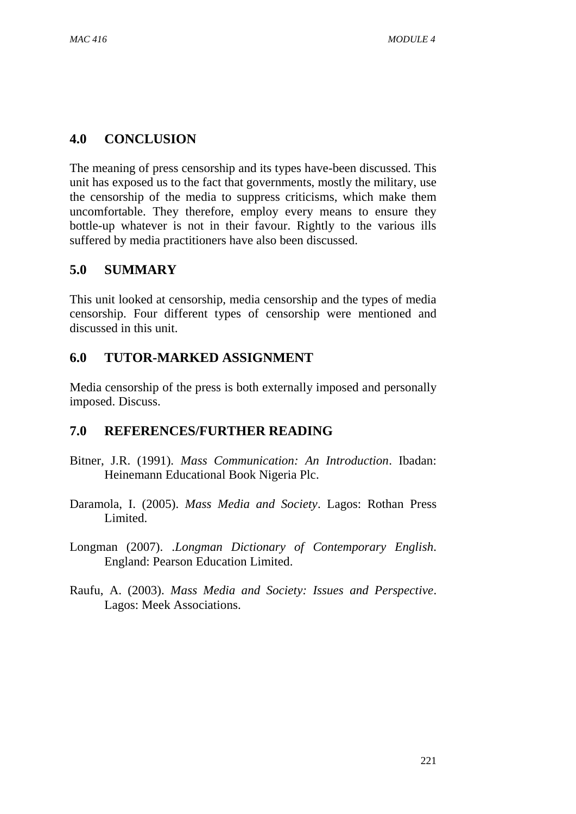#### **4.0 CONCLUSION**

The meaning of press censorship and its types have-been discussed. This unit has exposed us to the fact that governments, mostly the military, use the censorship of the media to suppress criticisms, which make them uncomfortable. They therefore, employ every means to ensure they bottle-up whatever is not in their favour. Rightly to the various ills suffered by media practitioners have also been discussed.

## **5.0 SUMMARY**

This unit looked at censorship, media censorship and the types of media censorship. Four different types of censorship were mentioned and discussed in this unit.

## **6.0 TUTOR-MARKED ASSIGNMENT**

Media censorship of the press is both externally imposed and personally imposed. Discuss.

- Bitner, J.R. (1991). *Mass Communication: An Introduction*. Ibadan: Heinemann Educational Book Nigeria Plc.
- Daramola, I. (2005). *Mass Media and Society*. Lagos: Rothan Press Limited.
- Longman (2007). .*Longman Dictionary of Contemporary English*. England: Pearson Education Limited.
- Raufu, A. (2003). *Mass Media and Society: Issues and Perspective*. Lagos: Meek Associations.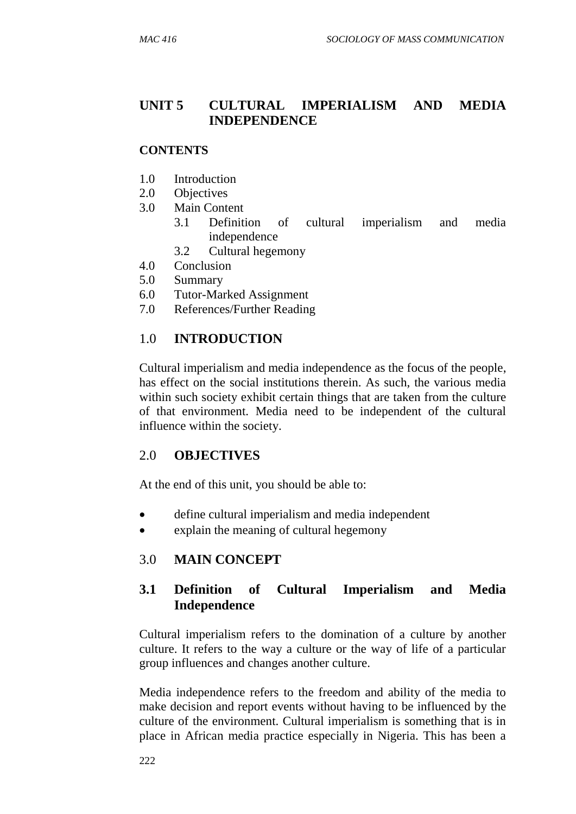## **UNIT 5 CULTURAL IMPERIALISM AND MEDIA INDEPENDENCE**

#### **CONTENTS**

- 1.0 Introduction
- 2.0 Objectives
- 3.0 Main Content
	- 3.1 Definition of cultural imperialism and media independence
	- 3.2 Cultural hegemony
- 4.0 Conclusion
- 5.0 Summary
- 6.0 Tutor-Marked Assignment
- 7.0 References/Further Reading

#### 1.0 **INTRODUCTION**

Cultural imperialism and media independence as the focus of the people, has effect on the social institutions therein. As such, the various media within such society exhibit certain things that are taken from the culture of that environment. Media need to be independent of the cultural influence within the society.

#### 2.0 **OBJECTIVES**

At the end of this unit, you should be able to:

- define cultural imperialism and media independent
- explain the meaning of cultural hegemony

## 3.0 **MAIN CONCEPT**

## **3.1 Definition of Cultural Imperialism and Media Independence**

Cultural imperialism refers to the domination of a culture by another culture. It refers to the way a culture or the way of life of a particular group influences and changes another culture.

Media independence refers to the freedom and ability of the media to make decision and report events without having to be influenced by the culture of the environment. Cultural imperialism is something that is in place in African media practice especially in Nigeria. This has been a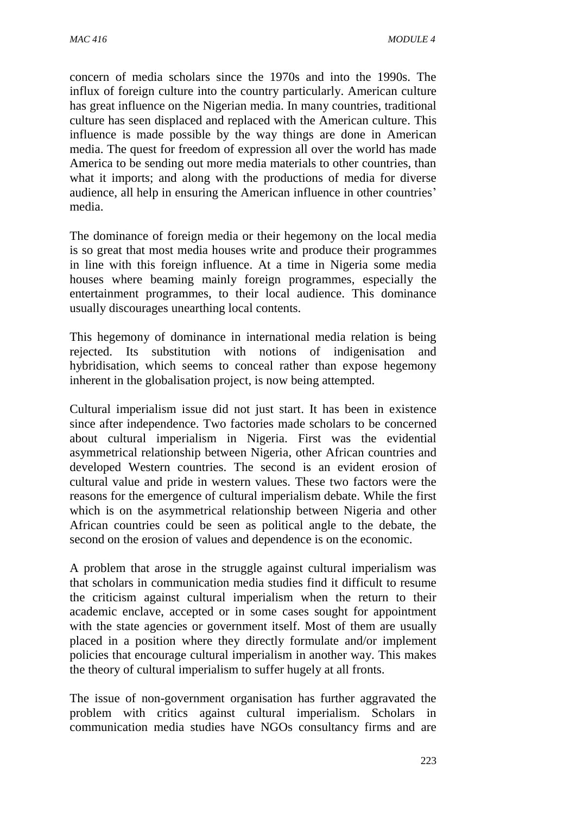concern of media scholars since the 1970s and into the 1990s. The influx of foreign culture into the country particularly. American culture has great influence on the Nigerian media. In many countries, traditional culture has seen displaced and replaced with the American culture. This influence is made possible by the way things are done in American media. The quest for freedom of expression all over the world has made America to be sending out more media materials to other countries, than what it imports; and along with the productions of media for diverse audience, all help in ensuring the American influence in other countries' media.

The dominance of foreign media or their hegemony on the local media is so great that most media houses write and produce their programmes in line with this foreign influence. At a time in Nigeria some media houses where beaming mainly foreign programmes, especially the entertainment programmes, to their local audience. This dominance usually discourages unearthing local contents.

This hegemony of dominance in international media relation is being rejected. Its substitution with notions of indigenisation and hybridisation, which seems to conceal rather than expose hegemony inherent in the globalisation project, is now being attempted.

Cultural imperialism issue did not just start. It has been in existence since after independence. Two factories made scholars to be concerned about cultural imperialism in Nigeria. First was the evidential asymmetrical relationship between Nigeria, other African countries and developed Western countries. The second is an evident erosion of cultural value and pride in western values. These two factors were the reasons for the emergence of cultural imperialism debate. While the first which is on the asymmetrical relationship between Nigeria and other African countries could be seen as political angle to the debate, the second on the erosion of values and dependence is on the economic.

A problem that arose in the struggle against cultural imperialism was that scholars in communication media studies find it difficult to resume the criticism against cultural imperialism when the return to their academic enclave, accepted or in some cases sought for appointment with the state agencies or government itself. Most of them are usually placed in a position where they directly formulate and/or implement policies that encourage cultural imperialism in another way. This makes the theory of cultural imperialism to suffer hugely at all fronts.

The issue of non-government organisation has further aggravated the problem with critics against cultural imperialism. Scholars in communication media studies have NGOs consultancy firms and are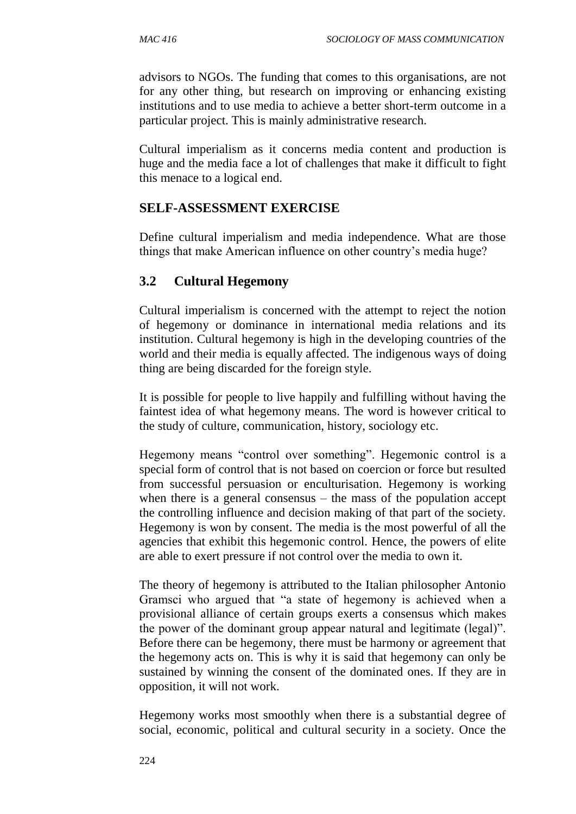advisors to NGOs. The funding that comes to this organisations, are not for any other thing, but research on improving or enhancing existing institutions and to use media to achieve a better short-term outcome in a particular project. This is mainly administrative research.

Cultural imperialism as it concerns media content and production is huge and the media face a lot of challenges that make it difficult to fight this menace to a logical end.

## **SELF-ASSESSMENT EXERCISE**

Define cultural imperialism and media independence. What are those things that make American influence on other country's media huge?

## **3.2 Cultural Hegemony**

Cultural imperialism is concerned with the attempt to reject the notion of hegemony or dominance in international media relations and its institution. Cultural hegemony is high in the developing countries of the world and their media is equally affected. The indigenous ways of doing thing are being discarded for the foreign style.

It is possible for people to live happily and fulfilling without having the faintest idea of what hegemony means. The word is however critical to the study of culture, communication, history, sociology etc.

Hegemony means "control over something". Hegemonic control is a special form of control that is not based on coercion or force but resulted from successful persuasion or enculturisation. Hegemony is working when there is a general consensus – the mass of the population accept the controlling influence and decision making of that part of the society. Hegemony is won by consent. The media is the most powerful of all the agencies that exhibit this hegemonic control. Hence, the powers of elite are able to exert pressure if not control over the media to own it.

The theory of hegemony is attributed to the Italian philosopher Antonio Gramsci who argued that "a state of hegemony is achieved when a provisional alliance of certain groups exerts a consensus which makes the power of the dominant group appear natural and legitimate (legal)". Before there can be hegemony, there must be harmony or agreement that the hegemony acts on. This is why it is said that hegemony can only be sustained by winning the consent of the dominated ones. If they are in opposition, it will not work.

Hegemony works most smoothly when there is a substantial degree of social, economic, political and cultural security in a society. Once the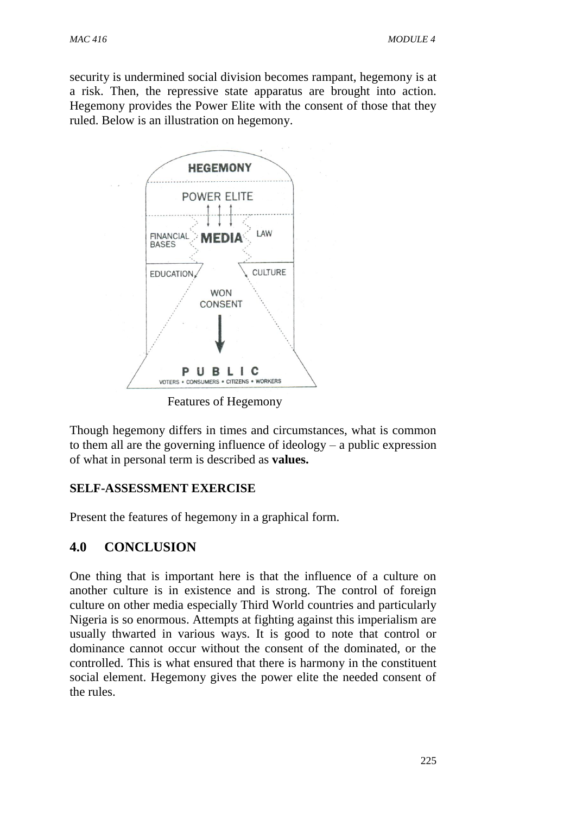security is undermined social division becomes rampant, hegemony is at a risk. Then, the repressive state apparatus are brought into action. Hegemony provides the Power Elite with the consent of those that they ruled. Below is an illustration on hegemony.



Features of Hegemony

Though hegemony differs in times and circumstances, what is common to them all are the governing influence of ideology – a public expression of what in personal term is described as **values.**

#### **SELF-ASSESSMENT EXERCISE**

Present the features of hegemony in a graphical form.

## **4.0 CONCLUSION**

One thing that is important here is that the influence of a culture on another culture is in existence and is strong. The control of foreign culture on other media especially Third World countries and particularly Nigeria is so enormous. Attempts at fighting against this imperialism are usually thwarted in various ways. It is good to note that control or dominance cannot occur without the consent of the dominated, or the controlled. This is what ensured that there is harmony in the constituent social element. Hegemony gives the power elite the needed consent of the rules.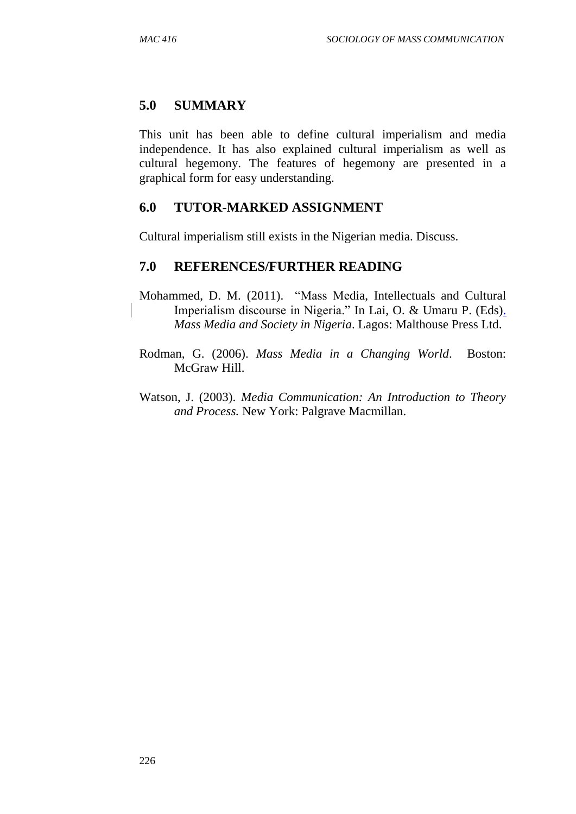## **5.0 SUMMARY**

This unit has been able to define cultural imperialism and media independence. It has also explained cultural imperialism as well as cultural hegemony. The features of hegemony are presented in a graphical form for easy understanding.

#### **6.0 TUTOR-MARKED ASSIGNMENT**

Cultural imperialism still exists in the Nigerian media. Discuss.

- Mohammed, D. M. (2011). "Mass Media, Intellectuals and Cultural Imperialism discourse in Nigeria." In Lai, O. & Umaru P. (Eds). *Mass Media and Society in Nigeria*. Lagos: Malthouse Press Ltd.
- Rodman, G. (2006). *Mass Media in a Changing World*. Boston: McGraw Hill.
- Watson, J. (2003). *Media Communication: An Introduction to Theory and Process.* New York: Palgrave Macmillan.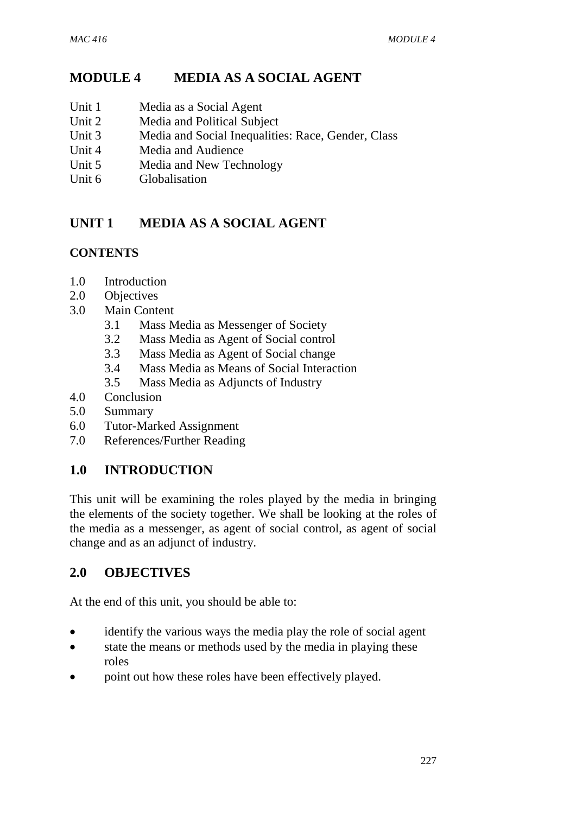# **MODULE 4 MEDIA AS A SOCIAL AGENT**

- Unit 1 Media as a Social Agent
- Unit 2 Media and Political Subject
- Unit 3 Media and Social Inequalities: Race, Gender, Class
- Unit 4 Media and Audience
- Unit 5 Media and New Technology
- Unit 6 Globalisation

# **UNIT 1 MEDIA AS A SOCIAL AGENT**

## **CONTENTS**

- 1.0 Introduction
- 2.0 Objectives
- 3.0 Main Content
	- 3.1 Mass Media as Messenger of Society
	- 3.2 Mass Media as Agent of Social control
	- 3.3 Mass Media as Agent of Social change
	- 3.4 Mass Media as Means of Social Interaction
	- 3.5 Mass Media as Adjuncts of Industry
- 4.0 Conclusion
- 5.0 Summary
- 6.0 Tutor-Marked Assignment
- 7.0 References/Further Reading

## **1.0 INTRODUCTION**

This unit will be examining the roles played by the media in bringing the elements of the society together. We shall be looking at the roles of the media as a messenger, as agent of social control, as agent of social change and as an adjunct of industry.

## **2.0 OBJECTIVES**

At the end of this unit, you should be able to:

- identify the various ways the media play the role of social agent
- state the means or methods used by the media in playing these roles
- point out how these roles have been effectively played.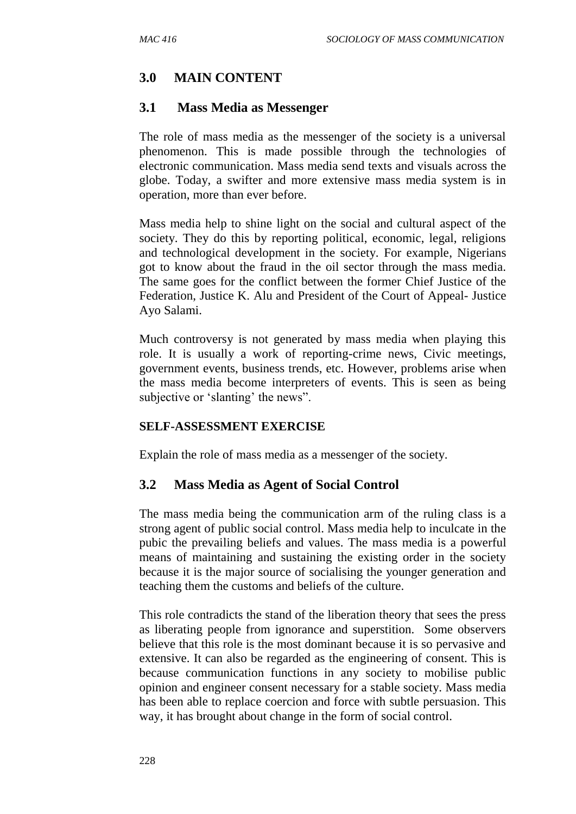# **3.0 MAIN CONTENT**

#### **3.1 Mass Media as Messenger**

The role of mass media as the messenger of the society is a universal phenomenon. This is made possible through the technologies of electronic communication. Mass media send texts and visuals across the globe. Today, a swifter and more extensive mass media system is in operation, more than ever before.

Mass media help to shine light on the social and cultural aspect of the society. They do this by reporting political, economic, legal, religions and technological development in the society. For example, Nigerians got to know about the fraud in the oil sector through the mass media. The same goes for the conflict between the former Chief Justice of the Federation, Justice K. Alu and President of the Court of Appeal- Justice Ayo Salami.

Much controversy is not generated by mass media when playing this role. It is usually a work of reporting-crime news, Civic meetings, government events, business trends, etc. However, problems arise when the mass media become interpreters of events. This is seen as being subjective or 'slanting' the news".

#### **SELF-ASSESSMENT EXERCISE**

Explain the role of mass media as a messenger of the society.

## **3.2 Mass Media as Agent of Social Control**

The mass media being the communication arm of the ruling class is a strong agent of public social control. Mass media help to inculcate in the pubic the prevailing beliefs and values. The mass media is a powerful means of maintaining and sustaining the existing order in the society because it is the major source of socialising the younger generation and teaching them the customs and beliefs of the culture.

This role contradicts the stand of the liberation theory that sees the press as liberating people from ignorance and superstition. Some observers believe that this role is the most dominant because it is so pervasive and extensive. It can also be regarded as the engineering of consent. This is because communication functions in any society to mobilise public opinion and engineer consent necessary for a stable society. Mass media has been able to replace coercion and force with subtle persuasion. This way, it has brought about change in the form of social control.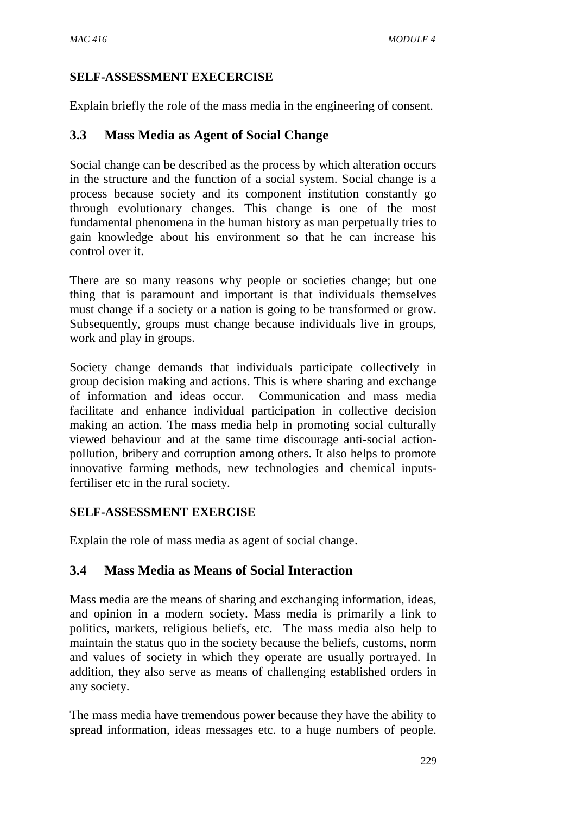#### **SELF-ASSESSMENT EXECERCISE**

Explain briefly the role of the mass media in the engineering of consent.

## **3.3 Mass Media as Agent of Social Change**

Social change can be described as the process by which alteration occurs in the structure and the function of a social system. Social change is a process because society and its component institution constantly go through evolutionary changes. This change is one of the most fundamental phenomena in the human history as man perpetually tries to gain knowledge about his environment so that he can increase his control over it.

There are so many reasons why people or societies change; but one thing that is paramount and important is that individuals themselves must change if a society or a nation is going to be transformed or grow. Subsequently, groups must change because individuals live in groups, work and play in groups.

Society change demands that individuals participate collectively in group decision making and actions. This is where sharing and exchange of information and ideas occur. Communication and mass media facilitate and enhance individual participation in collective decision making an action. The mass media help in promoting social culturally viewed behaviour and at the same time discourage anti-social actionpollution, bribery and corruption among others. It also helps to promote innovative farming methods, new technologies and chemical inputsfertiliser etc in the rural society.

## **SELF-ASSESSMENT EXERCISE**

Explain the role of mass media as agent of social change.

## **3.4 Mass Media as Means of Social Interaction**

Mass media are the means of sharing and exchanging information, ideas, and opinion in a modern society. Mass media is primarily a link to politics, markets, religious beliefs, etc. The mass media also help to maintain the status quo in the society because the beliefs, customs, norm and values of society in which they operate are usually portrayed. In addition, they also serve as means of challenging established orders in any society.

The mass media have tremendous power because they have the ability to spread information, ideas messages etc. to a huge numbers of people.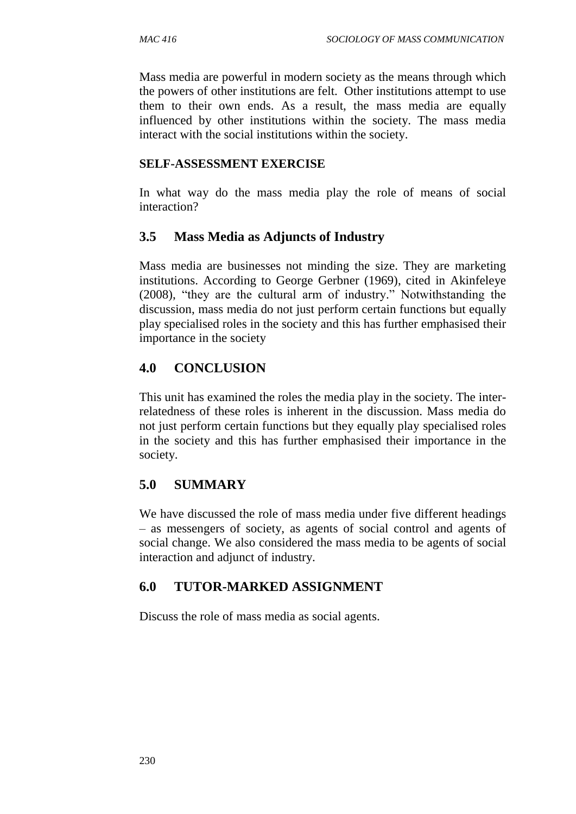Mass media are powerful in modern society as the means through which the powers of other institutions are felt. Other institutions attempt to use them to their own ends. As a result, the mass media are equally influenced by other institutions within the society. The mass media interact with the social institutions within the society.

#### **SELF-ASSESSMENT EXERCISE**

In what way do the mass media play the role of means of social interaction?

## **3.5 Mass Media as Adjuncts of Industry**

Mass media are businesses not minding the size. They are marketing institutions. According to George Gerbner (1969), cited in Akinfeleye (2008), "they are the cultural arm of industry." Notwithstanding the discussion, mass media do not just perform certain functions but equally play specialised roles in the society and this has further emphasised their importance in the society

## **4.0 CONCLUSION**

This unit has examined the roles the media play in the society. The interrelatedness of these roles is inherent in the discussion. Mass media do not just perform certain functions but they equally play specialised roles in the society and this has further emphasised their importance in the society.

## **5.0 SUMMARY**

We have discussed the role of mass media under five different headings – as messengers of society, as agents of social control and agents of social change. We also considered the mass media to be agents of social interaction and adjunct of industry.

## **6.0 TUTOR-MARKED ASSIGNMENT**

Discuss the role of mass media as social agents.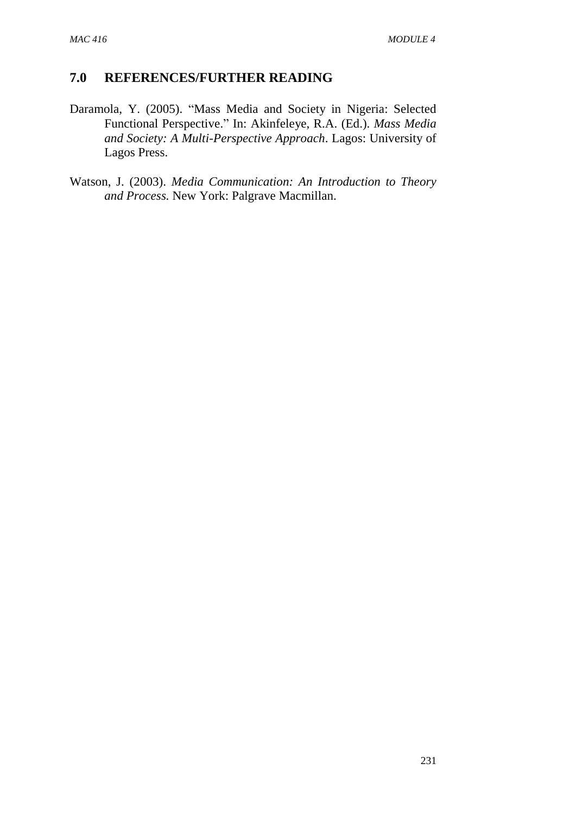- Daramola, Y. (2005). "Mass Media and Society in Nigeria: Selected Functional Perspective." In: Akinfeleye, R.A. (Ed.). *Mass Media and Society: A Multi-Perspective Approach*. Lagos: University of Lagos Press.
- Watson, J. (2003). *Media Communication: An Introduction to Theory and Process.* New York: Palgrave Macmillan.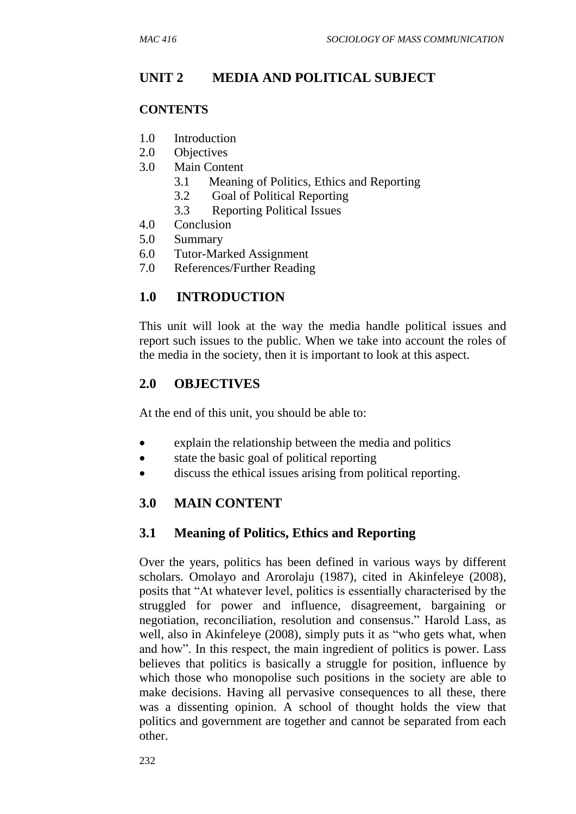# **UNIT 2 MEDIA AND POLITICAL SUBJECT**

#### **CONTENTS**

- 1.0 Introduction
- 2.0 Objectives
- 3.0 Main Content
	- 3.1 Meaning of Politics, Ethics and Reporting
	- 3.2 Goal of Political Reporting
	- 3.3 Reporting Political Issues
- 4.0 Conclusion
- 5.0 Summary
- 6.0 Tutor-Marked Assignment
- 7.0 References/Further Reading

## **1.0 INTRODUCTION**

This unit will look at the way the media handle political issues and report such issues to the public. When we take into account the roles of the media in the society, then it is important to look at this aspect.

## **2.0 OBJECTIVES**

At the end of this unit, you should be able to:

- explain the relationship between the media and politics
- state the basic goal of political reporting
- discuss the ethical issues arising from political reporting.

## **3.0 MAIN CONTENT**

## **3.1 Meaning of Politics, Ethics and Reporting**

Over the years, politics has been defined in various ways by different scholars. Omolayo and Arorolaju (1987), cited in Akinfeleye (2008), posits that "At whatever level, politics is essentially characterised by the struggled for power and influence, disagreement, bargaining or negotiation, reconciliation, resolution and consensus." Harold Lass, as well, also in Akinfeleye (2008), simply puts it as "who gets what, when and how". In this respect, the main ingredient of politics is power. Lass believes that politics is basically a struggle for position, influence by which those who monopolise such positions in the society are able to make decisions. Having all pervasive consequences to all these, there was a dissenting opinion. A school of thought holds the view that politics and government are together and cannot be separated from each other.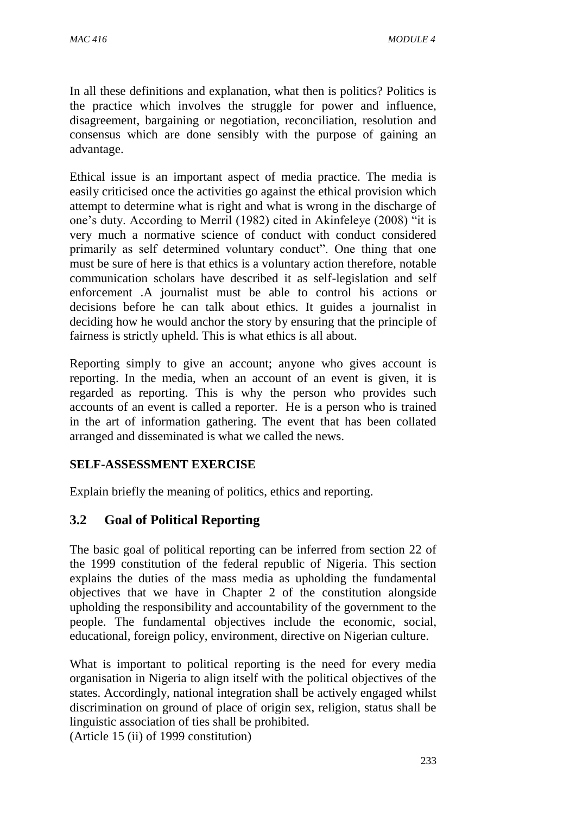In all these definitions and explanation, what then is politics? Politics is the practice which involves the struggle for power and influence, disagreement, bargaining or negotiation, reconciliation, resolution and consensus which are done sensibly with the purpose of gaining an advantage.

Ethical issue is an important aspect of media practice. The media is easily criticised once the activities go against the ethical provision which attempt to determine what is right and what is wrong in the discharge of one's duty. According to Merril (1982) cited in Akinfeleye (2008) "it is very much a normative science of conduct with conduct considered primarily as self determined voluntary conduct". One thing that one must be sure of here is that ethics is a voluntary action therefore, notable communication scholars have described it as self-legislation and self enforcement .A journalist must be able to control his actions or decisions before he can talk about ethics. It guides a journalist in deciding how he would anchor the story by ensuring that the principle of fairness is strictly upheld. This is what ethics is all about.

Reporting simply to give an account; anyone who gives account is reporting. In the media, when an account of an event is given, it is regarded as reporting. This is why the person who provides such accounts of an event is called a reporter. He is a person who is trained in the art of information gathering. The event that has been collated arranged and disseminated is what we called the news.

## **SELF-ASSESSMENT EXERCISE**

Explain briefly the meaning of politics, ethics and reporting.

## **3.2 Goal of Political Reporting**

The basic goal of political reporting can be inferred from section 22 of the 1999 constitution of the federal republic of Nigeria. This section explains the duties of the mass media as upholding the fundamental objectives that we have in Chapter 2 of the constitution alongside upholding the responsibility and accountability of the government to the people. The fundamental objectives include the economic, social, educational, foreign policy, environment, directive on Nigerian culture.

What is important to political reporting is the need for every media organisation in Nigeria to align itself with the political objectives of the states. Accordingly, national integration shall be actively engaged whilst discrimination on ground of place of origin sex, religion, status shall be linguistic association of ties shall be prohibited.

(Article 15 (ii) of 1999 constitution)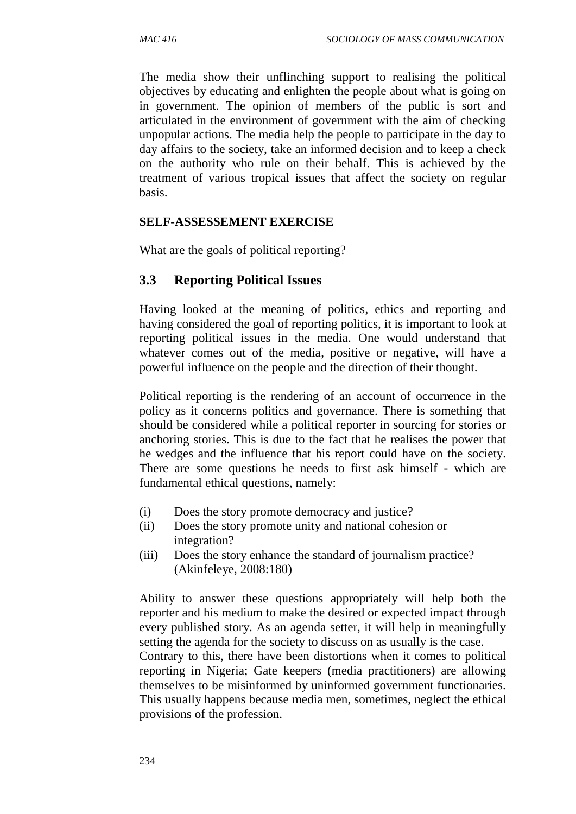The media show their unflinching support to realising the political objectives by educating and enlighten the people about what is going on in government. The opinion of members of the public is sort and articulated in the environment of government with the aim of checking unpopular actions. The media help the people to participate in the day to day affairs to the society, take an informed decision and to keep a check on the authority who rule on their behalf. This is achieved by the treatment of various tropical issues that affect the society on regular basis.

#### **SELF-ASSESSEMENT EXERCISE**

What are the goals of political reporting?

#### **3.3 Reporting Political Issues**

Having looked at the meaning of politics, ethics and reporting and having considered the goal of reporting politics, it is important to look at reporting political issues in the media. One would understand that whatever comes out of the media, positive or negative, will have a powerful influence on the people and the direction of their thought.

Political reporting is the rendering of an account of occurrence in the policy as it concerns politics and governance. There is something that should be considered while a political reporter in sourcing for stories or anchoring stories. This is due to the fact that he realises the power that he wedges and the influence that his report could have on the society. There are some questions he needs to first ask himself - which are fundamental ethical questions, namely:

- (i) Does the story promote democracy and justice?
- (ii) Does the story promote unity and national cohesion or integration?
- (iii) Does the story enhance the standard of journalism practice? (Akinfeleye, 2008:180)

Ability to answer these questions appropriately will help both the reporter and his medium to make the desired or expected impact through every published story. As an agenda setter, it will help in meaningfully setting the agenda for the society to discuss on as usually is the case. Contrary to this, there have been distortions when it comes to political reporting in Nigeria; Gate keepers (media practitioners) are allowing themselves to be misinformed by uninformed government functionaries. This usually happens because media men, sometimes, neglect the ethical provisions of the profession.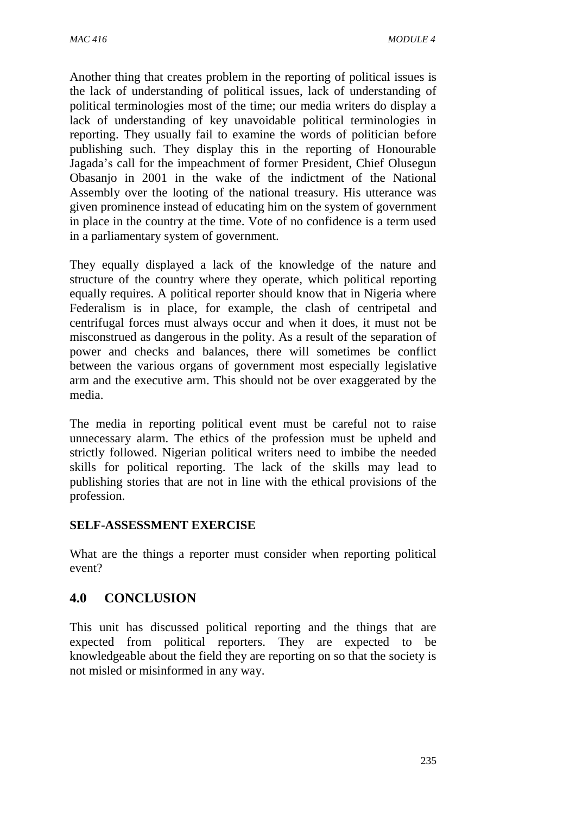Another thing that creates problem in the reporting of political issues is the lack of understanding of political issues, lack of understanding of political terminologies most of the time; our media writers do display a lack of understanding of key unavoidable political terminologies in reporting. They usually fail to examine the words of politician before publishing such. They display this in the reporting of Honourable Jagada's call for the impeachment of former President, Chief Olusegun Obasanjo in 2001 in the wake of the indictment of the National Assembly over the looting of the national treasury. His utterance was given prominence instead of educating him on the system of government in place in the country at the time. Vote of no confidence is a term used in a parliamentary system of government.

They equally displayed a lack of the knowledge of the nature and structure of the country where they operate, which political reporting equally requires. A political reporter should know that in Nigeria where Federalism is in place, for example, the clash of centripetal and centrifugal forces must always occur and when it does, it must not be misconstrued as dangerous in the polity. As a result of the separation of power and checks and balances, there will sometimes be conflict between the various organs of government most especially legislative arm and the executive arm. This should not be over exaggerated by the media.

The media in reporting political event must be careful not to raise unnecessary alarm. The ethics of the profession must be upheld and strictly followed. Nigerian political writers need to imbibe the needed skills for political reporting. The lack of the skills may lead to publishing stories that are not in line with the ethical provisions of the profession.

#### **SELF-ASSESSMENT EXERCISE**

What are the things a reporter must consider when reporting political event?

## **4.0 CONCLUSION**

This unit has discussed political reporting and the things that are expected from political reporters. They are expected to be knowledgeable about the field they are reporting on so that the society is not misled or misinformed in any way.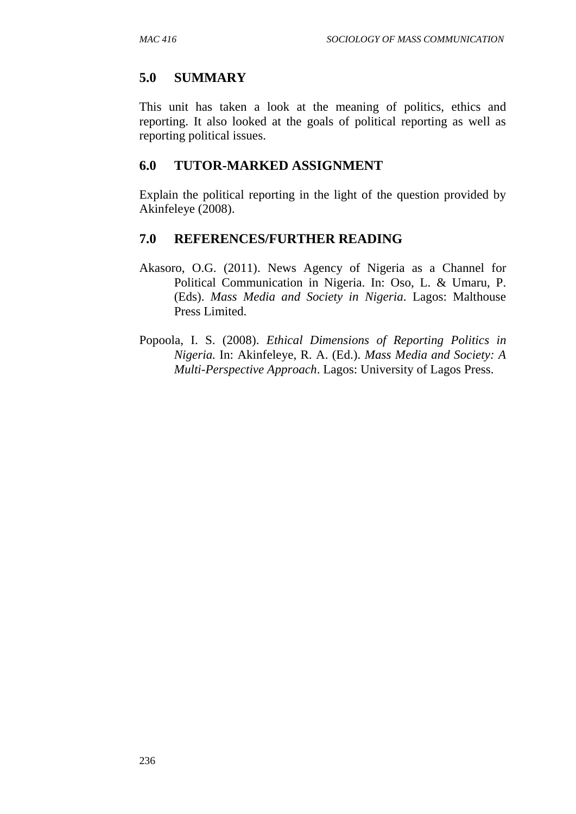## **5.0 SUMMARY**

This unit has taken a look at the meaning of politics, ethics and reporting. It also looked at the goals of political reporting as well as reporting political issues.

## **6.0 TUTOR-MARKED ASSIGNMENT**

Explain the political reporting in the light of the question provided by Akinfeleye (2008).

- Akasoro, O.G. (2011). News Agency of Nigeria as a Channel for Political Communication in Nigeria. In: Oso, L. & Umaru, P. (Eds). *Mass Media and Society in Nigeria*. Lagos: Malthouse Press Limited.
- Popoola, I. S. (2008). *Ethical Dimensions of Reporting Politics in Nigeria.* In: Akinfeleye, R. A. (Ed.). *Mass Media and Society: A Multi-Perspective Approach*. Lagos: University of Lagos Press.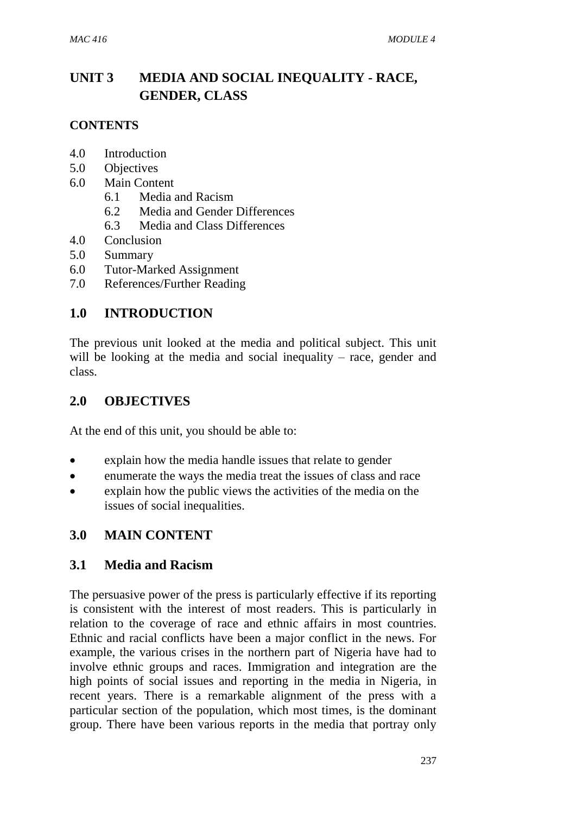# **UNIT 3 MEDIA AND SOCIAL INEQUALITY - RACE, GENDER, CLASS**

#### **CONTENTS**

- 4.0 Introduction
- 5.0 Objectives
- 6.0 Main Content
	- 6.1 Media and Racism
	- 6.2 Media and Gender Differences
	- 6.3 Media and Class Differences
- 4.0 Conclusion
- 5.0 Summary
- 6.0 Tutor-Marked Assignment
- 7.0 References/Further Reading

#### **1.0 INTRODUCTION**

The previous unit looked at the media and political subject. This unit will be looking at the media and social inequality – race, gender and class.

#### **2.0 OBJECTIVES**

At the end of this unit, you should be able to:

- explain how the media handle issues that relate to gender
- enumerate the ways the media treat the issues of class and race
- explain how the public views the activities of the media on the issues of social inequalities.

## **3.0 MAIN CONTENT**

#### **3.1 Media and Racism**

The persuasive power of the press is particularly effective if its reporting is consistent with the interest of most readers. This is particularly in relation to the coverage of race and ethnic affairs in most countries. Ethnic and racial conflicts have been a major conflict in the news. For example, the various crises in the northern part of Nigeria have had to involve ethnic groups and races. Immigration and integration are the high points of social issues and reporting in the media in Nigeria, in recent years. There is a remarkable alignment of the press with a particular section of the population, which most times, is the dominant group. There have been various reports in the media that portray only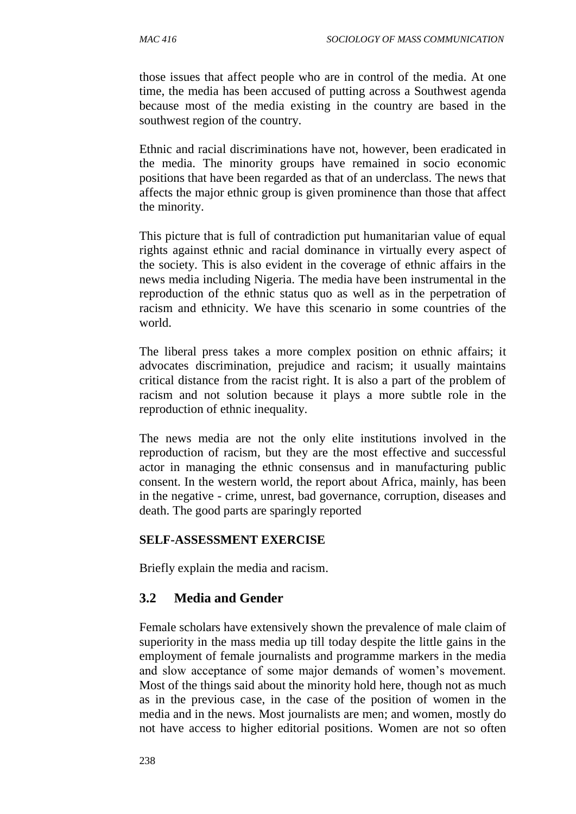those issues that affect people who are in control of the media. At one time, the media has been accused of putting across a Southwest agenda because most of the media existing in the country are based in the southwest region of the country.

Ethnic and racial discriminations have not, however, been eradicated in the media. The minority groups have remained in socio economic positions that have been regarded as that of an underclass. The news that affects the major ethnic group is given prominence than those that affect the minority.

This picture that is full of contradiction put humanitarian value of equal rights against ethnic and racial dominance in virtually every aspect of the society. This is also evident in the coverage of ethnic affairs in the news media including Nigeria. The media have been instrumental in the reproduction of the ethnic status quo as well as in the perpetration of racism and ethnicity. We have this scenario in some countries of the world.

The liberal press takes a more complex position on ethnic affairs; it advocates discrimination, prejudice and racism; it usually maintains critical distance from the racist right. It is also a part of the problem of racism and not solution because it plays a more subtle role in the reproduction of ethnic inequality.

The news media are not the only elite institutions involved in the reproduction of racism, but they are the most effective and successful actor in managing the ethnic consensus and in manufacturing public consent. In the western world, the report about Africa, mainly, has been in the negative - crime, unrest, bad governance, corruption, diseases and death. The good parts are sparingly reported

#### **SELF-ASSESSMENT EXERCISE**

Briefly explain the media and racism.

## **3.2 Media and Gender**

Female scholars have extensively shown the prevalence of male claim of superiority in the mass media up till today despite the little gains in the employment of female journalists and programme markers in the media and slow acceptance of some major demands of women's movement. Most of the things said about the minority hold here, though not as much as in the previous case, in the case of the position of women in the media and in the news. Most journalists are men; and women, mostly do not have access to higher editorial positions. Women are not so often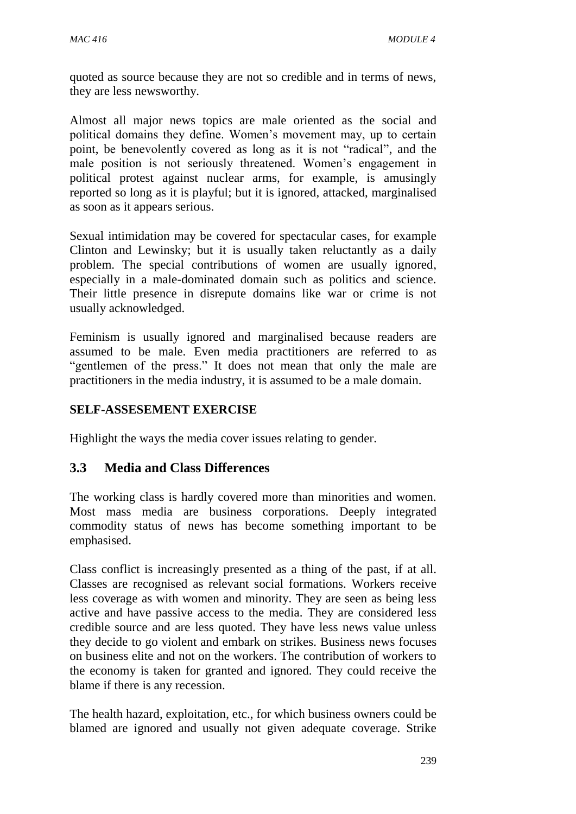quoted as source because they are not so credible and in terms of news, they are less newsworthy.

Almost all major news topics are male oriented as the social and political domains they define. Women's movement may, up to certain point, be benevolently covered as long as it is not "radical", and the male position is not seriously threatened. Women's engagement in political protest against nuclear arms, for example, is amusingly reported so long as it is playful; but it is ignored, attacked, marginalised as soon as it appears serious.

Sexual intimidation may be covered for spectacular cases, for example Clinton and Lewinsky; but it is usually taken reluctantly as a daily problem. The special contributions of women are usually ignored, especially in a male-dominated domain such as politics and science. Their little presence in disrepute domains like war or crime is not usually acknowledged.

Feminism is usually ignored and marginalised because readers are assumed to be male. Even media practitioners are referred to as "gentlemen of the press." It does not mean that only the male are practitioners in the media industry, it is assumed to be a male domain.

#### **SELF-ASSESEMENT EXERCISE**

Highlight the ways the media cover issues relating to gender.

## **3.3 Media and Class Differences**

The working class is hardly covered more than minorities and women. Most mass media are business corporations. Deeply integrated commodity status of news has become something important to be emphasised.

Class conflict is increasingly presented as a thing of the past, if at all. Classes are recognised as relevant social formations. Workers receive less coverage as with women and minority. They are seen as being less active and have passive access to the media. They are considered less credible source and are less quoted. They have less news value unless they decide to go violent and embark on strikes. Business news focuses on business elite and not on the workers. The contribution of workers to the economy is taken for granted and ignored. They could receive the blame if there is any recession.

The health hazard, exploitation, etc., for which business owners could be blamed are ignored and usually not given adequate coverage. Strike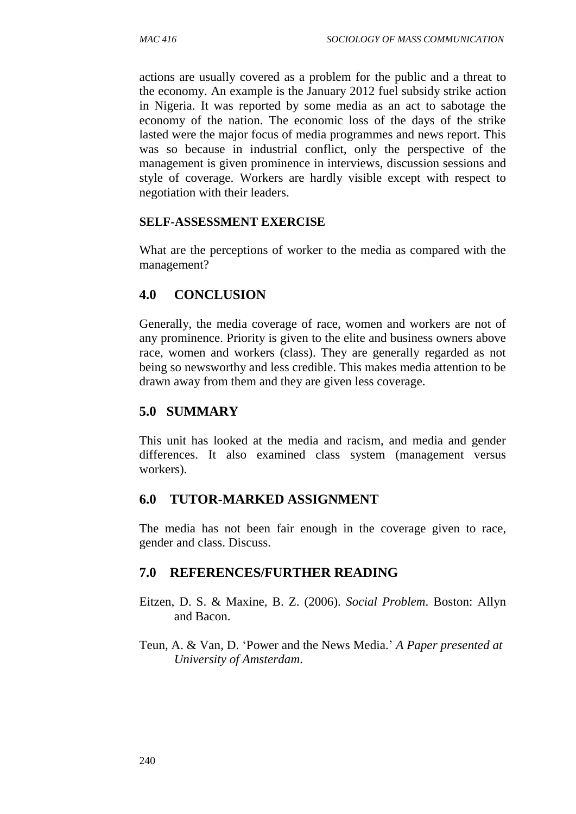actions are usually covered as a problem for the public and a threat to the economy. An example is the January 2012 fuel subsidy strike action in Nigeria. It was reported by some media as an act to sabotage the economy of the nation. The economic loss of the days of the strike lasted were the major focus of media programmes and news report. This was so because in industrial conflict, only the perspective of the management is given prominence in interviews, discussion sessions and style of coverage. Workers are hardly visible except with respect to negotiation with their leaders.

#### **SELF-ASSESSMENT EXERCISE**

What are the perceptions of worker to the media as compared with the management?

#### **4.0 CONCLUSION**

Generally, the media coverage of race, women and workers are not of any prominence. Priority is given to the elite and business owners above race, women and workers (class). They are generally regarded as not being so newsworthy and less credible. This makes media attention to be drawn away from them and they are given less coverage.

#### **5.0 SUMMARY**

This unit has looked at the media and racism, and media and gender differences. It also examined class system (management versus workers).

#### **6.0 TUTOR-MARKED ASSIGNMENT**

The media has not been fair enough in the coverage given to race, gender and class. Discuss.

- Eitzen, D. S. & Maxine, B. Z. (2006). *Social Problem*. Boston: Allyn and Bacon.
- Teun, A. & Van, D. 'Power and the News Media.' *A Paper presented at University of Amsterdam*.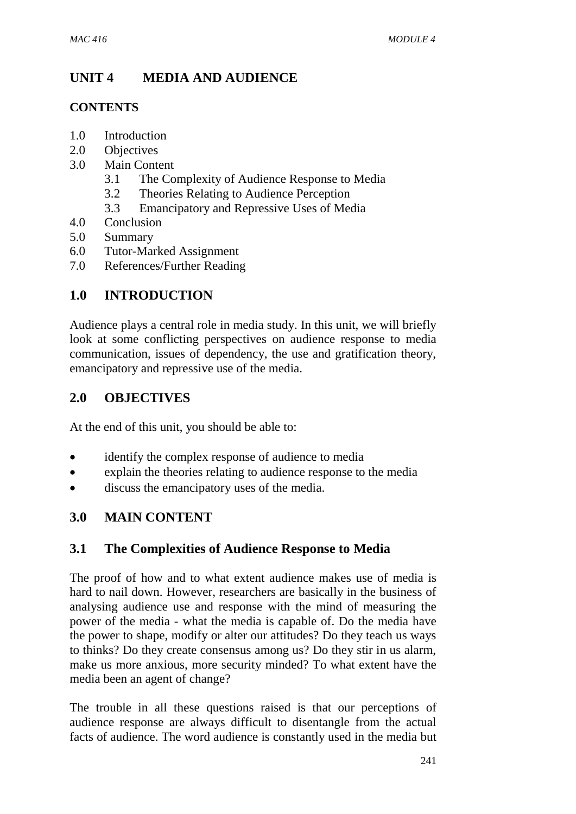# **UNIT 4 MEDIA AND AUDIENCE**

#### **CONTENTS**

- 1.0 Introduction
- 2.0 Objectives
- 3.0 Main Content
	- 3.1 The Complexity of Audience Response to Media
	- 3.2 Theories Relating to Audience Perception
	- 3.3 Emancipatory and Repressive Uses of Media
- 4.0 Conclusion
- 5.0 Summary
- 6.0 Tutor-Marked Assignment
- 7.0 References/Further Reading

## **1.0 INTRODUCTION**

Audience plays a central role in media study. In this unit, we will briefly look at some conflicting perspectives on audience response to media communication, issues of dependency, the use and gratification theory, emancipatory and repressive use of the media.

## **2.0 OBJECTIVES**

At the end of this unit, you should be able to:

- identify the complex response of audience to media
- explain the theories relating to audience response to the media
- discuss the emancipatory uses of the media.

## **3.0 MAIN CONTENT**

## **3.1 The Complexities of Audience Response to Media**

The proof of how and to what extent audience makes use of media is hard to nail down. However, researchers are basically in the business of analysing audience use and response with the mind of measuring the power of the media - what the media is capable of. Do the media have the power to shape, modify or alter our attitudes? Do they teach us ways to thinks? Do they create consensus among us? Do they stir in us alarm, make us more anxious, more security minded? To what extent have the media been an agent of change?

The trouble in all these questions raised is that our perceptions of audience response are always difficult to disentangle from the actual facts of audience. The word audience is constantly used in the media but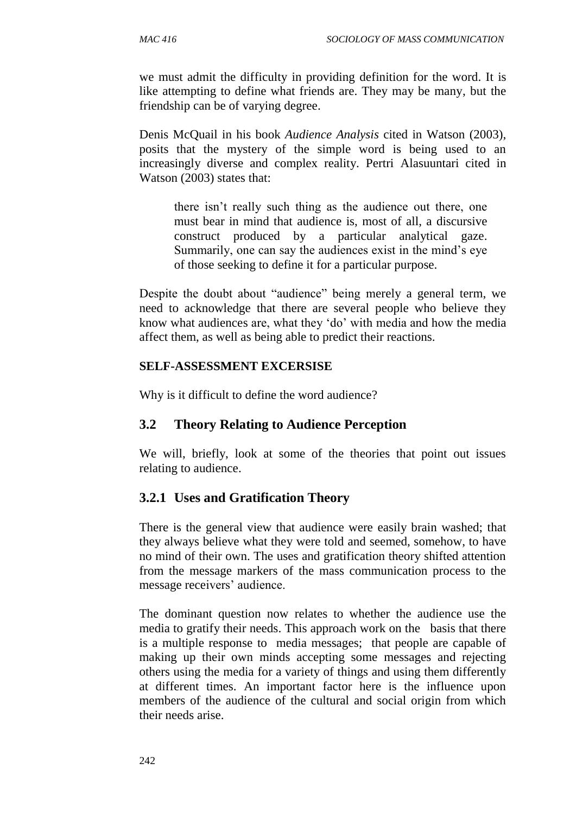we must admit the difficulty in providing definition for the word. It is like attempting to define what friends are. They may be many, but the friendship can be of varying degree.

Denis McQuail in his book *Audience Analysis* cited in Watson (2003), posits that the mystery of the simple word is being used to an increasingly diverse and complex reality. Pertri Alasuuntari cited in Watson (2003) states that:

there isn't really such thing as the audience out there, one must bear in mind that audience is, most of all, a discursive construct produced by a particular analytical gaze. Summarily, one can say the audiences exist in the mind's eye of those seeking to define it for a particular purpose.

Despite the doubt about "audience" being merely a general term, we need to acknowledge that there are several people who believe they know what audiences are, what they 'do' with media and how the media affect them, as well as being able to predict their reactions.

#### **SELF-ASSESSMENT EXCERSISE**

Why is it difficult to define the word audience?

## **3.2 Theory Relating to Audience Perception**

We will, briefly, look at some of the theories that point out issues relating to audience.

## **3.2.1 Uses and Gratification Theory**

There is the general view that audience were easily brain washed; that they always believe what they were told and seemed, somehow, to have no mind of their own. The uses and gratification theory shifted attention from the message markers of the mass communication process to the message receivers' audience.

The dominant question now relates to whether the audience use the media to gratify their needs. This approach work on the basis that there is a multiple response to media messages; that people are capable of making up their own minds accepting some messages and rejecting others using the media for a variety of things and using them differently at different times. An important factor here is the influence upon members of the audience of the cultural and social origin from which their needs arise.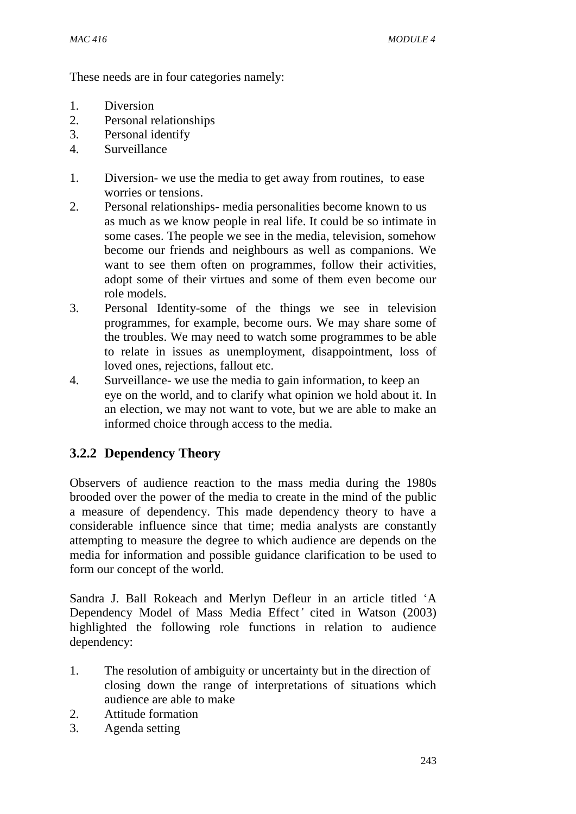These needs are in four categories namely:

- 1. Diversion
- 2. Personal relationships
- 3. Personal identify
- 4. Surveillance
- 1. Diversion- we use the media to get away from routines, to ease worries or tensions.
- 2. Personal relationships- media personalities become known to us as much as we know people in real life. It could be so intimate in some cases. The people we see in the media, television, somehow become our friends and neighbours as well as companions. We want to see them often on programmes, follow their activities, adopt some of their virtues and some of them even become our role models.
- 3. Personal Identity-some of the things we see in television programmes, for example, become ours. We may share some of the troubles. We may need to watch some programmes to be able to relate in issues as unemployment, disappointment, loss of loved ones, rejections, fallout etc.
- 4. Surveillance- we use the media to gain information, to keep an eye on the world, and to clarify what opinion we hold about it. In an election, we may not want to vote, but we are able to make an informed choice through access to the media.

## **3.2.2 Dependency Theory**

Observers of audience reaction to the mass media during the 1980s brooded over the power of the media to create in the mind of the public a measure of dependency. This made dependency theory to have a considerable influence since that time; media analysts are constantly attempting to measure the degree to which audience are depends on the media for information and possible guidance clarification to be used to form our concept of the world.

Sandra J. Ball Rokeach and Merlyn Defleur in an article titled 'A Dependency Model of Mass Media Effect*'* cited in Watson (2003) highlighted the following role functions in relation to audience dependency:

- 1. The resolution of ambiguity or uncertainty but in the direction of closing down the range of interpretations of situations which audience are able to make
- 2. Attitude formation
- 3. Agenda setting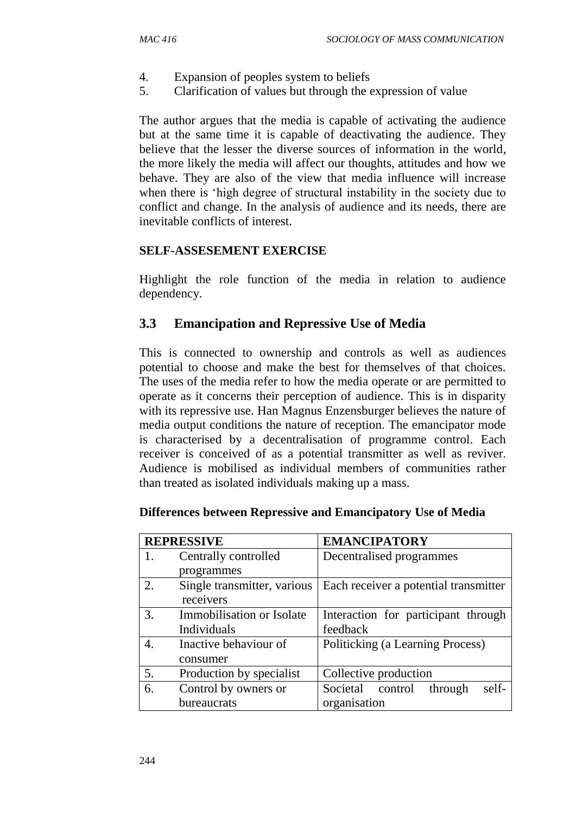- 4. Expansion of peoples system to beliefs
- 5. Clarification of values but through the expression of value

The author argues that the media is capable of activating the audience but at the same time it is capable of deactivating the audience. They believe that the lesser the diverse sources of information in the world, the more likely the media will affect our thoughts, attitudes and how we behave. They are also of the view that media influence will increase when there is 'high degree of structural instability in the society due to conflict and change. In the analysis of audience and its needs, there are inevitable conflicts of interest.

#### **SELF-ASSESEMENT EXERCISE**

Highlight the role function of the media in relation to audience dependency.

#### **3.3 Emancipation and Repressive Use of Media**

This is connected to ownership and controls as well as audiences potential to choose and make the best for themselves of that choices. The uses of the media refer to how the media operate or are permitted to operate as it concerns their perception of audience. This is in disparity with its repressive use. Han Magnus Enzensburger believes the nature of media output conditions the nature of reception. The emancipator mode is characterised by a decentralisation of programme control. Each receiver is conceived of as a potential transmitter as well as reviver. Audience is mobilised as individual members of communities rather than treated as isolated individuals making up a mass.

| <b>REPRESSIVE</b> |                             | <b>EMANCIPATORY</b>                   |
|-------------------|-----------------------------|---------------------------------------|
| 1.                | Centrally controlled        | Decentralised programmes              |
|                   | programmes                  |                                       |
| 2.                | Single transmitter, various | Each receiver a potential transmitter |
|                   | receivers                   |                                       |
| 3.                | Immobilisation or Isolate   | Interaction for participant through   |
|                   | Individuals                 | feedback                              |
| 4.                | Inactive behaviour of       | Politicking (a Learning Process)      |
|                   | consumer                    |                                       |
| 5.                | Production by specialist    | Collective production                 |
| 6.                | Control by owners or        | Societal control<br>self-<br>through  |
|                   | bureaucrats                 | organisation                          |

#### **Differences between Repressive and Emancipatory Use of Media**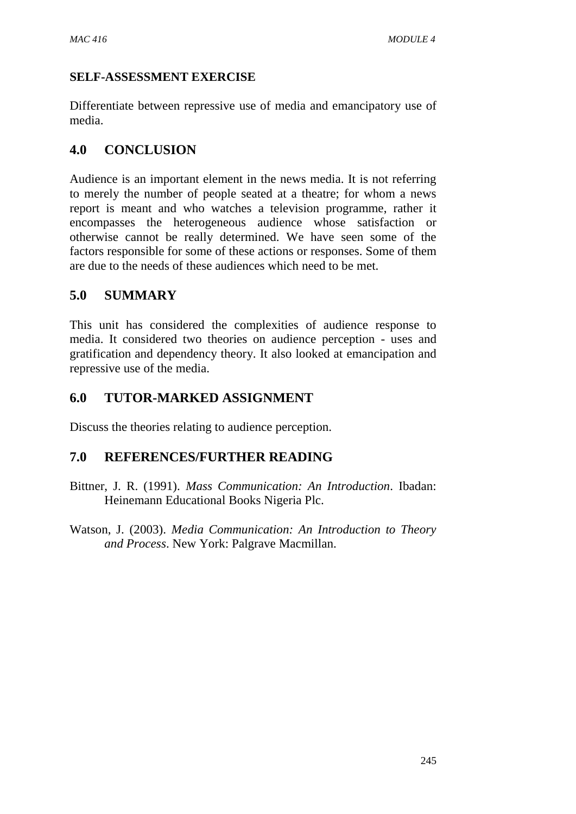## **SELF-ASSESSMENT EXERCISE**

Differentiate between repressive use of media and emancipatory use of media.

## **4.0 CONCLUSION**

Audience is an important element in the news media. It is not referring to merely the number of people seated at a theatre; for whom a news report is meant and who watches a television programme, rather it encompasses the heterogeneous audience whose satisfaction or otherwise cannot be really determined. We have seen some of the factors responsible for some of these actions or responses. Some of them are due to the needs of these audiences which need to be met.

## **5.0 SUMMARY**

This unit has considered the complexities of audience response to media. It considered two theories on audience perception - uses and gratification and dependency theory. It also looked at emancipation and repressive use of the media.

## **6.0 TUTOR-MARKED ASSIGNMENT**

Discuss the theories relating to audience perception.

- Bittner, J. R. (1991). *Mass Communication: An Introduction*. Ibadan: Heinemann Educational Books Nigeria Plc.
- Watson, J. (2003). *Media Communication: An Introduction to Theory and Process*. New York: Palgrave Macmillan.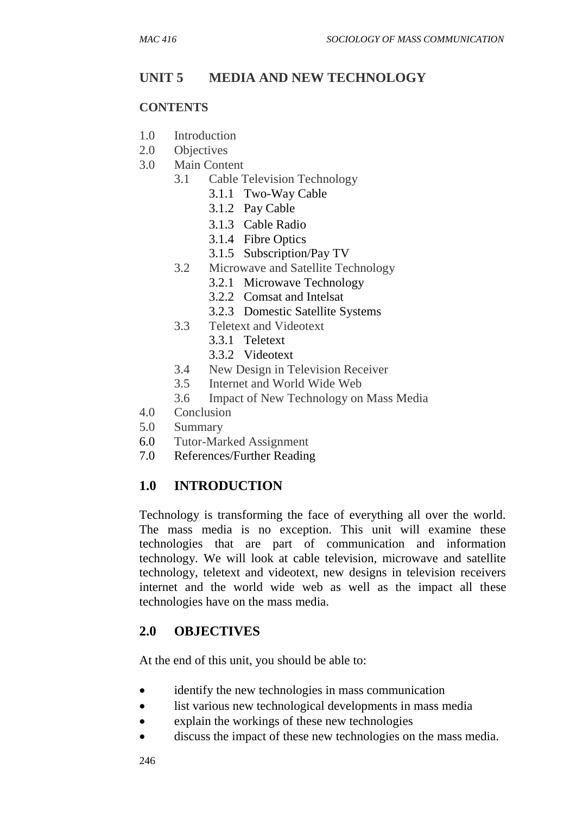## **UNIT 5 MEDIA AND NEW TECHNOLOGY**

#### **CONTENTS**

- 1.0 Introduction
- 2.0 Objectives
- 3.0 Main Content
	- 3.1 Cable Television Technology
		- 3.1.1 Two-Way Cable
		- 3.1.2 Pay Cable
		- 3.1.3 Cable Radio
		- 3.1.4 Fibre Optics
		- 3.1.5 Subscription/Pay TV
	- 3.2 Microwave and Satellite Technology
		- 3.2.1 Microwave Technology
		- 3.2.2 Comsat and Intelsat
		- 3.2.3 Domestic Satellite Systems
	- 3.3 Teletext and Videotext
		- 3.3.1 Teletext
		- 3.3.2 Videotext
	- 3.4 New Design in Television Receiver
	- 3.5 Internet and World Wide Web
	- 3.6 Impact of New Technology on Mass Media
- 4.0 Conclusion
- 5.0 Summary
- 6.0 Tutor-Marked Assignment
- 7.0 References/Further Reading

## **1.0 INTRODUCTION**

Technology is transforming the face of everything all over the world. The mass media is no exception. This unit will examine these technologies that are part of communication and information technology. We will look at cable television, microwave and satellite technology, teletext and videotext, new designs in television receivers internet and the world wide web as well as the impact all these technologies have on the mass media.

## **2.0 OBJECTIVES**

At the end of this unit, you should be able to:

- identify the new technologies in mass communication
- list various new technological developments in mass media
- explain the workings of these new technologies
- discuss the impact of these new technologies on the mass media.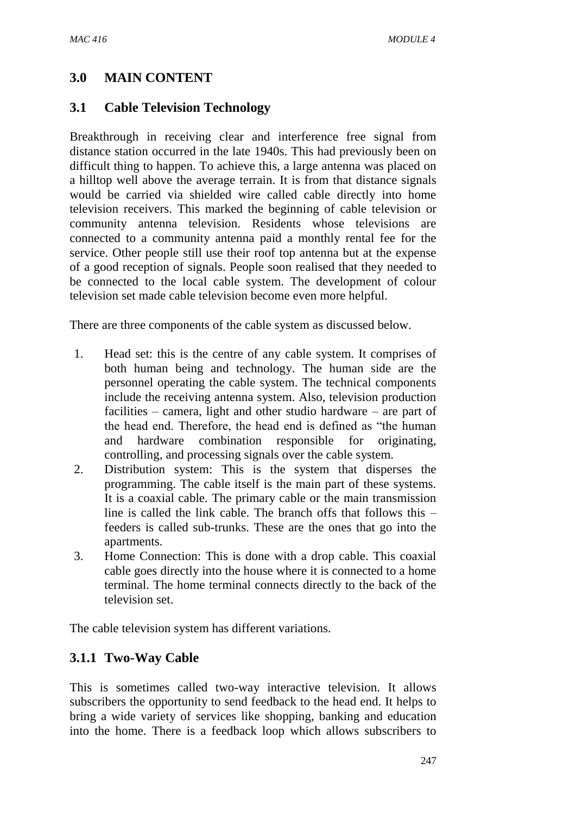## **3.0 MAIN CONTENT**

#### **3.1 Cable Television Technology**

Breakthrough in receiving clear and interference free signal from distance station occurred in the late 1940s. This had previously been on difficult thing to happen. To achieve this, a large antenna was placed on a hilltop well above the average terrain. It is from that distance signals would be carried via shielded wire called cable directly into home television receivers. This marked the beginning of cable television or community antenna television. Residents whose televisions are connected to a community antenna paid a monthly rental fee for the service. Other people still use their roof top antenna but at the expense of a good reception of signals. People soon realised that they needed to be connected to the local cable system. The development of colour television set made cable television become even more helpful.

There are three components of the cable system as discussed below.

- 1. Head set: this is the centre of any cable system. It comprises of both human being and technology. The human side are the personnel operating the cable system. The technical components include the receiving antenna system. Also, television production facilities – camera, light and other studio hardware – are part of the head end. Therefore, the head end is defined as "the human and hardware combination responsible for originating, controlling, and processing signals over the cable system.
- 2. Distribution system: This is the system that disperses the programming. The cable itself is the main part of these systems. It is a coaxial cable. The primary cable or the main transmission line is called the link cable. The branch offs that follows this – feeders is called sub-trunks. These are the ones that go into the apartments.
- 3. Home Connection: This is done with a drop cable. This coaxial cable goes directly into the house where it is connected to a home terminal. The home terminal connects directly to the back of the television set.

The cable television system has different variations.

## **3.1.1 Two-Way Cable**

This is sometimes called two-way interactive television. It allows subscribers the opportunity to send feedback to the head end. It helps to bring a wide variety of services like shopping, banking and education into the home. There is a feedback loop which allows subscribers to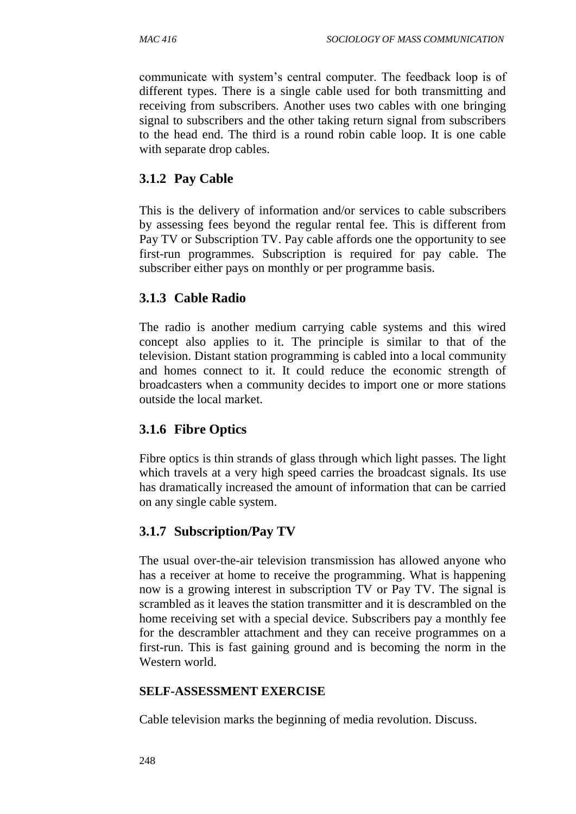communicate with system's central computer. The feedback loop is of different types. There is a single cable used for both transmitting and receiving from subscribers. Another uses two cables with one bringing signal to subscribers and the other taking return signal from subscribers to the head end. The third is a round robin cable loop. It is one cable with separate drop cables.

# **3.1.2 Pay Cable**

This is the delivery of information and/or services to cable subscribers by assessing fees beyond the regular rental fee. This is different from Pay TV or Subscription TV. Pay cable affords one the opportunity to see first-run programmes. Subscription is required for pay cable. The subscriber either pays on monthly or per programme basis.

# **3.1.3 Cable Radio**

The radio is another medium carrying cable systems and this wired concept also applies to it. The principle is similar to that of the television. Distant station programming is cabled into a local community and homes connect to it. It could reduce the economic strength of broadcasters when a community decides to import one or more stations outside the local market.

### **3.1.6 Fibre Optics**

Fibre optics is thin strands of glass through which light passes. The light which travels at a very high speed carries the broadcast signals. Its use has dramatically increased the amount of information that can be carried on any single cable system.

# **3.1.7 Subscription/Pay TV**

The usual over-the-air television transmission has allowed anyone who has a receiver at home to receive the programming. What is happening now is a growing interest in subscription TV or Pay TV. The signal is scrambled as it leaves the station transmitter and it is descrambled on the home receiving set with a special device. Subscribers pay a monthly fee for the descrambler attachment and they can receive programmes on a first-run. This is fast gaining ground and is becoming the norm in the Western world.

#### **SELF-ASSESSMENT EXERCISE**

Cable television marks the beginning of media revolution. Discuss.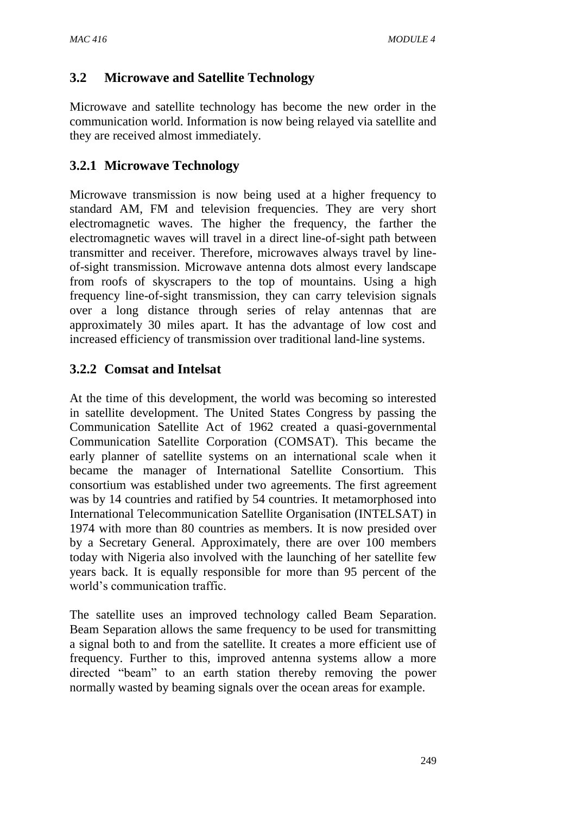# **3.2 Microwave and Satellite Technology**

Microwave and satellite technology has become the new order in the communication world. Information is now being relayed via satellite and they are received almost immediately.

# **3.2.1 Microwave Technology**

Microwave transmission is now being used at a higher frequency to standard AM, FM and television frequencies. They are very short electromagnetic waves. The higher the frequency, the farther the electromagnetic waves will travel in a direct line-of-sight path between transmitter and receiver. Therefore, microwaves always travel by lineof-sight transmission. Microwave antenna dots almost every landscape from roofs of skyscrapers to the top of mountains. Using a high frequency line-of-sight transmission, they can carry television signals over a long distance through series of relay antennas that are approximately 30 miles apart. It has the advantage of low cost and increased efficiency of transmission over traditional land-line systems.

# **3.2.2 Comsat and Intelsat**

At the time of this development, the world was becoming so interested in satellite development. The United States Congress by passing the Communication Satellite Act of 1962 created a quasi-governmental Communication Satellite Corporation (COMSAT). This became the early planner of satellite systems on an international scale when it became the manager of International Satellite Consortium. This consortium was established under two agreements. The first agreement was by 14 countries and ratified by 54 countries. It metamorphosed into International Telecommunication Satellite Organisation (INTELSAT) in 1974 with more than 80 countries as members. It is now presided over by a Secretary General. Approximately, there are over 100 members today with Nigeria also involved with the launching of her satellite few years back. It is equally responsible for more than 95 percent of the world's communication traffic.

The satellite uses an improved technology called Beam Separation. Beam Separation allows the same frequency to be used for transmitting a signal both to and from the satellite. It creates a more efficient use of frequency. Further to this, improved antenna systems allow a more directed "beam" to an earth station thereby removing the power normally wasted by beaming signals over the ocean areas for example.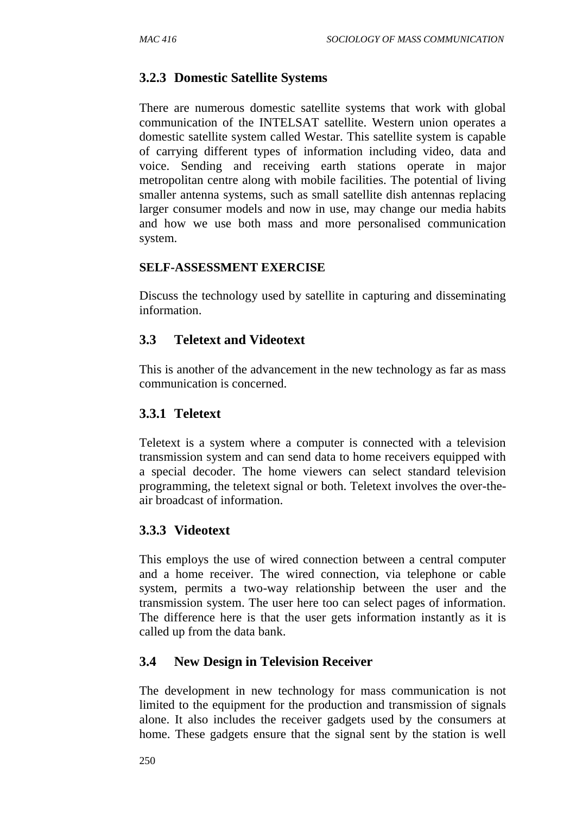# **3.2.3 Domestic Satellite Systems**

There are numerous domestic satellite systems that work with global communication of the INTELSAT satellite. Western union operates a domestic satellite system called Westar. This satellite system is capable of carrying different types of information including video, data and voice. Sending and receiving earth stations operate in major metropolitan centre along with mobile facilities. The potential of living smaller antenna systems, such as small satellite dish antennas replacing larger consumer models and now in use, may change our media habits and how we use both mass and more personalised communication system.

#### **SELF-ASSESSMENT EXERCISE**

Discuss the technology used by satellite in capturing and disseminating information.

#### **3.3 Teletext and Videotext**

This is another of the advancement in the new technology as far as mass communication is concerned.

### **3.3.1 Teletext**

Teletext is a system where a computer is connected with a television transmission system and can send data to home receivers equipped with a special decoder. The home viewers can select standard television programming, the teletext signal or both. Teletext involves the over-theair broadcast of information.

### **3.3.3 Videotext**

This employs the use of wired connection between a central computer and a home receiver. The wired connection, via telephone or cable system, permits a two-way relationship between the user and the transmission system. The user here too can select pages of information. The difference here is that the user gets information instantly as it is called up from the data bank.

### **3.4 New Design in Television Receiver**

The development in new technology for mass communication is not limited to the equipment for the production and transmission of signals alone. It also includes the receiver gadgets used by the consumers at home. These gadgets ensure that the signal sent by the station is well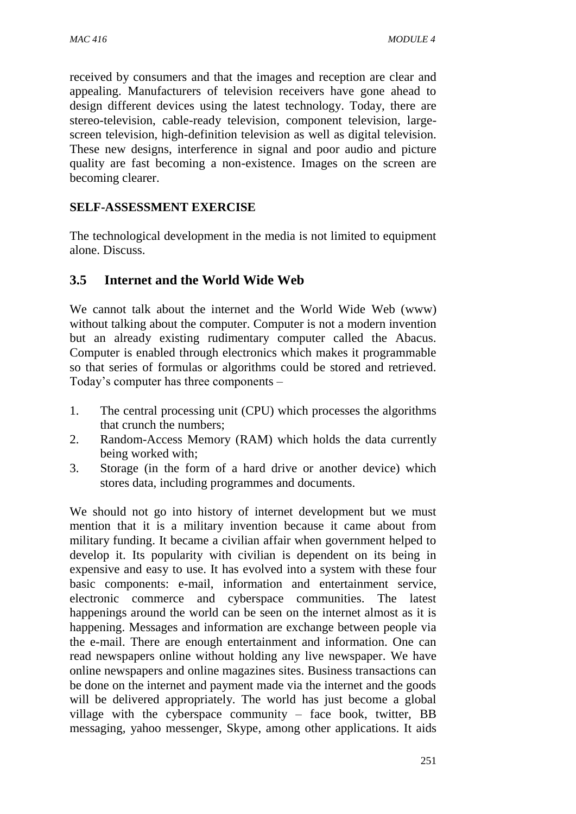received by consumers and that the images and reception are clear and appealing. Manufacturers of television receivers have gone ahead to design different devices using the latest technology. Today, there are stereo-television, cable-ready television, component television, largescreen television, high-definition television as well as digital television. These new designs, interference in signal and poor audio and picture quality are fast becoming a non-existence. Images on the screen are becoming clearer.

### **SELF-ASSESSMENT EXERCISE**

The technological development in the media is not limited to equipment alone. Discuss.

# **3.5 Internet and the World Wide Web**

We cannot talk about the internet and the World Wide Web (www) without talking about the computer. Computer is not a modern invention but an already existing rudimentary computer called the Abacus. Computer is enabled through electronics which makes it programmable so that series of formulas or algorithms could be stored and retrieved. Today's computer has three components –

- 1. The central processing unit (CPU) which processes the algorithms that crunch the numbers;
- 2. Random-Access Memory (RAM) which holds the data currently being worked with;
- 3. Storage (in the form of a hard drive or another device) which stores data, including programmes and documents.

We should not go into history of internet development but we must mention that it is a military invention because it came about from military funding. It became a civilian affair when government helped to develop it. Its popularity with civilian is dependent on its being in expensive and easy to use. It has evolved into a system with these four basic components: e-mail, information and entertainment service, electronic commerce and cyberspace communities. The latest happenings around the world can be seen on the internet almost as it is happening. Messages and information are exchange between people via the e-mail. There are enough entertainment and information. One can read newspapers online without holding any live newspaper. We have online newspapers and online magazines sites. Business transactions can be done on the internet and payment made via the internet and the goods will be delivered appropriately. The world has just become a global village with the cyberspace community – face book, twitter, BB messaging, yahoo messenger, Skype, among other applications. It aids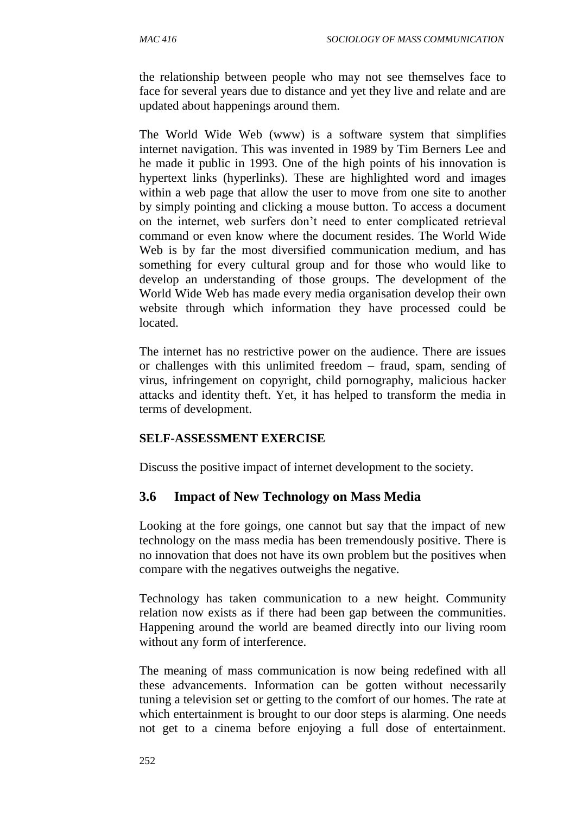the relationship between people who may not see themselves face to face for several years due to distance and yet they live and relate and are updated about happenings around them.

The World Wide Web (www) is a software system that simplifies internet navigation. This was invented in 1989 by Tim Berners Lee and he made it public in 1993. One of the high points of his innovation is hypertext links (hyperlinks). These are highlighted word and images within a web page that allow the user to move from one site to another by simply pointing and clicking a mouse button. To access a document on the internet, web surfers don't need to enter complicated retrieval command or even know where the document resides. The World Wide Web is by far the most diversified communication medium, and has something for every cultural group and for those who would like to develop an understanding of those groups. The development of the World Wide Web has made every media organisation develop their own website through which information they have processed could be located.

The internet has no restrictive power on the audience. There are issues or challenges with this unlimited freedom – fraud, spam, sending of virus, infringement on copyright, child pornography, malicious hacker attacks and identity theft. Yet, it has helped to transform the media in terms of development.

#### **SELF-ASSESSMENT EXERCISE**

Discuss the positive impact of internet development to the society.

### **3.6 Impact of New Technology on Mass Media**

Looking at the fore goings, one cannot but say that the impact of new technology on the mass media has been tremendously positive. There is no innovation that does not have its own problem but the positives when compare with the negatives outweighs the negative.

Technology has taken communication to a new height. Community relation now exists as if there had been gap between the communities. Happening around the world are beamed directly into our living room without any form of interference.

The meaning of mass communication is now being redefined with all these advancements. Information can be gotten without necessarily tuning a television set or getting to the comfort of our homes. The rate at which entertainment is brought to our door steps is alarming. One needs not get to a cinema before enjoying a full dose of entertainment.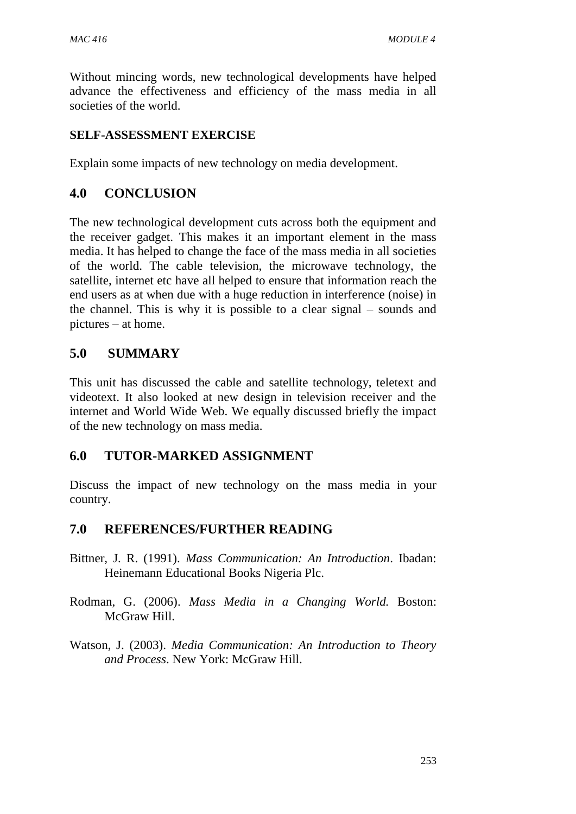Without mincing words, new technological developments have helped advance the effectiveness and efficiency of the mass media in all societies of the world.

#### **SELF-ASSESSMENT EXERCISE**

Explain some impacts of new technology on media development.

#### **4.0 CONCLUSION**

The new technological development cuts across both the equipment and the receiver gadget. This makes it an important element in the mass media. It has helped to change the face of the mass media in all societies of the world. The cable television, the microwave technology, the satellite, internet etc have all helped to ensure that information reach the end users as at when due with a huge reduction in interference (noise) in the channel. This is why it is possible to a clear signal – sounds and pictures – at home.

### **5.0 SUMMARY**

This unit has discussed the cable and satellite technology, teletext and videotext. It also looked at new design in television receiver and the internet and World Wide Web. We equally discussed briefly the impact of the new technology on mass media.

### **6.0 TUTOR-MARKED ASSIGNMENT**

Discuss the impact of new technology on the mass media in your country.

### **7.0 REFERENCES/FURTHER READING**

- Bittner, J. R. (1991). *Mass Communication: An Introduction*. Ibadan: Heinemann Educational Books Nigeria Plc.
- Rodman, G. (2006). *Mass Media in a Changing World.* Boston: McGraw Hill.
- Watson, J. (2003). *Media Communication: An Introduction to Theory and Process*. New York: McGraw Hill.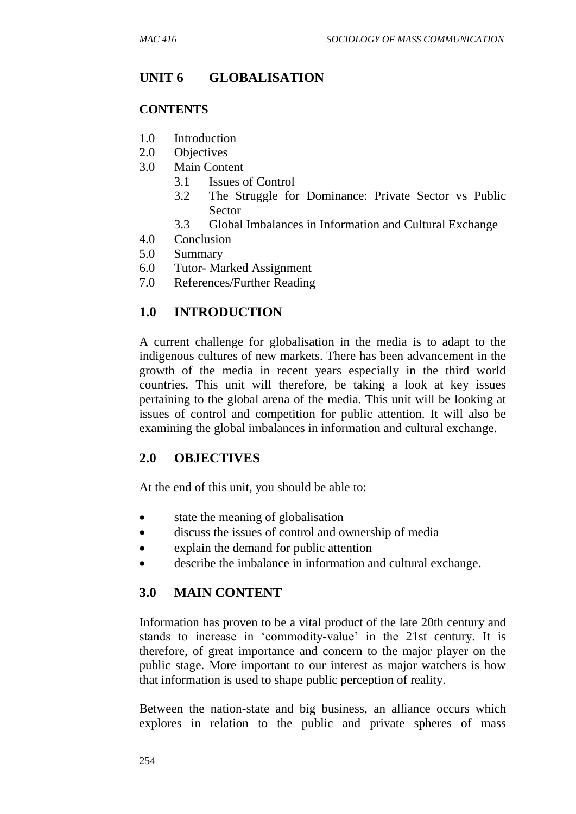# **UNIT 6 GLOBALISATION**

#### **CONTENTS**

- 1.0 Introduction
- 2.0 Objectives
- 3.0 Main Content
	- 3.1 Issues of Control
	- 3.2 The Struggle for Dominance: Private Sector vs Public Sector
	- 3.3 Global Imbalances in Information and Cultural Exchange
- 4.0 Conclusion
- 5.0 Summary
- 6.0 Tutor- Marked Assignment
- 7.0 References/Further Reading

# **1.0 INTRODUCTION**

A current challenge for globalisation in the media is to adapt to the indigenous cultures of new markets. There has been advancement in the growth of the media in recent years especially in the third world countries. This unit will therefore, be taking a look at key issues pertaining to the global arena of the media. This unit will be looking at issues of control and competition for public attention. It will also be examining the global imbalances in information and cultural exchange.

# **2.0 OBJECTIVES**

At the end of this unit, you should be able to:

- state the meaning of globalisation
- discuss the issues of control and ownership of media
- explain the demand for public attention
- describe the imbalance in information and cultural exchange.

### **3.0 MAIN CONTENT**

Information has proven to be a vital product of the late 20th century and stands to increase in 'commodity-value' in the 21st century. It is therefore, of great importance and concern to the major player on the public stage. More important to our interest as major watchers is how that information is used to shape public perception of reality.

Between the nation-state and big business, an alliance occurs which explores in relation to the public and private spheres of mass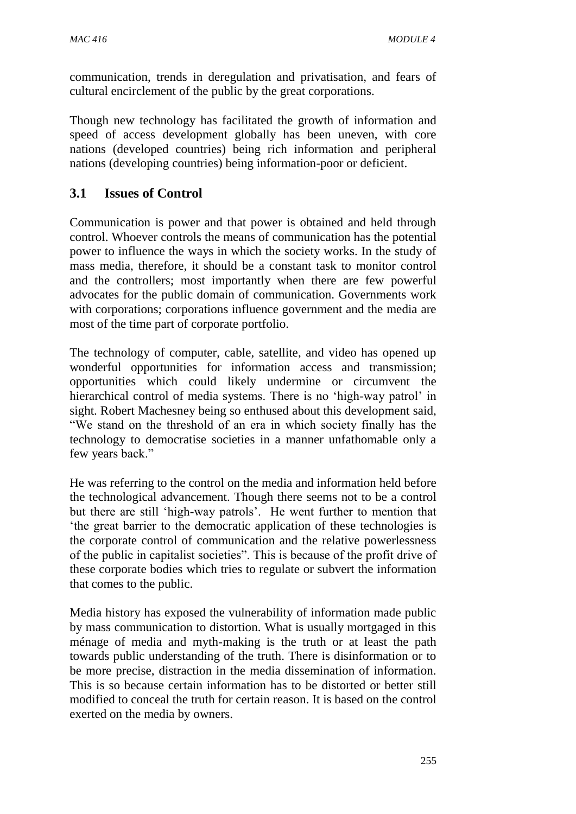communication, trends in deregulation and privatisation, and fears of cultural encirclement of the public by the great corporations.

Though new technology has facilitated the growth of information and speed of access development globally has been uneven, with core nations (developed countries) being rich information and peripheral nations (developing countries) being information-poor or deficient.

# **3.1 Issues of Control**

Communication is power and that power is obtained and held through control. Whoever controls the means of communication has the potential power to influence the ways in which the society works. In the study of mass media, therefore, it should be a constant task to monitor control and the controllers; most importantly when there are few powerful advocates for the public domain of communication. Governments work with corporations; corporations influence government and the media are most of the time part of corporate portfolio.

The technology of computer, cable, satellite, and video has opened up wonderful opportunities for information access and transmission; opportunities which could likely undermine or circumvent the hierarchical control of media systems. There is no 'high-way patrol' in sight. Robert Machesney being so enthused about this development said, "We stand on the threshold of an era in which society finally has the technology to democratise societies in a manner unfathomable only a few years back."

He was referring to the control on the media and information held before the technological advancement. Though there seems not to be a control but there are still 'high-way patrols'. He went further to mention that 'the great barrier to the democratic application of these technologies is the corporate control of communication and the relative powerlessness of the public in capitalist societies". This is because of the profit drive of these corporate bodies which tries to regulate or subvert the information that comes to the public.

Media history has exposed the vulnerability of information made public by mass communication to distortion. What is usually mortgaged in this ménage of media and myth-making is the truth or at least the path towards public understanding of the truth. There is disinformation or to be more precise, distraction in the media dissemination of information. This is so because certain information has to be distorted or better still modified to conceal the truth for certain reason. It is based on the control exerted on the media by owners.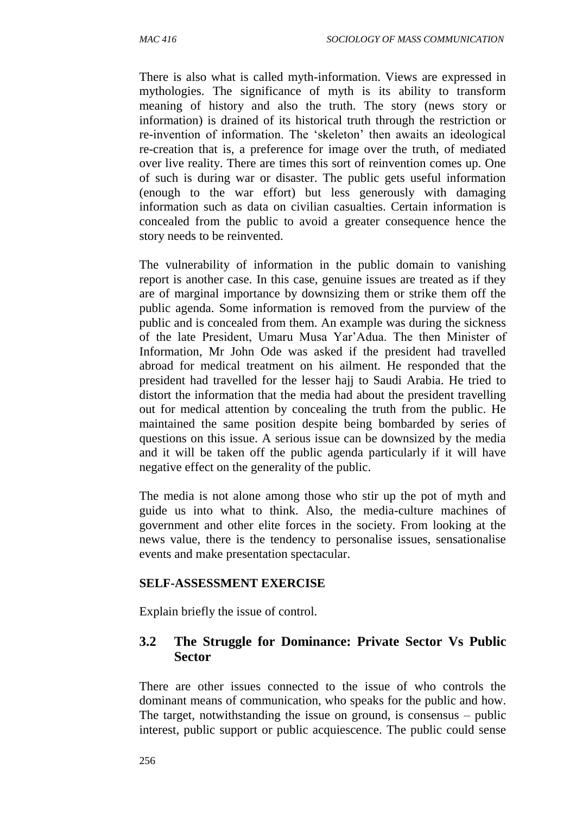There is also what is called myth-information. Views are expressed in mythologies. The significance of myth is its ability to transform meaning of history and also the truth. The story (news story or information) is drained of its historical truth through the restriction or re-invention of information. The 'skeleton' then awaits an ideological re-creation that is, a preference for image over the truth, of mediated over live reality. There are times this sort of reinvention comes up. One of such is during war or disaster. The public gets useful information (enough to the war effort) but less generously with damaging information such as data on civilian casualties. Certain information is concealed from the public to avoid a greater consequence hence the story needs to be reinvented.

The vulnerability of information in the public domain to vanishing report is another case. In this case, genuine issues are treated as if they are of marginal importance by downsizing them or strike them off the public agenda. Some information is removed from the purview of the public and is concealed from them. An example was during the sickness of the late President, Umaru Musa Yar'Adua. The then Minister of Information, Mr John Ode was asked if the president had travelled abroad for medical treatment on his ailment. He responded that the president had travelled for the lesser hajj to Saudi Arabia. He tried to distort the information that the media had about the president travelling out for medical attention by concealing the truth from the public. He maintained the same position despite being bombarded by series of questions on this issue. A serious issue can be downsized by the media and it will be taken off the public agenda particularly if it will have negative effect on the generality of the public.

The media is not alone among those who stir up the pot of myth and guide us into what to think. Also, the media-culture machines of government and other elite forces in the society. From looking at the news value, there is the tendency to personalise issues, sensationalise events and make presentation spectacular.

#### **SELF-ASSESSMENT EXERCISE**

Explain briefly the issue of control.

#### **3.2 The Struggle for Dominance: Private Sector Vs Public Sector**

There are other issues connected to the issue of who controls the dominant means of communication, who speaks for the public and how. The target, notwithstanding the issue on ground, is consensus – public interest, public support or public acquiescence. The public could sense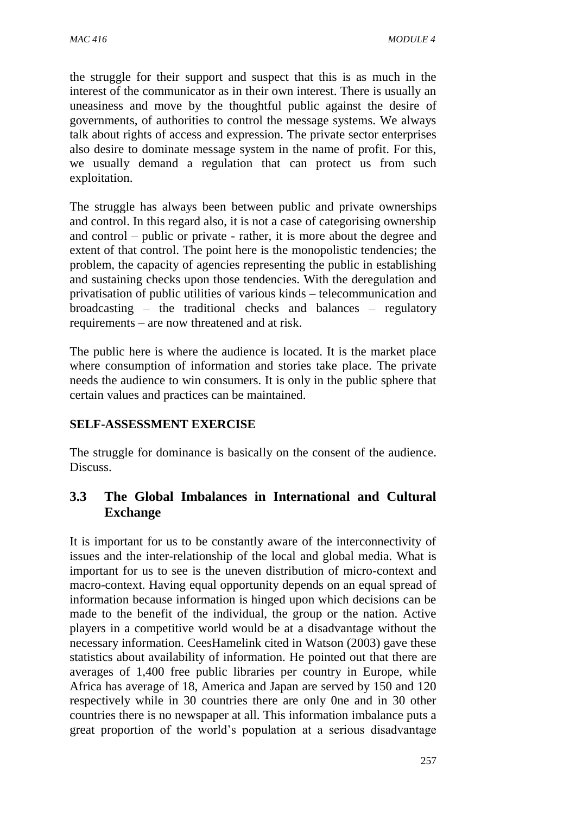the struggle for their support and suspect that this is as much in the interest of the communicator as in their own interest. There is usually an uneasiness and move by the thoughtful public against the desire of governments, of authorities to control the message systems. We always talk about rights of access and expression. The private sector enterprises also desire to dominate message system in the name of profit. For this, we usually demand a regulation that can protect us from such exploitation.

The struggle has always been between public and private ownerships and control. In this regard also, it is not a case of categorising ownership and control – public or private - rather, it is more about the degree and extent of that control. The point here is the monopolistic tendencies; the problem, the capacity of agencies representing the public in establishing and sustaining checks upon those tendencies. With the deregulation and privatisation of public utilities of various kinds – telecommunication and broadcasting – the traditional checks and balances – regulatory requirements – are now threatened and at risk.

The public here is where the audience is located. It is the market place where consumption of information and stories take place. The private needs the audience to win consumers. It is only in the public sphere that certain values and practices can be maintained.

#### **SELF-ASSESSMENT EXERCISE**

The struggle for dominance is basically on the consent of the audience. Discuss.

### **3.3 The Global Imbalances in International and Cultural Exchange**

It is important for us to be constantly aware of the interconnectivity of issues and the inter-relationship of the local and global media. What is important for us to see is the uneven distribution of micro-context and macro-context. Having equal opportunity depends on an equal spread of information because information is hinged upon which decisions can be made to the benefit of the individual, the group or the nation. Active players in a competitive world would be at a disadvantage without the necessary information. CeesHamelink cited in Watson (2003) gave these statistics about availability of information. He pointed out that there are averages of 1,400 free public libraries per country in Europe, while Africa has average of 18, America and Japan are served by 150 and 120 respectively while in 30 countries there are only 0ne and in 30 other countries there is no newspaper at all. This information imbalance puts a great proportion of the world's population at a serious disadvantage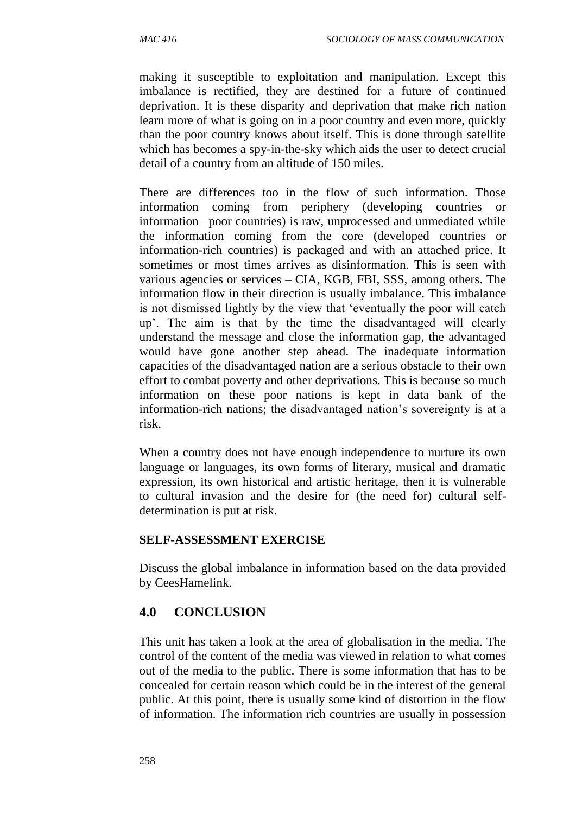making it susceptible to exploitation and manipulation. Except this imbalance is rectified, they are destined for a future of continued deprivation. It is these disparity and deprivation that make rich nation learn more of what is going on in a poor country and even more, quickly than the poor country knows about itself. This is done through satellite which has becomes a spy-in-the-sky which aids the user to detect crucial detail of a country from an altitude of 150 miles.

There are differences too in the flow of such information. Those information coming from periphery (developing countries or information –poor countries) is raw, unprocessed and unmediated while the information coming from the core (developed countries or information-rich countries) is packaged and with an attached price. It sometimes or most times arrives as disinformation. This is seen with various agencies or services – CIA, KGB, FBI, SSS, among others. The information flow in their direction is usually imbalance. This imbalance is not dismissed lightly by the view that 'eventually the poor will catch up'. The aim is that by the time the disadvantaged will clearly understand the message and close the information gap, the advantaged would have gone another step ahead. The inadequate information capacities of the disadvantaged nation are a serious obstacle to their own effort to combat poverty and other deprivations. This is because so much information on these poor nations is kept in data bank of the information-rich nations; the disadvantaged nation's sovereignty is at a risk.

When a country does not have enough independence to nurture its own language or languages, its own forms of literary, musical and dramatic expression, its own historical and artistic heritage, then it is vulnerable to cultural invasion and the desire for (the need for) cultural selfdetermination is put at risk.

#### **SELF-ASSESSMENT EXERCISE**

Discuss the global imbalance in information based on the data provided by CeesHamelink.

### **4.0 CONCLUSION**

This unit has taken a look at the area of globalisation in the media. The control of the content of the media was viewed in relation to what comes out of the media to the public. There is some information that has to be concealed for certain reason which could be in the interest of the general public. At this point, there is usually some kind of distortion in the flow of information. The information rich countries are usually in possession